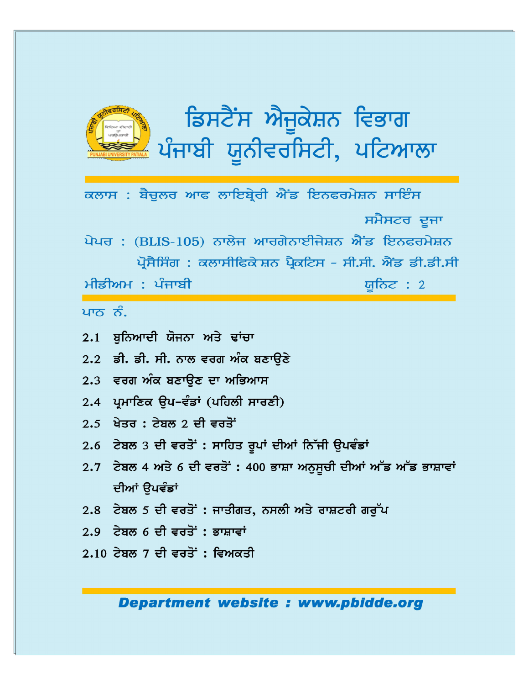

ਡਿਸਟੈਂਸ ਐਜੁਕੇਸ਼ਨ ਵਿਭਾਗ ਪੰਜਾਬੀ ਯੂਨੀਵਰਸਿਟੀ, ਪਟਿਆਲਾ

ਕਲਾਸ : ਬੈਚੁਲਰ ਆਫ ਲਾਇਬ੍ਰੇਰੀ ਐਂਡ ਇਨਫਰਮੇਸ਼ਨ ਸਾਇੰਸ ਸਮੈਸਟਰ ਦੂਜਾ ਪੇਪਰ : (BLIS-105) ਨਾਲੇਜ ਆਰਗੇਨਾਈਜੇਸ਼ਨ ਐਂਡ ਇਨਫਰਮੇਸ਼ਨ ਪ੍ਰੋਸੈਸਿੰਗ : ਕਲਾਸੀਫਿਕੇਸ਼ਨ ਪ੍ਰੈਕਟਿਸ - ਸੀ.ਸੀ. ਐਂਡ ਡੀ.ਡੀ.ਸੀ ਮੀਡੀਅਮ : ਪੰਜਾਬੀ ਯੁਨਿਟ : 2

ਪਾਨ ਨੰ

- 2.1 ਬਨਿਆਦੀ ਯੋਜਨਾ ਅਤੇ ਢਾਂਚਾ
- 2.2 ਡੀ. ਡੀ. ਸੀ. ਨਾਲ ਵਰਗ ਅੰਕ ਬਣਾੳਣੇ
- 2.3 ਵਰਗ ਅੰਕ ਬਣਾੳਣ ਦਾ ਅਭਿਆਸ
- 2.4 ਪ੍ਰਮਾਣਿਕ ੳਪ-ਵੰਡਾਂ (ਪਹਿਲੀ ਸਾਰਣੀ)
- $2.5$  ਖੇਤਰ : ਟੇਬਲ 2 ਦੀ ਵਰਤੋਂ
- 2.6 ਟੇਬਲ 3 ਦੀ ਵਰਤੋਂ : ਸਾਹਿਤ ਰੂਪਾਂ ਦੀਆਂ ਨਿੱਜੀ ਉਪਵੰਡਾਂ
- $2.7$  ਟੇਬਲ 4 ਅਤੇ 6 ਦੀ ਵਰਤੋਂ : 400 ਭਾਸ਼ਾ ਅਨੁਸੂਚੀ ਦੀਆਂ ਅੱਡ ਅੱਡ ਭਾਸ਼ਾਵਾਂ ਦੀਆਂ ੳਪਵੰਡਾਂ
- 2.8 ਟੇਬਲ 5 ਦੀ ਵਰਤੋਂ : ਜਾਤੀਗਤ, ਨਸਲੀ ਅਤੇ ਰਾਸ਼ਟਰੀ ਗਰੁੱਪ
- $2.9$  ਟੇਬਲ 6 ਦੀ ਵਰਤੋਂ : ਭਾਸ਼ਾਵਾਂ
- $2.10$  ਟੇਬਲ 7 ਦੀ ਵਰਤੋਂ: ਵਿਅਕਤੀ

**Department website: www.pbidde.org**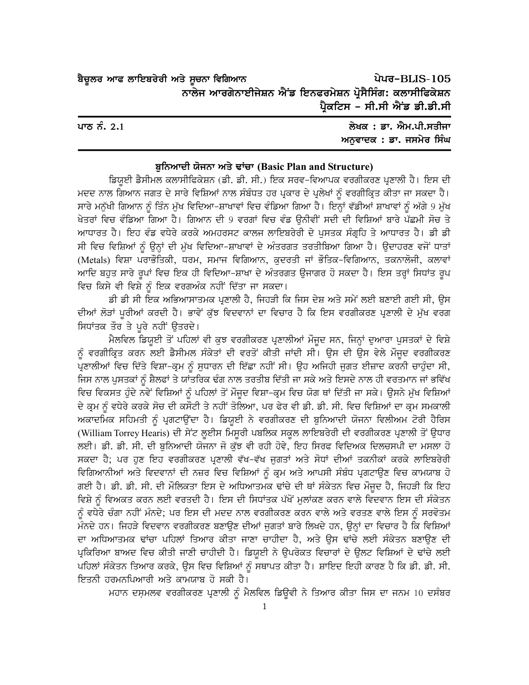| ਬੈਚੂਲਰ ਆਫ ਲਾਇਬਰੇਰੀ ਅਤੇ ਸੂਚਨਾ ਵਿਗਿਆਨ |                                                           |  | ਪੇਪਰ-BLIS-105                 |
|-------------------------------------|-----------------------------------------------------------|--|-------------------------------|
|                                     | ਨਾਲੇਜ ਆਰਗੇਨਾਈਜੇਸ਼ਨ ਐਂਡ ਇਨਫਰਮੇਸ਼ਨ ਪ੍ਰੋਸੈਸਿੰਗ: ਕਲਾਸੀਫਿਕੇਸ਼ਨ |  |                               |
|                                     |                                                           |  | ਪ੍ਰੈਕਟਿਸ - ਸੀ.ਸੀ ਐਂਡ ਡੀ.ਡੀ.ਸੀ |
|                                     |                                                           |  |                               |

| ਪਾਠ ਨੰ. 2.1 | ਲੇਖਕ : ਡਾ. ਐਮ.ਪੀ.ਸਤੀਜਾ  |
|-------------|-------------------------|
|             | ਅਨਵਾਦਕ : ਡਾ. ਜਸਮੇਰ ਸਿੰਘ |

#### ਬੁਨਿਆਦੀ ਯੋਜਨਾ ਅਤੇ ਢਾਂਚਾ (Basic Plan and Structure)

ਡਿਯੂਈ ਡੈਸੀਮਲ ਕਲਾਸੀਫਿਕੇਸ਼ਨ (ਡੀ. ਡੀ. ਸੀ.) ਇਕ ਸਰਵ-ਵਿਆਪਕ ਵਰਗੀਕਰਣ ਪ੍ਰਣਾਲੀ ਹੈ। ਇਸ ਦੀ ਮਦਦ ਨਾਲ ਗਿਆਨ ਜਗਤ ਦੇ ਸਾਰੇ ਵਿਸ਼ਿਆਂ ਨਾਲ ਸੰਬੰਧਤ ਹਰ ਪ੍ਰਕਾਰ ਦੇ ਪ੍ਰਲੇਖਾਂ ਨੂੰ ਵਰਗੀਕ੍ਰਿਤ ਕੀਤਾ ਜਾ ਸਕਦਾ ਹੈ। ਸਾਰੇ ਮਨੁੱਖੀ ਗਿਆਨ ਨੂੰ ਤਿੰਨ ਮੁੱਖ ਵਿਦਿਆ–ਸ਼ਾਖਾਵਾਂ ਵਿਚ ਵੰਡਿਆ ਗਿਆ ਹੈ। ਇਨ੍ਹਾਂ ਵੱਡੀਆਂ ਸ਼ਾਖਾਵਾਂ ਨੂੰ ਅੱਗੇ 9 ਮੁੱਖ ਖੇਤਰਾਂ ਵਿਚ ਵੰਡਿਆ ਗਿਆ ਹੈ। ਗਿਆਨ ਦੀ 9 ਵਰਗਾਂ ਵਿਚ ਵੰਡ ਉਨੀਵੀਂ ਸਦੀ ਦੀ ਵਿਸ਼ਿਆਂ ਬਾਰੇ ਪੱਛਮੀ ਸੋਚ ਤੇ ਆਧਾਰਤ ਹੈ। ਇਹ ਵੰਡ ਵਧੇਰੇ ਕਰਕੇ ਅਮਹਰਸਟ ਕਾਲਜ ਲਾਇਬਰੇਰੀ ਦੇ ਪੁਸਤਕ ਸੰਗ੍ਰਹਿ ਤੇ ਆਧਾਰਤ ਹੈ। ਡੀ ਡੀ ਸੀ ਵਿਚ ਵਿਸ਼ਿਆਂ ਨੂੰ ਉਨ੍ਹਾਂ ਦੀ ਮੁੱਖ ਵਿਦਿਆ-ਸ਼ਾਖਾਵਾਂ ਦੇ ਅੰਤਰਗਤ ਤਰਤੀਬਿਆ ਗਿਆ ਹੈ। ਉਦਾਹਰਣ ਵਜੋਂ ਧਾਤਾਂ (Metals) ਵਿਸ਼ਾ ਪਰਾਭੌਤਿਕੀ, ਧਰਮ, ਸਮਾਜ ਵਿਗਿਆਨ, ਕੁਦਰਤੀ ਜਾਂ ਭੌਤਿਕ–ਵਿਗਿਆਨ, ਤਕਨਾਲੋਜੀ, ਕਲਾਵਾਂ ਆਦਿ ਬਹੁਤ ਸਾਰੇ ਰੁਪਾਂ ਵਿਚ ਇਕ ਹੀ ਵਿਦਿਆ–ਸ਼ਾਖਾ ਦੇ ਅੰਤਰਗਤ ਉਜਾਗਰ ਹੋ ਸਕਦਾ ਹੈ। ਇਸ ਤਰ੍ਹਾਂ ਸਿਧਾਂਤ ਰੂਪ ਵਿਚ ਕਿਸੇ ਵੀ ਵਿਸ਼ੇ ਨੰ ਇਕ ਵਰਗਅੰਕ ਨਹੀਂ ਦਿੱਤਾ ਜਾ ਸਕਦਾ।

ਡੀ ਡੀ ਸੀ ਇਕ ਅਭਿਆਸਾਤਮਕ ਪੁਣਾਲੀ ਹੈ, ਜਿਹੜੀ ਕਿ ਜਿਸ ਦੇਸ਼ ਅਤੇ ਸਮੇਂ ਲਈ ਬਣਾਈ ਗਈ ਸੀ, ਉਸ ਦੀਆਂ ਲੋੜਾਂ ਪੁਰੀਆਂ ਕਰਦੀ ਹੈ। ਭਾਵੇਂ ਕੁੱਝ ਵਿਦਵਾਨਾਂ ਦਾ ਵਿਚਾਰ ਹੈ ਕਿ ਇਸ ਵਰਗੀਕਰਣ ਪ੍ਰਣਾਲੀ ਦੇ ਮੁੱਖ ਵਰਗ ਸਿਧਾਂਤਕ ਤੌਰ ਤੇ ਪਰੇ ਨਹੀਂ ਉਤਰਦੇ।

ਮੈਲਵਿਲ ਡਿਯੁਈ ਤੋਂ ਪਹਿਲਾਂ ਵੀ ਕੁਝ ਵਰਗੀਕਰਣ ਪ੍ਰਣਾਲੀਆਂ ਮੌਜੂਦ ਸਨ, ਜਿਨ੍ਹਾਂ ਦੁਆਰਾ ਪੁਸਤਕਾਂ ਦੇ ਵਿਸ਼ੇ ਨੂੰ ਵਰਗੀਕ੍ਰਿਤ ਕਰਨ ਲਈ ਡੈਸੀਮਲ ਸੰਕੇਤਾਂ ਦੀ ਵਰਤੋਂ ਕੀਤੀ ਜਾਂਦੀ ਸੀ। ਉਸ ਦੀ ਉਸ ਵੇਲੇ ਮੌਜੂਦ ਵਰਗੀਕਰਣ ਪ੍ਰਣਾਲੀਆਂ ਵਿਚ ਦਿੱਤੇ ਵਿਸ਼ਾ-ਕੁਮ ਨੰ ਸਧਾਰਨ ਦੀ ਇੱਛਾ ਨਹੀਂ ਸੀ। ੳਹ ਅਜਿਹੀ ਜਗਤ ਈਜ਼ਾਦ ਕਰਨੀ ਚਾਹੰਦਾ ਸੀ, ਜਿਸ ਨਾਲ ਪੁਸਤਕਾਂ ਨੂੰ ਸ਼ੈਲਫਾਂ ਤੇ ਯਾਂਤਰਿਕ ਢੰਗ ਨਾਲ ਤਰਤੀਬ ਦਿੱਤੀ ਜਾ ਸਕੇ ਅਤੇ ਇਸਦੇ ਨਾਲ ਹੀ ਵਰਤਮਾਨ ਜਾਂ ਭਵਿੱਖ ਵਿਚ ਵਿਕਸਤ ਹੁੰਦੇ ਨਵੇਂ ਵਿਸ਼ਿਆਂ ਨੂੰ ਪਹਿਲਾਂ ਤੋਂ ਮੌਜੂਦ ਵਿਸ਼ਾ-ਕ੍ਰਮ ਵਿਚ ਯੋਗ ਥਾਂ ਦਿੱਤੀ ਜਾ ਸਕੇ। ਉਸਨੇ ਮੁੱਖ ਵਿਸ਼ਿਆਂ ਦੇ ਕ੍ਰਮ ਨੂੰ ਵਧੇਰੇ ਕਰਕੇ ਸੋਚ ਦੀ ਕਸੌਟੀ ਤੇ ਨਹੀਂ ਤੋਲਿਆ, ਪਰ ਫੇਰ ਵੀ ਡੀ. ਡੀ. ਸੀ. ਵਿਚ ਵਿਸ਼ਿਆਂ ਦਾ ਕ੍ਰਮ ਸਮਕਾਲੀ ਅਕਾਦਮਿਕ ਸਹਿਮਤੀ ਨੂੰ ਪ੍ਰਗਟਾਉਂਦਾ ਹੈ। ਡਿਯੂਈ ਨੇ ਵਰਗੀਕਰਣ ਦੀ ਬੁਨਿਆਦੀ ਯੋਜਨਾ ਵਿਲੀਅਮ ਟੋਰੀ ਹੈਰਿਸ (William Torrey Hearis) ਦੀ ਸੇਂਟ ਲਈਸ ਮਿਸੂਰੀ ਪਬਲਿਕ ਸਕੂਲ ਲਾਇਬਰੇਰੀ ਦੀ ਵਰਗੀਕਰਣ ਪ੍ਰਣਾਲੀ ਤੋਂ ਉਧਾਰ ਲਈ। ਡੀ. ਡੀ. ਸੀ. ਦੀ ਬੁਨਿਆਦੀ ਯੋਜਨਾ ਜੋ ਕੁੱਝ ਵੀ ਰਹੀ ਹੋਵੇ, ਇਹ ਸਿਰਫ ਵਿਦਿਅਕ ਦਿਲਚਸਪੀ ਦਾ ਮਸਲਾ ਹੋ ਸਕਦਾ ਹੈ; ਪਰ ਹੁਣ ਇਹ ਵਰਗੀਕਰਣ ਪ੍ਰਣਾਲੀ ਵੱਖ-ਵੱਖ ਜੁਗਤਾਂ ਅਤੇ ਸੋਧਾਂ ਦੀਆਂ ਤਕਨੀਕਾਂ ਕਰਕੇ ਲਾਇਬਰੇਰੀ ਵਿਗਿਆਨੀਆਂ ਅਤੇ ਵਿਦਵਾਨਾਂ ਦੀ ਨਜ਼ਰ ਵਿਚ ਵਿਸ਼ਿਆਂ ਨੂੰ ਕ੍ਰਮ ਅਤੇ ਆਪਸੀ ਸੰਬੰਧ ਪ੍ਰਗਟਾਉਣ ਵਿਚ ਕਾਮਯਾਬ ਹੋ ਗਈ ਹੈ। ਡੀ. ਡੀ. ਸੀ. ਦੀ ਮੌਲਿਕਤਾ ਇਸ ਦੇ ਅਧਿਆਤਮਕ ਢਾਂਚੇ ਦੀ ਥਾਂ ਸੰਕੇਤਨ ਵਿਚ ਮੌਜੂਦ ਹੈ, ਜਿਹੜੀ ਕਿ ਇਹ ਵਿਸ਼ੇ ਨੂੰ ਵਿਅਕਤ ਕਰਨ ਲਈ ਵਰਤਦੀ ਹੈ। ਇਸ ਦੀ ਸਿਧਾਂਤਕ ਪੱਖੋਂ ਮੁਲਾਂਕਣ ਕਰਨ ਵਾਲੇ ਵਿਦਵਾਨ ਇਸ ਦੀ ਸੰਕੇਤਨ ਨੂੰ ਵਧੇਰੇ ਚੰਗਾ ਨਹੀਂ ਮੰਨਦੇ; ਪਰ ਇਸ ਦੀ ਮਦਦ ਨਾਲ ਵਰਗੀਕਰਣ ਕਰਨ ਵਾਲੇ ਅਤੇ ਵਰਤਣ ਵਾਲੇ ਇਸ ਨੂੰ ਸਰਵੋਤਮ ਮੌਨਦੇ ਹਨ। ਜਿਹੜੇ ਵਿਦਵਾਨ ਵਰਗੀਕਰਣ ਬਣਾਉਣ ਦੀਆਂ ਜੁਗਤਾਂ ਬਾਰੇ ਲਿਖਦੇ ਹਨ, ਉਨ੍ਹਾਂ ਦਾ ਵਿਚਾਰ ਹੈ ਕਿ ਵਿਸ਼ਿਆਂ ਦਾ ਅਧਿਆਤਮਕ ਢਾਂਚਾ ਪਹਿਲਾਂ ਤਿਆਰ ਕੀਤਾ ਜਾਣਾ ਚਾਹੀਦਾ ਹੈ, ਅਤੇ ਉਸ ਢਾਂਚੇ ਲਈ ਸੰਕੇਤਨ ਬਣਾਉਣ ਦੀ ਪਕਿਰਿਆ ਬਾਅਦ ਵਿਚ ਕੀਤੀ ਜਾਣੀ ਚਾਹੀਦੀ ਹੈ। ਡਿਯਈ ਨੇ ਉਪਰੋਕਤ ਵਿਚਾਰਾਂ ਦੇ ਉਲਟ ਵਿਸ਼ਿਆਂ ਦੇ ਢਾਂਚੇ ਲਈ ਪਹਿਲਾਂ ਸੰਕੇਤਨ ਤਿਆਰ ਕਰਕੇ, ਉਸ ਵਿਚ ਵਿਸ਼ਿਆਂ ਨੂੰ ਸਥਾਪਤ ਕੀਤਾ ਹੈ। ਸ਼ਾਇਦ ਇਹੀ ਕਾਰਣ ਹੈ ਕਿ ਡੀ. ਡੀ. ਸੀ. ਇਤਨੀ ਹਰਮਨਪਿਆਰੀ ਅਤੇ ਕਾਮਯਾਬ ਹੋ ਸਕੀ ਹੈ।

ਮਹਾਨ ਦਸ਼ਮਲਵ ਵਰਗੀਕਰਣ ਪ੍ਰਣਾਲੀ ਨੂੰ ਮੈਲਵਿਲ ਡਿਊਵੀ ਨੇ ਤਿਆਰ ਕੀਤਾ ਜਿਸ ਦਾ ਜਨਮ 10 ਦਸੰਬਰ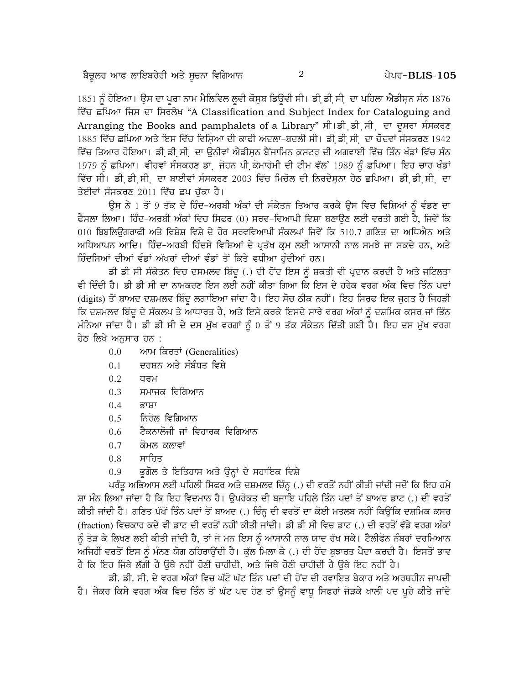1851 ਨੂੰ ਹੋਇਆ। ਉਸ ਦਾ ਪੂਰਾ ਨਾਮ ਮੈਲਿਵਿਲ ਲੁਵੀ ਕੋਸੂਬ ਡਿਊਵੀ ਸੀ। ਡੀ਼ ਡੀ਼ ਸੀ. ਦਾ ਪਹਿਲਾ ਐਡੀਸ਼ਨ ਸੰਨ 1876 ਵਿੱਚ ਛਪਿਆ ਜਿਸ ਦਾ ਸਿਰਲੇਖ "A Classification and Subject Index for Cataloguing and Arranging the Books and pamphalets of a Library" ਸੀ।ਡੀ ਡੀ ਸੀ ਦਾ ਦੁਸਰਾ ਸੰਸਕਰਣ 1885 ਵਿੱਚ ਛਪਿਆ ਅਤੇ ਇਸ ਵਿੱਚ ਵਿਸਿਆ ਦੀ ਕਾਫੀ ਅਦਲਾ-ਬਦਲੀ ਸੀ। ਡੀ ਡੀ ਸੀ. ਦਾ ਚੋਦਵਾਂ ਸੰਸਕਰਣ 1942 ਵਿੱਚ ਤਿਆਰ ਹੋਇਆ। ਡੀ ਡੀ ਸੀ¸ ਦਾ ਉਨੀਵਾਂ ਐਡੀਸਨ ਬੈਂਜਾਮਿਨ ਕਸਟਰ ਦੀ ਅਗਵਾਈ ਵਿੱਚ ਤਿੰਨ ਖੰਡਾਂ ਵਿੱਚ ਸੰਨ 1979 ਨੂੰ ਛਪਿਆ। ਵੀਹਵਾਂ ਸੰਸਕਰਣ ਡਾ. ਜੋਹਨ ਪੀ ਕੋਮਾਰੋਮੀ ਦੀ ਟੀਮ ਵੱਲ' 1989 ਨੂੰ ਛਪਿਆ। ਇਹ ਚਾਰ ਖੰਡਾਂ ਵਿੱਚ ਸੀ। ਡੀ ਡੀ ਸੀ, ਦਾ ਬਾਈਵਾਂ ਸੰਸਕਰਣ 2003 ਵਿੱਚ ਮਿਚੋਲ ਦੀ ਨਿਰਦੇਸ਼ਨਾ ਹੇਠ ਛਪਿਆ। ਡੀ ਡੀ ਸੀ, ਦਾ ਤੇਈਵਾਂ ਸੰਸਕਰਣ 2011 ਵਿੱਚ ਛਪ ਚੱਕਾ ਹੈ।

ਉਸ ਨੇ 1 ਤੋਂ 9 ਤੱਕ ਦੇ ਹਿੰਦ-ਅਰਬੀ ਅੰਕਾਂ ਦੀ ਸੰਕੇਤਨ ਤਿਆਰ ਕਰਕੇ ਉਸ ਵਿਚ ਵਿਸ਼ਿਆਂ ਨੰ ਵੰਡਣ ਦਾ ਫੈਸਲਾ ਲਿਆ। ਹਿੰਦ-ਅਰਬੀ ਅੰਕਾਂ ਵਿਚ ਸਿਫਰ (0) ਸਰਵ-ਵਿਆਪੀ ਵਿਸ਼ਾ ਬਣਾੳਣ ਲਈ ਵਰਤੀ ਗਈ ਹੈ, ਜਿਵੇਂ ਕਿ 010 ਬਿਬਲਿਊਗਰਾਫੀ ਅਤੇ ਵਿਸ਼ੇਸ਼ ਵਿਸ਼ੇ ਦੇ ਹੋਰ ਸਰਵਵਿਆਪੀ ਸੰਕਲਪਾਂ ਜਿਵੇਂ ਕਿ 510.7 ਗਣਿਤ ਦਾ ਅਧਿਐਨ ਅਤੇ ਅਧਿਆਪਨ ਆਦਿ। ਹਿੰਦ-ਅਰਬੀ ਹਿੰਦਸੇ ਵਿਸ਼ਿਆਂ ਦੇ ਪਤੱਖ ਕਮ ਲਈ ਆਸਾਨੀ ਨਾਲ ਸਮਝੇ ਜਾ ਸਕਦੇ ਹਨ, ਅਤੇ ਹਿੰਦਸਿਆਂ ਦੀਆਂ ਵੰਡਾਂ ਅੱਖਰਾਂ ਦੀਆਂ ਵੰਡਾਂ ਤੋਂ ਕਿਤੇ ਵਧੀਆ ਹੰਦੀਆਂ ਹਨ।

ਡੀ ਡੀ ਸੀ ਸੰਕੇਤਨ ਵਿਚ ਦਸਮਲਵ ਬਿੰਦ (.) ਦੀ ਹੋਂਦ ਇਸ ਨੂੰ ਸ਼ਕਤੀ ਵੀ ਪਦਾਨ ਕਰਦੀ ਹੈ ਅਤੇ ਜਟਿਲਤਾ ਵੀ ਦਿੰਦੀ ਹੈ। ਡੀ ਡੀ ਸੀ ਦਾ ਨਾਮਕਰਣ ਇਸ ਲਈ ਨਹੀਂ ਕੀਤਾ ਗਿਆ ਕਿ ਇਸ ਦੇ ਹਰੇਕ ਵਰਗ ਅੰਕ ਵਿਚ ਤਿੰਨ ਪਦਾਂ (digits) ਤੋਂ ਬਾਅਦ ਦਸ਼ਮਲਵ ਬਿੰਦੂ ਲਗਾਇਆ ਜਾਂਦਾ ਹੈ। ਇਹ ਸੋਚ ਠੀਕ ਨਹੀਂ। ਇਹ ਸਿਰਫ ਇਕ ਜੁਗਤ ਹੈ ਜਿਹੜੀ ਕਿ ਦਸ਼ਮਲਵ ਬਿੰਦੂ ਦੇ ਸੰਕਲਪ ਤੇ ਆਧਾਰਤ ਹੈ, ਅਤੇ ਇਸੇ ਕਰਕੇ ਇਸਦੇ ਸਾਰੇ ਵਰਗ ਅੰਕਾਂ ਨੂੰ ਦਸ਼ਮਿਕ ਕਸਰ ਜਾਂ ਭਿੰਨ ਮੰਨਿਆ ਜਾਂਦਾ ਹੈ। ਡੀ ਡੀ ਸੀ ਦੇ ਦਸ ਮੁੱਖ ਵਰਗਾਂ ਨੂੰ 0 ਤੋਂ 9 ਤੱਕ ਸੰਕੇਤਨ ਦਿੱਤੀ ਗਈ ਹੈ। ਇਹ ਦਸ ਮੁੱਖ ਵਰਗ ਹੇਠ ਲਿਖੇ ਅਨਸਾਰ ਹਨ :

- ਆਮ ਕਿਰਤਾਂ (Generalities)  $0.0$
- ਦਰਸ਼ਨ ਅਤੇ ਸੰਬੰਧਤ ਵਿਸ਼ੇ  $0.1$
- $0.2$ ਧਰਮ
- ਸਮਾਜਕ ਵਿਗਿਆਨ  $0.3$
- $0.4$ ਕਾਸ਼ਾ
- ਨਿਰੋਲ ਵਿਗਿਆਨ  $0.5$
- ਟੈਕਨਾਲੋਜੀ ਜਾਂ ਵਿਹਾਰਕ ਵਿਗਿਆਨ  $0.6$
- $0.7$ ਕੋਮਲ ਕਲਾਵਾਂ
- ਸਾਹਿਤ  $0.8$
- ਭੂਗੋਲ ਤੇ ਇਤਿਹਾਸ ਅਤੇ ਉਨ੍ਹਾਂ ਦੇ ਸਹਾਇਕ ਵਿਸ਼ੇ  $0.9$

ਪਰੰਤੂ ਅਭਿਆਸ ਲਈ ਪਹਿਲੀ ਸਿਫਰ ਅਤੇ ਦਸ਼ਮਲਵ ਚਿੰਨ੍ਹ (.) ਦੀ ਵਰਤੋਂ ਨਹੀਂ ਕੀਤੀ ਜਾਂਦੀ ਜਦੋਂ ਕਿ ਇਹ ਹਮੇ ਸ਼ਾ ਮੰਨ ਲਿਆ ਜਾਂਦਾ ਹੈ ਕਿ ਇਹ ਵਿਦਮਾਨ ਹੈ। ਉਪਰੋਕਤ ਦੀ ਬਜਾਇ ਪਹਿਲੇ ਤਿੰਨ ਪਦਾਂ ਤੋਂ ਬਾਅਦ ਡਾਟ (.) ਦੀ ਵਰਤੋਂ ਕੀਤੀ ਜਾਂਦੀ ਹੈ। ਗਣਿਤ ਪੱਖੋਂ ਤਿੰਨ ਪਦਾਂ ਤੋਂ ਬਾਅਦ (.) ਚਿੰਨ੍ਹ ਦੀ ਵਰਤੋਂ ਦਾ ਕੋਈ ਮਤਲਬ ਨਹੀਂ ਕਿਉਂਕਿ ਦਸ਼ਮਿਕ ਕਸਰ (fraction) ਵਿਚਕਾਰ ਕਦੇ ਵੀ ਡਾਟ ਦੀ ਵਰਤੋਂ ਨਹੀਂ ਕੀਤੀ ਜਾਂਦੀ। ਡੀ ਡੀ ਸੀ ਵਿਚ ਡਾਟ (.) ਦੀ ਵਰਤੋਂ ਵੱਡੇ ਵਰਗ ਅੰਕਾਂ ਨੂੰ ਤੋੜ ਕੇ ਲਿਖਣ ਲਈ ਕੀਤੀ ਜਾਂਦੀ ਹੈ, ਤਾਂ ਜੋ ਮਨ ਇਸ ਨੂੰ ਆਸਾਨੀ ਨਾਲ ਯਾਦ ਰੱਖ ਸਕੇ। ਟੈਲੀਫੋਨ ਨੰਬਰਾਂ ਦਰਮਿਆਨ ਅਜਿਹੀ ਵਰਤੋਂ ਇਸ ਨੂੰ ਮੰਨਣ ਯੋਗ ਠਹਿਰਾਉਂਦੀ ਹੈ। ਕੁੱਲ ਮਿਲਾ ਕੇ (.) ਦੀ ਹੋਂਦ ਬੁਝਾਰਤ ਪੈਦਾ ਕਰਦੀ ਹੈ। ਇਸਤੋਂ ਭਾਵ ਹੈ ਕਿ ਇਹ ਜਿਥੇ ਲੱਗੀ ਹੈ ੳਥੇ ਨਹੀਂ ਹੋਣੀ ਚਾਹੀਦੀ, ਅਤੇ ਜਿਥੇ ਹੋਣੀ ਚਾਹੀਦੀ ਹੈ ੳਥੇ ਇਹ ਨਹੀਂ ਹੈ।

ਡੀ. ਡੀ. ਸੀ. ਦੇ ਵਰਗ ਅੰਕਾਂ ਵਿਚ ਘੱਟੋ ਘੱਟ ਤਿੰਨ ਪਦਾਂ ਦੀ ਹੋਂਦ ਦੀ ਰਵਾਇਤ ਬੇਕਾਰ ਅਤੇ ਅਰਥਹੀਨ ਜਾਪਦੀ ਹੈ। ਜੇਕਰ ਕਿਸੇ ਵਰਗ ਅੰਕ ਵਿਚ ਤਿੰਨ ਤੋਂ ਘੱਟ ਪਦ ਹੋਣ ਤਾਂ ਉਸਨੂੰ ਵਾਧੂ ਸਿਫਰਾਂ ਜੋੜਕੇ ਖਾਲੀ ਪਦ ਪੂਰੇ ਕੀਤੇ ਜਾਂਦੇ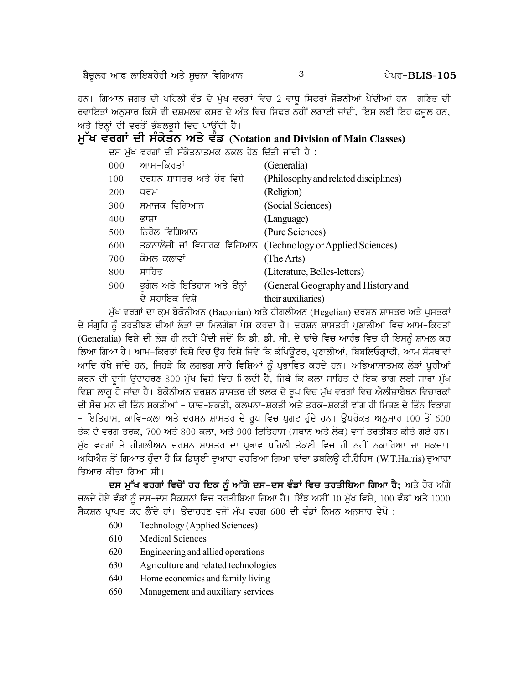ਬੈਚੂਲਰ ਆਫ ਲਾਇਬਰੇਰੀ ਅਤੇ ਸੂਚਨਾ ਵਿਗਿਆਨ

3

ਹਨ। ਗਿਆਨ ਜਗਤ ਦੀ ਪਹਿਲੀ ਵੰਡ ਦੇ ਮੁੱਖ ਵਰਗਾਂ ਵਿਚ 2 ਵਾਧੂ ਸਿਫਰਾਂ ਜੋੜਨੀਆਂ ਪੈਂਦੀਆਂ ਹਨ। ਗਣਿਤ ਦੀ ਰਵਾਇਤਾਂ ਅਨੁਸਾਰ ਕਿਸੇ ਵੀ ਦਸ਼ਮਲਵ ਕਸਰ ਦੇ ਅੰਤ ਵਿਚ ਸਿਫਰ ਨਹੀਂ ਲਗਾਈ ਜਾਂਦੀ, ਇਸ ਲਈ ਇਹ ਫਜੂਲ ਹਨ, ਅਤੇ ਇਨ੍ਹਾਂ ਦੀ ਵਰਤੋਂ ਭੰਬਲਭੁਸੇ ਵਿਚ ਪਾਉਂਦੀ ਹੈ।

# ਮੁੱਖ ਵਰਗਾਂ ਦੀ ਸੰਕੇਤਨ ਅਤੇ ਵੰਡ (Notation and Division of Main Classes)

ਦਸ ਮੁੱਖ ਵਰਗਾਂ ਦੀ ਸੰਕੇਤਨਾਤਮਕ ਨਕਲ ਹੇਠ ਦਿੱਤੀ ਜਾਂਦੀ ਹੈ :

| 000 | ਆਮ–ਕਿਰਤਾਂ                   | (Generalia)                          |
|-----|-----------------------------|--------------------------------------|
| 100 | ਦਰਸ਼ਨ ਸ਼ਾਸਤਰ ਅਤੇ ਹੋਰ ਵਿਸ਼ੇ  | (Philosophy and related disciplines) |
| 200 | ਧਰਮ                         | (Religion)                           |
| 300 | ਸਮਾਜਕ ਵਿਗਿਆਨ                | (Social Sciences)                    |
| 400 | ਕਾਸ਼ਾ                       | (Language)                           |
| 500 | ਨਿਰੋਲ ਵਿਗਿਆਨ                | (Pure Sciences)                      |
| 600 | ਤਕਨਾਲੋਜੀ ਜਾਂ ਵਿਹਾਰਕ ਵਿਗਿਆਨ  | (Technology or Applied Sciences)     |
| 700 | ਕੋਮਲ ਕਲਾਵਾਂ                 | (The Arts)                           |
| 800 | ਸਾਹਿਤ                       | (Literature, Belles-letters)         |
| 900 | ਭੂਗੋਲ ਅਤੇ ਇਤਿਹਾਸ ਅਤੇ ਉਨ੍ਹਾਂ | (General Geography and History and   |
|     | ਦੇ ਸਹਾਇਕ ਵਿਸ਼ੇ              | their auxiliaries)                   |

ਮੁੱਖ ਵਰਗਾਂ ਦਾ ਕ੍ਰਮ ਬੇਕੋਨੀਅਨ (Baconian) ਅਤੇ ਹੀਗਲੀਅਨ (Hegelian) ਦਰਸ਼ਨ ਸ਼ਾਸਤਰ ਅਤੇ ਪੁਸਤਕਾਂ ਦੇ ਸੰਗ੍ਰਹਿ ਨੂੰ ਤਰਤੀਬਣ ਦੀਆਂ ਲੋੜਾਂ ਦਾ ਮਿਲਗੋਭਾ ਪੇਸ਼ ਕਰਦਾ ਹੈ। ਦਰਸ਼ਨ ਸ਼ਾਸਤਰੀ ਪ੍ਰਣਾਲੀਆਂ ਵਿਚ ਆਮ–ਕਿਰਤਾਂ (Generalia) ਵਿਸ਼ੇ ਦੀ ਲੋੜ ਹੀ ਨਹੀਂ ਪੈਂਦੀ ਜਦੋਂ ਕਿ ਡੀ. ਡੀ. ਸੀ. ਦੇ ਢਾਂਚੇ ਵਿਚ ਆਰੰਭ ਵਿਚ ਹੀ ਇਸਨੂੰ ਸ਼ਾਮਲ ਕਰ ਲਿਆ ਗਿਆ ਹੈ। ਆਮ-ਕਿਰਤਾਂ ਵਿਸ਼ੇ ਵਿਚ ਉਹ ਵਿਸ਼ੇ ਜਿਵੇਂ ਕਿ ਕੰਪਿਉਟਰ, ਪ੍ਰਣਾਲੀਆਂ, ਬਿਬਲਿਓਗ੍ਰਾਫੀ, ਆਮ ਸੰਸਥਾਵਾਂ ਆਦਿ ਰੱਖੇ ਜਾਂਦੇ ਹਨ; ਜਿਹੜੇ ਕਿ ਲਗਭਗ ਸਾਰੇ ਵਿਸ਼ਿਆਂ ਨੂੰ ਪ੍ਰਭਾਵਿਤ ਕਰਦੇ ਹਨ। ਅਭਿਆਸਾਤਮਕ ਲੋੜਾਂ ਪੁਰੀਆਂ ਕਰਨ ਦੀ ਦੂਜੀ ਉਦਾਹਰਣ 800 ਮੁੱਖ ਵਿਸ਼ੇ ਵਿਚ ਮਿਲਦੀ ਹੈ, ਜਿਥੇ ਕਿ ਕਲਾ ਸਾਹਿਤ ਦੇ ਇਕ ਭਾਗ ਲਈ ਸਾਰਾ ਮੁੱਖ ਵਿਸ਼ਾ ਲਾਗੂ ਹੋ ਜਾਂਦਾ ਹੈ। ਬੇਕੋਨੀਅਨ ਦਰਸ਼ਨ ਸ਼ਾਸਤਰ ਦੀ ਝਲਕ ਦੇ ਰੂਪ ਵਿਚ ਮੁੱਖ ਵਰਗਾਂ ਵਿਚ ਐਲੀਜ਼ਾਬੈਥਨ ਵਿਚਾਰਕਾਂ ਦੀ ਸੋਚ ਮਨ ਦੀ ਤਿੰਨ ਸ਼ਕਤੀਆਂ - ਯਾਦ-ਸ਼ਕਤੀ, ਕਲਪਨਾ-ਸ਼ਕਤੀ ਅਤੇ ਤਰਕ-ਸ਼ਕਤੀ ਵਾਂਗ ਹੀ ਮਿਥਣ ਦੇ ਤਿੰਨ ਵਿਭਾਗ – ਇਤਿਹਾਸ, ਕਾਵਿ–ਕਲਾ ਅਤੇ ਦਰਸ਼ਨ ਸ਼ਾਸਤਰ ਦੇ ਰੂਪ ਵਿਚ ਪ੍ਰਗਟ ਹੁੰਦੇ ਹਨ। ਉਪਰੋਕਤ ਅਨੁਸਾਰ 100 ਤੋਂ 600 ਤੱਕ ਦੇ ਵਰਗ ਤਰਕ, 700 ਅਤੇ 800 ਕਲਾ, ਅਤੇ 900 ਇਤਿਹਾਸ (ਸਥਾਨ ਅਤੇ ਲੋਕ) ਵਜੋਂ ਤਰਤੀਬਤ ਕੀਤੇ ਗਏ ਹਨ। ਮੱਖ ਵਰਗਾਂ ਤੇ ਹੀਗਲੀਅਨ ਦਰਸ਼ਨ ਸ਼ਾਸਤਰ ਦਾ ਪਭਾਵ ਪਹਿਲੀ ਤੱਕਣੀ ਵਿਚ ਹੀ ਨਹੀਂ ਨਕਾਰਿਆ ਜਾ ਸਕਦਾ। ਅਧਿਐਨ ਤੋਂ ਗਿਆਤ ਹੁੰਦਾ ਹੈ ਕਿ ਡਿਯੁਈ ਦੁਆਰਾ ਵਰਤਿਆ ਗਿਆ ਢਾਂਚਾ ਡਬਲਿਊ ਟੀ.ਹੈਰਿਸ (W.T.Harris) ਦੁਆਰਾ ਤਿਆਰ ਕੀਤਾ ਗਿਆ ਸੀ।

ਦਸ ਮੁੱਖ ਵਰਗਾਂ ਵਿਚੋਂ ਹਰ ਇਕ ਨੂੰ ਅੱਗੇ ਦਸ-ਦਸ ਵੰਡਾਂ ਵਿਚ ਤਰਤੀਬਿਆ ਗਿਆ ਹੈ; ਅਤੇ ਹੋਰ ਅੱਗੇ ਚਲਦੇ ਹੋਏ ਵੰਡਾਂ ਨੂੰ ਦਸ-ਦਸ ਸੈਕਸ਼ਨਾਂ ਵਿਚ ਤਰਤੀਬਿਆ ਗਿਆ ਹੈ। ਇੰਝ ਅਸੀਂ 10 ਮੁੱਖ ਵਿਸ਼ੇ, 100 ਵੰਡਾਂ ਅਤੇ 1000 ਸੈਕਸ਼ਨ ਪ੍ਰਾਪਤ ਕਰ ਲੈਂਦੇ ਹਾਂ। ਉਦਾਹਰਣ ਵਜੋਂ ਮੁੱਖ ਵਰਗ 600 ਦੀ ਵੰਡਾਂ ਨਿਮਨ ਅਨੁਸਾਰ ਵੇਖੋ :

- 600 Technology (Applied Sciences)
- 610 **Medical Sciences**
- 620 Engineering and allied operations
- 630 Agriculture and related technologies
- 640 Home economics and family living
- 650 Management and auxiliary services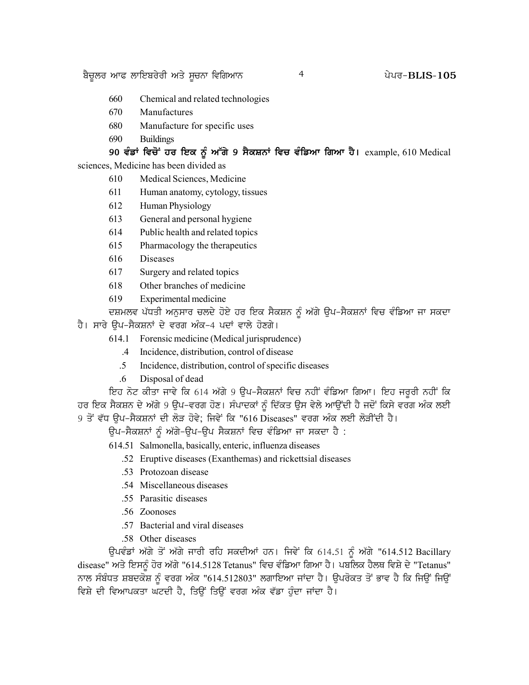- 660 Chemical and related technologies
- 670 Manufactures
- 680 Manufacture for specific uses
- 690 **Buildings**

90 ਵੰਡਾਂ ਵਿਚੋਂ ਹਰ ਇਕ ਨੂੰ ਅੱਗੇ 9 ਸੈਕਸ਼ਨਾਂ ਵਿਚ ਵੰਡਿਆ ਗਿਆ ਹੈ। example, 610 Medical sciences, Medicine has been divided as

4

- 610 Medical Sciences, Medicine
- 611 Human anatomy, cytology, tissues
- 612 Human Physiology
- 613 General and personal hygiene
- 614 Public health and related topics
- 615 Pharmacology the therapeutics
- 616 **Diseases**
- 617 Surgery and related topics
- 618 Other branches of medicine
- 619 Experimental medicine

ਦਸ਼ਮਲਵ ਪੱਧਤੀ ਅਨੁਸਾਰ ਚਲਦੇ ਹੋਏ ਹਰ ਇਕ ਸੈਕਸ਼ਨ ਨੂੰ ਅੱਗੇ ਉਪ–ਸੈਕਸ਼ਨਾਂ ਵਿਚ ਵੰਡਿਆ ਜਾ ਸਕਦਾ

ਹੈ। ਸਾਰੇ ਉਪ–ਸੈਕਸ਼ਨਾਂ ਦੇ ਵਰਗ ਅੰਕ–4 ਪਦਾਂ ਵਾਲੇ ਹੋਣਗੇ।

- 614.1 Forensic medicine (Medical jurisprudence)
	- $.4\,$ Incidence, distribution, control of disease
	- $.5\phantom{0}$ Incidence, distribution, control of specific diseases
	- $6<sup>1</sup>$ Disposal of dead

ਇਹ ਨੋਟ ਕੀਤਾ ਜਾਵੇ ਕਿ 614 ਅੱਗੇ 9 ਉਪ-ਸੈਕਸ਼ਨਾਂ ਵਿਚ ਨਹੀਂ ਵੰਡਿਆ ਗਿਆ। ਇਹ ਜਰੂਰੀ ਨਹੀਂ ਕਿ ਹਰ ਇਕ ਸੈਕਸ਼ਨ ਦੇ ਅੱਗੇ 9 ਉਪ-ਵਰਗ ਹੋਣ। ਸੰਪਾਦਕਾਂ ਨੂੰ ਦਿੱਕਤ ਉਸ ਵੇਲੇ ਆਉਂਦੀ ਹੈ ਜਦੋਂ ਕਿਸੇ ਵਰਗ ਅੰਕ ਲਈ 9 ਤੋਂ ਵੱਧ ਉਪ-ਸੈਕਸ਼ਨਾਂ ਦੀ ਲੋੜ ਹੋਵੇ; ਜਿਵੇਂ ਕਿ "616 Diseases" ਵਰਗ ਅੰਕ ਲਈ ਲੋੜੀਂਦੀ ਹੈ।

ਉਪ-ਸੈਕਸ਼ਨਾਂ ਨੂੰ ਅੱਗੇ-ਉਪ-ਉਪ ਸੈਕਸ਼ਨਾਂ ਵਿਚ ਵੰਡਿਆ ਜਾ ਸਕਦਾ ਹੈ :

- 614.51 Salmonella, basically, enteric, influenza diseases
	- .52 Eruptive diseases (Exanthemas) and rickettsial diseases
	- .53 Protozoan disease
	- .54 Miscellaneous diseases
	- .55 Parasitic diseases
	- .56 Zoonoses
	- .57 Bacterial and viral diseases
	- .58 Other diseases

ਉਪਵੰਡਾਂ ਅੱਗੇ ਤੋਂ ਅੱਗੇ ਜਾਰੀ ਰਹਿ ਸਕਦੀਆਂ ਹਨ। ਜਿਵੇਂ ਕਿ 614.51 ਨੂੰ ਅੱਗੇ "614.512 Bacillary disease" ਅਤੇ ਇਸਨੂੰ ਹੋਰ ਅੱਗੇ "614.5128 Tetanus" ਵਿਚ ਵੰਡਿਆ ਗਿਆ ਹੈ। ਪਬਲਿਕ ਹੈਲਥ ਵਿਸ਼ੇ ਦੇ "Tetanus" ਨਾਲ ਸੰਬੰਧਤ ਸ਼ਬਦਕੋਸ਼ ਨੂੰ ਵਰਗ ਅੰਕ "614.512803" ਲਗਾਇਆ ਜਾਂਦਾ ਹੈ। ਉਪਰੋਕਤ ਤੋਂ ਭਾਵ ਹੈ ਕਿ ਜਿਉਂ ਜਿਉਂ ਵਿਸ਼ੇ ਦੀ ਵਿਆਪਕਤਾ ਘਟਦੀ ਹੈ, ਤਿਉਂ ਤਿਉਂ ਵਰਗ ਅੰਕ ਵੱਡਾ ਹੰਦਾ ਜਾਂਦਾ ਹੈ।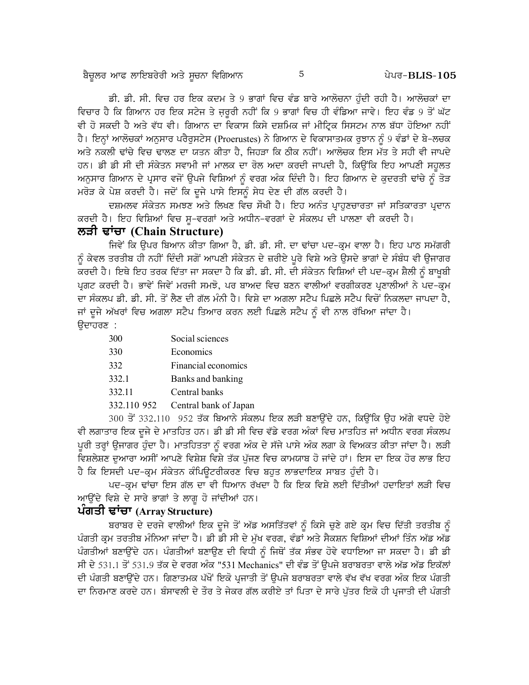ਡੀ. ਡੀ. ਸੀ. ਵਿਚ ਹਰ ਇਕ ਕਦਮ ਤੇ 9 ਭਾਗਾਂ ਵਿਚ ਵੰਡ ਬਾਰੇ ਆਲੋਚਨਾ ਹੰਦੀ ਰਹੀ ਹੈ। ਆਲੋਚਕਾਂ ਦਾ ਵਿਚਾਰ ਹੈ ਕਿ ਗਿਆਨ ਹਰ ਇਕ ਸਟੇਜ ਤੇ ਜਰੂਰੀ ਨਹੀਂ ਕਿ 9 ਭਾਗਾਂ ਵਿਚ ਹੀ ਵੰਡਿਆ ਜਾਵੇ। ਇਹ ਵੰਡ 9 ਤੋਂ ਘੱਟ ਵੀ ਹੋ ਸਕਦੀ ਹੈ ਅਤੇ ਵੱਧ ਵੀ। ਗਿਆਨ ਦਾ ਵਿਕਾਸ ਕਿਸੇ ਦਸ਼ਮਿਕ ਜਾਂ ਮੀਟ੍ਰਿਕ ਸਿਸਟਮ ਨਾਲ ਬੱਧਾ ਹੋਇਆ ਨਹੀਂ ਹੈ। ਇਨ੍ਹਾਂ ਆਲੋਚਕਾਂ ਅਨਸਾਰ ਪਰੈਰਸਟੇਸ (Proerustes) ਨੇ ਗਿਆਨ ਦੇ ਵਿਕਾਸਾਤਮਕ ਰਝਾਨ ਨੰ 9 ਵੰਡਾਂ ਦੇ ਬੇ-ਲਚਕ ਅਤੇ ਨਕਲੀ ਢਾਂਚੇ ਵਿਚ ਢਾਲਣ ਦਾ ਯਤਨ ਕੀਤਾ ਹੈ, ਜਿਹੜਾ ਕਿ ਠੀਕ ਨਹੀਂ। ਆਲੋਚਕ ਇਸ ਮੱਤ ਤੇ ਸਹੀ ਵੀ ਜਾਪਦੇ ਹਨ। ਡੀ ਡੀ ਸੀ ਦੀ ਸੰਕੇਤਨ ਸਵਾਮੀ ਜਾਂ ਮਾਲਕ ਦਾ ਰੋਲ ਅਦਾ ਕਰਦੀ ਜਾਪਦੀ ਹੈ, ਕਿਉਂਕਿ ਇਹ ਆਪਣੀ ਸਹੂਲਤ ਅਨੁਸਾਰ ਗਿਆਨ ਦੇ ਪ੍ਰਸਾਰ ਵਜੋਂ ਉਪਜੇ ਵਿਸ਼ਿਆਂ ਨੂੰ ਵਰਗ ਅੰਕ ਦਿੰਦੀ ਹੈ। ਇਹ ਗਿਆਨ ਦੇ ਕੁਦਰਤੀ ਢਾਂਚੇ ਨੂੰ ਤੋੜ ਮਰੋੜ ਕੇ ਪੇਸ਼ ਕਰਦੀ ਹੈ। ਜਦੋਂ ਕਿ ਦੂਜੇ ਪਾਸੇ ਇਸਨੂੰ ਸੇਧ ਦੇਣ ਦੀ ਗੱਲ ਕਰਦੀ ਹੈ।

ਦਸ਼ਮਲਵ ਸੰਕੇਤਨ ਸਮਝਣ ਅਤੇ ਲਿਖਣ ਵਿਚ ਸੌਖੀ ਹੈ। ਇਹ ਅਨੰਤ ਪਾਹਣਚਾਰਤਾ ਜਾਂ ਸਤਿਕਾਰਤਾ ਪਦਾਨ ਕਰਦੀ ਹੈ। ਇਹ ਵਿਸ਼ਿਆਂ ਵਿਚ ਸੁ-ਵਰਗਾਂ ਅਤੇ ਅਧੀਨ-ਵਰਗਾਂ ਦੇ ਸੰਕਲਪ ਦੀ ਪਾਲਣਾ ਵੀ ਕਰਦੀ ਹੈ।

# ਲੜੀ ਢਾਂਚਾ (Chain Structure)

ਜਿਵੇਂ ਕਿ ਉਪਰ ਬਿਆਨ ਕੀਤਾ ਗਿਆ ਹੈ, ਡੀ. ਡੀ. ਸੀ. ਦਾ ਢਾਂਚਾ ਪਦ-ਕਮ ਵਾਲਾ ਹੈ। ਇਹ ਪਾਠ ਸਮੱਗਰੀ ਨੂੰ ਕੇਵਲ ਤਰਤੀਬ ਹੀ ਨਹੀਂ ਦਿੰਦੀ ਸਗੋਂ ਆਪਣੀ ਸੰਕੇਤਨ ਦੇ ਜ਼ਰੀਏ ਪੂਰੇ ਵਿਸ਼ੇ ਅਤੇ ਉਸਦੇ ਭਾਗਾਂ ਦੇ ਸੰਬੰਧ ਵੀ ਉਜਾਗਰ ਕਰਦੀ ਹੈ। ਇਥੇ ਇਹ ਤਰਕ ਦਿੱਤਾ ਜਾ ਸਕਦਾ ਹੈ ਕਿ ਡੀ. ਡੀ. ਸੀ. ਦੀ ਸੰਕੇਤਨ ਵਿਸ਼ਿਆਂ ਦੀ ਪਦ-ਕ੍ਰਮ ਸ਼ੈਲੀ ਨੂੰ ਬਾਖੂਬੀ ਪ੍ਰਗਟ ਕਰਦੀ ਹੈ। ਭਾਵੇਂ ਜਿਵੇਂ ਮਰਜੀ ਸਮਝੋ, ਪਰ ਬਾਅਦ ਵਿਚ ਬਣਨ ਵਾਲੀਆਂ ਵਰਗੀਕਰਣ ਪੁਣਾਲੀਆਂ ਨੇ ਪਦ-ਕਮ ਦਾ ਸੰਕਲਪ ਡੀ. ਡੀ. ਸੀ. ਤੋਂ ਲੈਣ ਦੀ ਗੱਲ ਮੰਨੀ ਹੈ। ਵਿਸ਼ੇ ਦਾ ਅਗਲਾ ਸਟੈਪ ਪਿਛਲੇ ਸਟੈਪ ਵਿਚੋਂ ਨਿਕਲਦਾ ਜਾਪਦਾ ਹੈ, ਜਾਂ ਦੂਜੇ ਅੱਖਰਾਂ ਵਿਚ ਅਗਲਾ ਸਟੈਪ ਤਿਆਰ ਕਰਨ ਲਈ ਪਿਛਲੇ ਸਟੈਪ ਨੂੰ ਵੀ ਨਾਲ ਰੱਖਿਆ ਜਾਂਦਾ ਹੈ। ੳਦਾਹਰਣ :

| 300         | Social sciences       |
|-------------|-----------------------|
| 330         | Economics             |
| 332         | Financial economics   |
| 332.1       | Banks and banking     |
| 332.11      | Central banks         |
| 332.110 952 | Central bank of Japan |

300 ਤੋਂ 332.110 952 ਤੱਕ ਬਿਆਨੇ ਸੰਕਲਪ ਇਕ ਲੜੀ ਬਣਾਉਂਦੇ ਹਨ, ਕਿਉਂਕਿ ਉਹ ਅੱਗੇ ਵਧਦੇ ਹੋਏ ਵੀ ਲਗਾਤਾਰ ਇਕ ਦੂਜੇ ਦੇ ਮਾਤਹਿਤ ਹਨ। ਡੀ ਡੀ ਸੀ ਵਿਚ ਵੱਡੇ ਵਰਗ ਅੰਕਾਂ ਵਿਚ ਮਾਤਹਿਤ ਜਾਂ ਅਧੀਨ ਵਰਗ ਸੰਕਲਪ ਪੂਰੀ ਤਰ੍ਹਾਂ ਉਜਾਗਰ ਹੁੰਦਾ ਹੈ। ਮਾਤਹਿਤਤਾ ਨੂੰ ਵਰਗ ਅੰਕ ਦੇ ਸੱਜੇ ਪਾਸੇ ਅੰਕ ਲਗਾ ਕੇ ਵਿਅਕਤ ਕੀਤਾ ਜਾਂਦਾ ਹੈ। ਲੜੀ ਵਿਸ਼ਲੇਸ਼ਣ ਦਆਰਾ ਅਸੀਂ ਆਪਣੇ ਵਿਸ਼ੇਸ਼ ਵਿਸ਼ੇ ਤੱਕ ਪੱਜਣ ਵਿਚ ਕਾਮਯਾਬ ਹੋ ਜਾਂਦੇ ਹਾਂ। ਇਸ ਦਾ ਇਕ ਹੋਰ ਲਾਭ ਇਹ ਹੈ ਕਿ ਇਸਦੀ ਪਦ-ਕਮ ਸੰਕੇਤਨ ਕੰਪਿੳਟਰੀਕਰਣ ਵਿਚ ਬਹਤ ਲਾਭਦਾਇਕ ਸਾਬਤ ਹੰਦੀ ਹੈ।

ਪਦ-ਕ੍ਰਮ ਢਾਂਚਾ ਇਸ ਗੱਲ ਦਾ ਵੀ ਧਿਆਨ ਰੱਖਦਾ ਹੈ ਕਿ ਇਕ ਵਿਸ਼ੇ ਲਈ ਦਿੱਤੀਆਂ ਹਦਾਇਤਾਂ ਲੜੀ ਵਿਚ ਆਉਂਦੇ ਵਿਸ਼ੇ ਦੇ ਸਾਰੇ ਭਾਗਾਂ ਤੇ ਲਾਗੂ ਹੋ ਜਾਂਦੀਆਂ ਹਨ।

# ਪੰਗਤੀ ਢਾਂਚਾ (Array Structure)

ਬਰਾਬਰ ਦੇ ਦਰਜੇ ਵਾਲੀਆਂ ਇਕ ਦੂਜੇ ਤੋਂ ਅੱਡ ਅਸਤਿੱਤਵਾਂ ਨੂੰ ਕਿਸੇ ਚੁਣੇ ਗਏ ਕ੍ਰਮ ਵਿਚ ਦਿੱਤੀ ਤਰਤੀਬ ਨੂੰ ਪੰਗਤੀ ਕੁਮ ਤਰਤੀਬ ਮੰਨਿਆ ਜਾਂਦਾ ਹੈ। ਡੀ ਡੀ ਸੀ ਦੇ ਮੱਖ ਵਰਗ, ਵੰਡਾਂ ਅਤੇ ਸੈਕਸ਼ਨ ਵਿਸ਼ਿਆਂ ਦੀਆਂ ਤਿੰਨ ਅੱਡ ਅੱਡ ਪੰਗਤੀਆਂ ਬਣਾਉਂਦੇ ਹਨ। ਪੰਗਤੀਆਂ ਬਣਾਉਣ ਦੀ ਵਿਧੀ ਨੂੰ ਜਿਥੋਂ ਤੱਕ ਸੰਭਵ ਹੋਵੇ ਵਧਾਇਆ ਜਾ ਸਕਦਾ ਹੈ। ਡੀ ਡੀ ਸੀ ਦੇ 531.1 ਤੋਂ 531.9 ਤੱਕ ਦੇ ਵਰਗ ਅੰਕ "531 Mechanics" ਦੀ ਵੰਡ ਤੋਂ ਉਪਜੇ ਬਰਾਬਰਤਾ ਵਾਲੇ ਅੱਡ ਅੱਡ ਇਕੱਲਾਂ ਦੀ ਪੰਗਤੀ ਬਣਾਉਂਦੇ ਹਨ। ਗਿਣਾਤਮਕ ਪੱਖੋਂ ਇਕੋ ਪ੍ਰਜਾਤੀ ਤੋਂ ਉਪਜੇ ਬਰਾਬਰਤਾ ਵਾਲੇ ਵੱਖ ਵੱਖ ਵਰਗ ਅੰਕ ਇਕ ਪੰਗਤੀ ਦਾ ਨਿਰਮਾਣ ਕਰਦੇ ਹਨ। ਬੰਸਾਵਲੀ ਦੇ ਤੌਰ ਤੇ ਜੇਕਰ ਗੱਲ ਕਰੀਏ ਤਾਂ ਪਿਤਾ ਦੇ ਸਾਰੇ ਪੱਤਰ ਇਕੋ ਹੀ ਪੁਜਾਤੀ ਦੀ ਪੰਗਤੀ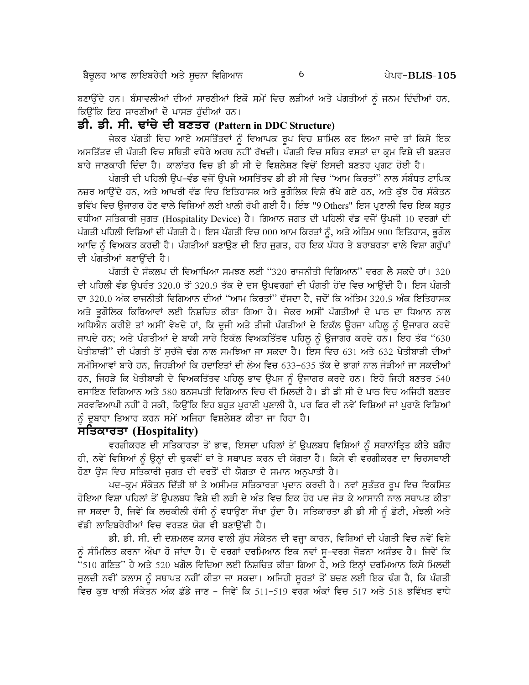ਬਣਾਉਂਦੇ ਹਨ। ਬੰਸਾਵਲੀਆਂ ਦੀਆਂ ਸਾਰਣੀਆਂ ਇਕੋ ਸਮੇਂ ਵਿਚ ਲੜੀਆਂ ਅਤੇ ਪੰਗਤੀਆਂ ਨੂੰ ਜਨਮ ਦਿੰਦੀਆਂ ਹਨ, ਕਿਉਂਕਿ ਇਹ ਸਾਰਣੀਆਂ ਦੋ ਪਾਸੜ ਹੰਦੀਆਂ ਹਨ।

# ਡੀ. ਡੀ. ਸੀ. ਢਾਂਚੇ ਦੀ ਬਣਤਰ (Pattern in DDC Structure)

ਜੇਕਰ ਪੰਗਤੀ ਵਿਚ ਆਏ ਅਸਤਿੱਤਵਾਂ ਨੰ ਵਿਆਪਕ ਰਪ ਵਿਚ ਸ਼ਾਮਿਲ ਕਰ ਲਿਆ ਜਾਵੇ ਤਾਂ ਕਿਸੇ ਇਕ ਅਸਤਿੱਤਵ ਦੀ ਪੰਗਤੀ ਵਿਚ ਸਥਿਤੀ ਵਧੇਰੇ ਅਰਥ ਨਹੀਂ ਰੱਖਦੀ। ਪੰਗਤੀ ਵਿਚ ਸਥਿਤ ਵਸਤਾਂ ਦਾ ਕ੍ਰਮ ਵਿਸ਼ੇ ਦੀ ਬਣਤਰ ਬਾਰੇ ਜਾਣਕਾਰੀ ਦਿੰਦਾ ਹੈ। ਕਾਲਾਂਤਰ ਵਿਚ ਡੀ ਡੀ ਸੀ ਦੇ ਵਿਸ਼ਲੇਸ਼ਣ ਵਿਚੋਂ ਇਸਦੀ ਬਣਤਰ ਪ੍ਰਗਟ ਹੋਈ ਹੈ।

ਪੰਗਤੀ ਦੀ ਪਹਿਲੀ ਉਪ–ਵੰਡ ਵਜੋਂ ਉਪਜੇ ਅਸਤਿੱਤਵ ਡੀ ਡੀ ਸੀ ਵਿਚ ''ਆਮ ਕਿਰਤਾਂ'' ਨਾਲ ਸੰਬੰਧਤ ਟਾਪਿਕ ਨਜ਼ਰ ਆਉਂਦੇ ਹਨ, ਅਤੇ ਆਖਰੀ ਵੰਡ ਵਿਚ ਇਤਿਹਾਸਕ ਅਤੇ ਭੁਗੋਲਿਕ ਵਿਸ਼ੇ ਰੱਖੇ ਗਏ ਹਨ, ਅਤੇ ਕੁੱਝ ਹੋਰ ਸੰਕੇਤਨ ਭਵਿੱਖ ਵਿਚ ਉਜਾਗਰ ਹੋਣ ਵਾਲੇ ਵਿਸ਼ਿਆਂ ਲਈ ਖਾਲੀ ਰੱਖੀ ਗਈ ਹੈ। ਇੰਝ "9 Others" ਇਸ ਪ੍ਰਣਾਲੀ ਵਿਚ ਇਕ ਬਹਤ ਵਧੀਆ ਸਤਿਕਾਰੀ ਜੁਗਤ (Hospitality Device) ਹੈ। ਗਿਆਨ ਜਗਤ ਦੀ ਪਹਿਲੀ ਵੰਡ ਵਜੋਂ ਉਪਜੀ 10 ਵਰਗਾਂ ਦੀ ਪੰਗਤੀ ਪਹਿਲੀ ਵਿਸ਼ਿਆਂ ਦੀ ਪੰਗਤੀ ਹੈ। ਇਸ ਪੰਗਤੀ ਵਿਚ 000 ਆਮ ਕਿਰਤਾਂ ਨੂੰ, ਅਤੇ ਅੰਤਿਮ 900 ਇਤਿਹਾਸ, ਭੂਗੋਲ ਆਦਿ ਨੂੰ ਵਿਅਕਤ ਕਰਦੀ ਹੈ। ਪੰਗਤੀਆਂ ਬਣਾਉਣ ਦੀ ਇਹ ਜੁਗਤ, ਹਰ ਇਕ ਪੱਧਰ ਤੇ ਬਰਾਬਰਤਾ ਵਾਲੇ ਵਿਸ਼ਾ ਗਰੱਪਾਂ ਦੀ ਪੰਗਤੀਆਂ ਬਣਾਉਂਦੀ ਹੈ।

ਪੰਗਤੀ ਦੇ ਸੰਕਲਪ ਦੀ ਵਿਆਖਿਆ ਸਮਝਣ ਲਈ "320 ਰਾਜਨੀਤੀ ਵਿਗਿਆਨ" ਵਰਗ ਲੈ ਸਕਦੇ ਹਾਂ। 320 ਦੀ ਪਹਿਲੀ ਵੰਡ ਉਪਰੰਤ 320.0 ਤੋਂ 320.9 ਤੱਕ ਦੇ ਦਸ ਉਪਵਰਗਾਂ ਦੀ ਪੰਗਤੀ ਹੋਂਦ ਵਿਚ ਆਉਂਦੀ ਹੈ। ਇਸ ਪੰਗਤੀ ਦਾ 320.0 ਅੰਕ ਰਾਜਨੀਤੀ ਵਿਗਿਆਨ ਦੀਆਂ ''ਆਮ ਕਿਰਤਾਂ'' ਦੱਸਦਾ ਹੈ, ਜਦੋਂ ਕਿ ਅੰਤਿਮ 320.9 ਅੰਕ ਇਤਿਹਾਸਕ ਅਤੇ ਭੂਗੋਲਿਕ ਕਿਰਿਆਵਾਂ ਲਈ ਨਿਸ਼ਚਿਤ ਕੀਤਾ ਗਿਆ ਹੈ। ਜੇਕਰ ਅਸੀਂ ਪੰਗਤੀਆਂ ਦੇ ਪਾਠ ਦਾ ਧਿਆਨ ਨਾਲ ਅਧਿਐਨ ਕਰੀਏ ਤਾਂ ਅਸੀਂ ਵੇਖਦੇ ਹਾਂ, ਕਿ ਦੂਜੀ ਅਤੇ ਤੀਜੀ ਪੰਗਤੀਆਂ ਦੇ ਇਕੱਲ ਉਰਜਾ ਪਹਿਲੂ ਨੂੰ ਉਜਾਗਰ ਕਰਦੇ ਜਾਪਦੇ ਹਨ; ਅਤੇ ਪੰਗਤੀਆਂ ਦੇ ਬਾਕੀ ਸਾਰੇ ਇਕੱਲ ਵਿਅਕਤਿੱਤਵ ਪਹਿਲੂ ਨੂੰ ਉਜਾਗਰ ਕਰਦੇ ਹਨ। ਇਹ ਤੱਥ "630 ਖੇਤੀਬਾੜੀ" ਦੀ ਪੰਗਤੀ ਤੋਂ ਸੁਚੱਜੇ ਢੰਗ ਨਾਲ ਸਮਝਿਆ ਜਾ ਸਕਦਾ ਹੈ। ਇਸ ਵਿਚ 631 ਅਤੇ 632 ਖੇਤੀਬਾੜੀ ਦੀਆਂ ਸਮੱਸਿਆਵਾਂ ਬਾਰੇ ਹਨ, ਜਿਹੜੀਆਂ ਕਿ ਹਦਾਇਤਾਂ ਦੀ ਲੋਅ ਵਿਚ 633-635 ਤੱਕ ਦੇ ਭਾਗਾਂ ਨਾਲ ਜੋੜੀਆਂ ਜਾ ਸਕਦੀਆਂ ਹਨ, ਜਿਹੜੇ ਕਿ ਖੇਤੀਬਾੜੀ ਦੇ ਵਿਅਕਤਿੱਤਵ ਪਹਿਲੂ ਭਾਵ ਉਪਜ ਨੂੰ ਉਜਾਗਰ ਕਰਦੇ ਹਨ। ਇਹੋ ਜਿਹੀ ਬਣਤਰ 540 ਰਸਾਇਣ ਵਿਗਿਆਨ ਅਤੇ 580 ਬਨਸਪਤੀ ਵਿਗਿਆਨ ਵਿਚ ਵੀ ਮਿਲਦੀ ਹੈ। ਡੀ ਡੀ ਸੀ ਦੇ ਪਾਠ ਵਿਚ ਅਜਿਹੀ ਬਣਤਰ ਸਰਵਵਿਆਪੀ ਨਹੀਂ ਹੋ ਸਕੀ, ਕਿਉਂਕਿ ਇਹ ਬਹਤ ਪਰਾਣੀ ਪੁਣਾਲੀ ਹੈ, ਪਰ ਫਿਰ ਵੀ ਨਵੇਂ ਵਿਸ਼ਿਆਂ ਜਾਂ ਪਰਾਣੇ ਵਿਸ਼ਿਆਂ ਨੂੰ ਦੁਬਾਰਾ ਤਿਆਰ ਕਰਨ ਸਮੇਂ ਅਜਿਹਾ ਵਿਸ਼ਲੇਸ਼ਣ ਕੀਤਾ ਜਾ ਰਿਹਾ ਹੈ।

# ਸਤਿਕਾਰਤਾ (Hospitality)

ਵਰਗੀਕਰਣ ਦੀ ਸਤਿਕਾਰਤਾ ਤੋਂ ਭਾਵ, ਇਸਦਾ ਪਹਿਲਾਂ ਤੋਂ ਉਪਲਬਧ ਵਿਸ਼ਿਆਂ ਨੂੰ ਸਥਾਨਾਂਤ੍ਰਿਤ ਕੀਤੇ ਬਗੈਰ ਹੀ, ਨਵੇਂ ਵਿਸ਼ਿਆਂ ਨੂੰ ਉਨ੍ਹਾਂ ਦੀ ਢੁਕਵੀਂ ਥਾਂ ਤੇ ਸਥਾਪਤ ਕਰਨ ਦੀ ਯੋਗਤਾ ਹੈ। ਕਿਸੇ ਵੀ ਵਰਗੀਕਰਣ ਦਾ ਚਿਰਸਥਾਈ ਹੋਣਾ ੳਸ ਵਿਚ ਸਤਿਕਾਰੀ ਜਗਤ ਦੀ ਵਰਤੋਂ ਦੀ ਯੋਗਤਾ ਦੇ ਸਮਾਨ ਅਨਪਾਤੀ ਹੈ।

ਪਦ-ਕ੍ਰਮ ਸੰਕੇਤਨ ਦਿੱਤੀ ਥਾਂ ਤੇ ਅਸੀਮਤ ਸਤਿਕਾਰਤਾ ਪ੍ਰਦਾਨ ਕਰਦੀ ਹੈ। ਨਵਾਂ ਸੁਤੰਤਰ ਰੂਪ ਵਿਚ ਵਿਕਸਿਤ ਹੋਇਆ ਵਿਸ਼ਾ ਪਹਿਲਾਂ ਤੋਂ ਉਪਲਬਧ ਵਿਸ਼ੇ ਦੀ ਲੜੀ ਦੇ ਅੰਤ ਵਿਚ ਇਕ ਹੋਰ ਪਦ ਜੋੜ ਕੇ ਆਸਾਨੀ ਨਾਲ ਸਥਾਪਤ ਕੀਤਾ ਜਾ ਸਕਦਾ ਹੈ, ਜਿਵੇਂ ਕਿ ਲਚਕੀਲੀ ਰੱਸੀ ਨੂੰ ਵਧਾਉਣਾ ਸੌਖਾ ਹੁੰਦਾ ਹੈ। ਸਤਿਕਾਰਤਾ ਡੀ ਡੀ ਸੀ ਨੂੰ ਛੋਟੀ, ਮੰਝਲੀ ਅਤੇ ਵੱਡੀ ਲਾਇਬਰੇਰੀਆਂ ਵਿਚ ਵਰਤਣ ਯੋਗ ਵੀ ਬਣਾਉਂਦੀ ਹੈ।

ਡੀ. ਡੀ. ਸੀ. ਦੀ ਦਸ਼ਮਲਵ ਕਸਰ ਵਾਲੀ ਸ਼ੁੱਧ ਸੰਕੇਤਨ ਦੀ ਵਜ੍ਹਾ ਕਾਰਨ, ਵਿਸ਼ਿਆਂ ਦੀ ਪੰਗਤੀ ਵਿਚ ਨਵੇਂ ਵਿਸ਼ੇ ਨੂੰ ਸੰਮਿਲਿਤ ਕਰਨਾ ਔਖਾ ਹੋ ਜਾਂਦਾ ਹੈ। ਦੋ ਵਰਗਾਂ ਦਰਮਿਆਨ ਇਕ ਨਵਾਂ ਸੁ–ਵਰਗ ਜੋੜਨਾ ਅਸੰਭਵ ਹੈ। ਜਿਵੇਂ ਕਿ "510 ਗਣਿਤ" ਹੈ ਅਤੇ 520 ਖਗੋਲ ਵਿਦਿਆ ਲਈ ਨਿਸ਼ਚਿਤ ਕੀਤਾ ਗਿਆ ਹੈ, ਅਤੇ ਇਨ੍ਹਾਂ ਦਰਮਿਆਨ ਕਿਸੇ ਮਿਲਦੀ ਜੁਲਦੀ ਨਵੀਂ ਕਲਾਸ ਨੂੰ ਸਥਾਪਤ ਨਹੀਂ ਕੀਤਾ ਜਾ ਸਕਦਾ। ਅਜਿਹੀ ਸੁਰਤਾਂ ਤੋਂ ਬਚਣ ਲਈ ਇਕ ਢੰਗ ਹੈ, ਕਿ ਪੰਗਤੀ ਵਿਚ ਕੁਝ ਖਾਲੀ ਸੰਕੇਤਨ ਅੰਕ ਛੱਡੇ ਜਾਣ – ਜਿਵੇਂ ਕਿ 511–519 ਵਰਗ ਅੰਕਾਂ ਵਿਚ 517 ਅਤੇ 518 ਭਵਿੱਖਤ ਵਾਧੇ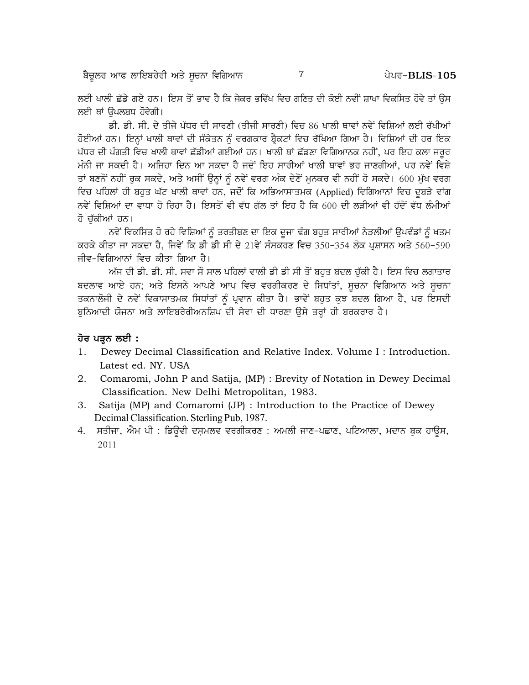ਲਈ ਖਾਲੀ ਛੱਡੇ ਗਏ ਹਨ। ਇਸ ਤੋਂ ਭਾਵ ਹੈ ਕਿ ਜੇਕਰ ਭਵਿੱਖ ਵਿਚ ਗਣਿਤ ਦੀ ਕੋਈ ਨਵੀਂ ਸ਼ਾਖਾ ਵਿਕਸਿਤ ਹੋਵੇ ਤਾਂ ਉਸ ਲਈ ਥਾਂ ੳਪਲਬਧ ਹੋਵੇਗੀ।

ਡੀ. ਡੀ. ਸੀ. ਦੇ ਤੀਜੇ ਪੱਧਰ ਦੀ ਸਾਰਣੀ (ਤੀਜੀ ਸਾਰਣੀ) ਵਿਚ 86 ਖਾਲੀ ਥਾਵਾਂ ਨਵੇਂ ਵਿਸ਼ਿਆਂ ਲਈ ਰੱਖੀਆਂ ਹੋਈਆਂ ਹਨ। ਇਨ੍ਹਾਂ ਖਾਲੀ ਥਾਵਾਂ ਦੀ ਸੰਕੇਤਨ ਨੂੰ ਵਰਗਕਾਰ ਬ੍ਰੈਕਟਾਂ ਵਿਚ ਰੱਖਿਆ ਗਿਆ ਹੈ। ਵਿਸ਼ਿਆਂ ਦੀ ਹਰ ਇਕ ਪੱਧਰ ਦੀ ਪੰਗਤੀ ਵਿਚ ਖਾਲੀ ਥਾਵਾਂ ਛੱਡੀਆਂ ਗਈਆਂ ਹਨ। ਖਾਲੀ ਥਾਂ ਛੱਡਣਾ ਵਿਗਿਆਨਕ ਨਹੀਂ, ਪਰ ਇਹ ਕਲਾ ਜਰੂਰ ਮੰਨੀ ਜਾ ਸਕਦੀ ਹੈ। ਅਜਿਹਾ ਦਿਨ ਆ ਸਕਦਾ ਹੈ ਜਦੋਂ ਇਹ ਸਾਰੀਆਂ ਖਾਲੀ ਥਾਵਾਂ ਭਰ ਜਾਣਗੀਆਂ, ਪਰ ਨਵੇਂ ਵਿਸ਼ੇ ਤਾਂ ਬਣਨੋਂ ਨਹੀਂ ਰੁਕ ਸਕਦੇ, ਅਤੇ ਅਸੀਂ ਉਨ੍ਹਾਂ ਨੂੰ ਨਵੇਂ ਵਰਗ ਅੰਕ ਦੇਣੋਂ ਮੁਨਕਰ ਵੀ ਨਹੀਂ ਹੋ ਸਕਦੇ। 600 ਮੁੱਖ ਵਰਗ ਵਿਚ ਪਹਿਲਾਂ ਹੀ ਬਹਤ ਘੱਟ ਖਾਲੀ ਥਾਵਾਂ ਹਨ, ਜਦੋਂ ਕਿ ਅਭਿਆਸਾਤਮਕ (Applied) ਵਿਗਿਆਨਾਂ ਵਿਚ ਦਬੜੇ ਵਾਂਗ ਨਵੇਂ ਵਿਸ਼ਿਆਂ ਦਾ ਵਾਧਾ ਹੋ ਰਿਹਾ ਹੈ। ਇਸਤੋਂ ਵੀ ਵੱਧ ਗੱਲ ਤਾਂ ਇਹ ਹੈ ਕਿ 600 ਦੀ ਲੜੀਆਂ ਵੀ ਹੱਦੋਂ ਵੱਧ ਲੰਮੀਆਂ ਹੋ ਚੱਕੀਆਂ ਹਨ।

ਨਵੇਂ ਵਿਕਸਿਤ ਹੋ ਰਹੇ ਵਿਸ਼ਿਆਂ ਨੂੰ ਤਰਤੀਬਣ ਦਾ ਇਕ ਦੂਜਾ ਢੰਗ ਬਹੁਤ ਸਾਰੀਆਂ ਨੇੜਲੀਆਂ ਉਪਵੰਡਾਂ ਨੂੰ ਖਤਮ ਕਰਕੇ ਕੀਤਾ ਜਾ ਸਕਦਾ ਹੈ, ਜਿਵੇਂ ਕਿ ਡੀ ਡੀ ਸੀ ਦੇ 21ਵੇਂ ਸੰਸਕਰਣ ਵਿਚ 350-354 ਲੋਕ ਪਸ਼ਾਸਨ ਅਤੇ 560-590 ਜੀਵ-ਵਿਗਿਆਨਾਂ ਵਿਚ ਕੀਤਾ ਗਿਆ ਹੈ।

ਅੱਜ ਦੀ ਡੀ. ਡੀ. ਸੀ. ਸਵਾ ਸੌ ਸਾਲ ਪਹਿਲਾਂ ਵਾਲੀ ਡੀ ਡੀ ਸੀ ਤੋਂ ਬਹਤ ਬਦਲ ਚੱਕੀ ਹੈ। ਇਸ ਵਿਚ ਲਗਾਤਾਰ ਬਦਲਾਵ ਆਏ ਹਨ; ਅਤੇ ਇਸਨੇ ਆਪਣੇ ਆਪ ਵਿਚ ਵਰਗੀਕਰਣ ਦੇ ਸਿਧਾਂਤਾਂ, ਸੂਚਨਾ ਵਿਗਿਆਨ ਅਤੇ ਸੂਚਨਾ ਤਕਨਾਲੋਜੀ ਦੇ ਨਵੇਂ ਵਿਕਾਸਾਤਮਕ ਸਿਧਾਂਤਾਂ ਨੂੰ ਪ੍ਰਵਾਨ ਕੀਤਾ ਹੈ। ਭਾਵੇਂ ਬਹੁਤ ਕੁਝ ਬਦਲ ਗਿਆ ਹੈ, ਪਰ ਇਸਦੀ ਬਨਿਆਦੀ ਯੋਜਨਾ ਅਤੇ ਲਾਇਬਰੇਰੀਅਨਸ਼ਿਪ ਦੀ ਸੇਵਾ ਦੀ ਧਾਰਣਾ ਉਸੇ ਤਰ੍ਹਾਂ ਹੀ ਬਰਕਰਾਰ ਹੈ।

#### ਹੋਰ ਪੜ੍ਹਨ ਲਈ :

- $1<sub>1</sub>$ Dewey Decimal Classification and Relative Index. Volume I: Introduction. Latest ed. NY. USA
- 2. Comaromi, John P and Satija, (MP) : Brevity of Notation in Dewey Decimal Classification. New Delhi Metropolitan, 1983.
- 3. Satija (MP) and Comaromi (JP) : Introduction to the Practice of Dewey Decimal Classification. Sterling Pub, 1987.
- 4. ਸਤੀਜਾ, ਐਮ ਪੀ : ਡਿਊਵੀ ਦਸ਼ਮਲਵ ਵਰਗੀਕਰਣ : ਅਮਲੀ ਜਾਣ-ਪਛਾਣ, ਪਟਿਆਲਾ, ਮਦਾਨ ਬੁਕ ਹਾਊਸ, 2011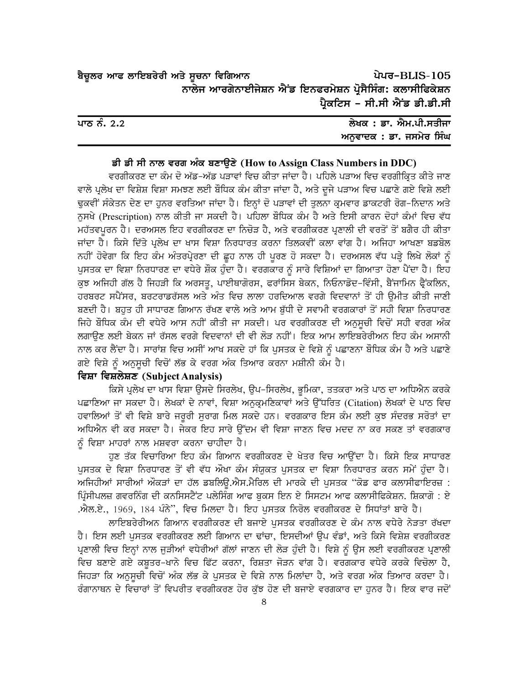| ਬੈਚੂਲਰ ਆਫ ਲਾਇਬਰੇਰੀ ਅਤੇ ਸੂਚਨਾ ਵਿਗਿਆਨ                       |                               | ਪੇਪਰ-BLIS-105 |
|-----------------------------------------------------------|-------------------------------|---------------|
| ਨਾਲੇਜ ਆਰਗੇਨਾਈਜੇਸ਼ਨ ਐਂਡ ਇਨਫਰਮੇਸ਼ਨ ਪ੍ਰੋਸੈਸਿੰਗ: ਕਲਾਸੀਫਿਕੇਸ਼ਨ |                               |               |
|                                                           | ਪ੍ਰੈਕਟਿਸ - ਸੀ.ਸੀ ਐਂਡ ਡੀ.ਡੀ.ਸੀ |               |

| ਪਾਠ ਨੰ. 2.2 | ਲੇਖਕ : ਡਾ. ਐਮ.ਪੀ.ਸਤੀਜਾ  |
|-------------|-------------------------|
|             | ਅਨਵਾਦਕ : ਡਾ. ਜਸਮੇਰ ਸਿੰਘ |

#### ਡੀ ਡੀ ਸੀ ਨਾਲ ਵਰਗ ਅੰਕ ਬਣਾਉਣੇ (How to Assign Class Numbers in DDC)

ਵਰਗੀਕਰਣ ਦਾ ਕੰਮ ਦੋ ਅੱਡ-ਅੱਡ ਪੜਾਵਾਂ ਵਿਚ ਕੀਤਾ ਜਾਂਦਾ ਹੈ। ਪਹਿਲੇ ਪੜਾਅ ਵਿਚ ਵਰਗੀਕ੍ਰਿਤ ਕੀਤੇ ਜਾਣ ਵਾਲੇ ਪ੍ਰਲੇਖ ਦਾ ਵਿਸ਼ੇਸ਼ ਵਿਸ਼ਾ ਸਮਝਣ ਲਈ ਬੋਧਿਕ ਕੰਮ ਕੀਤਾ ਜਾਂਦਾ ਹੈ, ਅਤੇ ਦੂਜੇ ਪੜਾਅ ਵਿਚ ਪਛਾਣੇ ਗਏ ਵਿਸ਼ੇ ਲਈ ਢੁਕਵੀਂ ਸੰਕੇਤਨ ਦੇਣ ਦਾ ਹੁਨਰ ਵਰਤਿਆ ਜਾਂਦਾ ਹੈ। ਇਨ੍ਹਾਂ ਦੋ ਪੜਾਵਾਂ ਦੀ ਤੁਲਨਾ ਕ੍ਰਮਵਾਰ ਡਾਕਟਰੀ ਰੋਗ-ਨਿਦਾਨ ਅਤੇ ਨੁਸਖੇ (Prescription) ਨਾਲ ਕੀਤੀ ਜਾ ਸਕਦੀ ਹੈ। ਪਹਿਲਾ ਬੌਧਿਕ ਕੰਮ ਹੈ ਅਤੇ ਇਸੀ ਕਾਰਨ ਦੋਹਾਂ ਕੰਮਾਂ ਵਿਚ ਵੱਧ ਮਹੱਤਵਪੂਰਨ ਹੈ। ਦਰਅਸਲ ਇਹ ਵਰਗੀਕਰਣ ਦਾ ਨਿਚੋੜ ਹੈ, ਅਤੇ ਵਰਗੀਕਰਣ ਪਣਾਲੀ ਦੀ ਵਰਤੋਂ ਤੋਂ ਬਗੈਰ ਹੀ ਕੀਤਾ ਜਾਂਦਾ ਹੈ। ਕਿਸੇ ਦਿੱਤੇ ਪੁਲੇਖ ਦਾ ਖਾਸ ਵਿਸ਼ਾ ਨਿਰਧਾਰਤ ਕਰਨਾ ਤਿਲਕਵੀਂ ਕਲਾ ਵਾਂਗ ਹੈ। ਅਜਿਹਾ ਆਖਣਾ ਬਡਬੋਲ ਨਹੀਂ ਹੋਵੇਗਾ ਕਿ ਇਹ ਕੰਮ ਅੰਤਰਪ੍ਰੇਰਣਾ ਦੀ ਛੂਹ ਨਾਲ ਹੀ ਪੂਰਣ ਹੋ ਸਕਦਾ ਹੈ। ਦਰਅਸਲ ਵੱਧ ਪੜ੍ਹੇ ਲਿਖੇ ਲੋਕਾਂ ਨੂੰ ਪੁਸਤਕ ਦਾ ਵਿਸ਼ਾ ਨਿਰਧਾਰਣ ਦਾ ਵਧੇਰੇ ਸ਼ੌਕ ਹੁੰਦਾ ਹੈ। ਵਰਗਕਾਰ ਨੂੰ ਸਾਰੇ ਵਿਸ਼ਿਆਂ ਦਾ ਗਿਆਤਾ ਹੋਣਾ ਪੈਂਦਾ ਹੈ। ਇਹ ਕੁਝ ਅਜਿਹੀ ਗੱਲ ਹੈ ਜਿਹੜੀ ਕਿ ਅਰਸਤੁ, ਪਾਈਥਾਗੋਰਸ, ਫਰਾਂਸਿਸ ਬੇਕਨ, ਨਿਓਨਾਡੋਦ-ਵਿੰਸੀ, ਬੈਂਜਾਮਿਨ ਫੈਂਕਲਿਨ, ਹਰਬਰਟ ਸਪੈਂਸਰ, ਬਰਟਰਾਡਰੱਸਲ ਅਤੇ ਅੰਤ ਵਿਚ ਲਾਲਾ ਹਰਦਿਆਲ ਵਰਗੇ ਵਿਦਵਾਨਾਂ ਤੋਂ ਹੀ ੳਮੀਤ ਕੀਤੀ ਜਾਣੀ ਬਣਦੀ ਹੈ। ਬਹੁਤ ਹੀ ਸਾਧਾਰਣ ਗਿਆਨ ਰੱਖਣ ਵਾਲੇ ਅਤੇ ਆਮ ਬੱਧੀ ਦੇ ਸਵਾਮੀ ਵਰਗਕਾਰਾਂ ਤੋਂ ਸਹੀ ਵਿਸ਼ਾ ਨਿਰਧਾਰਣ ਜਿਹੇ ਬੌਧਿਕ ਕੰਮ ਦੀ ਵਧੇਰੇ ਆਸ ਨਹੀਂ ਕੀਤੀ ਜਾ ਸਕਦੀ। ਪਰ ਵਰਗੀਕਰਣ ਦੀ ਅਨੁਸੂਚੀ ਵਿਚੋਂ ਸਹੀ ਵਰਗ ਅੰਕ ਲਗਾਉਣ ਲਈ ਬੇਕਨ ਜਾਂ ਰੱਸਲ ਵਰਗੇ ਵਿਦਵਾਨਾਂ ਦੀ ਵੀ ਲੋੜ ਨਹੀਂ। ਇਕ ਆਮ ਲਾਇਬਰੇਰੀਅਨ ਇਹ ਕੰਮ ਅਸਾਨੀ ਨਾਲ ਕਰ ਲੈਂਦਾ ਹੈ। ਸਾਰਾਂਸ਼ ਵਿਚ ਅਸੀਂ ਆਖ ਸਕਦੇ ਹਾਂ ਕਿ ਪੁਸਤਕ ਦੇ ਵਿਸ਼ੇ ਨੂੰ ਪਛਾਣਨਾ ਬੌਧਿਕ ਕੰਮ ਹੈ ਅਤੇ ਪਛਾਣੇ ਗਏ ਵਿਸ਼ੇ ਨੂੰ ਅਨੁਸੂਚੀ ਵਿਚੋਂ ਲੱਭ ਕੇ ਵਰਗ ਅੰਕ ਤਿਆਰ ਕਰਨਾ ਮਸ਼ੀਨੀ ਕੰਮ ਹੈ।

#### ਵਿਸ਼ਾ ਵਿਸ਼ਲੇਸ਼ਣ (Subject Analysis)

ਕਿਸੇ ਪੁਲੇਖ ਦਾ ਖਾਸ ਵਿਸ਼ਾ ੳਸਦੇ ਸਿਰਲੇਖ, ੳਪ-ਸਿਰਲੇਖ, ਭਮਿਕਾ, ਤਤਕਰਾ ਅਤੇ ਪਾਠ ਦਾ ਅਧਿਐਨ ਕਰਕੇ ਪਛਾਣਿਆ ਜਾ ਸਕਦਾ ਹੈ। ਲੇਖਕਾਂ ਦੇ ਨਾਵਾਂ, ਵਿਸ਼ਾ ਅਨੁਕ੍ਰਮਣਿਕਾਵਾਂ ਅਤੇ ਉੱਧਰਿਤ (Citation) ਲੇਖਕਾਂ ਦੇ ਪਾਠ ਵਿਚ ਹਵਾਲਿਆਂ ਤੋਂ ਵੀ ਵਿਸ਼ੇ ਬਾਰੇ ਜਰੂਰੀ ਸੁਰਾਗ ਮਿਲ ਸਕਦੇ ਹਨ। ਵਰਗਕਾਰ ਇਸ ਕੰਮ ਲਈ ਕੁਝ ਸੰਦਰਭ ਸਰੋਤਾਂ ਦਾ ਅਧਿਐਨ ਵੀ ਕਰ ਸਕਦਾ ਹੈ। ਜੇਕਰ ਇਹ ਸਾਰੇ ਉੱਦਮ ਵੀ ਵਿਸ਼ਾ ਜਾਣਨ ਵਿਚ ਮਦਦ ਨਾ ਕਰ ਸਕਣ ਤਾਂ ਵਰਗਕਾਰ ਨੂੰ ਵਿਸ਼ਾ ਮਾਹਰਾਂ ਨਾਲ ਮਸ਼ਵਰਾ ਕਰਨਾ ਚਾਹੀਦਾ ਹੈ।

ਹਣ ਤੱਕ ਵਿਚਾਰਿਆ ਇਹ ਕੰਮ ਗਿਆਨ ਵਰਗੀਕਰਣ ਦੇ ਖੇਤਰ ਵਿਚ ਆਉਂਦਾ ਹੈ। ਕਿਸੇ ਇਕ ਸਾਧਾਰਣ ਪਸਤਕ ਦੇ ਵਿਸ਼ਾ ਨਿਰਧਾਰਣ ਤੋਂ ਵੀ ਵੱਧ ਔਖਾ ਕੰਮ ਸੰਯਕਤ ਪਸਤਕ ਦਾ ਵਿਸ਼ਾ ਨਿਰਧਾਰਤ ਕਰਨ ਸਮੇਂ ਹੰਦਾ ਹੈ। ਅਜਿਹੀਆਂ ਸਾਰੀਆਂ ਔਕੜਾਂ ਦਾ ਹੱਲ ਡਬਲਿੳ.ਐਸ.ਮੈਰਿਲ ਦੀ ਮਾਰਕੇ ਦੀ ਪਸਤਕ ''ਕੋਡ ਫਾਰ ਕਲਾਸੀਫਾਇਰਜ਼ : ਪਿੰਸੀਪਲਜ਼ ਗਵਰਨਿੰਗ ਦੀ ਕਨਸਿਸਟੈਂਟ ਪਲੇਸਿੰਗ ਆਫ ਬਕਸ ਇਨ ਏ ਸਿਸਟਮ ਆਫ ਕਲਾਸੀਫਿਕੇਸ਼ਨ. ਸ਼ਿਕਾਗੋ : ਏ .ਐਲ.ਏ., 1969, 184 ਪੰਨੇ'', ਵਿਚ ਮਿਲਦਾ ਹੈ। ਇਹ ਪੁਸਤਕ ਨਿਰੋਲ ਵਰਗੀਕਰਣ ਦੇ ਸਿਧਾਂਤਾਂ ਬਾਰੇ ਹੈ।

ਲਾਇਬਰੇਰੀਅਨ ਗਿਆਨ ਵਰਗੀਕਰਣ ਦੀ ਬਜਾਏ ਪਸਤਕ ਵਰਗੀਕਰਣ ਦੇ ਕੰਮ ਨਾਲ ਵਧੇਰੇ ਨੇੜਤਾ ਰੱਖਦਾ ਹੈ। ਇਸ ਲਈ ਪੁਸਤਕ ਵਰਗੀਕਰਣ ਲਈ ਗਿਆਨ ਦਾ ਢਾਂਚਾ, ਇਸਦੀਆਂ ਉਪ ਵੰਡਾਂ, ਅਤੇ ਕਿਸੇ ਵਿਸ਼ੇਸ਼ ਵਰਗੀਕਰਣ ਪ੍ਰਣਾਲੀ ਵਿਚ ਇਨ੍ਹਾਂ ਨਾਲ ਜੁੜੀਆਂ ਵਧੇਰੀਆਂ ਗੱਲਾਂ ਜਾਣਨ ਦੀ ਲੋੜ ਹੁੰਦੀ ਹੈ। ਵਿਸ਼ੇ ਨੂੰ ਉਸ ਲਈ ਵਰਗੀਕਰਣ ਪ੍ਰਣਾਲੀ ਵਿਚ ਬਣਾਏ ਗਏ ਕਬੂਤਰ-ਖਾਨੇ ਵਿਚ ਫਿੱਟ ਕਰਨਾ, ਰਿਸ਼ਤਾ ਜੋੜਨ ਵਾਂਗ ਹੈ। ਵਰਗਕਾਰ ਵਧੇਰੇ ਕਰਕੇ ਵਿਚੋਲਾ ਹੈ, ਜਿਹੜਾ ਕਿ ਅਨਸਚੀ ਵਿਚੋਂ ਅੰਕ ਲੱਭ ਕੇ ਪਸਤਕ ਦੇ ਵਿਸ਼ੇ ਨਾਲ ਮਿਲਾਂਦਾ ਹੈ, ਅਤੇ ਵਰਗ ਅੰਕ ਤਿਆਰ ਕਰਦਾ ਹੈ। ਰੰਗਾਨਾਥਨ ਦੇ ਵਿਚਾਰਾਂ ਤੋਂ ਵਿਪਰੀਤ ਵਰਗੀਕਰਣ ਹੋਰ ਕੁੱਝ ਹੋਣ ਦੀ ਬਜਾਏ ਵਰਗਕਾਰ ਦਾ ਹੁਨਰ ਹੈ। ਇਕ ਵਾਰ ਜਦੋਂ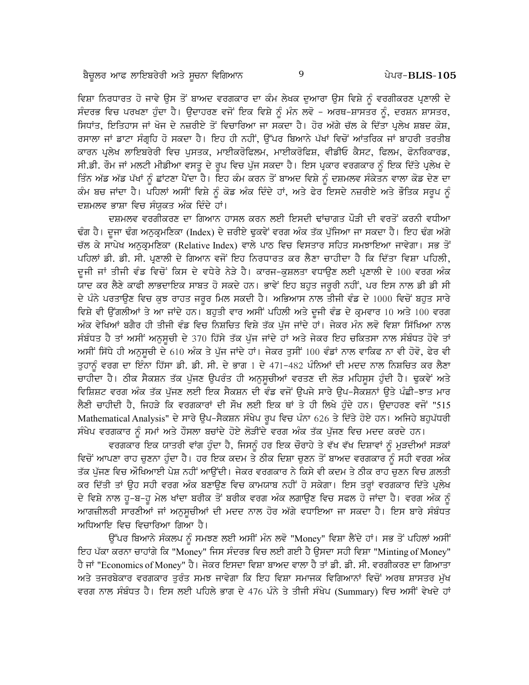ਵਿਸ਼ਾ ਨਿਰਧਾਰਤ ਹੋ ਜਾਵੇ ਉਸ ਤੋਂ ਬਾਅਦ ਵਰਗਕਾਰ ਦਾ ਕੰਮ ਲੇਖਕ ਦੁਆਰਾ ਉਸ ਵਿਸ਼ੇ ਨੂੰ ਵਰਗੀਕਰਣ ਪ੍ਰਣਾਲੀ ਦੇ ਸੰਦਰਭ ਵਿਚ ਪਰਖਣਾ ਹੰਦਾ ਹੈ। ਉਦਾਹਰਣ ਵਜੋਂ ਇਕ ਵਿਸ਼ੇ ਨੰ ਮੰਨ ਲਵੋ – ਅਰਥ–ਸ਼ਾਸਤਰ ਨੰ, ਦਰਸ਼ਨ ਸ਼ਾਸਤਰ, ਸਿਧਾਂਤ, ਇਤਿਹਾਸ ਜਾਂ ਖੋਜ ਦੇ ਨਜ਼ਰੀਏ ਤੋਂ ਵਿਚਾਰਿਆ ਜਾ ਸਕਦਾ ਹੈ। ਹੋਰ ਅੱਗੇ ਚੱਲ ਕੇ ਦਿੱਤਾ ਪਲੇਖ ਸ਼ਬਦ ਕੋਸ਼, ਰਸਾਲਾ ਜਾਂ ਡਾਟਾ ਸੰਗੁਹਿ ਹੋ ਸਕਦਾ ਹੈ। ਇਹ ਹੀ ਨਹੀਂ, ਉੱਪਰ ਬਿਆਨੇ ਪੱਖਾਂ ਵਿਚੋਂ ਆਂਤਰਿਕ ਜਾਂ ਬਾਹਰੀ ਤਰਤੀਬ ਕਾਰਨ ਪੁਲੇਖ ਲਾਇਬਰੇਰੀ ਵਿਚ ਪੁਸਤਕ, ਮਾਈਕਰੋਫਿਲਮ, ਮਾਈਕਰੋਫਿਸ਼, ਵੀਡੀਓ ਕੈਸਟ, ਫਿਲਮ, ਫੋਨਰਿਕਾਰਡ, ਸੀ.ਡੀ. ਰੌਮ ਜਾਂ ਮਲਟੀ ਮੀਡੀਆ ਵਸਤੂ ਦੇ ਰੂਪ ਵਿਚ ਪੁੱਜ ਸਕਦਾ ਹੈ। ਇਸ ਪ੍ਰਕਾਰ ਵਰਗਕਾਰ ਨੂੰ ਇਕ ਦਿੱਤੇ ਪ੍ਰਲੇਖ ਦੇ ਤਿੰਨ ਅੱਡ ਅੱਡ ਪੱਖਾਂ ਨੂੰ ਛਾਂਟਣਾ ਪੈਂਦਾ ਹੈ। ਇਹ ਕੰਮ ਕਰਨ ਤੋਂ ਬਾਅਦ ਵਿਸ਼ੇ ਨੂੰ ਦਸ਼ਮਲਵ ਸੰਕੇਤਨ ਵਾਲਾ ਕੋਡ ਦੇਣ ਦਾ ਕੰਮ ਬਚ ਜਾਂਦਾ ਹੈ। ਪਹਿਲਾਂ ਅਸੀਂ ਵਿਸ਼ੇ ਨੂੰ ਕੋਡ ਅੰਕ ਦਿੰਦੇ ਹਾਂ, ਅਤੇ ਫੇਰ ਇਸਦੇ ਨਜ਼ਰੀਏ ਅਤੇ ਭੌਤਿਕ ਸਰੂਪ ਨੂੰ ਦਸ਼ਮਲਵ ਭਾਸ਼ਾ ਵਿਚ ਸੰਯਕਤ ਅੰਕ ਦਿੰਦੇ ਹਾਂ।

ਦਸ਼ਮਲਵ ਵਰਗੀਕਰਣ ਦਾ ਗਿਆਨ ਹਾਸਲ ਕਰਨ ਲਈ ਇਸਦੀ ਢਾਂਚਾਗਤ ਪੌੜੀ ਦੀ ਵਰਤੋਂ ਕਰਨੀ ਵਧੀਆ ਢੰਗ ਹੈ। ਦੂਜਾ ਢੰਗ ਅਨੁਕ੍ਰਮਣਿਕਾ (Index) ਦੇ ਜ਼ਰੀਏ ਢੁਕਵੇਂ ਵਰਗ ਅੰਕ ਤੱਕ ਪੁੱਜਿਆ ਜਾ ਸਕਦਾ ਹੈ। ਇਹ ਢੰਗ ਅੱਗੇ ਚੱਲ ਕੇ ਸਾਪੇਖ ਅਨੁਕ੍ਰਮਣਿਕਾ (Relative Index) ਵਾਲੇ ਪਾਠ ਵਿਚ ਵਿਸਤਾਰ ਸਹਿਤ ਸਮਝਾਇਆ ਜਾਵੇਗਾ। ਸਭ ਤੋਂ ਪਹਿਲਾਂ ਡੀ. ਡੀ. ਸੀ. ਪਣਾਲੀ ਦੇ ਗਿਆਨ ਵਜੋਂ ਇਹ ਨਿਰਧਾਰਤ ਕਰ ਲੈਣਾ ਚਾਹੀਦਾ ਹੈ ਕਿ ਦਿੱਤਾ ਵਿਸ਼ਾ ਪਹਿਲੀ. ਦਜੀ ਜਾਂ ਤੀਜੀ ਵੰਡ ਵਿਚੋਂ ਕਿਸ ਦੇ ਵਧੇਰੇ ਨੇੜੇ ਹੈ। ਕਾਰਜ-ਕਸ਼ਲਤਾ ਵਧਾਉਣ ਲਈ ਪਣਾਲੀ ਦੇ 100 ਵਰਗ ਅੰਕ -<br>ਯਾਦ ਕਰ ਲੈਣੇ ਕਾਫੀ ਲਾਭਦਾਇਕ ਸਾਬਤ ਹੋ ਸਕਦੇ ਹਨ। ਭਾਵੇਂ ਇਹ ਬਹੁਤ ਜਰੁਰੀ ਨਹੀਂ, ਪਰ ਇਸ ਨਾਲ ਡੀ ਡੀ ਸੀ ਦੇ ਪੰਨੇ ਪਰਤਾੳਣ ਵਿਚ ਕਝ ਰਾਹਤ ਜਰਰ ਮਿਲ ਸਕਦੀ ਹੈ। ਅਭਿਆਸ ਨਾਲ ਤੀਜੀ ਵੰਡ ਦੇ 1000 ਵਿਚੋਂ ਬਹਤ ਸਾਰੇ ਵਿਸ਼ੇ ਵੀ ਉਂਗਲੀਆਂ ਤੇ ਆ ਜਾਂਦੇ ਹਨ। ਬਹਤੀ ਵਾਰ ਅਸੀਂ ਪਹਿਲੀ ਅਤੇ ਦਜੀ ਵੰਡ ਦੇ ਕੁਮਵਾਰ 10 ਅਤੇ 100 ਵਰਗ ਅੰਕ ਵੇਖਿਆਂ ਬਗੈਰ ਹੀ ਤੀਜੀ ਵੰਡ ਵਿਚ ਨਿਸ਼ਚਿਤ ਵਿਸ਼ੇ ਤੱਕ ਪੱਜ ਜਾਂਦੇ ਹਾਂ। ਜੇਕਰ ਮੰਨ ਲਵੋ ਵਿਸ਼ਾ ਸਿੱਖਿਆ ਨਾਲ ਸੰਬੰਧਤ ਹੈ ਤਾਂ ਅਸੀਂ ਅਨਸਚੀ ਦੇ 370 ਹਿੱਸੇ ਤੱਕ ਪੱਜ ਜਾਂਦੇ ਹਾਂ ਅਤੇ ਜੇਕਰ ਇਹ ਚਕਿਤਸਾ ਨਾਲ ਸੰਬੰਧਤ ਹੋਵੇ ਤਾਂ ਅਸੀਂ ਸਿੱਧੇ ਹੀ ਅਨੁਸੂਚੀ ਦੇ 610 ਅੰਕ ਤੇ ਪੁੱਜ ਜਾਂਦੇ ਹਾਂ। ਜੇਕਰ ਤੁਸੀਂ 100 ਵੰਡਾਂ ਨਾਲ ਵਾਕਿਫ ਨਾ ਵੀ ਹੋਵੋ, ਫੇਰ ਵੀ ਤੁਹਾਨੂੰ ਵਰਗ ਦਾ ਇੰਨਾ ਹਿੱਸਾ ਡੀ. ਡੀ. ਸੀ. ਦੇ ਭਾਗ 1 ਦੇ 471-482 ਪੰਨਿਆਂ ਦੀ ਮਦਦ ਨਾਲ ਨਿਸ਼ਚਿਤ ਕਰ ਲੈਣਾ ਚਾਹੀਦਾ ਹੈ। ਠੀਕ ਸੈਕਸ਼ਨ ਤੱਕ ਪੁੱਜਣ ਉਪਰੰਤ ਹੀ ਅਨੁਸੂਚੀਆਂ ਵਰਤਣ ਦੀ ਲੋੜ ਮਹਿਸੂਸ ਹੁੰਦੀ ਹੈ। ਢੁਕਵੇਂ ਅਤੇ ਵਿਸ਼ਿਸ਼ਟ ਵਰਗ ਅੰਕ ਤੱਕ ਪੱਜਣ ਲਈ ਇਕ ਸੈਕਸ਼ਨ ਦੀ ਵੰਡ ਵਜੋਂ ੳਪਜੇ ਸਾਰੇ ੳਪ-ਸੈਕਸ਼ਨਾਂ ੳਤੇ ਪੰਛੀ-ਝਾਤ ਮਾਰ ਲੈਣੀ ਚਾਹੀਦੀ ਹੈ, ਜਿਹੜੇ ਕਿ ਵਰਗਕਾਰਾਂ ਦੀ ਸੌਖ ਲਈ ਇਕ ਥਾਂ ਤੇ ਹੀ ਲਿਖੇ ਹੰਦੇ ਹਨ। ਉਦਾਹਰਣ ਵਜੋਂ "515 Mathematical Analysis" ਦੇ ਸਾਰੇ ਉਪ–ਸੈਕਸ਼ਨ ਸੰਖੇਪ ਰੂਪ ਵਿਚ ਪੰਨਾ 626 ਤੇ ਦਿੱਤੇ ਹੋਏ ਹਨ। ਅਜਿਹੇ ਬਹੁਪੱਧਰੀ ਸੰਖੇਪ ਵਰਗਕਾਰ ਨੂੰ ਸਮਾਂ ਅਤੇ ਹੌਸਲਾ ਬਚਾਂਦੇ ਹੋਏ ਲੋੜੀਂਦੇ ਵਰਗ ਅੰਕ ਤੱਕ ਪੁੱਜਣ ਵਿਚ ਮਦਦ ਕਰਦੇ ਹਨ।

ਵਰਗਕਾਰ ਇਕ ਯਾਤਰੀ ਵਾਂਗ ਹੁੰਦਾ ਹੈ, ਜਿਸਨੂੰ ਹਰ ਇਕ ਚੌਰਾਹੇ ਤੇ ਵੱਖ ਵੱਖ ਦਿਸ਼ਾਵਾਂ ਨੂੰ ਮੁੜਦੀਆਂ ਸੜਕਾਂ ਵਿਚੋਂ ਆਪਣਾ ਰਾਹ ਚਣਨਾ ਹੰਦਾ ਹੈ। ਹਰ ਇਕ ਕਦਮ ਤੇ ਠੀਕ ਦਿਸ਼ਾ ਚਣਨ ਤੋਂ ਬਾਅਦ ਵਰਗਕਾਰ ਨੰ ਸਹੀ ਵਰਗ ਅੰਕ ਤੱਕ ਪੱਜਣ ਵਿਚ ਔਖਿਆਈ ਪੇਸ਼ ਨਹੀਂ ਆੳਂਦੀ। ਜੇਕਰ ਵਰਗਕਾਰ ਨੇ ਕਿਸੇ ਵੀ ਕਦਮ ਤੇ ਠੀਕ ਰਾਹ ਚਣਨ ਵਿਚ ਗ਼ਲਤੀ ਕਰ ਦਿੱਤੀ ਤਾਂ ਉਹ ਸਹੀ ਵਰਗ ਅੰਕ ਬਣਾਉਣ ਵਿਚ ਕਾਮਯਾਬ ਨਹੀਂ ਹੋ ਸਕੇਗਾ। ਇਸ ਤਰ੍ਹਾਂ ਵਰਗਕਾਰ ਦਿੱਤੇ ਪ੍ਰਲੇਖ ਦੇ ਵਿਸ਼ੇ ਨਾਲ ਹੁ-ਬ-ਹੁ ਮੇਲ ਖਾਂਦਾ ਬਰੀਕ ਤੋਂ ਬਰੀਕ ਵਰਗ ਅੰਕ ਲਗਾਉਣ ਵਿਚ ਸਫਲ ਹੋ ਜਾਂਦਾ ਹੈ। ਵਰਗ ਅੰਕ ਨੂੰ ਆਗਜ਼ੀਲਰੀ ਸਾਰਣੀਆਂ ਜਾਂ ਅਨੁਸੂਚੀਆਂ ਦੀ ਮਦਦ ਨਾਲ ਹੋਰ ਅੱਗੇ ਵਧਾਇਆ ਜਾ ਸਕਦਾ ਹੈ। ਇਸ ਬਾਰੇ ਸੰਬੰਧਤ ਅਧਿਆਇ ਵਿਚ ਵਿਚਾਰਿਆ ਗਿਆ ਹੈ।

ਉੱਪਰ ਬਿਆਨੇ ਸੰਕਲਪ ਨੂੰ ਸਮਝਣ ਲਈ ਅਸੀਂ ਮੰਨ ਲਵੋ "Money" ਵਿਸ਼ਾ ਲੈਂਦੇ ਹਾਂ। ਸਭ ਤੋਂ ਪਹਿਲਾਂ ਅਸੀਂ ਇਹ ਪੱਕਾ ਕਰਨਾ ਚਾਹਾਂਗੇ ਕਿ "Money" ਜਿਸ ਸੰਦਰਭ ਵਿਚ ਲਈ ਗਈ ਹੈ ਉਸਦਾ ਸਹੀ ਵਿਸ਼ਾ "Minting of Money" ਹੈ ਜਾਂ "Economics of Money" ਹੈ। ਜੇਕਰ ਇਸਦਾ ਵਿਸ਼ਾ ਬਾਅਦ ਵਾਲਾ ਹੈ ਤਾਂ ਡੀ. ਡੀ. ਸੀ. ਵਰਗੀਕਰਣ ਦਾ ਗਿਆਤਾ ਅਤੇ ਤਜਰਬੇਕਾਰ ਵਰਗਕਾਰ ਤਰੰਤ ਸਮਝ ਜਾਵੇਗਾ ਕਿ ਇਹ ਵਿਸ਼ਾ ਸਮਾਜਕ ਵਿਗਿਆਨਾਂ ਵਿਚੋਂ ਅਰਥ ਸ਼ਾਸਤਰ ਮੱਖ ਵਰਗ ਨਾਲ ਸੰਬੰਧਤ ਹੈ। ਇਸ ਲਈ ਪਹਿਲੇ ਭਾਗ ਦੇ 476 ਪੰਨੇ ਤੇ ਤੀਜੀ ਸੰਖੇਪ (Summary) ਵਿਚ ਅਸੀਂ ਵੇਖਦੇ ਹਾਂ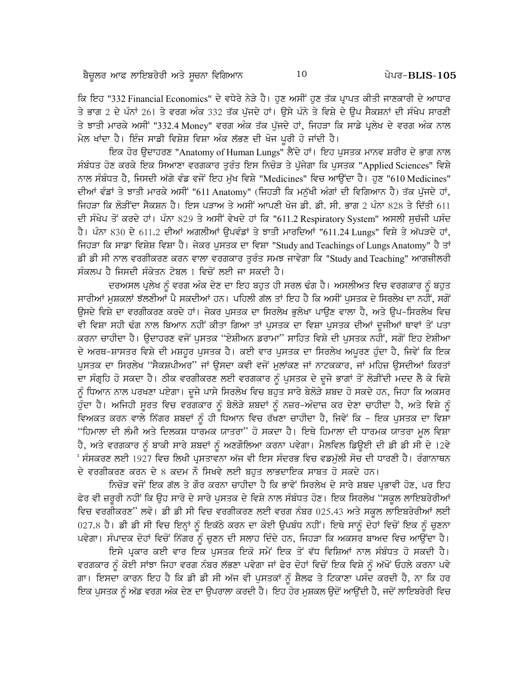ਕਿ ਇਹ "332 Financial Economics" ਦੇ ਵਧੇਰੇ ਨੇੜੇ ਹੈ। ਹੁਣ ਅਸੀਂ ਹੁਣ ਤੱਕ ਪਾਪਤ ਕੀਤੀ ਜਾਣਕਾਰੀ ਦੇ ਆਧਾਰ ਤੇ ਭਾਗ 2 ਦੇ ਪੰਨਾਂ 261 ਤੇ ਵਰਗ ਅੰਕ 332 ਤੱਕ ਪੱਜਦੇ ਹਾਂ। ਉਸੇ ਪੰਨੇ ਤੇ ਵਿਸ਼ੇ ਦੇ ਉਪ ਸੈਕਸ਼ਨਾਂ ਦੀ ਸੰਖੇਪ ਸਾਰਣੀ ਤੇ ਝਾਤੀ ਮਾਰਕੇ ਅਸੀਂ "332.4 Money" ਵਰਗ ਅੰਕ ਤੱਕ ਪੁੱਜਦੇ ਹਾਂ, ਜਿਹੜਾ ਕਿ ਸਾਡੇ ਪੁਲੇਖ ਦੇ ਵਰਗ ਅੰਕ ਨਾਲ ਮੇਲ ਖਾਂਦਾ ਹੈ। ਇੰਜ ਸਾਡੀ ਵਿਸ਼ੇਸ਼ ਵਿਸ਼ਾ ਅੰਕ ਲੱਭਣ ਦੀ ਖੋਜ ਪਰੀ ਹੋ ਜਾਂਦੀ ਹੈ।

ਇਕ ਹੋਰ ਉਦਾਹਰਣ "Anatomy of Human Lungs" ਲੈਂਦੇ ਹਾਂ। ਇਹ ਪੁਸਤਕ ਮਾਨਵ ਸ਼ਰੀਰ ਦੇ ਭਾਗ ਨਾਲ ਸੰਬੰਧਤ ਹੋਣ ਕਰਕੇ ਇਕ ਸਿਆਣਾ ਵਰਗਕਾਰ ਤੁਰੰਤ ਇਸ ਨਿਚੋੜ ਤੇ ਪੁੱਜੇਗਾ ਕਿ ਪੁਸਤਕ "Applied Sciences" ਵਿਸ਼ੇ ਨਾਲ ਸੰਬੰਧਤ ਹੈ, ਜਿਸਦੀ ਅੱਗੇ ਵੰਡ ਵਜੋਂ ਇਹ ਮੁੱਖ ਵਿਸ਼ੇ "Medicines" ਵਿਚ ਆਉਂਦਾ ਹੈ। ਹੁਣ "610 Medicines" ਦੀਆਂ ਵੰਡਾਂ ਤੇ ਝਾਤੀ ਮਾਰਕੇ ਅਸੀਂ "611 Anatomy" (ਜਿਹੜੀ ਕਿ ਮਨੱਖੀ ਅੰਗਾਂ ਦੀ ਵਿਗਿਆਨ ਹੈ) ਤੱਕ ਪੱਜਦੇ ਹਾਂ. ਜਿਹੜਾ ਕਿ ਲੋੜੀਂਦਾ ਸੈਕਸ਼ਨ ਹੈ। ਇਸ ਪੜਾਅ ਤੇ ਅਸੀਂ ਆਪਣੀ ਖੋਜ ਡੀ. ਡੀ. ਸੀ. ਭਾਗ 2 ਪੰਨਾ 828 ਤੇ ਦਿੱਤੀ 611 ਦੀ ਸੰਖੇਪ ਤੋਂ ਕਰਦੇ ਹਾਂ। ਪੰਨਾ 829 ਤੇ ਅਸੀਂ ਵੇਖਦੇ ਹਾਂ ਕਿ "611.2 Respiratory System" ਅਸਲੀ ਸੁਚੱਜੀ ਪਸੰਦ ਹੈ। ਪੰਨਾ 830 ਦੇ 611.2 ਦੀਆਂ ਅਗਲੀਆਂ ਉਪਵੰਡਾਂ ਤੇ ਝਾਤੀ ਮਾਰਦਿਆਂ "611.24 Lungs" ਵਿਸ਼ੇ ਤੇ ਅੱਪੜਦੇ ਹਾਂ, ਜਿਹੜਾ ਕਿ ਸਾਡਾ ਵਿਸ਼ੇਸ਼ ਵਿਸ਼ਾ ਹੈ। ਜੇਕਰ ਪਸਤਕ ਦਾ ਵਿਸ਼ਾ "Study and Teachings of Lungs Anatomy" ਹੈ ਤਾਂ ਡੀ ਡੀ ਸੀ ਨਾਲ ਵਰਗੀਕਰਣ ਕਰਨ ਵਾਲਾ ਵਰਗਕਾਰ ਤਰੰਤ ਸਮਝ ਜਾਵੇਗਾ ਕਿ "Study and Teaching" ਆਗਜ਼ੀਲਰੀ ਸੰਕਲਪ ਹੈ ਜਿਸਦੀ ਸੰਕੇਤਨ ਟੇਬਲ 1 ਵਿਚੋਂ ਲਈ ਜਾ ਸਕਦੀ ਹੈ।

ਦਰਅਸਲ ਪ੍ਰਲੇਖ ਨੂੰ ਵਰਗ ਅੰਕ ਦੇਣ ਦਾ ਇਹ ਬਹੁਤ ਹੀ ਸਰਲ ਢੰਗ ਹੈ। ਅਸਲੀਅਤ ਵਿਚ ਵਰਗਕਾਰ ਨੂੰ ਬਹੁਤ ਸਾਰੀਆਂ ਮਸ਼ਕਲਾਂ ਝੱਲਣੀਆਂ ਪੈ ਸਕਦੀਆਂ ਹਨ। ਪਹਿਲੀ ਗੱਲ ਤਾਂ ਇਹ ਹੈ ਕਿ ਅਸੀਂ ਪਸਤਕ ਦੇ ਸਿਰਲੇਖ ਦਾ ਨਹੀਂ, ਸਗੋਂ ਉਸਦੇ ਵਿਸ਼ੇ ਦਾ ਵਰਗੀਕਰਣ ਕਰਦੇ ਹਾਂ। ਜੇਕਰ ਪਸਤਕ ਦਾ ਸਿਰਲੇਖ ਭਲੇਖਾ ਪਾਉਣ ਵਾਲਾ ਹੈ, ਅਤੇ ਉਪ-ਸਿਰਲੇਖ ਵਿਚ ਵੀ ਵਿਸ਼ਾ ਸਹੀ ਢੰਗ ਨਾਲ ਬਿਆਨ ਨਹੀਂ ਕੀਤਾ ਗਿਆ ਤਾਂ ਪੁਸਤਕ ਦਾ ਵਿਸ਼ਾ ਪੁਸਤਕ ਦੀਆਂ ਦੂਜੀਆਂ ਥਾਵਾਂ ਤੋਂ ਪਤਾ ਕਰਨਾ ਚਾਹੀਦਾ ਹੈ। ਉਦਾਹਰਣ ਵਜੋਂ ਪੁਸਤਕ ''ਏਸ਼ੀਅਨ ਡਰਾਮਾ'' ਸਾਹਿਤ ਵਿਸ਼ੇ ਦੀ ਪੁਸਤਕ ਨਹੀਂ, ਸਗੋਂ ਇਹ ਏਸ਼ੀਆ ਦੇ ਅਰਥ-ਸ਼ਾਸਤਰ ਵਿਸ਼ੇ ਦੀ ਮਸ਼ਹੂਰ ਪੁਸਤਕ ਹੈ। ਕਈ ਵਾਰ ਪੁਸਤਕ ਦਾ ਸਿਰਲੇਖ ਅਪੂਰਣ ਹੁੰਦਾ ਹੈ, ਜਿਵੇਂ ਕਿ ਇਕ ਪੁਸਤਕ ਦਾ ਸਿਰਲੇਖ ''ਸੈਕਸ਼ਪੀਅਰ'' ਜਾਂ ਉਸਦਾ ਕਵੀ ਵਜੋਂ ਮੁਲਾਂਕਣ ਜਾਂ ਨਾਟਕਕਾਰ, ਜਾਂ ਮਹਿਜ਼ ਉਸਦੀਆਂ ਕਿਰਤਾਂ ਦਾ ਸੰਗ੍ਰਹਿ ਹੋ ਸਕਦਾ ਹੈ। ਠੀਕ ਵਰਗੀਕਰਣ ਲਈ ਵਰਗਕਾਰ ਨੂੰ ਪੁਸਤਕ ਦੇ ਦੂਜੇ ਭਾਗਾਂ ਤੋਂ ਲੋੜੀਂਦੀ ਮਦਦ ਲੈ ਕੇ ਵਿਸ਼ੇ ਨੂੰ ਧਿਆਨ ਨਾਲ ਪਰਖਣਾ ਪਏਗਾ। ਦੂਜੇ ਪਾਸੇ ਸਿਰਲੇਖ ਵਿਚ ਬਹੁਤ ਸਾਰੇ ਬੇਲੋੜੇ ਸ਼ਬਦ ਹੋ ਸਕਦੇ ਹਨ, ਜਿਹਾ ਕਿ ਅਕਸਰ ਹੁੰਦਾ ਹੈ। ਅਜਿਹੀ ਸੂਰਤ ਵਿਚ ਵਰਗਕਾਰ ਨੂੰ ਬੇਲੋੜੇ ਸ਼ਬਦਾਂ ਨੂੰ ਨਜ਼ਰ–ਅੰਦਾਜ਼ ਕਰ ਦੇਣਾ ਚਾਹੀਦਾ ਹੈ, ਅਤੇ ਵਿਸ਼ੇ ਨੂੰ ਵਿਅਕਤ ਕਰਨ ਵਾਲੇ ਨਿੱਗਰ ਸ਼ਬਦਾਂ ਨੂੰ ਹੀ ਧਿਆਨ ਵਿਚ ਰੱਖਣਾ ਚਾਹੀਦਾ ਹੈ, ਜਿਵੇਂ ਕਿ – ਇਕ ਪੁਸਤਕ ਦਾ ਵਿਸ਼ਾ "ਹਿਮਾਲਾ ਦੀ ਲੰਮੀ ਅਤੇ ਦਿਲਕਸ਼ ਧਾਰਮਕ ਯਾਤਰਾ" ਹੋ ਸਕਦਾ ਹੈ। ਇਥੇ ਹਿਮਾਲਾ ਦੀ ਧਾਰਮਕ ਯਾਤਰਾ ਮੁਲ ਵਿਸ਼ਾ ਹੈ, ਅਤੇ ਵਰਗਕਾਰ ਨੂੰ ਬਾਕੀ ਸਾਰੇ ਸ਼ਬਦਾਂ ਨੂੰ ਅਣਗੌਲਿਆ ਕਰਨਾ ਪਵੇਗਾ। ਮੈਲਵਿਲ ਡਿਊਈ ਦੀ ਡੀ ਡੀ ਸੀ ਦੇ 12ਵੇ ਂ ਸੰਸਕਰਣ ਲਈ 1927 ਵਿਚ ਲਿਖੀ ਪਸਤਾਵਨਾ ਅੱਜ ਵੀ ਇਸ ਸੰਦਰਭ ਵਿਚ ਵਡਮੱਲੀ ਸੋਚ ਦੀ ਧਾਰਣੀ ਹੈ। ਰੰਗਾਨਾਥਨ ਦੇ ਵਰਗੀਕਰਣ ਕਰਨ ਦੇ 8 ਕਦਮ ਨੌ ਸਿਖਵੇ ਲਈ ਬਹੁਤ ਲਾਭਦਾਇਕ ਸਾਬਤ ਹੋ ਸਕਦੇ ਹਨ।

ਨਿਚੋੜ ਵਜੋਂ ਇਕ ਗੱਲ ਤੇ ਗੌਰ ਕਰਨਾ ਚਾਹੀਦਾ ਹੈ ਕਿ ਭਾਵੇਂ ਸਿਰਲੇਖ ਦੇ ਸਾਰੇ ਸ਼ਬਦ ਪ੍ਰਭਾਵੀ ਹੋਣ, ਪਰ ਇਹ ਫੇਰ ਵੀ ਜ਼ਰੂਰੀ ਨਹੀਂ ਕਿ ਉਹ ਸਾਰੇ ਦੇ ਸਾਰੇ ਪੁਸਤਕ ਦੇ ਵਿਸ਼ੇ ਨਾਲ ਸੰਬੰਧਤ ਹੋਣ। ਇਕ ਸਿਰਲੇਖ ''ਸਕੂਲ ਲਾਇਬਰੇਰੀਆਂ ਵਿਚ ਵਰਗੀਕਰਣ" ਲਵੋ। ਡੀ ਡੀ ਸੀ ਵਿਚ ਵਰਗੀਕਰਣ ਲਈ ਵਰਗ ਨੰਬਰ 025.43 ਅਤੇ ਸਕੂਲ ਲਾਇਬਰੇਰੀਆਂ ਲਈ 027.8 ਹੈ। ਡੀ ਡੀ ਸੀ ਵਿਚ ਇਨ੍ਹਾਂ ਨੂੰ ਇਕੱਠੇ ਕਰਨ ਦਾ ਕੋਈ ਉਪਬੰਧ ਨਹੀਂ। ਇਥੇ ਸਾਨੂੰ ਦੋਹਾਂ ਵਿਚੋਂ ਇਕ ਨੂੰ ਚੁਣਨਾ ਪਵੇਗਾ। ਸੰਪਾਦਕ ਦੋਹਾਂ ਵਿਚੋਂ ਨਿੱਗਰ ਨੂੰ ਚੁਣਨ ਦੀ ਸਲਾਹ ਦਿੰਦੇ ਹਨ, ਜਿਹੜਾ ਕਿ ਅਕਸਰ ਬਾਅਦ ਵਿਚ ਆਉਂਦਾ ਹੈ।

ਇਸੇ ਪ੍ਰਕਾਰ ਕਈ ਵਾਰ ਇਕ ਪੁਸਤਕ ਇਕੋ ਸਮੇਂ ਇਕ ਤੋਂ ਵੱਧ ਵਿਸ਼ਿਆਂ ਨਾਲ ਸੰਬੰਧਤ ਹੋ ਸਕਦੀ ਹੈ। ਵਰਗਕਾਰ ਨੂੰ ਕੋਈ ਸਾਂਝਾ ਜਿਹਾ ਵਰਗ ਨੰਬਰ ਲੱਭਣਾ ਪਵੇਗਾ ਜਾਂ ਫੇਰ ਦੋਹਾਂ ਵਿਚੋਂ ਇਕ ਵਿਸ਼ੇ ਨੂੰ ਅੱਖੋਂ ਓਹਲੇ ਕਰਨਾ ਪਵੇ ਗਾ। ਇਸਦਾ ਕਾਰਨ ਇਹ ਹੈ ਕਿ ਡੀ ਡੀ ਸੀ ਅੱਜ ਵੀ ਪੁਸਤਕਾਂ ਨੂੰ ਸ਼ੈਲਫ ਤੇ ਟਿਕਾਣਾ ਪਸੰਦ ਕਰਦੀ ਹੈ, ਨਾ ਕਿ ਹਰ ਇਕ ਪਸਤਕ ਨੰ ਅੱਡ ਵਰਗ ਅੰਕ ਦੇਣ ਦਾ ੳਪਰਾਲਾ ਕਰਦੀ ਹੈ। ਇਹ ਹੋਰ ਮਸ਼ਕਲ ੳਦੋਂ ਆੳਂਦੀ ਹੈ, ਜਦੋਂ ਲਾਇਬਰੇਰੀ ਵਿਚ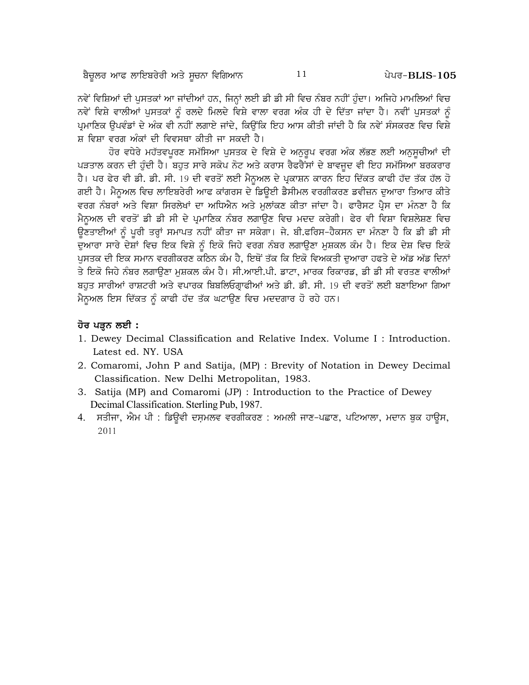ਨਵੇਂ ਵਿਸ਼ਿਆਂ ਦੀ ਪੁਸਤਕਾਂ ਆ ਜਾਂਦੀਆਂ ਹਨ, ਜਿਨ੍ਹਾਂ ਲਈ ਡੀ ਡੀ ਸੀ ਵਿਚ ਨੰਬਰ ਨਹੀਂ ਹੁੰਦਾ। ਅਜਿਹੇ ਮਾਮਲਿਆਂ ਵਿਚ ਨਵੇਂ ਵਿਸ਼ੇ ਵਾਲੀਆਂ ਪੁਸਤਕਾਂ ਨੂੰ ਰਲਦੇ ਮਿਲਦੇ ਵਿਸ਼ੇ ਵਾਲਾ ਵਰਗ ਅੰਕ ਹੀ ਦੇ ਦਿੱਤਾ ਜਾਂਦਾ ਹੈ। ਨਵੀਂ ਪੁਸਤਕਾਂ ਨੂੰ ਪੁਮਾਣਿਕ ੳਪਵੰਡਾਂ ਦੇ ਅੰਕ ਵੀ ਨਹੀਂ ਲਗਾਏ ਜਾਂਦੇ, ਕਿਉਂਕਿ ਇਹ ਆਸ ਕੀਤੀ ਜਾਂਦੀ ਹੈ ਕਿ ਨਵੇਂ ਸੰਸਕਰਣ ਵਿਚ ਵਿਸ਼ੇ ਸ਼ ਵਿਸ਼ਾ ਵਰਗ ਅੰਕਾਂ ਦੀ ਵਿਵਸਥਾ ਕੀਤੀ ਜਾ ਸਕਦੀ ਹੈ।

ਹੋਰ ਵਧੇਰੇ ਮਹੱਤਵਪੂਰਣ ਸਮੱਸਿਆ ਪੁਸਤਕ ਦੇ ਵਿਸ਼ੇ ਦੇ ਅਨੁਰੂਪ ਵਰਗ ਅੰਕ ਲੱਭਣ ਲਈ ਅਨੁਸੂਚੀਆਂ ਦੀ ਪੜਤਾਲ ਕਰਨ ਦੀ ਹੁੰਦੀ ਹੈ। ਬਹੁਤ ਸਾਰੇ ਸਕੋਪ ਨੋਟ ਅਤੇ ਕਰਾਸ ਰੈਫਰੈਂਸਾਂ ਦੇ ਬਾਵਜੂਦ ਵੀ ਇਹ ਸਮੱਸਿਆ ਬਰਕਰਾਰ ਹੈ। ਪਰ ਫੇਰ ਵੀ ਡੀ. ਡੀ. ਸੀ. 19 ਦੀ ਵਰਤੋਂ ਲਈ ਮੈਨੁਅਲ ਦੇ ਪ੍ਰਕਾਸ਼ਨ ਕਾਰਨ ਇਹ ਦਿੱਕਤ ਕਾਫੀ ਹੱਦ ਤੱਕ ਹੱਲ ਹੋ ਗਈ ਹੈ। ਮੈਨੁਅਲ ਵਿਚ ਲਾਇਬਰੇਰੀ ਆਫ ਕਾਂਗਰਸ ਦੇ ਡਿਊਈ ਡੈਸੀਮਲ ਵਰਗੀਕਰਣ ਡਵੀਜ਼ਨ ਦੁਆਰਾ ਤਿਆਰ ਕੀਤੇ ਵਰਗ ਨੰਬਰਾਂ ਅਤੇ ਵਿਸ਼ਾ ਸਿਰਲੇਖਾਂ ਦਾ ਅਧਿਐਨ ਅਤੇ ਮਲਾਂਕਣ ਕੀਤਾ ਜਾਂਦਾ ਹੈ। ਫਾਰੈਸਟ ਪ੍ਰੈਸ ਦਾ ਮੰਨਣਾ ਹੈ ਕਿ ਮੈਨੁਅਲ ਦੀ ਵਰਤੋਂ ਡੀ ਡੀ ਸੀ ਦੇ ਪ੍ਰਮਾਣਿਕ ਨੰਬਰ ਲਗਾਉਣ ਵਿਚ ਮਦਦ ਕਰੇਗੀ। ਫੇਰ ਵੀ ਵਿਸ਼ਾ ਵਿਸ਼ਲੇਸ਼ਣ ਵਿਚ ਉਣਤਾਈਆਂ ਨੂੰ ਪੂਰੀ ਤਰ੍ਹਾਂ ਸਮਾਪਤ ਨਹੀਂ ਕੀਤਾ ਜਾ ਸਕੇਗਾ। ਜੇ. ਬੀ.ਫਰਿਸ–ਹੈਕਸਨ ਦਾ ਮੰਨਣਾ ਹੈ ਕਿ ਡੀ ਡੀ ਸੀ ਦੁਆਰਾ ਸਾਰੇ ਦੇਸ਼ਾਂ ਵਿਚ ਇਕ ਵਿਸ਼ੇ ਨੂੰ ਇਕੋ ਜਿਹੇ ਵਰਗ ਨੰਬਰ ਲਗਾਉਣਾ ਮੁਸ਼ਕਲ ਕੰਮ ਹੈ। ਇਕ ਦੇਸ਼ ਵਿਚ ਇਕੋ ਪਸਤਕ ਦੀ ਇਕ ਸਮਾਨ ਵਰਗੀਕਰਣ ਕਠਿਨ ਕੰਮ ਹੈ. ਇਥੋਂ ਤੱਕ ਕਿ ਇਕੋ ਵਿਅਕਤੀ ਦਆਰਾ ਹਫਤੇ ਦੇ ਅੱਡ ਅੱਡ ਦਿਨਾਂ ਤੇ ਇਕੋ ਜਿਹੇ ਨੰਬਰ ਲਗਾੳਣਾ ਮਸ਼ਕਲ ਕੰਮ ਹੈ। ਸੀ.ਆਈ.ਪੀ. ਡਾਟਾ, ਮਾਰਕ ਰਿਕਾਰਡ, ਡੀ ਡੀ ਸੀ ਵਰਤਣ ਵਾਲੀਆਂ ਬਹੁਤ ਸਾਰੀਆਂ ਰਾਸ਼ਟਰੀ ਅਤੇ ਵਪਾਰਕ ਬਿਬਲਿਓਗ੍ਰਾਫੀਆਂ ਅਤੇ ਡੀ. ਡੀ. ਸੀ. 19 ਦੀ ਵਰਤੋਂ ਲਈ ਬਣਾਇਆ ਗਿਆ ਮੈਨੂਅਲ ਇਸ ਦਿੱਕਤ ਨੂੰ ਕਾਫੀ ਹੱਦ ਤੱਕ ਘਟਾਉਣ ਵਿਚ ਮਦਦਗਾਰ ਹੋ ਰਹੇ ਹਨ।

### ਹੋਰ ਪੜ੍ਹਨ ਲਈ :

- 1. Dewey Decimal Classification and Relative Index. Volume I: Introduction. Latest ed. NY. USA
- 2. Comaromi, John P and Satija, (MP) : Brevity of Notation in Dewey Decimal Classification. New Delhi Metropolitan, 1983.
- 3. Satija (MP) and Comaromi (JP) : Introduction to the Practice of Dewey Decimal Classification. Sterling Pub, 1987.
- 4. ਸਤੀਜਾ, ਐਮ ਪੀ : ਡਿਊਵੀ ਦਸ਼ਮਲਵ ਵਰਗੀਕਰਣ : ਅਮਲੀ ਜਾਣ-ਪਛਾਣ, ਪਟਿਆਲਾ, ਮਦਾਨ ਬੁਕ ਹਾਊਸ, 2011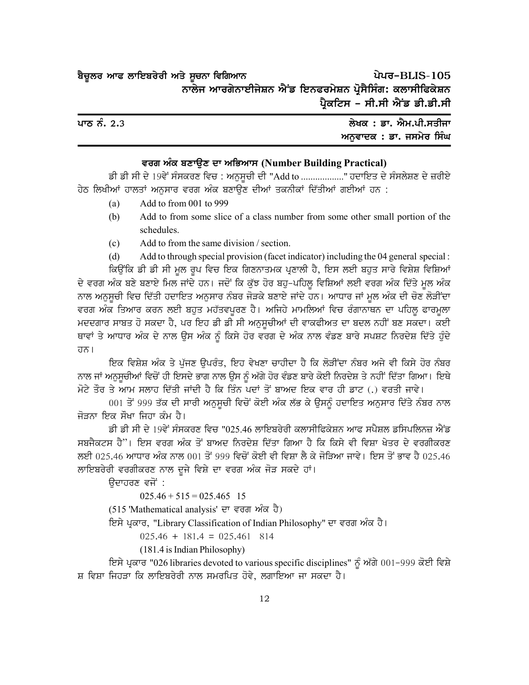| ਬੈਚੂਲਰ ਆਫ ਲਾਇਬਰੇਰੀ ਅਤੇ ਸੂਚਨਾ ਵਿਗਿਆਨ                       |                               | ਪੇਪਰ-BLIS-105 |
|-----------------------------------------------------------|-------------------------------|---------------|
| ਨਾਲੇਜ ਆਰਗੇਨਾਈਜੇਸ਼ਨ ਐਂਡ ਇਨਫਰਮੇਸ਼ਨ ਪ੍ਰੋਸੈਸਿੰਗ: ਕਲਾਸੀਫਿਕੇਸ਼ਨ |                               |               |
|                                                           | ਪ੍ਰੈਕਟਿਸ - ਸੀ.ਸੀ ਐਂਡ ਡੀ.ਡੀ.ਸੀ |               |

| ਪਾਠ ਨੰ. 2.3 | ਲੇਖਕ : ਡਾ. ਐਮ.ਪੀ.ਸਤੀਜਾ  |
|-------------|-------------------------|
|             | ਅਨਵਾਦਕ : ਡਾ. ਜਸਮੇਰ ਸਿੰਘ |

#### **tor nze pDkT[D dk nfGnk; (Number Building Practical)**

ਡੀ ਡੀ ਸੀ ਦੇ 19ਵੇਂ ਸੰਸਕਰਣ ਵਿਚ : ਅਨੁਸੂਚੀ ਦੀ "Add to .................." ਹਦਾਇਤ ਦੇ ਸੰਸਲੇਸ਼ਣ ਦੇ ਜ਼ਰੀਏ ਹੇਠ ਲਿਖੀਆਂ ਹਾਲਤਾਂ ਅਨਸਾਰ ਵਰਗ ਅੰਕ ਬਣਾਉਣ ਦੀਆਂ ਤਕਨੀਕਾਂ ਦਿੱਤੀਆਂ ਗਈਆਂ ਹਨ :

- (a) Add to from 001 to 999
- (b) Add to from some slice of a class number from some other small portion of the schedules.
- (c) Add to from the same division / section.

(d) Add to through special provision (facet indicator) including the 04 general special :

ਕਿਉਂਕਿ ਡੀ ਡੀ ਸੀ ਮੂਲ ਰੂਪ ਵਿਚ ਇਕ ਗਿਣਨਾਤਮਕ ਪ੍ਰਣਾਲੀ ਹੈ, ਇਸ ਲਈ ਬਹੁਤ ਸਾਰੇ ਵਿਸ਼ੇਸ਼ ਵਿਸ਼ਿਆਂ ਦੇ ਵਰਗ ਅੰਕ ਬਣੇ ਬਣਾਏ ਮਿਲ ਜਾਂਦੇ ਹਨ। ਜਦੋਂ ਕਿ ਕੁੱਝ ਹੋਰ ਬਹੁ-ਪਹਿਲੂ ਵਿਸ਼ਿਆਂ ਲਈ ਵਰਗ ਅੰਕ ਦਿੱਤੇ ਮੁਲ ਅੰਕ ਨਾਲ ਅਨੁਸੂਚੀ ਵਿਚ ਦਿੱਤੀ ਹਦਾਇਤ ਅਨੁਸਾਰ ਨੰਬਰ ਜੋੜਕੇ ਬਣਾਏ ਜਾਂਦੇ ਹਨ। ਆਧਾਰ ਜਾਂ ਮੁਲ ਅੰਕ ਦੀ ਚੋਣ ਲੋੜੀਂਦਾ ਵਰਗ ਅੰਕ ਤਿਆਰ ਕਰਨ ਲਈ ਬਹੁਤ ਮਹੱਤਵਪੂਰਣ ਹੈ। ਅਜਿਹੇ ਮਾਮਲਿਆਂ ਵਿਚ ਰੰਗਾਨਾਥਨ ਦਾ ਪਹਿਲੂ ਫਾਰਮੁਲਾ ਮਦਦਗਾਰ ਸਾਬਤ ਹੋ ਸਕਦਾ ਹੈ, ਪਰ ਇਹ ਡੀ ਡੀ ਸੀ ਅਨੁਸੂਚੀਆਂ ਦੀ ਵਾਕਫੀਅਤ ਦਾ ਬਦਲ ਨਹੀਂ ਬਣ ਸਕਦਾ। ਕਈ ਥਾਵਾਂ ਤੇ ਆਧਾਰ ਅੰਕ ਦੇ ਨਾਲ ਉਸ ਅੰਕ ਨੂੰ ਕਿਸੇ ਹੋਰ ਵਰਗ ਦੇ ਅੰਕ ਨਾਲ ਵੰਡਣ ਬਾਰੇ ਸਪਸ਼ਟ ਨਿਰਦੇਸ਼ ਦਿੱਤੇ ਹੁੰਦੇ ਹਨ।

ਇਕ ਵਿਸ਼ੇਸ਼ ਅੰਕ ਤੇ ਪੁੱਜਣ ਉਪਰੰਤ, ਇਹ ਵੇਖਣਾ ਚਾਹੀਦਾ ਹੈ ਕਿ ਲੋੜੀਂਦਾ ਨੰਬਰ ਅਜੇ ਵੀ ਕਿਸੇ ਹੋਰ ਨੰਬਰ ਨਾਲ ਜਾਂ ਅਨਸਚੀਆਂ ਵਿਚੋਂ ਹੀ ਇਸਦੇ ਭਾਗ ਨਾਲ ਉਸ ਨੂੰ ਅੱਗੇ ਹੋਰ ਵੰਡਣ ਬਾਰੇ ਕੋਈ ਨਿਰਦੇਸ਼ ਤੇ ਨਹੀਂ ਦਿੱਤਾ ਗਿਆ। ਇਥੇ ਮੋਟੇ ਤੌਰ ਤੇ ਆਮ ਸਲਾਹ ਦਿੱਤੀ ਜਾਂਦੀ ਹੈ ਕਿ ਤਿੰਨ ਪਦਾਂ ਤੋਂ ਬਾਅਦ ਇਕ ਵਾਰ ਹੀ ਡਾਟ (.) ਵਰਤੀ ਜਾਵੇ।

001 ਤੋਂ 999 ਤੱਕ ਦੀ ਸਾਰੀ ਅਨੁਸੂਚੀ ਵਿਚੋਂ ਕੋਈ ਅੰਕ ਲੱਭ ਕੇ ਉਸਨੂੰ ਹਦਾਇਤ ਅਨੁਸਾਰ ਦਿੱਤੇ ਨੰਬਰ ਨਾਲ ਜੋੜਨਾ ਇਕ ਸੌਖਾ ਜਿਹਾ ਕੰਮ ਹੈ।

ਡੀ ਡੀ ਸੀ ਦੇ 19ਵੇਂ ਸੰਸਕਰਣ ਵਿਚ "025.46 ਲਾਇਬਰੇਰੀ ਕਲਾਸੀਫਿਕੇਸ਼ਨ ਆਫ ਸਪੈਸ਼ਲ ਡਸਿਪਲਿਨਜ਼ ਐਂਡ ਸਬਜੈਕਟਸ ਹੈ''। ਇਸ ਵਰਗ ਅੰਕ ਤੋਂ ਬਾਅਦ ਨਿਰਦੇਸ਼ ਦਿੱਤਾ ਗਿਆ ਹੈ ਕਿ ਕਿਸੇ ਵੀ ਵਿਸ਼ਾ ਖੇਤਰ ਦੇ ਵਰਗੀਕਰਣ ਲਈ 025.46 ਆਧਾਰ ਅੰਕ ਨਾਲ 001 ਤੋਂ 999 ਵਿਚੋਂ ਕੋਈ ਵੀ ਵਿਸ਼ਾ ਲੈ ਕੇ ਜੋੜਿਆ ਜਾਵੇ। ਇਸ ਤੋਂ ਭਾਵ ਹੈ 025.46 ਲਾਇਬਰੇਰੀ ਵਰਗੀਕਰਣ ਨਾਲ ਦੂਜੇ ਵਿਸ਼ੇ ਦਾ ਵਰਗ ਅੰਕ ਜੋੜ ਸਕਦੇ ਹਾਂ।

ਉਦਾਹਰਣ ਵਜੋਂ :

 $025.46 + 515 = 025.465$  15

 $(515$  'Mathematical analysis' ਦਾ ਵਰਗ ਅੰਕ ਹੈ)

ਇਸੇ ਪ੍ਰਕਾਰ, "Library Classification of Indian Philosophy" ਦਾ ਵਰਗ ਅੰਕ ਹੈ।

 $025.46 + 181.4 = 025.461$  814

(181.4 is Indian Philosophy)

ਵਿਸੇ ਪ੍ਰਕਾਰ "026 libraries devoted to various specific disciplines" ਨੂੰ ਅੱਗੇ 001-999 ਕੋਈ ਵਿਸ਼ੇ ਸ਼ ਵਿਸ਼ਾ ਜਿਹੜਾ ਕਿ ਲਾਇਬਰੇਰੀ ਨਾਲ ਸਮਰਪਿਤ ਹੋਵੇ, ਲਗਾਇਆ ਜਾ ਸਕਦਾ ਹੈ।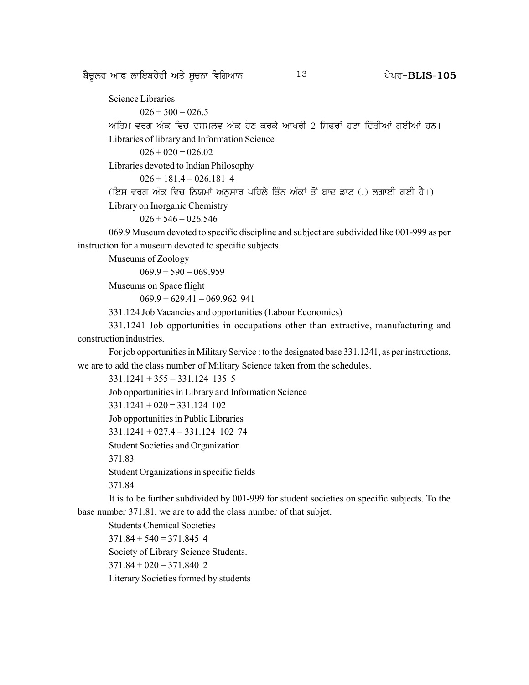<u>ਬੈਚਲਰ ਆਫ ਲਾਇਬਰੇਰੀ ਅਤੇ ਸੂਚਨਾ ਵਿਗਿਆਨ  $13$  ਬਿਰਲਰ ਸਿੰਘਰ-BLIS-105</u>

Science Libraries

 $026 + 500 = 026.5$ 

ਅੰਤਿਮ ਵਰਗ ਅੰਕ ਵਿਚ ਦਸ਼ਮਲਵ ਅੰਕ ਹੋਣ ਕਰਕੇ ਆਖਰੀ 2 ਸਿਫਰਾਂ ਹਟਾ ਦਿੱਤੀਆਂ ਗਈਆਂ ਹਨ। Libraries of library and Information Science

 $026 + 020 = 026.02$ 

Libraries devoted to Indian Philosophy

 $026 + 181.4 = 026.181$  4

(ਇਸ ਵਰਗ ਅੰਕ ਵਿਚ ਨਿਯਮਾਂ ਅਨਸਾਰ ਪਹਿਲੇ ਤਿੰਨ ਅੰਕਾਂ ਤੋਂ ਬਾਦ ਡਾਟ (.) ਲਗਾਈ ਗਈ ਹੈ।)

Library on Inorganic Chemistry

 $026 + 546 = 026.546$ 

069.9 Museum devoted to specific discipline and subject are subdivided like 001-999 as per instruction for a museum devoted to specific subjects.

Museums of Zoology

 $069.9 + 590 = 069.959$ 

Museums on Space flight

 $069.9 + 629.41 = 069.962$  941

331.124 Job Vacancies and opportunities (Labour Economics)

331.1241 Job opportunities in occupations other than extractive, manufacturing and construction industries.

For job opportunities in Military Service : to the designated base 331.1241, as per instructions, we are to add the class number of Military Science taken from the schedules.

```
331.1241 + 355 = 331.124 135 5
Job opportunities in Library and Information Science
331.1241 + 020 = 331.124 102
Job opportunities in Public Libraries
331.1241 + 027.4 = 331.124 102 74
Student Societies and Organization
371.83
Student Organizations in specific fields
371.84
It is to be further subdivided by 001-999 for student societies on specific subjects. To the
```
base number 371.81, we are to add the class number of that subjet.

Students Chemical Societies  $371.84 + 540 = 371.845$  4 Society of Library Science Students.  $371.84 + 020 = 371.840$  2 Literary Societies formed by students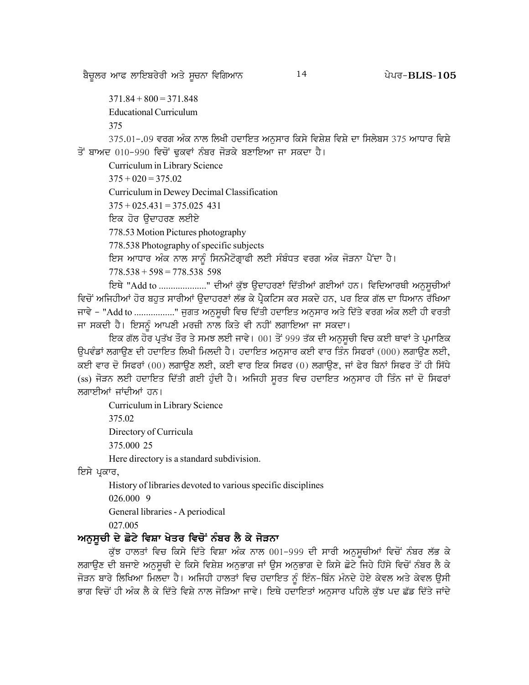ਬੈਚੂਲਰ ਆਫ ਲਾਇਬਰੇਰੀ ਅਤੇ ਸੂਚਨਾ ਵਿਗਿਆਨ

14

 $371.84 + 800 = 371.848$ 

**Educational Curriculum** 

375

375.01-.09 ਵਰਗ ਅੰਕ ਨਾਲ ਲਿਖੀ ਹਦਾਇਤ ਅਨਸਾਰ ਕਿਸੇ ਵਿਸ਼ੇਸ਼ ਵਿਸ਼ੇ ਦਾ ਸਿਲੇਬਸ 375 ਆਧਾਰ ਵਿਸ਼ੇ ਤੋਂ ਬਾਅਦ 010-990 ਵਿਚੋਂ ਢੁਕਵਾਂ ਨੰਬਰ ਜੋੜਕੇ ਬਣਾਇਆ ਜਾ ਸਕਦਾ ਹੈ।

Curriculum in Library Science

 $375 + 020 = 375.02$ 

Curriculum in Dewey Decimal Classification

 $375 + 025.431 = 375.025$  431

ਇਕ ਹੋਰ ੳਦਾਹਰਣ ਲਈਏ

778.53 Motion Pictures photography

778.538 Photography of specific subjects

ਇਸ ਆਧਾਰ ਅੰਕ ਨਾਲ ਸਾਨੂੰ ਸਿਨਮੈਟੋਗ੍ਰਾਫੀ ਲਈ ਸੰਬੰਧਤ ਵਰਗ ਅੰਕ ਜੋੜਨਾ ਪੈਂਦਾ ਹੈ।

 $778.538 + 598 = 778.538$  598

ਇਥੇ "Add to ....................." ਦੀਆਂ ਕੁੱਝ ਉਦਾਹਰਣਾਂ ਦਿੱਤੀਆਂ ਗਈਆਂ ਹਨ। ਵਿਦਿਆਰਥੀ ਅਨੁਸੂਚੀਆਂ ਵਿਚੋਂ ਅਜਿਹੀਆਂ ਹੋਰ ਬਹੁਤ ਸਾਰੀਆਂ ਉਦਾਹਰਣਾਂ ਲੱਭ ਕੇ ਪੈਕਟਿਸ ਕਰ ਸਕਦੇ ਹਨ, ਪਰ ਇਕ ਗੱਲ ਦਾ ਧਿਆਨ ਰੱਖਿਆ ਜਾਵੇ – "Add to ................." ਜਗਤ ਅਨਸਚੀ ਵਿਚ ਦਿੱਤੀ ਹਦਾਇਤ ਅਨਸਾਰ ਅਤੇ ਦਿੱਤੇ ਵਰਗ ਅੰਕ ਲਈ ਹੀ ਵਰਤੀ ਜਾ ਸਕਦੀ ਹੈ। ਇਸਨੂੰ ਆਪਣੀ ਮਰਜ਼ੀ ਨਾਲ ਕਿਤੇ ਵੀ ਨਹੀਂ ਲਗਾਇਆ ਜਾ ਸਕਦਾ।

ਇਕ ਗੱਲ ਹੋਰ ਪ੍ਰਤੱਖ ਤੌਰ ਤੇ ਸਮਝ ਲਈ ਜਾਵੇ। 001 ਤੋਂ 999 ਤੱਕ ਦੀ ਅਨਸਚੀ ਵਿਚ ਕਈ ਥਾਵਾਂ ਤੇ ਪ੍ਰਮਾਣਿਕ ਉਪਵੰਡਾਂ ਲਗਾਉਣ ਦੀ ਹਦਾਇਤ ਲਿਖੀ ਮਿਲਦੀ ਹੈ। ਹਦਾਇਤ ਅਨੁਸਾਰ ਕਈ ਵਾਰ ਤਿੰਨ ਸਿਫਰਾਂ (000) ਲਗਾਉਣ ਲਈ, ਕਈ ਵਾਰ ਦੋ ਸਿਫਰਾਂ (00) ਲਗਾਉਣ ਲਈ, ਕਈ ਵਾਰ ਇਕ ਸਿਫਰ (0) ਲਗਾਉਣ, ਜਾਂ ਫੇਰ ਬਿਨਾਂ ਸਿਫਰ ਤੋਂ ਹੀ ਸਿੱਧੇ (ss) ਜੋੜਨ ਲਈ ਹਦਾਇਤ ਦਿੱਤੀ ਗਈ ਹੁੰਦੀ ਹੈ। ਅਜਿਹੀ ਸੁਰਤ ਵਿਚ ਹਦਾਇਤ ਅਨੁਸਾਰ ਹੀ ਤਿੰਨ ਜਾਂ ਦੋ ਸਿਫਰਾਂ ਲਗਾਈਆਂ ਜਾਂਦੀਆਂ ਹਨ।

Curriculum in Library Science

375.02

Directory of Curricula

375,000 25

Here directory is a standard subdivision.

ਇਸੇ ਪਕਾਰ,

History of libraries devoted to various specific disciplines

026,000 9

General libraries - A periodical

027.005

# ਅਨਸੂਚੀ ਦੇ ਛੋਟੇ ਵਿਸ਼ਾ ਖੇਤਰ ਵਿਚੋਂ ਨੰਬਰ ਲੈ ਕੇ ਜੋੜਨਾ

ਕੁੱਝ ਹਾਲਤਾਂ ਵਿਚ ਕਿਸੇ ਦਿੱਤੇ ਵਿਸ਼ਾ ਅੰਕ ਨਾਲ 001-999 ਦੀ ਸਾਰੀ ਅਨੁਸੁਚੀਆਂ ਵਿਚੋਂ ਨੰਬਰ ਲੱਭ ਕੇ ਲਗਾਉਣ ਦੀ ਬਜਾਏ ਅਨੁਸੂਚੀ ਦੇ ਕਿਸੇ ਵਿਸ਼ੇਸ਼ ਅਨੁਭਾਗ ਜਾਂ ਉਸ ਅਨੁਭਾਗ ਦੇ ਕਿਸੇ ਛੋਟੇ ਜਿਹੇ ਹਿੱਸੇ ਵਿਚੋਂ ਨੰਬਰ ਲੈ ਕੇ ਜੋੜਨ ਬਾਰੇ ਲਿਖਿਆ ਮਿਲਦਾ ਹੈ। ਅਜਿਹੀ ਹਾਲਤਾਂ ਵਿਚ ਹਦਾਇਤ ਨੂੰ ਇੰਨ-ਬਿੰਨ ਮੰਨਦੇ ਹੋਏ ਕੇਵਲ ਅਤੇ ਕੇਵਲ ਉਸੀ ਭਾਗ ਵਿਚੋਂ ਹੀ ਅੰਕ ਲੈ ਕੇ ਦਿੱਤੇ ਵਿਸ਼ੇ ਨਾਲ ਜੋੜਿਆ ਜਾਵੇ। ਇਥੇ ਹਦਾਇਤਾਂ ਅਨਸਾਰ ਪਹਿਲੇ ਕੱਝ ਪਦ ਛੱਡ ਦਿੱਤੇ ਜਾਂਦੇ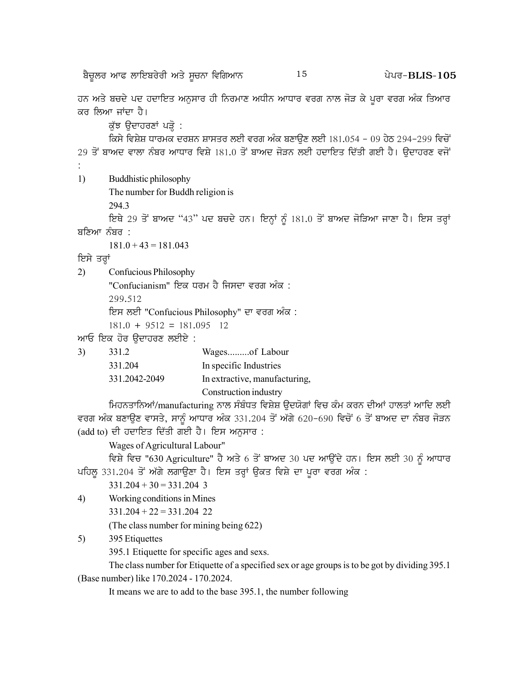ਬੈਚੂਲਰ ਆਫ ਲਾਇਬਰੇਰੀ ਅਤੇ ਸੂਚਨਾ ਵਿਗਿਆਨ

15

ਹਨ ਅਤੇ ਬਚਦੇ ਪਦ ਹਦਾਇਤ ਅਨੁਸਾਰ ਹੀ ਨਿਰਮਾਣ ਅਧੀਨ ਆਧਾਰ ਵਰਗ ਨਾਲ ਜੋੜ ਕੇ ਪੂਰਾ ਵਰਗ ਅੰਕ ਤਿਆਰ ਕਰ ਲਿਆ ਜਾਂਦਾ ਹੈ।

ਕੁੱਝ ਉਦਾਹਰਣਾਂ ਪੜ੍ਹੋ :

ਕਿਸੇ ਵਿਸ਼ੇਸ਼ ਧਾਰਮਕ ਦਰਸ਼ਨ ਸ਼ਾਸਤਰ ਲਈ ਵਰਗ ਅੰਕ ਬਣਾੳਣ ਲਈ 181.054 - 09 ਹੇਠ 294-299 ਵਿਚੋਂ 29 ਤੋਂ ਬਾਅਦ ਵਾਲਾ ਨੰਬਰ ਆਧਾਰ ਵਿਸ਼ੇ 181.0 ਤੋਂ ਬਾਅਦ ਜੋੜਨ ਲਈ ਹਦਾਇਤ ਦਿੱਤੀ ਗਈ ਹੈ। ਉਦਾਹਰਣ ਵਜੋਂ

 $1)$ Buddhistic philosophy

The number for Buddh religion is

294.3

ਇਥੇ 29 ਤੋਂ ਬਾਅਦ "43" ਪਦ ਬਚਦੇ ਹਨ। ਇਨ੍ਹਾਂ ਨੂੰ 181.0 ਤੋਂ ਬਾਅਦ ਜੋੜਿਆ ਜਾਣਾ ਹੈ। ਇਸ ਤਰ੍ਹਾਂ ਬਣਿਆ ਨੰਬਰ :

 $181.0 + 43 = 181.043$ 

ਇਸੇ ਤਰ੍ਹਾਂ

 $3)$ 

 $(2)$ Confucious Philosophy

"Confucianism" ਇਕ ਧਰਮ ਹੈ ਜਿਸਦਾ ਵਰਗ ਅੰਕ :

299.512

ਇਸ ਲਈ "Confucious Philosophy" ਦਾ ਵਰਗ ਅੰਕ:

 $181.0 + 9512 = 181.095$  12

ਆਓ ਇਕ ਹੋਰ ਉਦਾਹਰਣ ਲਈਏ :

| 331.2         | Wagesof Labour               |
|---------------|------------------------------|
| 331.204       | In specific Industries       |
| 331.2042-2049 | In extractive, manufacturing |
|               | Construction industry        |

ਮਿਹਨਤਾਨਿਆਂ/manufacturing ਨਾਲ ਸੰਬੰਧਤ ਵਿਸ਼ੇਸ਼ ੳਦਯੋਗਾਂ ਵਿਚ ਕੰਮ ਕਰਨ ਦੀਆਂ ਹਾਲਤਾਂ ਆਦਿ ਲਈ ਵਰਗ ਅੰਕ ਬਣਾਉਣ ਵਾਸਤੇ, ਸਾਨੂੰ ਆਧਾਰ ਅੰਕ 331.204 ਤੋਂ ਅੱਗੇ 620-690 ਵਿਚੋਂ 6 ਤੋਂ ਬਾਅਦ ਦਾ ਨੰਬਰ ਜੋੜਨ (add to) ਦੀ ਹਦਾਇਤ ਦਿੱਤੀ ਗਈ ਹੈ। ਇਸ ਅਨੁਸਾਰ:

Wages of Agricultural Labour"

ਵਿਸ਼ੇ ਵਿਚ "630 Agriculture" ਹੈ ਅਤੇ 6 ਤੋਂ ਬਾਅਦ 30 ਪਦ ਆਉਂਦੇ ਹਨ। ਇਸ ਲਈ 30 ਨੂੰ ਆਧਾਰ ਪਹਿਲ 331.204 ਤੋਂ ਅੱਗੇ ਲਗਾਉਣਾ ਹੈ। ਇਸ ਤਰ੍ਹਾਂ ਉਕਤ ਵਿਸ਼ੇ ਦਾ ਪੂਰਾ ਵਰਗ ਅੰਕ :

 $331.204 + 30 = 331.204$  3

4) Working conditions in Mines

 $331.204 + 22 = 331.204$  22

(The class number for mining being 622)

 $5)$ 395 Etiquettes

395.1 Etiquette for specific ages and sexs.

The class number for Etiquette of a specified sex or age groups is to be got by dividing 395.1 (Base number) like 170.2024 - 170.2024.

It means we are to add to the base 395.1, the number following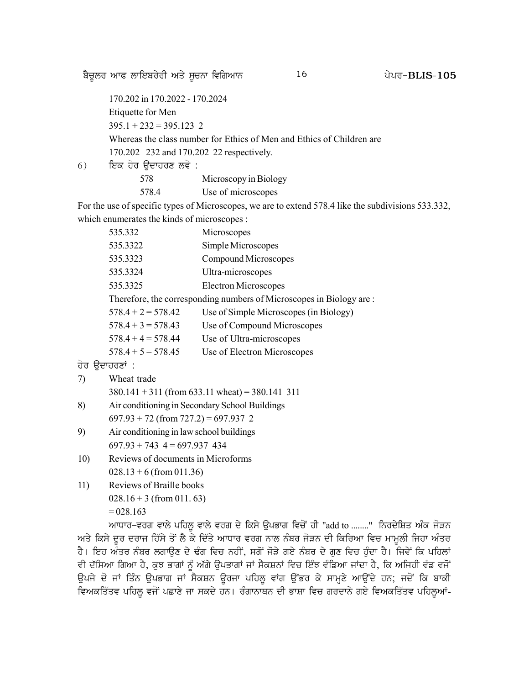<u>ਬੈਚੁਲਰ ਆਫ ਲਾਇਬਰੇਰੀ ਅਤੇ ਸੂਚਨਾ ਵਿਗਿਆਨ  $16$  ਪੇਪਰ–BLIS-105</u>

170.202 in 170.2022 - 170.2024 Etiquette for Men  $395.1 + 232 = 395.123$  2 Whereas the class number for Ethics of Men and Ethics of Children are 170.202 232 and 170.202 22 respectively.

6) fਸ਼ਕ ਹੋਰ ਉਦਾਹਰਣ ਲਵੋ :

578 Microscopy in Biology 578.4 Use of microscopes

For the use of specific types of Microscopes, we are to extend 578.4 like the subdivisions 533.332, which enumerates the kinds of microscopes :

| 535.332              | Microscopes                                                         |
|----------------------|---------------------------------------------------------------------|
| 535.3322             | Simple Microscopes                                                  |
| 535.3323             | Compound Microscopes                                                |
| 535.3324             | Ultra-microscopes                                                   |
| 535.3325             | <b>Electron Microscopes</b>                                         |
|                      | Therefore, the corresponding numbers of Microscopes in Biology are: |
| $578.4 + 2 = 578.42$ | Use of Simple Microscopes (in Biology)                              |
| $578.4 + 3 = 578.43$ | Use of Compound Microscopes                                         |
| $578.4 + 4 = 578.44$ | Use of Ultra-microscopes                                            |
| $578.4 + 5 = 578.45$ | Use of Electron Microscopes                                         |
|                      |                                                                     |

#### ਹੋਰ ੳਦਾਹਰਣਾਂ :

| 7) | Wheat trade |  |
|----|-------------|--|
|----|-------------|--|

 $380.141 + 311$  (from 633.11 wheat) = 380.141 311

- 8) Air conditioning in Secondary School Buildings  $697.93 + 72$  (from  $727.2$ ) = 697.937 2
- 9) Air conditioning in law school buildings  $697.93 + 743$   $4 = 697.937$  434
- 10) Reviews of documents in Microforms  $028.13 + 6$  (from 011.36)
- 11) Reviews of Braille books  $028.16 + 3$  (from 011.63)  $= 028.163$

ਆਧਾਰ-ਵਰਗ ਵਾਲੇ ਪਹਿਲੂ ਵਾਲੇ ਵਰਗ ਦੇ ਕਿਸੇ ਉਪਭਾਗ ਵਿਚੋਂ ਹੀ "add to ........" ਨਿਰਦੇਸ਼ਿਤ ਅੰਕ ਜੋੜਨ ਅਤੇ ਕਿਸੇ ਦਰ ਦਰਾਜ ਹਿੱਸੇ ਤੋਂ ਲੈ ਕੇ ਦਿੱਤੇ ਆਧਾਰ ਵਰਗ ਨਾਲ ਨੰਬਰ ਜੋੜਨ ਦੀ ਕਿਰਿਆ ਵਿਚ ਮਾਮਲੀ ਜਿਹਾ ਅੰਤਰ ਹੈ। ਇਹ ਅੰਤਰ ਨੰਬਰ ਲਗਾਉਣ ਦੇ ਢੰਗ ਵਿਚ ਨਹੀਂ, ਸਗੋਂ ਜੋੜੇ ਗਏ ਨੰਬਰ ਦੇ ਗੁਣ ਵਿਚ ਹੁੰਦਾ ਹੈ। ਜਿਵੇਂ ਕਿ ਪਹਿਲਾਂ ਵੀ ਦੱਸਿਆ ਗਿਆ ਹੈ, ਕੁਝ ਭਾਗਾਂ ਨੂੰ ਅੱਗੇ ਉਪਭਾਗਾਂ ਜਾਂ ਸੈਕਸ਼ਨਾਂ ਵਿਚ ਇੰਝ ਵੰਡਿਆ ਜਾਂਦਾ ਹੈ, ਕਿ ਅਜਿਹੀ ਵੰਡ ਵਜੋਂ ਉਪਜੇ ਦੋ ਜਾਂ ਤਿੰਨ ਉਪਭਾਗ ਜਾਂ ਸੈਕਸ਼ਨ ਉਰਜਾ ਪਹਿਲੂ ਵਾਂਗ ਉੱਭਰ ਕੇ ਸਾਮ੍ਹਣੇ ਆਉਂਦੇ ਹਨ; ਜਦੋਂ ਕਿ ਬਾਕੀ ਵਿਅਕਤਿੱਤਵ ਪਹਿਲੂ ਵਜੋਂ ਪਛਾਣੇ ਜਾ ਸਕਦੇ ਹਨ। ਰੰਗਾਨਾਥਨ ਦੀ ਭਾਸ਼ਾ ਵਿਚ ਗਰਦਾਨੇ ਗਏ ਵਿਅਕਤਿੱਤਵ ਪਹਿਲੂਆਂ-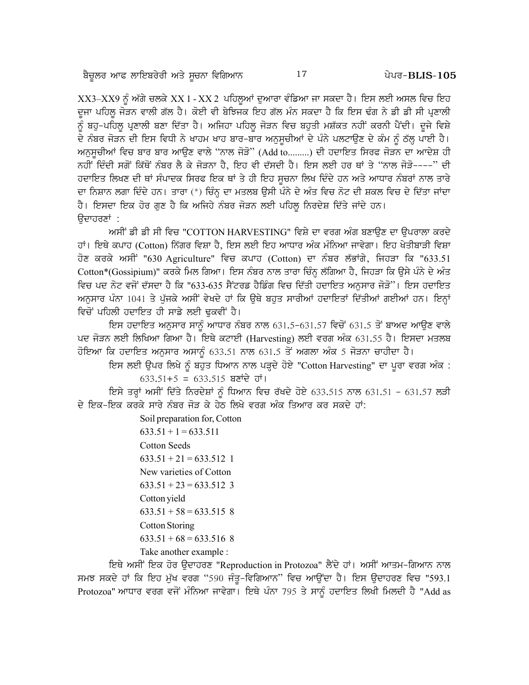$XX3$ – $XX9$  ਨੂੰ ਅੱਗੇ ਚਲਕੇ  $XX$ 1 -  $XX$ 2 ਪਹਿਲੂਆਂ ਦੁਆਰਾ ਵੰਡਿਆ ਜਾ ਸਕਦਾ ਹੈ। ਇਸ ਲਈ ਅਸਲ ਵਿਚ ਇਹ ਦੂਜਾ ਪਹਿਲੂ ਜੋੜਨ ਵਾਲੀ ਗੱਲ ਹੈ। ਕੋਈ ਵੀ ਬੇਝਿਜਕ ਇਹ ਗੱਲ ਮੰਨ ਸਕਦਾ ਹੈ ਕਿ ਇਸ ਢੰਗ ਨੇ ਡੀ ਡੀ ਸੀ ਪ੍ਰਣਾਲੀ ਨੂੰ ਬਹੁ-ਪਹਿਲੂ ਪ੍ਰਣਾਲੀ ਬਣਾ ਦਿੱਤਾ ਹੈ। ਅਜਿਹਾ ਪਹਿਲੂ ਜੋੜਨ ਵਿਚ ਬਹੁਤੀ ਮਸ਼ੱਕਤ ਨਹੀਂ ਕਰਨੀ ਪੈਂਦੀ। ਦੂਜੇ ਵਿਸ਼ੇ ਦੇ ਨੰਬਰ ਜੋੜਨ ਦੀ ਇਸ ਵਿਧੀ ਨੇ ਖਾਹਮ ਖਾਹ ਬਾਰ-ਬਾਰ ਅਨਸਚੀਆਂ ਦੇ ਪੰਨੇ ਪਲਟਾਉਣ ਦੇ ਕੰਮ ਨੂੰ ਠੱਲ੍ਹ ਪਾਈ ਹੈ। ਅਨੁਸੂਚੀਆਂ ਵਿਚ ਬਾਰ ਬਾਰ ਆਉਣ ਵਾਲੇ ''ਨਾਲ ਜੋੜੋ'' (Add to.........) ਦੀ ਹਦਾਇਤ ਸਿਰਫ ਜੋੜਨ ਦਾ ਆਦੇਸ਼ ਹੀ ਨਹੀਂ ਦਿੰਦੀ ਸਗੋਂ ਕਿੱਥੋਂ ਨੰਬਰ ਲੈ ਕੇ ਜੋੜਨਾ ਹੈ, ਇਹ ਵੀ ਦੱਸਦੀ ਹੈ। ਇਸ ਲਈ ਹਰ ਥਾਂ ਤੇ ''ਨਾਲ ਜੋੜੋ----'' ਦੀ ਹਦਾਇਤ ਲਿਖਣ ਦੀ ਥਾਂ ਸੰਪਾਦਕ ਸਿਰਫ ਇਕ ਥਾਂ ਤੇ ਹੀ ਇਹ ਸੂਚਨਾ ਲਿਖ ਦਿੰਦੇ ਹਨ ਅਤੇ ਆਧਾਰ ਨੰਬਰਾਂ ਨਾਲ ਤਾਰੇ ਦਾ ਨਿਸ਼ਾਨ ਲਗਾ ਦਿੰਦੇ ਹਨ। ਤਾਰਾ (\*) ਚਿੰਨ੍ਹ ਦਾ ਮਤਲਬ ਉਸੀ ਪੰਨੇ ਦੇ ਅੰਤ ਵਿਚ ਨੋਟ ਦੀ ਸ਼ਕਲ ਵਿਚ ਦੇ ਦਿੱਤਾ ਜਾਂਦਾ ਹੈ। ਇਸਦਾ ਇਕ ਹੋਰ ਗਣ ਹੈ ਕਿ ਅਜਿਹੇ ਨੰਬਰ ਜੋੜਨ ਲਈ ਪਹਿਲ ਨਿਰਦੇਸ਼ ਦਿੱਤੇ ਜਾਂਦੇ ਹਨ। ੳਦਾਹਰਣਾਂ :

ਅਸੀਂ ਡੀ ਡੀ ਸੀ ਵਿਚ "COTTON HARVESTING" ਵਿਸ਼ੇ ਦਾ ਵਰਗ ਅੰਗ ਬਣਾਉਣ ਦਾ ਉਪਰਾਲਾ ਕਰਦੇ ਹਾਂ। ਇਥੇ ਕਪਾਹ (Cotton) ਨਿੱਗਰ ਵਿਸ਼ਾ ਹੈ. ਇਸ ਲਈ ਇਹ ਆਧਾਰ ਅੰਕ ਮੰਨਿਆ ਜਾਵੇਗਾ। ਇਹ ਖੇਤੀਬਾੜੀ ਵਿਸ਼ਾ ਹੋਣ ਕਰਕੇ ਅਸੀਂ "630 Agriculture" ਵਿਚ ਕਪਾਹ (Cotton) ਦਾ ਨੰਬਰ ਲੱਭਾਂਗੇ, ਜਿਹੜਾ ਕਿ "633.51 Cotton\*(Gossipium)" ਕਰਕੇ ਮਿਲ ਗਿਆ। ਇਸ ਨੰਬਰ ਨਾਲ ਤਾਰਾ ਚਿੰਨ ਲੱਗਿਆ ਹੈ, ਜਿਹੜਾ ਕਿ ਉਸੇ ਪੰਨੇ ਦੇ ਅੰਤ ਵਿਚ ਪਦ ਨੋਟ ਵਜੋਂ ਦੱਸਦਾ ਹੈ ਕਿ "633-635 ਸੈਂਟਰਡ ਹੈਡਿੰਗ ਵਿਚ ਦਿੱਤੀ ਹਦਾਇਤ ਅਨਸਾਰ ਜੋੜੋ"। ਇਸ ਹਦਾਇਤ ਅਨਸਾਰ ਪੰਨਾ 1041 ਤੇ ਪੱਜਕੇ ਅਸੀਂ ਵੇਖਦੇ ਹਾਂ ਕਿ ਉਥੇ ਬਹੁਤ ਸਾਰੀਆਂ ਹਦਾਇਤਾਂ ਦਿੱਤੀਆਂ ਗਈਆਂ ਹਨ। ਇਨਾਂ ਵਿਚੋਂ ਪਹਿਲੀ ਹਦਾਇਤ ਹੀ ਸਾਡੇ ਲਈ ਢਕਵੀਂ ਹੈ।

ਇਸ ਹਦਾਇਤ ਅਨੁਸਾਰ ਸਾਨੂੰ ਆਧਾਰ ਨੰਬਰ ਨਾਲ 631.5-631.57 ਵਿਚੋਂ 631.5 ਤੋਂ ਬਾਅਦ ਆਉਣ ਵਾਲੇ ਪਦ ਜੋੜਨ ਲਈ ਲਿਖਿਆ ਗਿਆ ਹੈ। ਇਥੇ ਕਟਾਈ (Harvesting) ਲਈ ਵਰਗ ਅੰਕ 631.55 ਹੈ। ਇਸਦਾ ਮਤਲਬ ਹੋਇਆ ਕਿ ਹਦਾਇਤ ਅਨੁਸਾਰ ਅਸਾਨੂੰ 633.51 ਨਾਲ 631.5 ਤੋਂ ਅਗਲਾ ਅੰਕ 5 ਜੋੜਨਾ ਚਾਹੀਦਾ ਹੈ।

ਇਸ ਲਈ ਉਪਰ ਲਿਖੇ ਨੂੰ ਬਹੁਤ ਧਿਆਨ ਨਾਲ ਪੜ੍ਹਦੇ ਹੋਏ "Cotton Harvesting" ਦਾ ਪੂਰਾ ਵਰਗ ਅੰਕ :  $633.51+5 = 633.515$  ਬਣਾਂਦੇ ਹਾਂ।

ਇਸੇ ਤਰ੍ਹਾਂ ਅਸੀਂ ਦਿੱਤੇ ਨਿਰਦੇਸ਼ਾਂ ਨੂੰ ਧਿਆਨ ਵਿਚ ਰੱਖਦੇ ਹੋਏ 633.515 ਨਾਲ 631.51 - 631.57 ਲੜੀ ਦੇ ਇਕ-ਇਕ ਕਰਕੇ ਸਾਰੇ ਨੰਬਰ ਜੋੜ ਕੇ ਹੇਠ ਲਿਖੇ ਵਰਗ ਅੰਕ ਤਿਆਰ ਕਰ ਸਕਦੇ ਹਾਂ:

> Soil preparation for, Cotton  $633.51 + 1 = 633.511$ **Cotton Seeds**  $633.51 + 21 = 633.512$  1 New varieties of Cotton  $633.51 + 23 = 633.512$  3 Cotton yield  $633.51 + 58 = 633.515$  8 **Cotton Storing**  $633.51 + 68 = 633.516$  8 Take another example :

ਇਥੇ ਅਸੀਂ ਇਕ ਹੋਰ ਉਦਾਹਰਣ "Reproduction in Protozoa" ਲੈਂਦੇ ਹਾਂ। ਅਸੀਂ ਆਤਮ-ਗਿਆਨ ਨਾਲ ਸਮਝ ਸਕਦੇ ਹਾਂ ਕਿ ਇਹ ਮੁੱਖ ਵਰਗ "590 ਜੰਤੂ-ਵਿਗਿਆਨ" ਵਿਚ ਆਉਂਦਾ ਹੈ। ਇਸ ਉਦਾਹਰਣ ਵਿਚ "593.1 Protozoa" ਆਧਾਰ ਵਰਗ ਵਜੋਂ ਮੰਨਿਆ ਜਾਵੇਗਾ। ਇਥੇ ਪੰਨਾ 795 ਤੇ ਸਾਨੂੰ ਹਦਾਇਤ ਲਿਖੀ ਮਿਲਦੀ ਹੈ "Add as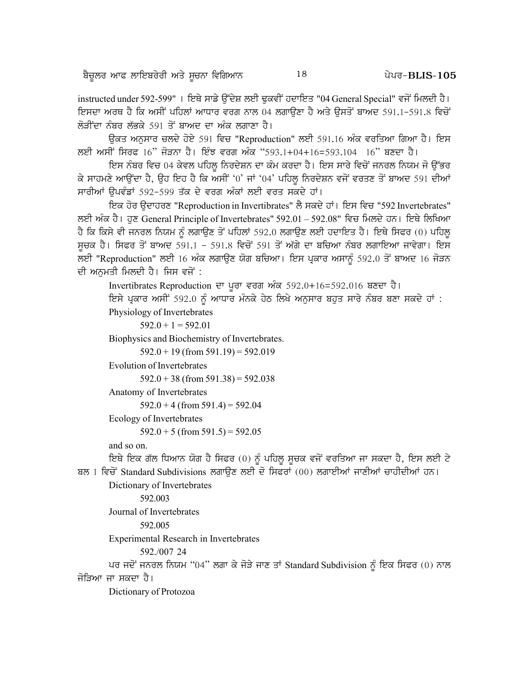instructed under 592-599" । ਇਥੇ ਸਾਡੇ ਉੱਦੇਸ਼ ਲਈ ਢਕਵੀਂ ਹਦਾਇਤ "04 General Special" ਵਜੋਂ ਮਿਲਦੀ ਹੈ। ਇਸਦਾ ਅਰਥ ਹੈ ਕਿ ਅਸੀਂ ਪਹਿਲਾਂ ਆਧਾਰ ਵਰਗ ਨਾਲ 04 ਲਗਾੳਣਾ ਹੈ ਅਤੇ ੳਸਤੋਂ ਬਾਅਦ 591.1-591.8 ਵਿਚੋਂ ਲੋੜੀਂਦਾ ਨੰਬਰ ਲੱਭਕੇ 591 ਤੋਂ ਬਾਅਦ ਦਾ ਅੰਕ ਲਗਾਣਾ ਹੈ।

ਓਕਤ ਅਨਸਾਰ ਚਲਦੇ ਹੋਏ 591 ਵਿਚ "Reproduction" ਲਈ 591.16 ਅੰਕ ਵਰਤਿਆ ਗਿਆ ਹੈ। ਇਸ ਲਈ ਅਸੀਂ ਸਿਰਫ 16" ਜੋੜਨਾ ਹੈ। ਇੰਝ ਵਰਗ ਅੰਕ "593.1+04+16=593.104 16" ਬਣਦਾ ਹੈ।

ਇਸ ਨੰਬਰ ਵਿਚ 04 ਕੇਵਲ ਪਹਿਲੂ ਨਿਰਦੇਸ਼ਨ ਦਾ ਕੰਮ ਕਰਦਾ ਹੈ। ਇਸ ਸਾਰੇ ਵਿਚੋਂ ਜਨਰਲ ਨਿਯਮ ਜੋ ਉੱਭਰ ਕੇ ਸਾਹਮਣੇ ਆਉਂਦਾ ਹੈ, ਉਹ ਇਹ ਹੈ ਕਿ ਅਸੀਂ '0' ਜਾਂ '04' ਪਹਿਲੂ ਨਿਰਦੇਸ਼ਨ ਵਜੋਂ ਵਰਤਣ ਤੋਂ ਬਾਅਦ 591 ਦੀਆਂ ਸਾਰੀਆਂ ਉਪਵੰਡਾਂ 592-599 ਤੱਕ ਦੇ ਵਰਗ ਅੰਕਾਂ ਲਈ ਵਰਤ ਸਕਦੇ ਹਾਂ।

ਇਕ ਹੋਰ ਉਦਾਹਰਣ "Reproduction in Invertibrates" ਲੈ ਸਕਦੇ ਹਾਂ। ਇਸ ਵਿਚ "592 Invertebrates" ਲਈ ਅੰਕ ਹੈ। ਹੁਣ General Principle of Invertebrates" 592.01 - 592.08" ਵਿਚ ਮਿਲਦੇ ਹਨ। ਇਥੇ ਲਿਖਿਆ ਹੈ ਕਿ ਕਿਸੇ ਵੀ ਜਨਰਲ ਨਿਯਮ ਨੂੰ ਲਗਾਉਣ ਤੋਂ ਪਹਿਲਾਂ 592.0 ਲਗਾਉਣ ਲਈ ਹਦਾਇਤ ਹੈ। ਇਥੇ ਸਿਫਰ (0) ਪਹਿਲੂ ਸੁਚਕ ਹੈ। ਸਿਫਰ ਤੋਂ ਬਾਅਦ 591.1 - 591.8 ਵਿਚੋਂ 591 ਤੋਂ ਅੱਗੇ ਦਾ ਬਚਿਆ ਨੰਬਰ ਲਗਾਇਆ ਜਾਵੇਗਾ। ਇਸ ਲਈ "Reproduction" ਲਈ 16 ਅੰਕ ਲਗਾਉਣ ਯੋਗ ਬਚਿਆ। ਇਸ ਪ੍ਰਕਾਰ ਅਸਾਨੂੰ 592.0 ਤੋਂ ਬਾਅਦ 16 ਜੋੜਨ ਦੀ ਅਨਮਤੀ ਮਿਲਦੀ ਹੈ। ਜਿਸ ਵਜੋਂ :

Invertibrates Reproduction ਦਾ ਪੂਰਾ ਵਰਗ ਅੰਕ 592.0+16=592.016 ਬਣਦਾ ਹੈ।

ਇਸੇ ਪ੍ਰਕਾਰ ਅਸੀਂ 592.0 ਨੂੰ ਆਧਾਰ ਮੰਨਕੇ ਹੇਠ ਲਿਖੇ ਅਨੁਸਾਰ ਬਹੁਤ ਸਾਰੇ ਨੰਬਰ ਬਣਾ ਸਕਦੇ ਹਾਂ :

Physiology of Invertebrates

 $592.0 + 1 = 592.01$ 

Biophysics and Biochemistry of Invertebrates.

 $592.0 + 19$  (from  $591.19$ ) = 592.019

**Evolution of Invertebrates** 

 $592.0 + 38$  (from  $591.38$ ) = 592.038

Anatomy of Invertebrates

 $592.0 + 4$  (from 591.4) = 592.04

Ecology of Invertebrates

 $592.0 + 5$  (from  $591.5$ ) = 592.05

and so on.

ਇਥੇ ਇਕ ਗੱਲ ਧਿਆਨ ਯੋਗ ਹੈ ਸਿਫਰ (0) ਨੂੰ ਪਹਿਲੂ ਸੂਚਕ ਵਜੋਂ ਵਰਤਿਆ ਜਾ ਸਕਦਾ ਹੈ, ਇਸ ਲਈ ਟੇ ਬਲ 1 ਵਿਚੋਂ Standard Subdivisions ਲਗਾਉਣ ਲਈ ਦੋ ਸਿਫਰਾਂ (00) ਲਗਾਈਆਂ ਜਾਣੀਆਂ ਚਾਹੀਦੀਆਂ ਹਨ।

Dictionary of Invertebrates

592.003

Journal of Invertebrates

592.005

**Experimental Research in Invertebrates** 

```
592./007 24
```
ਪਰ ਜਦੋਂ ਜਨਰਲ ਨਿਯਮ "04" ਲਗਾ ਕੇ ਜੋੜੇ ਜਾਣ ਤਾਂ Standard Subdivision ਨੂੰ ਇਕ ਸਿਫਰ (0) ਨਾਲ ਜੋੜਿਆ ਜਾ ਸਕਦਾ ਹੈ।

Dictionary of Protozoa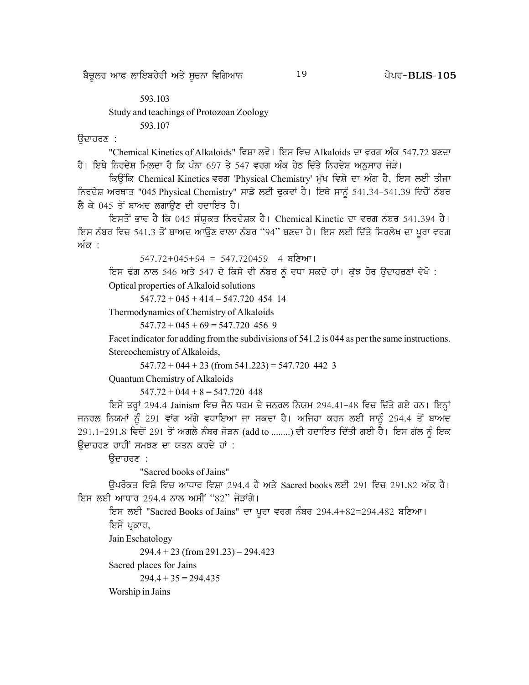#### 593.103 Study and teachings of Protozoan Zoology

593.107

ੳਦਾਹਰਣ :

"Chemical Kinetics of Alkaloids" ਵਿਸ਼ਾ ਲਵੋ। ਇਸ ਵਿਚ Alkaloids ਦਾ ਵਰਗ ਅੰਕ 547.72 ਬਣਦਾ ਹੈ। ਇਥੇ ਨਿਰਦੇਸ਼ ਮਿਲਦਾ ਹੈ ਕਿ ਪੰਨਾ 697 ਤੇ 547 ਵਰਗ ਅੰਕ ਹੇਠ ਦਿੱਤੇ ਨਿਰਦੇਸ਼ ਅਨਸਾਰ ਜੋੜੋ।

ਕਿਉਂਕਿ Chemical Kinetics ਵਰਗ 'Physical Chemistry' ਮੁੱਖ ਵਿਸ਼ੇ ਦਾ ਅੰਗ ਹੈ, ਇਸ ਲਈ ਤੀਜਾ ਨਿਰਦੇਸ਼ ਅਰਥਾਤ "045 Physical Chemistry" ਸਾਡੇ ਲਈ ਢੁਕਵਾਂ ਹੈ। ਇਥੇ ਸਾਨੂੰ 541.34-541.39 ਵਿਚੋਂ ਨੰਬਰ ਲੈ ਕੇ 045 ਤੋਂ ਬਾਅਦ ਲਗਾਉਣ ਦੀ ਹਦਾਇਤ ਹੈ।

ਇਸਤੋਂ ਭਾਵ ਹੈ ਕਿ 045 ਸੰਯੁਕਤ ਨਿਰਦੇਸ਼ਕ ਹੈ। Chemical Kinetic ਦਾ ਵਰਗ ਨੰਬਰ 541.394 ਹੈ। ਇਸ ਨੰਬਰ ਵਿਚ 541.3 ਤੋਂ ਬਾਅਦ ਆਉਣ ਵਾਲਾ ਨੰਬਰ "94" ਬਣਦਾ ਹੈ। ਇਸ ਲਈ ਦਿੱਤੇ ਸਿਰਲੇਖ ਦਾ ਪੂਰਾ ਵਰਗ ਅੰ*ਕ* ·

 $547.72 + 045 + 94 = 547.720459$  4 ਬਣਿਆ।

ਇਸ ਢੰਗ ਨਾਲ 546 ਅਤੇ 547 ਦੇ ਕਿਸੇ ਵੀ ਨੰਬਰ ਨੂੰ ਵਧਾ ਸਕਦੇ ਹਾਂ। ਕੁੱਝ ਹੋਰ ਉਦਾਹਰਣਾਂ ਵੇਖੋ :

Optical properties of Alkaloid solutions

 $547.72 + 045 + 414 = 547.720$  454 14

Thermodynamics of Chemistry of Alkaloids

 $547.72 + 045 + 69 = 547.720$  456 9

Facet indicator for adding from the subdivisions of 541.2 is 044 as per the same instructions. Stereochemistry of Alkaloids,

 $547.72 + 044 + 23$  (from  $541.223$ ) = 547.720 442 3

Quantum Chemistry of Alkaloids

 $547.72 + 044 + 8 = 547.720$  448

ਇਸੇ ਤਰ੍ਹਾਂ 294.4 Jainism ਵਿਚ ਜੈਨ ਧਰਮ ਦੇ ਜਨਰਲ ਨਿਯਮ 294.41-48 ਵਿਚ ਦਿੱਤੇ ਗਏ ਹਨ। ਇਨ੍ਹਾਂ ਜਨਰਲ ਨਿਯਮਾਂ ਨੂੰ 291 ਵਾਂਗ ਅੱਗੇ ਵਧਾਇਆ ਜਾ ਸਕਦਾ ਹੈ। ਅਜਿਹਾ ਕਰਨ ਲਈ ਸਾਨੂੰ 294.4 ਤੋਂ ਬਾਅਦ 291.1-291.8 ਵਿਚੋਂ 291 ਤੋਂ ਅਗਲੇ ਨੰਬਰ ਜੋੜਨ (add to ........) ਦੀ ਹਦਾਇਤ ਦਿੱਤੀ ਗਈ ਹੈ। ਇਸ ਗੱਲ ਨੂੰ ਇਕ ਉਦਾਹਰਣ ਰਾਹੀਂ ਸਮਝਣ ਦਾ ਯਤਨ ਕਰਦੇ ਹਾਂ :

ਉਦਾਹਰਣ :

"Sacred books of Jains"

ਉਪਰੋਕਤ ਵਿਸ਼ੇ ਵਿਚ ਆਧਾਰ ਵਿਸ਼ਾ 294.4 ਹੈ ਅਤੇ Sacred books ਲਈ 291 ਵਿਚ 291.82 ਅੰਕ ਹੈ। ਇਸ ਲਈ ਆਧਾਰ 294.4 ਨਾਲ ਅਸੀਂ "82" ਜੋੜਾਂਗੇ।

```
ਇਸ ਲਈ "Sacred Books of Jains" ਦਾ ਪੂਰਾ ਵਰਗ ਨੰਬਰ 294.4+82=294.482 ਬਣਿਆ।
ਇਸੇ ਪ੍ਰਕਾਰ,
```
Jain Eschatology

 $294.4 + 23$  (from 291.23) = 294.423

Sacred places for Jains

 $294.4 + 35 = 294.435$ 

Worship in Jains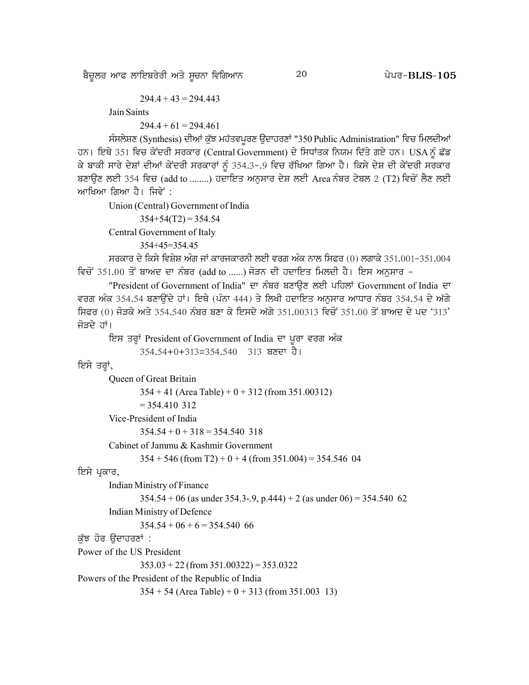ਬੈਚੁਲਰ ਆਫ ਲਾਇਬਰੇਰੀ ਅਤੇ ਸੂਚਨਾ ਵਿਗਿਆਨ  $^{20}$  20  $^{20}$  ਪੇਪਰ-BLIS-105

Jain Saints

 $294.4 + 61 = 294.461$ 

ਸੰਸਲੇਸ਼ਣ (Synthesis) ਦੀਆਂ ਕੁੱਝ ਮਹੱਤਵਪੂਰਣ ਉਦਾਹਰਣਾਂ "350 Public Administration" ਵਿਚ ਮਿਲਦੀਆਂ ਹਨ। ਇਥੇ 351 ਵਿਚ ਕੇਂਦਰੀ ਸਰਕਾਰ (Central Government) ਦੇ ਸਿਧਾਂਤਕ ਨਿਯਮ ਦਿੱਤੇ ਗਏ ਹਨ। USA ਨੂੰ ਛੱਡ ਕੇ ਬਾਕੀ ਸਾਰੇ ਦੇਸ਼ਾਂ ਦੀਆਂ ਕੇਂਦਰੀ ਸਰਕਾਰਾਂ ਨੂੰ 354.3-.9 ਵਿਚ ਰੱਖਿਆ ਗਿਆ ਹੈ। ਕਿਸੇ ਦੇਸ਼ ਦੀ ਕੇਂਦਰੀ ਸਰਕਾਰ ਬਣਾਉਣ ਲਈ 354 ਵਿਚ (add to ........) ਹਦਾਇਤ ਅਨੁਸਾਰ ਦੇਸ਼ ਲਈ Area ਨੰਬਰ ਟੇਬਲ 2 (T2) ਵਿਚੋਂ ਲੈਣ ਲਈ ਆਖਿਆ ਗਿਆ ਹੈ। ਜਿਵੇਂ :

Union (Central) Government of India

 $354+54(T2) = 354.54$ 

Central Government of Italy

354+45=354.45

ਸਰਕਾਰ ਦੇ ਕਿਸੇ ਵਿਸ਼ੇਸ਼ ਅੰਗ ਜਾਂ ਕਾਰਜਕਾਰਨੀ ਲਈ ਵਰਗ ਅੰਕ ਨਾਲ ਸਿਫਰ (0) ਲਗਾਕੇ 351,001-351,004 ਵਿਚੋਂ 351.00 ਤੋਂ ਬਾਅਦ ਦਾ ਨੰਬਰ (add to ......) ਜੋੜਨ ਦੀ ਹਦਾਇਤ ਮਿਲਦੀ ਹੈ। ਇਸ ਅਨਸਾਰ –

"President of Government of India" ਦਾ ਨੰਬਰ ਬਣਾਉਣ ਲਈ ਪਹਿਲਾਂ Government of India ਦਾ ਵਰਗ ਅੰਕ 354.54 ਬਣਾਉਂਦੇ ਹਾਂ। ਇਥੇ (ਪੰਨਾ 444) ਤੇ ਲਿਖੀ ਹਦਾਇਤ ਅਨਸਾਰ ਆਧਾਰ ਨੰਬਰ 354.54 ਦੇ ਅੱਗੇ ਸਿਫਰ (0) ਜੋੜਕੇ ਅਤੇ 354.540 ਨੰਬਰ ਬਣਾ ਕੇ ਇਸਦੇ ਅੱਗੇ 351.00313 ਵਿਚੋਂ 351.00 ਤੋਂ ਬਾਅਦ ਦੇ ਪਦ '313' ਜੋੜਦੇ ਹਾਂ।

ਇਸ ਤਰ੍ਹਾਂ President of Government of India ਦਾ ਪੂਰਾ ਵਰਗ ਅੰਕ

```
354.54+0+313=354.540 313 ਬਣਦਾ ਹੈ।
```
#### ਇਸੇ ਤਰ੍ਹਾਂ,

```
Queen of Great Britain
               354 + 41 (Area Table) + 0 + 312 (from 351.00312)
               = 354.410 312
       Vice-President of India
               354.54 + 0 + 318 = 354.540 318
       Cabinet of Jammu & Kashmir Government
               354 + 546 (from T2) + 0 + 4 (from 351.004) = 354.546 04
ਇਸੇ ਪਕਾਰ,
       Indian Ministry of Finance
               354.54 + 06 (as under 354.3-.9, p.444) + 2 (as under 06) = 354.540 62
       Indian Ministry of Defence
               354.54 + 06 + 6 = 354.540 66
ਕੱਝ ਹੋਰ ਉਦਾਹਰਣਾਂ :
Power of the US President
               353.03 + 22 (from 351.00322) = 353.0322
Powers of the President of the Republic of India
               354 + 54 (Area Table) + 0 + 313 (from 351.003 13)
```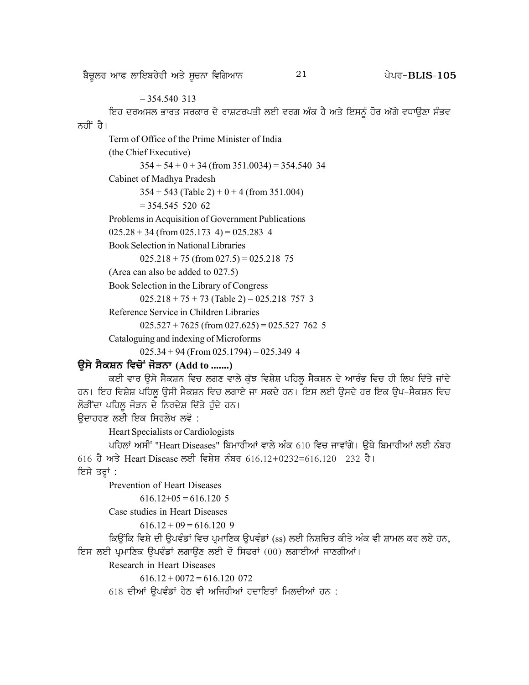#### $= 354.540$  313

ਇਹ ਦਰਅਸਲ ਭਾਰਤ ਸਰਕਾਰ ਦੇ ਰਾਸ਼ਟਰਪਤੀ ਲਈ ਵਰਗ ਅੰਕ ਹੈ ਅਤੇ ਇਸਨੂੰ ਹੋਰ ਅੱਗੇ ਵਧਾਉਣਾ ਸੰਭਵ ਨਹੀਂ ਹੈ।

#### Term of Office of the Prime Minister of India

(the Chief Executive)

 $354 + 54 + 0 + 34$  (from 351.0034) = 354.540 34

Cabinet of Madhya Pradesh

 $354 + 543$  (Table 2) + 0 + 4 (from 351.004)

 $= 354.545 520 62$ 

Problems in Acquisition of Government Publications

 $025.28 + 34$  (from 025.173 4) = 025.283 4

Book Selection in National Libraries

 $025.218 + 75$  (from  $027.5$ ) = 025.218 75

(Area can also be added to 027.5)

Book Selection in the Library of Congress

 $025.218 + 75 + 73$  (Table 2) = 025.218 757 3

Reference Service in Children Libraries

 $025.527 + 7625$  (from  $027.625$ ) = 025.527 762 5

Cataloguing and indexing of Microforms

 $025.34 + 94$  (From  $025.1794$ ) = 025.349 4

# **T[;/ ; ?ePB ftu'A i'VBk (Add to .......)**

ਕਈ ਵਾਰ ਉਸੇ ਸੈਕਸ਼ਨ ਵਿਚ ਲਗਣ ਵਾਲੇ ਕੁੱਝ ਵਿਸ਼ੇਸ਼ ਪਹਿਲੂ ਸੈਕਸ਼ਨ ਦੇ ਆਰੰਭ ਵਿਚ ਹੀ ਲਿਖ ਦਿੱਤੇ ਜਾਂਦੇ ਹਨ। ਇਹ ਵਿਸ਼ੇਸ਼ ਪਹਿਲੂ ਉਸੀ ਸੈਕਸ਼ਨ ਵਿਚ ਲਗਾਏ ਜਾ ਸਕਦੇ ਹਨ। ਇਸ ਲਈ ਉਸਦੇ ਹਰ ਇਕ ਉਪ-ਸੈਕਸ਼ਨ ਵਿਚ ਲੋੜੀਂਦਾ ਪਹਿਲ ਜੋੜਨ ਦੇ ਨਿਰਦੇਸ਼ ਦਿੱਤੇ ਹੰਦੇ ਹਨ।

ਓਦਾਹਰਣ ਲਈ ਇਕ ਸਿਰਲੇਖ ਲਵੋ :

Heart Specialists or Cardiologists

ਪਹਿਲਾਂ ਅਸੀਂ "Heart Diseases" ਬਿਮਾਰੀਆਂ ਵਾਲੇ ਅੰਕ 610 ਵਿਚ ਜਾਵਾਂਗੇ। ੳਥੇ ਬਿਮਾਰੀਆਂ ਲਈ ਨੰਬਰ 616 ਹੈ ਅਤੇ Heart Disease ਲਈ ਵਿਸ਼ੇਸ਼ ਨੰਬਰ 616.12+0232=616.120 232 ਹੈ। ਇਸੇ ਤਰਾਂ :

Prevention of Heart Diseases

```
616.12+05 = 616.1205
```

```
Case studies in Heart Diseases
```

```
616.12 + 09 = 616.120 9
```
ਕਿਉਂਕਿ ਵਿਸ਼ੇ ਦੀ ਉਪਵੰਡਾਂ ਵਿਚ ਪ੍ਰਮਾਣਿਕ ਉਪਵੰਡਾਂ (ss) ਲਈ ਨਿਸ਼ਚਿਤ ਕੀਤੇ ਅੰਕ ਵੀ ਸ਼ਾਮਲ ਕਰ ਲਏ ਹਨ, ਇਸ ਲਈ ਪ੍ਰਮਾਣਿਕ ਉਪਵੰਡਾਂ ਲਗਾਉਣ ਲਈ ਦੋ ਸਿਫਰਾਂ (00) ਲਗਾਈਆਂ ਜਾਣਗੀਆਂ।

Research in Heart Diseases

 $616.12 + 0072 = 616.120$  072

 $618$  ਦੀਆਂ ਉਪਵੰਡਾਂ ਹੇਠ ਵੀ ਅਜਿਹੀਆਂ ਹਦਾਇਤਾਂ ਮਿਲਦੀਆਂ ਹਨ :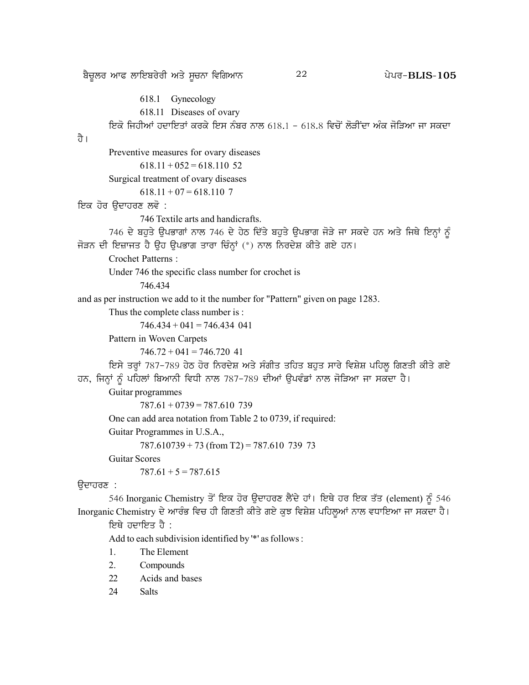<u>ਬੈਚੁਲਰ ਆਫ ਲਾਇਬਰੇਰੀ ਅਤੇ ਸੂਚਨਾ ਵਿਗਿਆਨ  $22$  20 20 20 20 20</u> 2015- $\overline{B}$ LIS-105

618.1 Gynecology 618.11 Diseases of ovary <u>ਇਕੋ ਜਿਹੀਆਂ ਹਦਾਇਤਾਂ ਕਰਕੇ ਇਸ ਨੰਬਰ ਨਾਲ 618.1 - 618.8 ਵਿਚੋਂ ਲੋੜੀਂਦਾ ਅੰਕ ਜੋੜਿਆ ਜਾ ਸਕਦਾ</u> ਹੈ । Preventive measures for ovary diseases  $618.11 + 052 = 618.110$  52 Surgical treatment of ovary diseases  $618.11 + 07 = 618.110$  7 ਇਕ ਹੋਰ ਉਦਾਹਰਣ ਲਵੋ : 746 Textile arts and handicrafts. 746 ਦੇ ਬਹੁਤੇ ਉਪਭਾਗਾਂ ਨਾਲ 746 ਦੇ ਹੇਠ ਦਿੱਤੇ ਬਹੁਤੇ ਉਪਭਾਗ ਜੋੜੇ ਜਾ ਸਕਦੇ ਹਨ ਅਤੇ ਜਿਥੇ ਇਨ੍ਹਾਂ ਨੂੰ ਜੋੜਨ ਦੀ ਇਜ਼ਾਜਤ ਹੈ ਉਹ ਉਪਭਾਗ ਤਾਰਾ ਚਿੰਨ੍ਹਾਂ (\*) ਨਾਲ ਨਿਰਦੇਸ਼ ਕੀਤੇ ਗਏ ਹਨ। Crochet Patterns : Under 746 the specific class number for crochet is 746.434 and as per instruction we add to it the number for "Pattern" given on page 1283. Thus the complete class number is :  $746.434 + 041 = 746.434$  041 Pattern in Woven Carpets  $746.72 + 041 = 746.720$  41 ਇਸੇ ਤਰ੍ਹਾਂ 787-789 ਹੇਠ ਹੋਰ ਨਿਰਦੇਸ਼ ਅਤੇ ਸੰਗੀਤ ਤਹਿਤ ਬਹੁਤ ਸਾਰੇ ਵਿਸ਼ੇਸ਼ ਪਹਿਲੂ ਗਿਣਤੀ ਕੀਤੇ ਗਏ ਹਨ, ਜਿਨ੍ਹਾਂ ਨੂੰ ਪਹਿਲਾਂ ਬਿਆਨੀ ਵਿਧੀ ਨਾਲ 787-789 ਦੀਆਂ ਉਪਵੰਡਾਂ ਨਾਲ ਜੋੜਿਆ ਜਾ ਸਕਦਾ ਹੈ। Guitar programmes  $787.61 + 0739 = 787.610$  739 One can add area notation from Table 2 to 0739, if required: Guitar Programmes in U.S.A.,  $787.610739 + 73$  (from T2) = 787.610 739 73 Guitar Scores  $787.61 + 5 = 787.615$ ਉਦਾਹਰਣ : 546 Inorganic Chemistry ਤੋਂ ਇਕ ਹੋਰ ਉਦਾਹਰਣ ਲੈਂਦੇ ਹਾਂ। ਇਥੇ ਹਰ ਇਕ ਤੱਤ (element) ਨੂੰ 546 Inorganic Chemistry ਦੇ ਆਰੰਭ ਵਿਚ ਹੀ ਗਿਣਤੀ ਕੀਤੇ ਗਏ ਕੁਝ ਵਿਸ਼ੇਸ਼ ਪਹਿਲੂਆਂ ਨਾਲ ਵਧਾਇਆ ਜਾ ਸਕਦਾ ਹੈ। ਇਥੇ ਹਦਾਇਤ ਹੈ : Add to each subdivision identified by '\*' as follows :

- 1. The Element
- 2. Compounds
- 22 Acids and bases
- 24 Salts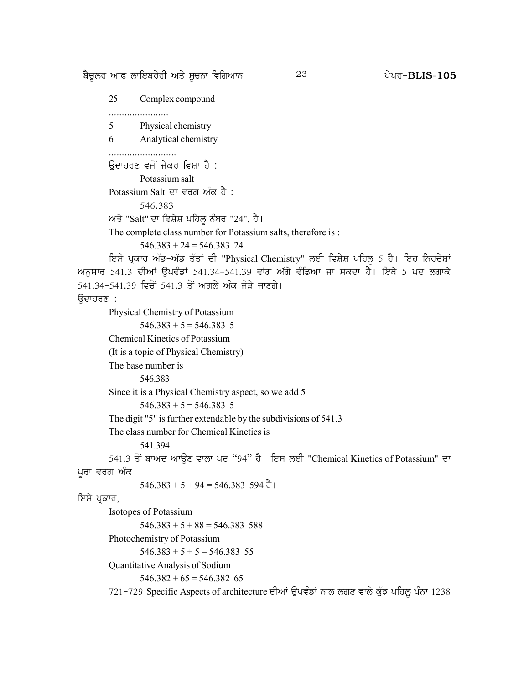ਬੈਚੁਲਰ ਆਫ ਲਾਇਬਰੇਰੀ ਅਤੇ ਸੁਚਨਾ ਵਿਗਿਆਨ

23

25 Complex compound 5 Physical chemistry 6 Analytical chemistry ਉਦਾਹਰਣ ਵਜੋਂ ਜੇਕਰ ਵਿਸ਼ਾ ਹੈ : Potassium salt Potassium Salt ਦਾ ਵਰਗ ਅੰਕ ਹੈ : 546.383 ਅਤੇ "Salt" ਦਾ ਵਿਸ਼ੇਸ਼ ਪਹਿਲੂ ਨੰਬਰ "24", ਹੈ। The complete class number for Potassium salts, therefore is :  $546.383 + 24 = 546.383$  24 ਇਸੇ ਪ੍ਰਕਾਰ ਅੱਡ-ਅੱਡ ਤੱਤਾਂ ਦੀ "Physical Chemistry" ਲਈ ਵਿਸ਼ੇਸ਼ ਪਹਿਲੂ 5 ਹੈ। ਇਹ ਨਿਰਦੇਸ਼ਾਂ ਅਨਸਾਰ 541.3 ਦੀਆਂ ਉਪਵੰਡਾਂ 541.34-541.39 ਵਾਂਗ ਅੱਗੇ ਵੰਡਿਆ ਜਾ ਸਕਦਾ ਹੈ। ਇਥੇ 5 ਪਦ ਲਗਾਕੇ 541.34-541.39 ਵਿਚੋਂ 541.3 ਤੋਂ ਅਗਲੇ ਅੰਕ ਜੋੜੇ ਜਾਣਗੇ। ੳਦਾਹਰਣ : Physical Chemistry of Potassium  $546.383 + 5 = 546.383$  5 Chemical Kinetics of Potassium (It is a topic of Physical Chemistry) The base number is 546.383 Since it is a Physical Chemistry aspect, so we add 5  $546.383 + 5 = 546.383$  5 The digit "5" is further extendable by the subdivisions of 541.3 The class number for Chemical Kinetics is 541.394 541.3 ਤੋਂ ਬਾਅਦ ਆਉਣ ਵਾਲਾ ਪਦ "94" ਹੈ। ਇਸ ਲਈ "Chemical Kinetics of Potassium" ਦਾ ਪਰਾ ਵਰਗ ਅੰਕ  $546.383 + 5 + 94 = 546.383$  594  $\overline{d}$  l ਇਸੇ ਪ੍ਰਕਾਰ, Isotopes of Potassium  $546.383 + 5 + 88 = 546.383$  588 Photochemistry of Potassium  $546.383 + 5 + 5 = 546.383$  55 Quantitative Analysis of Sodium  $546.382 + 65 = 546.382$  65 721-729 Specific Aspects of architecture ਦੀਆਂ ਉਪਵੰਡਾਂ ਨਾਲ ਲਗਣ ਵਾਲੇ ਕੁੱਝ ਪਹਿਲੂ ਪੰਨਾ 1238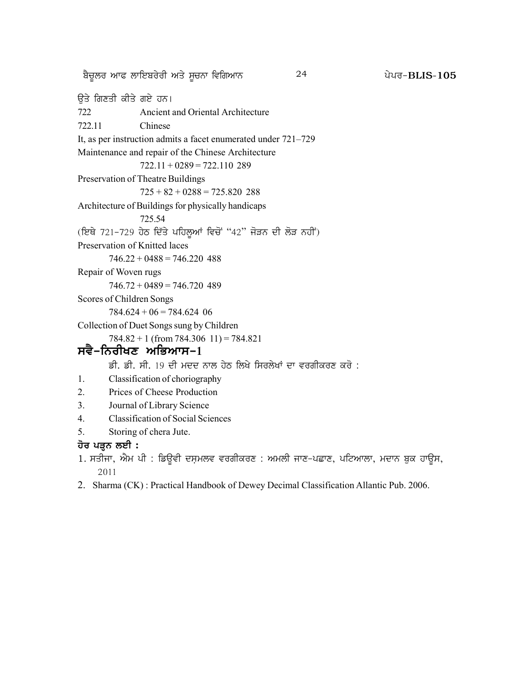<u>ਬੈਚੁਲਰ ਆਫ ਲਾਇਬਰੇਰੀ ਅਤੇ ਸੂਚਨਾ ਵਿਗਿਆਨ  $^{24}$  24 ਪੇਪਰ-BLIS-105</u>

ਉਤੇ ਗਿਣਤੀ ਕੀਤੇ ਗਏ ਹਨ। 722 Ancient and Oriental Architecture 722.11 Chinese It, as per instruction admits a facet enumerated under 721–729 Maintenance and repair of the Chinese Architecture  $722.11 + 0289 = 722.110289$ Preservation of Theatre Buildings  $725 + 82 + 0288 = 725.820$  288 Architecture of Buildings for physically handicaps 725.54 (ਇਥੇ 721-729 ਹੇਠ ਦਿੱਤੇ ਪਹਿਲੂਆਂ ਵਿਚੋਂ "42" ਜੋੜਨ ਦੀ ਲੋੜ ਨਹੀਂ) Preservation of Knitted laces  $746.22 + 0488 = 746.220$  488 Repair of Woven rugs  $746.72 + 0489 = 746.720$  489 Scores of Children Songs  $784.624 + 06 = 784.624$  06 Collection of Duet Songs sung by Children  $784.82 + 1$  (from  $784.306$  11) =  $784.821$ **ਸਵੈ-ਨਿਰੀਖਣ ਅਭਿਆਸ-1** ਡੀ. ਡੀ. ਸੀ. 19 ਦੀ ਮਦਦ ਨਾਲ ਹੇਠ ਲਿਖੇ ਸਿਰਲੇਖਾਂ ਦਾ ਵਰਗੀਕਰਣ ਕਰੋ : 1. Classification of choriography

- 2. Prices of Cheese Production
- 3. Journal of Library Science
- 4. Classification of Social Sciences
- 5. Storing of chera Jute.

### ਹੋਰ ਪੜ੍ਹਨ ਲਈ :

- 1. ਸਤੀਜਾ, ਐਮ ਪੀ : ਡਿਉਵੀ ਦਸ਼ਮਲਵ ਵਰਗੀਕਰਣ : ਅਮਲੀ ਜਾਣ-ਪਛਾਣ, ਪਟਿਆਲਾ, ਮਦਾਨ ਬੁਕ ਹਾਊਸ, 2011
- 2. Sharma (CK) : Practical Handbook of Dewey Decimal Classification Allantic Pub. 2006.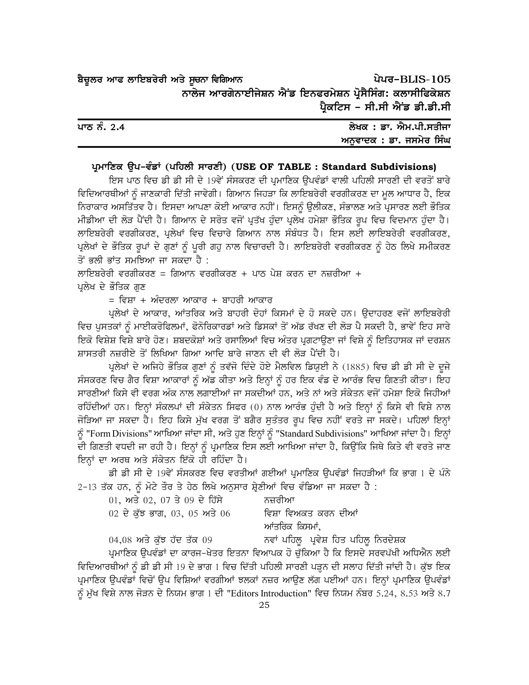ਪੇਪਰ-BLIS-105 ਬੈਚੁਲਰ ਆਫ ਲਾਇਬਰੇਰੀ ਅਤੇ ਸੂਚਨਾ ਵਿਗਿਆਨ ਨਾਲੇਜ ਆਰਗੇਨਾਈਜੇਸ਼ਨ ਐਂਡ ਇਨਫਰਮੇਸ਼ਨ ਪੋਸੈਸਿੰਗ: ਕਲਾਸੀਫਿਕੇਸ਼ਨ ਪ੍ਰੈਕਟਿਸ - ਸੀ.ਸੀ ਐਂਡ ਡੀ.ਡੀ.ਸੀ

| ਪਾਠ ਨੰ. 2.4 | ਲੇਖਕ : ਡਾ. ਐਮ.ਪੀ.ਸਤੀਜਾ  |
|-------------|-------------------------|
|             | ਅਨਵਾਦਕ : ਡਾ. ਜਸਮੇਰ ਸਿੰਘ |

#### ਪ੍ਰਮਾਣਿਕ ਉਪ-ਵੰਡਾਂ (ਪਹਿਲੀ ਸਾਰਣੀ) (USE OF TABLE: Standard Subdivisions)

ਇਸ ਪਾਠ ਵਿਚ ਡੀ ਡੀ ਸੀ ਦੇ 19ਵੇਂ ਸੰਸਕਰਣ ਦੀ ਪ੍ਰਮਾਣਿਕ ਉਪਵੰਡਾਂ ਵਾਲੀ ਪਹਿਲੀ ਸਾਰਣੀ ਦੀ ਵਰਤੋਂ ਬਾਰੇ ਵਿਦਿਆਰਥੀਆਂ ਨੂੰ ਜਾਣਕਾਰੀ ਦਿੱਤੀ ਜਾਵੇਗੀ। ਗਿਆਨ ਜਿਹੜਾ ਕਿ ਲਾਇਬਰੇਰੀ ਵਰਗੀਕਰਣ ਦਾ ਮੂਲ ਆਧਾਰ ਹੈ, ਇਕ ਨਿਰਾਕਾਰ ਅਸਤਿੱਤਵ ਹੈ। ਇਸਦਾ ਆਪਣਾ ਕੋਈ ਆਕਾਰ ਨਹੀਂ। ਇਸਨੂੰ ਉਲੀਕਣ, ਸੰਭਾਲਣ ਅਤੇ ਪ੍ਰਸਾਰਣ ਲਈ ਭੌਤਿਕ ਮੀਡੀਆ ਦੀ ਲੋੜ ਪੈਂਦੀ ਹੈ। ਗਿਆਨ ਦੇ ਸਰੋਤ ਵਜੋਂ ਪੁਤੱਖ ਹੰਦਾ ਪ੍ਰਲੇਖ ਹਮੇਸ਼ਾ ਭੌਤਿਕ ਰਪ ਵਿਚ ਵਿਦਮਾਨ ਹੰਦਾ ਹੈ। ਲਾਇਬਰੇਰੀ ਵਰਗੀਕਰਣ, ਪਲੇਖਾਂ ਵਿਚ ਵਿਚਾਰੇ ਗਿਆਨ ਨਾਲ ਸੰਬੰਧਤ ਹੈ। ਇਸ ਲਈ ਲਾਇਬਰੇਰੀ ਵਰਗੀਕਰਣ, ਪ੍ਰਲੇਖਾਂ ਦੇ ਭੌਤਿਕ ਰੂਪਾਂ ਦੇ ਗੁਣਾਂ ਨੂੰ ਪੂਰੀ ਗਹੁ ਨਾਲ ਵਿਚਾਰਦੀ ਹੈ। ਲਾਇਬਰੇਰੀ ਵਰਗੀਕਰਣ ਨੂੰ ਹੇਠ ਲਿਖੇ ਸਮੀਕਰਣ ਤੋਂ ਭਲੀ ਭਾਂਤ ਸਮਝਿਆ ਜਾ ਸਕਦਾ ਹੈ :

ਲਾਇਬਰੇਰੀ ਵਰਗੀਕਰਣ = ਗਿਆਨ ਵਰਗੀਕਰਣ + ਪਾਠ ਪੇਸ਼ ਕਰਨ ਦਾ ਨਜ਼ਰੀਆ + ਪਲੇਖ ਦੇ ਭੌਤਿਕ ਗਣ

= ਵਿਸ਼ਾ + ਅੰਦਰਲਾ ਆਕਾਰ + ਬਾਹਰੀ ਆਕਾਰ

ਪ੍ਰਲੇਖਾਂ ਦੇ ਆਕਾਰ, ਆਂਤਰਿਕ ਅਤੇ ਬਾਹਰੀ ਦੋਹਾਂ ਕਿਸਮਾਂ ਦੇ ਹੋ ਸਕਦੇ ਹਨ। ਉਦਾਹਰਣ ਵਜੋਂ ਲਾਇਬਰੇਰੀ ਵਿਚ ਪੁਸਤਕਾਂ ਨੂੰ ਮਾਈਕਰੋਫਿਲਮਾਂ, ਫੋਨੋਰਿਕਾਰਡਾਂ ਅਤੇ ਡਿਸਕਾਂ ਤੋਂ ਅੱਡ ਰੱਖਣ ਦੀ ਲੋੜ ਪੈ ਸਕਦੀ ਹੈ, ਭਾਵੇਂ ਇਹ ਸਾਰੇ ਇਕੋ ਵਿਸ਼ੇਸ਼ ਵਿਸ਼ੇ ਬਾਰੇ ਹੋਣ। ਸ਼ਬਦਕੋਸ਼ਾਂ ਅਤੇ ਰਸਾਲਿਆਂ ਵਿਚ ਅੰਤਰ ਪ੍ਰਗਟਾਉਣਾ ਜਾਂ ਵਿਸ਼ੇ ਨੂੰ ਇਤਿਹਾਸਕ ਜਾਂ ਦਰਸ਼ਨ ਸ਼ਾਸਤਰੀ ਨਜ਼ਰੀਏ ਤੋਂ ਲਿਖਿਆ ਗਿਆ ਆਦਿ ਬਾਰੇ ਜਾਣਨ ਦੀ ਵੀ ਲੋੜ ਪੈਂਦੀ ਹੈ।

ਪ੍ਰਲੇਖਾਂ ਦੇ ਅਜਿਹੇ ਭੌਤਿਕ ਗੁਣਾਂ ਨੂੰ ਤਵੱਜੋ ਦਿੰਦੇ ਹੋਏ ਮੈਲਵਿਲ ਡਿਯੂਈ ਨੇ (1885) ਵਿਚ ਡੀ ਡੀ ਸੀ ਦੇ ਦੂਜੇ ਸੰਸਕਰਣ ਵਿਚ ਗੈਰ ਵਿਸ਼ਾ ਆਕਾਰਾਂ ਨੂੰ ਅੱਡ ਕੀਤਾ ਅਤੇ ਇਨ੍ਹਾਂ ਨੂੰ ਹਰ ਇਕ ਵੰਡ ਦੇ ਆਰੰਭ ਵਿਚ ਗਿਣਤੀ ਕੀਤਾ। ਇਹ ਸਾਰਣੀਆਂ ਕਿਸੇ ਵੀ ਵਰਗ ਅੰਕ ਨਾਲ ਲਗਾਈਆਂ ਜਾ ਸਕਦੀਆਂ ਹਨ, ਅਤੇ ਨਾਂ ਅਤੇ ਸੰਕੇਤਨ ਵਜੋਂ ਹਮੇਸ਼ਾ ਇਕੋ ਜਿਹੀਆਂ ਰਹਿੰਦੀਆਂ ਹਨ। ਇਨ੍ਹਾਂ ਸੰਕਲਪਾਂ ਦੀ ਸੰਕੇਤਨ ਸਿਫਰ (0) ਨਾਲ ਆਰੰਭ ਹੁੰਦੀ ਹੈ ਅਤੇ ਇਨ੍ਹਾਂ ਨੂੰ ਕਿਸੇ ਵੀ ਵਿਸ਼ੇ ਨਾਲ ਜੋੜਿਆ ਜਾ ਸਕਦਾ ਹੈ। ਇਹ ਕਿਸੇ ਮੁੱਖ ਵਰਗ ਤੋਂ ਬਗੈਰ ਸੁਤੰਤਰ ਰੂਪ ਵਿਚ ਨਹੀਂ ਵਰਤੇ ਜਾ ਸਕਦੇ। ਪਹਿਲਾਂ ਇਨ੍ਹਾਂ ਨੂੰ "Form Divisions" ਆਖਿਆ ਜਾਂਦਾ ਸੀ, ਅਤੇ ਹੁਣ ਇਨ੍ਹਾਂ ਨੂੰ "Standard Subdivisions" ਆਖਿਆ ਜਾਂਦਾ ਹੈ। ਇਨ੍ਹਾਂ ਦੀ ਗਿਣਤੀ ਵਧਦੀ ਜਾ ਰਹੀ ਹੈ। ਇਨ੍ਹਾਂ ਨੂੰ ਪ੍ਰਮਾਣਿਕ ਇਸ ਲਈ ਆਖਿਆ ਜਾਂਦਾ ਹੈ, ਕਿਉਂਕਿ ਜਿਥੇ ਕਿਤੇ ਵੀ ਵਰਤੇ ਜਾਣ ਇਨ੍ਹਾਂ ਦਾ ਅਰਥ ਅਤੇ ਸੰਕੇਤਨ ਇੱਕੋ ਹੀ ਰਹਿੰਦਾ ਹੈ।

ਡੀ ਡੀ ਸੀ ਦੇ 19ਵੇਂ ਸੰਸਕਰਣ ਵਿਚ ਵਰਤੀਆਂ ਗਈਆਂ ਪ੍ਰਮਾਣਿਕ ਉਪਵੰਡਾਂ ਜਿਹੜੀਆਂ ਕਿ ਭਾਗ 1 ਦੇ ਪੰਨੇ 2-13 ਤੱਕ ਹਨ, ਨੂੰ ਮੋਟੇ ਤੌਰ ਤੇ ਹੇਠ ਲਿਖੇ ਅਨੁਸਾਰ ਸ਼੍ਰੇਣੀਆਂ ਵਿਚ ਵੰਡਿਆ ਜਾ ਸਕਦਾ ਹੈ :

| 01, ਅਤੇ 02, 07 ਤੇ 09 ਦੇ ਹਿੱਸੇ | ਨਜ਼ਰੀਆ               |
|-------------------------------|----------------------|
| 02 ਦੇ ਕੱਝ ਭਾਗ, 03, 05 ਅਤੇ 06  | ਵਿਸ਼ਾ ਵਿਅਕਤ ਕਰਨ ਦੀਆਂ |
|                               | ਆਂਤਰਿਕ ਕਿਸਮਾਂ,       |
| ---- - - - - - -              | .                    |

 $04,08$  ਅਤੇ ਕੁੱਝ ਹੱਦ ਤੱਕ  $09$ ਨਵਾਂ ਪਹਿਲੂ ਪ੍ਰਵੇਸ਼ ਹਿਤ ਪਹਿਲੁ ਨਿਰਦੇਸ਼ਕ ਪ੍ਰਮਾਣਿਕ ੳਪਵੰਡਾਂ ਦਾ ਕਾਰਜ-ਖੇਤਰ ਇਤਨਾ ਵਿਆਪਕ ਹੋ ਚੱਕਿਆ ਹੈ ਕਿ ਇਸਦੇ ਸਰਵਪੱਖੀ ਅਧਿਐਨ ਲਈ ਵਿਦਿਆਰਥੀਆਂ ਨੂੰ ਡੀ ਡੀ ਸੀ 19 ਦੇ ਭਾਗ 1 ਵਿਚ ਦਿੱਤੀ ਪਹਿਲੀ ਸਾਰਣੀ ਪੜ੍ਹਨ ਦੀ ਸਲਾਹ ਦਿੱਤੀ ਜਾਂਦੀ ਹੈ। ਕੁੱਝ ਇਕ ਪ੍ਰਮਾਣਿਕ ਉਪਵੰਡਾਂ ਵਿਚੋਂ ਉਪ ਵਿਸ਼ਿਆਂ ਵਰਗੀਆਂ ਝਲਕਾਂ ਨਜ਼ਰ ਆਉਣ ਲੱਗ ਪਈਆਂ ਹਨ। ਇਨ੍ਹਾਂ ਪ੍ਰਮਾਣਿਕ ਉਪਵੰਡਾਂ ਨੂੰ ਮੁੱਖ ਵਿਸ਼ੇ ਨਾਲ ਜੋੜਨ ਦੇ ਨਿਯਮ ਭਾਗ 1 ਦੀ "Editors Introduction" ਵਿਚ ਨਿਯਮ ਨੰਬਰ 5.24, 8.53 ਅਤੇ 8.7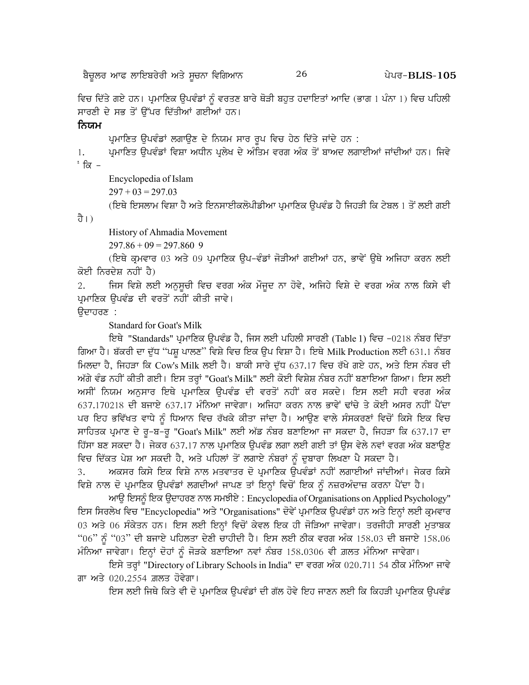ਵਿਚ ਦਿੱਤੇ ਗਏ ਹਨ। ਪ੍ਰਮਾਣਿਕ ਉਪਵੰਡਾਂ ਨੂੰ ਵਰਤਣ ਬਾਰੇ ਥੋੜੀ ਬਹੁਤ ਹਦਾਇਤਾਂ ਆਦਿ (ਭਾਗ 1 ਪੰਨਾ 1) ਵਿਚ ਪਹਿਲੀ ਸਾਰਣੀ ਦੇ ਸਭ ਤੋਂ ਉੱਪਰ ਦਿੱਤੀਆਂ ਗਈਆਂ ਹਨ।

#### ਨਿਯਮ

ਪ੍ਰਮਾਣਿਤ ਉਪਵੰਡਾਂ ਲਗਾਉਣ ਦੇ ਨਿਯਮ ਸਾਰ ਰਪ ਵਿਚ ਹੇਠ ਦਿੱਤੇ ਜਾਂਦੇ ਹਨ :

ਪ੍ਰਮਾਣਿਤ ਉਪਵੰਡਾਂ ਵਿਸ਼ਾ ਅਧੀਨ ਪ੍ਰਲੇਖ ਦੇ ਅੰਤਿਮ ਵਰਗ ਅੰਕ ਤੋਂ ਬਾਅਦ ਲਗਾਈਆਂ ਜਾਂਦੀਆਂ ਹਨ। ਜਿਵੇ 1.  $\cdot$  ਕਿ –

Encyclopedia of Islam  $297 + 03 = 297.03$ 

(ਇਥੇ ਇਸਲਾਮ ਵਿਸ਼ਾ ਹੈ ਅਤੇ ਇਨਸਾਈਕਲੋਪੀਡੀਆ ਪ੍ਰਮਾਣਿਕ ੳਪਵੰਡ ਹੈ ਜਿਹੜੀ ਕਿ ਟੇਬਲ 1 ਤੋਂ ਲਈ ਗਈ

ਹੈ।)

History of Ahmadia Movement

 $297.86 + 09 = 297.860$  9

(ਇਥੇ ਕੁਮਵਾਰ 03 ਅਤੇ 09 ਪੁਮਾਣਿਕ ੳਪ–ਵੰਡਾਂ ਜੋੜੀਆਂ ਗਈਆਂ ਹਨ, ਭਾਵੇਂ ੳਥੇ ਅਜਿਹਾ ਕਰਨ ਲਈ ਕੋਈ ਨਿਰਦੇਸ਼ ਨਹੀਂ ਹੈ)

ਜਿਸ ਵਿਸ਼ੇ ਲਈ ਅਨੁਸੂਚੀ ਵਿਚ ਵਰਗ ਅੰਕ ਮੌਜੂਦ ਨਾ ਹੋਵੇ, ਅਜਿਹੇ ਵਿਸ਼ੇ ਦੇ ਵਰਗ ਅੰਕ ਨਾਲ ਕਿਸੇ ਵੀ  $2.$ ਪਮਾਣਿਕ ੳਪਵੰਡ ਦੀ ਵਰਤੋਂ ਨਹੀਂ ਕੀਤੀ ਜਾਵੇ।

ਉਦਾਹਰਣ :

**Standard for Goat's Milk** 

ਇਥੇ "Standards" ਪ੍ਰਮਾਣਿਕ ਉਪਵੰਡ ਹੈ, ਜਿਸ ਲਈ ਪਹਿਲੀ ਸਾਰਣੀ (Table 1) ਵਿਚ -0218 ਨੰਬਰ ਦਿੱਤਾ ਗਿਆ ਹੈ। ਬੱਕਰੀ ਦਾ ਦੁੱਧ "ਪਸ਼ੁ ਪਾਲਣ" ਵਿਸ਼ੇ ਵਿਚ ਇਕ ਉਪ ਵਿਸ਼ਾ ਹੈ। ਇਥੇ Milk Production ਲਈ 631.1 ਨੰਬਰ ਮਿਲਦਾ ਹੈ, ਜਿਹੜਾ ਕਿ Cow's Milk ਲਈ ਹੈ। ਬਾਕੀ ਸਾਰੇ ਦੁੱਧ 637.17 ਵਿਚ ਰੱਖੇ ਗਏ ਹਨ, ਅਤੇ ਇਸ ਨੰਬਰ ਦੀ ਅੱਗੇ ਵੰਡ ਨਹੀਂ ਕੀਤੀ ਗਈ। ਇਸ ਤਰ੍ਹਾਂ "Goat's Milk" ਲਈ ਕੋਈ ਵਿਸ਼ੇਸ਼ ਨੰਬਰ ਨਹੀਂ ਬਣਾਇਆ ਗਿਆ। ਇਸ ਲਈ ਅਸੀਂ ਨਿਯਮ ਅਨਸਾਰ ਇਥੇ ਪ੍ਰਮਾਣਿਕ ਉਪਵੰਡ ਦੀ ਵਰਤੋਂ ਨਹੀਂ ਕਰ ਸਕਦੇ। ਇਸ ਲਈ ਸਹੀ ਵਰਗ ਅੰਕ 637.170218 ਦੀ ਬਜਾਏ 637.17 ਮੰਨਿਆ ਜਾਵੇਗਾ। ਅਜਿਹਾ ਕਰਨ ਨਾਲ ਭਾਵੇਂ ਢਾਂਚੇ ਤੇ ਕੋਈ ਅਸਰ ਨਹੀਂ ਪੈਂਦਾ ਪਰ ਇਹ ਭਵਿੱਖਤ ਵਾਧੇ ਨੂੰ ਧਿਆਨ ਵਿਚ ਰੱਖਕੇ ਕੀਤਾ ਜਾਂਦਾ ਹੈ। ਆਉਣ ਵਾਲੇ ਸੰਸਕਰਣਾਂ ਵਿਚੋਂ ਕਿਸੇ ਇਕ ਵਿਚ ਸਾਹਿਤਕ ਪ੍ਰਮਾਣ ਦੇ ਰੂ-ਬ-ਰੂ "Goat's Milk" ਲਈ ਅੱਡ ਨੰਬਰ ਬਣਾਇਆ ਜਾ ਸਕਦਾ ਹੈ, ਜਿਹੜਾ ਕਿ 637.17 ਦਾ ਹਿੱਸਾ ਬਣ ਸਕਦਾ ਹੈ। ਜੇਕਰ 637.17 ਨਾਲ ਪਮਾਣਿਕ ੳਪਵੰਡ ਲਗਾ ਲਈ ਗਈ ਤਾਂ ੳਸ ਵੇਲੇ ਨਵਾਂ ਵਰਗ ਅੰਕ ਬਣਾੳਣ ਵਿਚ ਦਿੱਕਤ ਪੇਸ਼ ਆ ਸਕਦੀ ਹੈ, ਅਤੇ ਪਹਿਲਾਂ ਤੋਂ ਲਗਾਏ ਨੰਬਰਾਂ ਨੰ ਦਬਾਰਾ ਲਿਖਣਾ ਪੈ ਸਕਦਾ ਹੈ।

ਅਕਸਰ ਕਿਸੇ ਇਕ ਵਿਸ਼ੇ ਨਾਲ ਮਤਵਾਤਰ ਦੋ ਪਮਾਣਿਕ ਉਪਵੰਡਾਂ ਨਹੀਂ ਲਗਾਈਆਂ ਜਾਂਦੀਆਂ। ਜੇਕਰ ਕਿਸੇ  $\overline{3}$ . ਵਿਸ਼ੇ ਨਾਲ ਦੋ ਪ੍ਰਮਾਣਿਕ ਉਪਵੰਡਾਂ ਲਗਦੀਆਂ ਜਾਪਣ ਤਾਂ ਇਨ੍ਹਾਂ ਵਿਚੋਂ ਇਕ ਨੂੰ ਨਜ਼ਰਅੰਦਾਜ਼ ਕਰਨਾ ਪੈਂਦਾ ਹੈ।

ਆਉ ਇਸਨੂੰ ਇਕ ਉਦਾਹਰਣ ਨਾਲ ਸਮਝੀਏ: Encyclopedia of Organisations on Applied Psychology" ਇਸ ਸਿਰਲੇਖ ਵਿਚ "Encyclopedia" ਅਤੇ "Organisations" ਦੋਵੇਂ ਪ੍ਰਮਾਣਿਕ ਉਪਵੰਡਾਂ ਹਨ ਅਤੇ ਇਨ੍ਹਾਂ ਲਈ ਕ੍ਰਮਵਾਰ 03 ਅਤੇ 06 ਸੰਕੇਤਨ ਹਨ। ਇਸ ਲਈ ਇਨ੍ਹਾਂ ਵਿਚੋਂ ਕੇਵਲ ਇਕ ਹੀ ਜੋੜਿਆ ਜਾਵੇਗਾ। ਤਰਜੀਹੀ ਸਾਰਣੀ ਮੁਤਾਬਕ "06" ਨੂੰ "03" ਦੀ ਬਜਾਏ ਪਹਿਲਤਾ ਦੇਣੀ ਚਾਹੀਦੀ ਹੈ। ਇਸ ਲਈ ਠੀਕ ਵਰਗ ਅੰਕ 158.03 ਦੀ ਬਜਾਏ 158.06 ਮੰਨਿਆ ਜਾਵੇਗਾ। ਇਨ੍ਹਾਂ ਦੋਹਾਂ ਨੂੰ ਜੋੜਕੇ ਬਣਾਇਆ ਨਵਾਂ ਨੰਬਰ 158.0306 ਵੀ ਗ਼ਲਤ ਮੰਨਿਆ ਜਾਵੇਗਾ।

ਇਸੇ ਤਰ੍ਹਾਂ "Directory of Library Schools in India" ਦਾ ਵਰਗ ਅੰਕ 020.711 54 ਠੀਕ ਮੰਨਿਆ ਜਾਵੇ ਗਾ ਅਤੇ 020.2554 ਗ਼ਲਤ ਹੋਵੇਗਾ।

ਇਸ ਲਈ ਜਿਥੇ ਕਿਤੇ ਵੀ ਦੋ ਪ੍ਰਮਾਣਿਕ ਉਪਵੰਡਾਂ ਦੀ ਗੱਲ ਹੋਵੇ ਇਹ ਜਾਣਨ ਲਈ ਕਿ ਕਿਹੜੀ ਪ੍ਰਮਾਣਿਕ ਉਪਵੰਡ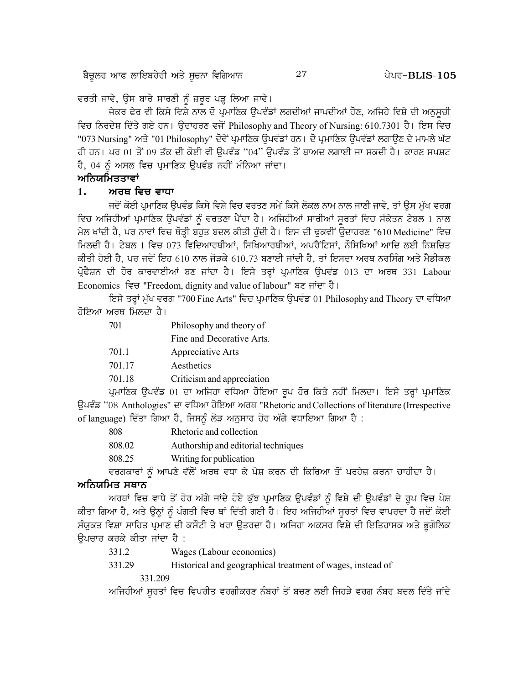27

ਵਰਤੀ ਜਾਵੇ, ਉਸ ਬਾਰੇ ਸਾਰਣੀ ਨੂੰ ਜ਼ਰੂਰ ਪੜ੍ਹ ਲਿਆ ਜਾਵੇ।

ਜੇਕਰ ਫੇਰ ਵੀ ਕਿਸੇ ਵਿਸ਼ੇ ਨਾਲ ਦੋ ਪ੍ਰਮਾਣਿਕ ਉਪਵੰਡਾਂ ਲਗਦੀਆਂ ਜਾਪਦੀਆਂ ਹੋਣ, ਅਜਿਹੇ ਵਿਸ਼ੇ ਦੀ ਅਨਸਚੀ ਵਿਚ ਨਿਰਦੇਸ਼ ਦਿੱਤੇ ਗਏ ਹਨ। ਉਦਾਹਰਣ ਵਜੋਂ Philosophy and Theory of Nursing: 610.7301 ਹੈ। ਇਸ ਵਿਚ "073 Nursing" ਅਤੇ "01 Philosophy" ਦੋਵੇਂ ਪ੍ਰਮਾਣਿਕ ਉਪਵੰਡਾਂ ਹਨ। ਦੋ ਪ੍ਰਮਾਣਿਕ ਉਪਵੰਡਾਂ ਲਗਾਉਣ ਦੇ ਮਾਮਲੇ ਘੱਟ ਹੀ ਹਨ। ਪਰ 01 ਤੋਂ 09 ਤੱਕ ਦੀ ਕੋਈ ਵੀ ਉਪਵੰਡ "04" ਉਪਵੰਡ ਤੋਂ ਬਾਅਦ ਲਗਾਈ ਜਾ ਸਕਦੀ ਹੈ। ਕਾਰਣ ਸਪਸ਼ਟ ਹੈ, 04 ਨੂੰ ਅਸਲ ਵਿਚ ਪ੍ਰਮਾਣਿਕ ਉਪਵੰਡ ਨਹੀਂ ਮੰਨਿਆ ਜਾਂਦਾ।

# ਅਨਿਯਮਿਤਤਾਵਾਂ

#### $1.$ ਅਰਥ ਵਿਚ ਵਾਧਾ

ਜਦੋਂ ਕੋਈ ਪ੍ਰਮਾਣਿਕ ੳਪਵੰਡ ਕਿਸੇ ਵਿਸ਼ੇ ਵਿਚ ਵਰਤਣ ਸਮੇਂ ਕਿਸੇ ਲੋਕਲ ਨਾਮ ਨਾਲ ਜਾਣੀ ਜਾਵੇ, ਤਾਂ ੳਸ ਮੱਖ ਵਰਗ ਵਿਚ ਅਜਿਹੀਆਂ ਪ੍ਰਮਾਣਿਕ ਉਪਵੰਡਾਂ ਨੂੰ ਵਰਤਣਾ ਪੈਂਦਾ ਹੈ। ਅਜਿਹੀਆਂ ਸਾਰੀਆਂ ਸੁਰਤਾਂ ਵਿਚ ਸੰਕੇਤਨ ਟੇਬਲ 1 ਨਾਲ ਮੇਲ ਖਾਂਦੀ ਹੈ, ਪਰ ਨਾਵਾਂ ਵਿਚ ਥੋੜ੍ਹੀ ਬਹੁਤ ਬਦਲ ਕੀਤੀ ਹੁੰਦੀ ਹੈ। ਇਸ ਦੀ ਢੁਕਵੀਂ ਉਦਾਹਰਣ "610 Medicine" ਵਿਚ ਮਿਲਦੀ ਹੈ। ਟੇਬਲ 1 ਵਿਚ 073 ਵਿਦਿਆਰਥੀਆਂ, ਸਿਖਿਆਰਥੀਆਂ, ਅਪਰੈਂਟਿਸਾਂ, ਨੌਸਿਖਿਆਂ ਆਦਿ ਲਈ ਨਿਸ਼ਚਿਤ ਕੀਤੀ ਹੋਈ ਹੈ, ਪਰ ਜਦੋਂ ਇਹ 610 ਨਾਲ ਜੋੜਕੇ 610.73 ਬਣਾਈ ਜਾਂਦੀ ਹੈ, ਤਾਂ ਇਸਦਾ ਅਰਥ ਨਰਸਿੰਗ ਅਤੇ ਮੈਡੀਕਲ ਪੋਫੈਸ਼ਨ ਦੀ ਹੋਰ ਕਾਰਵਾਈਆਂ ਬਣ ਜਾਂਦਾ ਹੈ। ਇਸੇ ਤਰਾਂ ਪਮਾਣਿਕ ਉਪਵੰਡ 013 ਦਾ ਅਰਥ 331 Labour Economics ਵਿਚ "Freedom, dignity and value of labour" ਬਣ ਜਾਂਦਾ ਹੈ।

ਇਸੇ ਤਰ੍ਹਾਂ ਮੁੱਖ ਵਰਗ "700 Fine Arts" ਵਿਚ ਪ੍ਰਮਾਣਿਕ ਉਪਵੰਡ 01 Philosophy and Theory ਦਾ ਵਧਿਆ ਹੋਇਆ ਅਰਥ ਮਿਲਦਾ ਹੈ।

| 701    | Philosophy and theory of   |
|--------|----------------------------|
|        | Fine and Decorative Arts.  |
| 701.1  | Appreciative Arts          |
| 701.17 | Aesthetics                 |
| 701.18 | Criticism and appreciation |
|        |                            |

ਪ੍ਰਮਾਣਿਕ ਉਪਵੰਡ 01 ਦਾ ਅਜਿਹਾ ਵਧਿਆ ਹੋਇਆ ਰੂਪ ਹੋਰ ਕਿਤੇ ਨਹੀਂ ਮਿਲਦਾ। ਇਸੇ ਤਰ੍ਹਾਂ ਪ੍ਰਮਾਣਿਕ ਉਪਵੰਡ "08 Anthologies" ਦਾ ਵਧਿਆ ਹੋਇਆ ਅਰਥ "Rhetoric and Collections of literature (Irrespective of language) ਦਿੱਤਾ ਗਿਆ ਹੈ, ਜਿਸਨੂੰ ਲੋੜ ਅਨੁਸਾਰ ਹੋਰ ਅੱਗੇ ਵਧਾਇਆ ਗਿਆ ਹੈ :

| 808    | Rhetoric and collection                                                         |
|--------|---------------------------------------------------------------------------------|
| 808.02 | Authorship and editorial techniques                                             |
| 808.25 | Writing for publication                                                         |
|        | ਵਰਗਕਾਰਾਂ ਨੂੰ ਆਪਣੇ ਵੱਲੋਂ ਅਰਥ ਵਧਾ ਕੇ ਪੇਸ਼ ਕਰਨ ਦੀ ਕਿਰਿਆ ਤੋਂ ਪਰਹੇਜ਼ ਕਰਨਾ ਚਾਹੀਦਾ ਹੈ। |

#### ਅਨਿਯਮਿਤ ਸਥਾਨ

ਅਰਥਾਂ ਵਿਚ ਵਾਧੇ ਤੋਂ ਹੋਰ ਅੱਗੇ ਜਾਂਦੇ ਹੋਏ ਕੁੱਝ ਪ੍ਰਮਾਣਿਕ ਉਪਵੰਡਾਂ ਨੂੰ ਵਿਸ਼ੇ ਦੀ ਉਪਵੰਡਾਂ ਦੇ ਰੂਪ ਵਿਚ ਪੇਸ਼ ਕੀਤਾ ਗਿਆ ਹੈ, ਅਤੇ ਉਨ੍ਹਾਂ ਨੂੰ ਪੰਗਤੀ ਵਿਚ ਥਾਂ ਦਿੱਤੀ ਗਈ ਹੈ। ਇਹ ਅਜਿਹੀਆਂ ਸੁਰਤਾਂ ਵਿਚ ਵਾਪਰਦਾ ਹੈ ਜਦੋਂ ਕੋਈ ਸੰਯੁਕਤ ਵਿਸ਼ਾ ਸਾਹਿਤ ਪ੍ਰਮਾਣ ਦੀ ਕਸੌਟੀ ਤੇ ਖਰਾ ਉਤਰਦਾ ਹੈ। ਅਜਿਹਾ ਅਕਸਰ ਵਿਸ਼ੇ ਦੀ ਇਤਿਹਾਸਕ ਅਤੇ ਭੁਗੋਲਿਕ ਓਪਚਾਰ ਕਰਕੇ ਕੀਤਾ ਜਾਂਦਾ ਹੈ :

- 331.2 Wages (Labour economics)
- 331.29 Historical and geographical treatment of wages, instead of

331.209

ਅਜਿਹੀਆਂ ਸੁਰਤਾਂ ਵਿਚ ਵਿਪਰੀਤ ਵਰਗੀਕਰਣ ਨੰਬਰਾਂ ਤੋਂ ਬਚਣ ਲਈ ਜਿਹੜੇ ਵਰਗ ਨੰਬਰ ਬਦਲ ਦਿੱਤੇ ਜਾਂਦੇ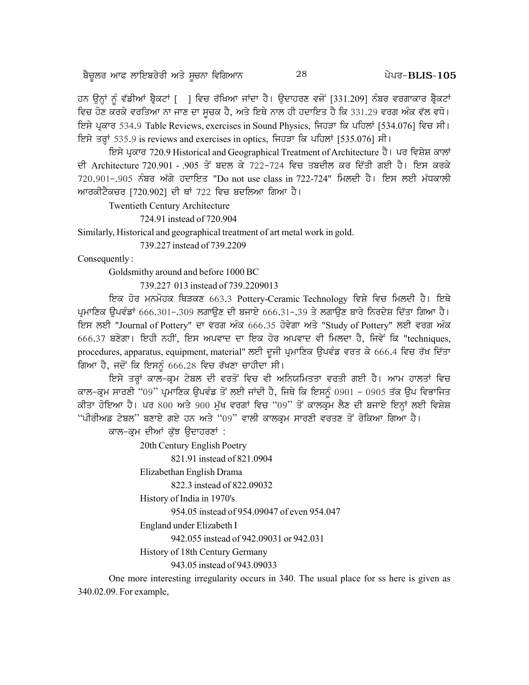ਹਨ ਉਨ੍ਹਾਂ ਨੂੰ ਵੱਡੀਆਂ ਬ੍ਰੈਕਟਾਂ [] ਵਿਚ ਰੱਖਿਆ ਜਾਂਦਾ ਹੈ। ਉਦਾਹਰਣ ਵਜੋਂ [331.209] ਨੰਬਰ ਵਰਗਾਕਾਰ ਬ੍ਰੈਕਟਾਂ ਵਿਚ ਹੋਣ ਕਰਕੇ ਵਰਤਿਆ ਨਾ ਜਾਣ ਦਾ ਸੂਚਕ ਹੈ, ਅਤੇ ਇਥੇ ਨਾਲ ਹੀ ਹਦਾਇਤ ਹੈ ਕਿ 331.29 ਵਰਗ ਅੰਕ ਵੱਲ ਵਧੋ। ਇਸੇ ਪ੍ਰਕਾਰ 534.9 Table Reviews, exercises in Sound Physics, ਜਿਹੜਾ ਕਿ ਪਹਿਲਾਂ [534.076] ਵਿਚ ਸੀ। ਇਸੇ ਤਰ੍ਹਾਂ 535.9 is reviews and exercises in optics, ਜਿਹੜਾ ਕਿ ਪਹਿਲਾਂ [535.076] ਸੀ।

ਇਸੇ ਪ੍ਰਕਾਰ 720.9 Historical and Geographical Treatment of Architecture ਹੈ। ਪਰ ਵਿਸ਼ੇਸ਼ ਕਾਲਾਂ ਦੀ Architecture 720.901 - .905 ਤੋਂ ਬਦਲ ਕੇ 722-724 ਵਿਚ ਤਬਦੀਲ ਕਰ ਦਿੱਤੀ ਗਈ ਹੈ। ਇਸ ਕਰਕੇ 720.901-.905 ਨੰਬਰ ਅੱਗੇ ਹਦਾਇਤ "Do not use class in 722-724" ਮਿਲਦੀ ਹੈ। ਇਸ ਲਈ ਮੱਧਕਾਲੀ ਆਰਕੀਟੈਕਚਰ [720.902] ਦੀ ਥਾਂ 722 ਵਿਚ ਬਦਲਿਆ ਗਿਆ ਹੈ।

**Twentieth Century Architecture** 

724.91 instead of 720.904

Similarly, Historical and geographical treatment of art metal work in gold.

739.227 instead of 739.2209

Consequently:

Goldsmithy around and before 1000 BC

739.227 013 instead of 739.2209013

ਇਕ ਹੋਰ ਮਨਮੋਹਕ ਥਿੜਕਣ 663.3 Pottery-Ceramic Technology ਵਿਸ਼ੇ ਵਿਚ ਮਿਲਦੀ ਹੈ। ਇਥੇ ਪ੍ਰਮਾਣਿਕ ਉਪਵੰਡਾਂ 666.301-.309 ਲਗਾਉਣ ਦੀ ਬਜਾਏ 666.31-.39 ਤੇ ਲਗਾਉਣ ਬਾਰੇ ਨਿਰਦੇਸ਼ ਦਿੱਤਾ ਗਿਆ ਹੈ। ਇਸ ਲਈ "Journal of Pottery" ਦਾ ਵਰਗ ਅੰਕ 666.35 ਹੋਵੇਗਾ ਅਤੇ "Study of Pottery" ਲਈ ਵਰਗ ਅੰਕ 666.37 ਬਣੇਗਾ। ਇਹੀ ਨਹੀਂ, ਇਸ ਅਪਵਾਦ ਦਾ ਇਕ ਹੋਰ ਅਪਵਾਦ ਵੀ ਮਿਲਦਾ ਹੈ, ਜਿਵੇਂ ਕਿ "techniques, procedures, apparatus, equipment, material" ਲਈ ਦੂਜੀ ਪ੍ਰਮਾਣਿਕ ਉਪਵੰਡ ਵਰਤ ਕੇ 666.4 ਵਿਚ ਰੱਖ ਦਿੱਤਾ ਗਿਆ ਹੈ, ਜਦੋਂ ਕਿ ਇਸਨੂੰ 666.28 ਵਿਚ ਰੱਖਣਾ ਚਾਹੀਦਾ ਸੀ।

ਇਸੇ ਤਰ੍ਹਾਂ ਕਾਲ-ਕ੍ਰਮ ਟੇਬਲ ਦੀ ਵਰਤੋਂ ਵਿਚ ਵੀ ਅਨਿਯਮਿਤਤਾ ਵਰਤੀ ਗਈ ਹੈ। ਆਮ ਹਾਲਤਾਂ ਵਿਚ ਕਾਲ-ਕ੍ਰਮ ਸਾਰਣੀ "09" ਪ੍ਰਮਾਣਿਕ ਉਪਵੰਡ ਤੋਂ ਲਈ ਜਾਂਦੀ ਹੈ, ਜਿਥੇ ਕਿ ਇਸਨੂੰ 0901 - 0905 ਤੱਕ ਉਪ ਵਿਭਾਜਿਤ ਕੀਤਾ ਹੋਇਆ ਹੈ। ਪਰ 800 ਅਤੇ 900 ਮੱਖ ਵਰਗਾਂ ਵਿਚ "09" ਤੋਂ ਕਾਲਕੁਮ ਲੈਣ ਦੀ ਬਜਾਏ ਇਨ੍ਹਾਂ ਲਈ ਵਿਸ਼ੇਸ਼ "ਪੀਰੀਅਡ ਟੇਬਲ" ਬਣਾਏ ਗਏ ਹਨ ਅਤੇ "09" ਵਾਲੀ ਕਾਲਕ੍ਰਮ ਸਾਰਣੀ ਵਰਤਣ ਤੋਂ ਰੋਕਿਆ ਗਿਆ ਹੈ।

ਕਾਲ-ਕ੍ਰਮ ਦੀਆਂ ਕੁੱਝ ਉਦਾਹਰਣਾਂ :

20th Century English Poetry

821.91 instead of 821.0904

Elizabethan English Drama

822.3 instead of 822.09032

History of India in 1970's

954.05 instead of 954.09047 of even 954.047

England under Elizabeth I

942.055 instead of 942.09031 or 942.031

History of 18th Century Germany

943.05 instead of 943.09033

One more interesting irregularity occurs in 340. The usual place for ss here is given as 340.02.09. For example,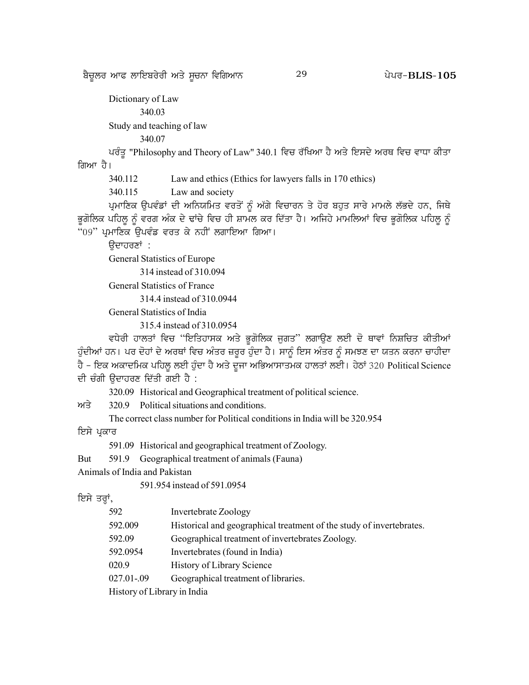p?u{bo nkc bkfJpo/oh ns/ ;{uBk ftfrnkB g /go^ 29 **BLIS-105**

Dictionary of Law 340.03 Study and teaching of law 340.07 ਪਰੰਤੂ "Philosophy and Theory of Law" 340.1 ਵਿਚ ਰੱਖਿਆ ਹੈ ਅਤੇ ਇਸਦੇ ਅਰਥ ਵਿਚ ਵਾਧਾ ਕੀਤਾ ਗਿਆ ਹੈ। 340.112 Law and ethics (Ethics for lawyers falls in 170 ethics) 340.115 Law and society ਪ੍ਰਮਾਣਿਕ ਉਪਵੰਡਾਂ ਦੀ ਅਨਿਯਮਿਤ ਵਰਤੋਂ ਨੂੰ ਅੱਗੇ ਵਿਚਾਰਨ ਤੇ ਹੋਰ ਬਹੁਤ ਸਾਰੇ ਮਾਮਲੇ ਲੱਭਦੇ ਹਨ, ਜਿਥੇ ਭੁਗੋਲਿਕ ਪਹਿਲੂ ਨੂੰ ਵਰਗ ਅੰਕ ਦੇ ਢਾਂਚੇ ਵਿਚ ਹੀ ਸ਼ਾਮਲ ਕਰ ਦਿੱਤਾ ਹੈ। ਅਜਿਹੇ ਮਾਮਲਿਆਂ ਵਿਚ ਭੁਗੋਲਿਕ ਪਹਿਲੂ ਨੂੰ "09" ਪ੍ਰਮਾਣਿਕ ਉਪਵੰਡ ਵਰਤ ਕੇ ਨਹੀਂ ਲਗਾਇਆ ਗਿਆ।

ਉਦਾਹਰਣਾਂ :

General Statistics of Europe

314 instead of 310.094

General Statistics of France

314.4 instead of 310.0944

General Statistics of India

315.4 instead of 310.0954

ਵਧੇਰੀ ਹਾਲਤਾਂ ਵਿਚ "ਇਤਿਹਾਸਕ ਅਤੇ ਭੁਗੋਲਿਕ ਜੁਗਤ" ਲਗਾਉਣ ਲਈ ਦੋ ਥਾਵਾਂ ਨਿਸ਼ਚਿਤ ਕੀਤੀਆਂ ਹੁੰਦੀਆਂ ਹਨ। ਪਰ ਦੋਹਾਂ ਦੇ ਅਰਥਾਂ ਵਿਚ ਅੰਤਰ ਜ਼ਰੂਰ ਹੁੰਦਾ ਹੈ। ਸਾਨੂੰ ਇਸ ਅੰਤਰ ਨੂੰ ਸਮਝਣ ਦਾ ਯਤਨ ਕਰਨਾ ਚਾਹੀਦਾ ਹੈ - ਇਕ ਅਕਾਦਮਿਕ ਪਹਿਲੂ ਲਈ ਹੁੰਦਾ ਹੈ ਅਤੇ ਦੂਜਾ ਅਭਿਆਸਾਤਮਕ ਹਾਲਤਾਂ ਲਈ। ਹੇਠਾਂ 320 Political Science ਦੀ ਚੰਗੀ ਉਦਾਹਰਣ ਦਿੱਤੀ ਗਈ ਹੈ :

320.09 Historical and Geographical treatment of political science.

 $m\overrightarrow{3}$  320.9 Political situations and conditions.

The correct class number for Political conditions in India will be 320.954

ਇਸੇ ਪ੍ਰਕਾਰ

591.09 Historical and geographical treatment of Zoology.

But 591.9 Geographical treatment of animals (Fauna)

Animals of India and Pakistan

591.954 instead of 591.0954

ਇਸੇ ਤਰ੍ਹਾਂ,

| 592 |  | Invertebrate Zoology |  |
|-----|--|----------------------|--|
|     |  |                      |  |

592.009 Historical and geographical treatment of the study of invertebrates.

592.09 Geographical treatment of invertebrates Zoology.

592.0954 Invertebrates (found in India)

020.9 History of Library Science

027.01-.09 Geographical treatment of libraries.

History of Library in India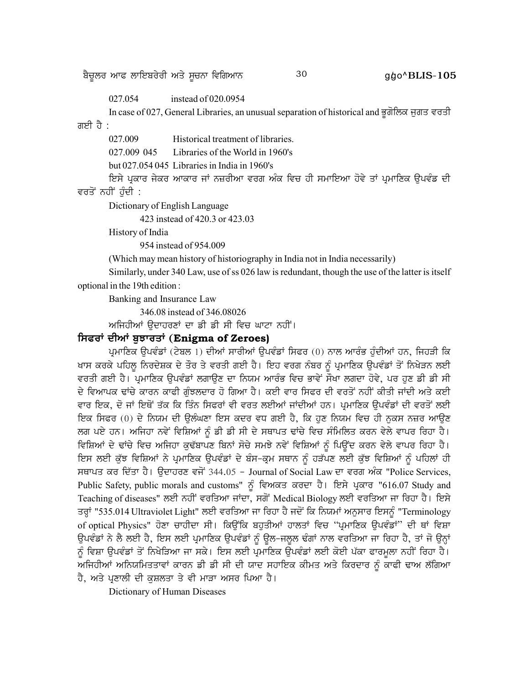p?u{bo nkc bkfJpo/oh ns/ ;{uBk ftfrnkB 30 g/go^**BLIS-105**

027.054 instead of 020.0954

In case of 027, General Libraries, an unusual separation of historical and ਭੂਗੋਲਿਕ ਜੁਗਤ ਵਰਤੀ ਗਈ ਹੈ $\colon$ 

027.009 Historical treatment of libraries.

027.009 045 Libraries of the World in 1960's

but 027.054 045 Libraries in India in 1960's

ਇਸੇ ਪ੍ਰਕਾਰ ਜੇਕਰ ਆਕਾਰ ਜਾਂ ਨਜ਼ਰੀਆ ਵਰਗ ਅੰਕ ਵਿਚ ਹੀ ਸਮਾਇਆ ਹੋਵੇ ਤਾਂ ਪ੍ਰਮਾਣਿਕ ਉਪਵੰਡ ਦੀ ਵਰਤੋਂ ਨਹੀਂ ਹੰਦੀ :

Dictionary of English Language

423 instead of 420.3 or 423.03

History of India

954 instead of 954.009

(Which may mean history of historiography in India not in India necessarily)

Similarly, under 340 Law, use of ss 026 law is redundant, though the use of the latter is itself optional in the 19th edition :

Banking and Insurance Law

346.08 instead of 346.08026

ਅਜਿਹੀਆਂ ਉਦਾਹਰਣਾਂ ਦਾ ਡੀ ਡੀ ਸੀ ਵਿਚ ਘਾਟਾ ਨਹੀਂ।

#### **f;coK dhnK p[MkosK (Enigma of Zeroes)**

ਪ੍ਰਮਾਣਿਕ ਉਪਵੰਡਾਂ (ਟੇਬਲ 1) ਦੀਆਂ ਸਾਰੀਆਂ ਉਪਵੰਡਾਂ ਸਿਫਰ (0) ਨਾਲ ਆਰੰਭ ਹੁੰਦੀਆਂ ਹਨ, ਜਿਹੜੀ ਕਿ ਖਾਸ ਕਰਕੇ ਪਹਿਲੂ ਨਿਰਦੇਸ਼ਕ ਦੇ ਤੌਰ ਤੇ ਵਰਤੀ ਗਈ ਹੈ। ਇਹ ਵਰਗ ਨੰਬਰ ਨੂੰ ਪ੍ਰਮਾਣਿਕ ਉਪਵੰਡਾਂ ਤੋਂ ਨਿਖੇੜਨ ਲਈ ਵਰਤੀ ਗਈ ਹੈ। ਪ੍ਰਮਾਣਿਕ ਉਪਵੰਡਾਂ ਲਗਾਉਣ ਦਾ ਨਿਯਮ ਆਰੰਭ ਵਿਚ ਭਾਵੇਂ ਸੌਖਾ ਲਗਦਾ ਹੋਵੇ, ਪਰ ਹੁਣ ਡੀ ਡੀ ਸੀ ਦੇ ਵਿਆਪਕ ਢਾਂਚੇ ਕਾਰਨ ਕਾਫੀ ਗੰਝਲਦਾਰ ਹੋ ਗਿਆ ਹੈ। ਕਈ ਵਾਰ ਸਿਫਰ ਦੀ ਵਰਤੋਂ ਨਹੀਂ ਕੀਤੀ ਜਾਂਦੀ ਅਤੇ ਕਈ ਵਾਰ ਇਕ, ਦੋ ਜਾਂ ਇਥੋਂ ਤੱਕ ਕਿ ਤਿੰਨ ਸਿਫਰਾਂ ਵੀ ਵਰਤ ਲਈਆਂ ਜਾਂਦੀਆਂ ਹਨ। ਪ੍ਰਮਾਣਿਕ ੳਪਵੰਡਾਂ ਦੀ ਵਰਤੋਂ ਲਈ ਇਕ ਸਿਫਰ (0) ਦੇ ਨਿਯਮ ਦੀ ਉਲੰਘਣਾ ਇਸ ਕਦਰ ਵਧ ਗਈ ਹੈ, ਕਿ ਹੁਣ ਨਿਯਮ ਵਿਚ ਹੀ ਨੁਕਸ ਨਜ਼ਰ ਆਉਣ ਲਗ ਪਏ ਹਨ। ਅਜਿਹਾ ਨਵੇਂ ਵਿਸ਼ਿਆਂ ਨੂੰ ਡੀ ਡੀ ਸੀ ਦੇ ਸਥਾਪਤ ਢਾਂਚੇ ਵਿਚ ਸੰਮਿਲਿਤ ਕਰਨ ਵੇਲੇ ਵਾਪਰ ਰਿਹਾ ਹੈ। ਵਿਸ਼ਿਆਂ ਦੇ ਢਾਂਚੇ ਵਿਚ ਅਜਿਹਾ ਕੁਢੱਬਾਪਣ ਬਿਨਾਂ ਸੋਚੇ ਸਮਝੇ ਨਵੇਂ ਵਿਸ਼ਿਆਂ ਨੂੰ ਪਿਉਂਦ ਕਰਨ ਵੇਲੇ ਵਾਪਰ ਰਿਹਾ ਹੈ। ਇਸ ਲਈ ਕੁੱਝ ਵਿਸ਼ਿਆਂ ਨੇ ਪ੍ਰਮਾਣਿਕ ਉਪਵੰਡਾਂ ਦੇ ਬੰਸ-ਕ੍ਰਮ ਸਥਾਨ ਨੂੰ ਹੜੱਪਣ ਲਈ ਕੁੱਝ ਵਿਸ਼ਿਆਂ ਨੂੰ ਪਹਿਲਾਂ ਹੀ ਸਥਾਪਤ ਕਰ ਦਿੱਤਾ ਹੈ। ਉਦਾਹਰਣ ਵਜੋਂ 344.05 - Journal of Social Law ਦਾ ਵਰਗ ਅੰਕ "Police Services, Public Safety, public morals and customs" ਨੂੰ ਵਿਅਕਤ ਕਰਦਾ ਹੈ। ਇਸੇ ਪ੍ਰਕਾਰ "616.07 Study and Teaching of diseases" ਲਈ ਨਹੀਂ ਵਰਤਿਆ ਜਾਂਦਾ, ਸਗੋਂ Medical Biology ਲਈ ਵਰਤਿਆ ਜਾ ਰਿਹਾ ਹੈ। ਇਸੇ ਤਰ੍ਹਾਂ "535.014 Ultraviolet Light" ਲਈ ਵਰਤਿਆ ਜਾ ਰਿਹਾ ਹੈ ਜਦੋਂ ਕਿ ਨਿਯਮਾਂ ਅਨੁਸਾਰ ਇਸਨੂੰ "Terminology of optical Physics" ਹੋਣਾ ਚਾਹੀਦਾ ਸੀ। ਕਿਉਂਕਿ ਬਹੁਤੀਆਂ ਹਾਲਤਾਂ ਵਿਚ "ਪ੍ਰਮਾਣਿਕ ਉਪਵੰਡਾਂ" ਦੀ ਥਾਂ ਵਿਸ਼ਾ ਉਪਵੰਡਾਂ ਨੇ ਲੈ ਲਈ ਹੈ, ਇਸ ਲਈ ਪ੍ਰਮਾਣਿਕ ਉਪਵੰਡਾਂ ਨੂੰ ਉਲ-ਜਲੂਲ ਢੰਗਾਂ ਨਾਲ ਵਰਤਿਆ ਜਾ ਰਿਹਾ ਹੈ, ਤਾਂ ਜੋ ਉਨ੍ਹਾਂ ਨੂੰ ਵਿਸ਼ਾ ਉਪਵੰਡਾਂ ਤੋਂ ਨਿਖੇੜਿਆ ਜਾ ਸਕੇ। ਇਸ ਲਈ ਪ੍ਰਮਾਣਿਕ ਉਪਵੰਡਾਂ ਲਈ ਕੋਈ ਪੱਕਾ ਫਾਰਮੂਲਾ ਨਹੀਂ ਰਿਹਾ ਹੈ। ਅਜਿਹੀਆਂ ਅਨਿਯਮਿਤਤਾਵਾਂ ਕਾਰਨ ਡੀ ਡੀ ਸੀ ਦੀ ਯਾਦ ਸਹਾਇਕ ਕੀਮਤ ਅਤੇ ਕਿਰਦਾਰ ਨੂੰ ਕਾਫੀ ਢਾਅ ਲੱਗਿਆ ਹੈ, ਅਤੇ ਪ੍ਰਣਾਲੀ ਦੀ ਕੁਸ਼ਲਤਾ ਤੇ ਵੀ ਮਾੜਾ ਅਸਰ ਪਿਆ ਹੈ।

Dictionary of Human Diseases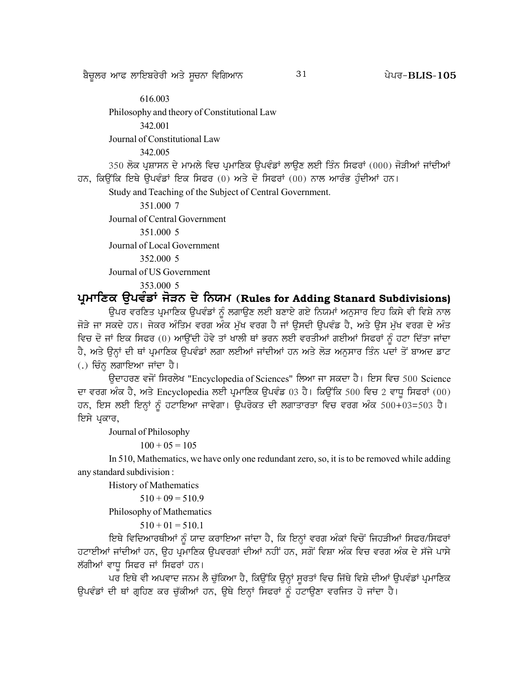616.003 Philosophy and theory of Constitutional Law 342.001 Journal of Constitutional Law 342.005 350 ਲੋਕ ਪ੍ਰਸ਼ਾਸਨ ਦੇ ਮਾਮਲੇ ਵਿਚ ਪ੍ਰਮਾਣਿਕ ਉਪਵੰਡਾਂ ਲਾਉਣ ਲਈ ਤਿੰਨ ਸਿਫਰਾਂ (000) ਜੋੜੀਆਂ ਜਾਂਦੀਆਂ ਹਨ, ਕਿਉਂਕਿ ਇਥੇ ਉਪਵੰਡਾਂ ਇਕ ਸਿਫਰ (0) ਅਤੇ ਦੋ ਸਿਫਰਾਂ (00) ਨਾਲ ਆਰੰਭ ਹੁੰਦੀਆਂ ਹਨ। Study and Teaching of the Subject of Central Government.

351.000 7 Journal of Central Government 351.000 5 Journal of Local Government 352,000 5 Journal of US Government 353.000 5

ਪ੍ਰਮਾਣਿਕ ਉਪਵੰਡਾਂ ਜੋੜਨ ਦੇ ਨਿਯਮ (Rules for Adding Stanard Subdivisions)

ਉਪਰ ਵਰਣਿਤ ਪ੍ਰਮਾਣਿਕ ਉਪਵੰਡਾਂ ਨੂੰ ਲਗਾਉਣ ਲਈ ਬਣਾਏ ਗਏ ਨਿਯਮਾਂ ਅਨੁਸਾਰ ਇਹ ਕਿਸੇ ਵੀ ਵਿਸ਼ੇ ਨਾਲ ਜੋੜੇ ਜਾ ਸਕਦੇ ਹਨ। ਜੇਕਰ ਅੰਤਿਮ ਵਰਗ ਅੰਕ ਮੁੱਖ ਵਰਗ ਹੈ ਜਾਂ ਉਸਦੀ ਉਪਵੰਡ ਹੈ, ਅਤੇ ਉਸ ਮੁੱਖ ਵਰਗ ਦੇ ਅੰਤ ਵਿਚ ਦੋ ਜਾਂ ਇਕ ਸਿਫਰ (0) ਆਉਂਦੀ ਹੋਵੇ ਤਾਂ ਖਾਲੀ ਥਾਂ ਭਰਨ ਲਈ ਵਰਤੀਆਂ ਗਈਆਂ ਸਿਫਰਾਂ ਨੰ ਹਟਾ ਦਿੱਤਾ ਜਾਂਦਾ ਹੈ, ਅਤੇ ਉਨ੍ਹਾਂ ਦੀ ਥਾਂ ਪ੍ਰਮਾਣਿਕ ਉਪਵੰਡਾਂ ਲਗਾ ਲਈਆਂ ਜਾਂਦੀਆਂ ਹਨ ਅਤੇ ਲੋੜ ਅਨੁਸਾਰ ਤਿੰਨ ਪਦਾਂ ਤੋਂ ਬਾਅਦ ਡਾਟ (.) ਚਿੰਨ੍ਹ ਲਗਾਇਆ ਜਾਂਦਾ ਹੈ।

ਉਦਾਹਰਣ ਵਜੋਂ ਸਿਰਲੇਖ "Encyclopedia of Sciences" ਲਿਆ ਜਾ ਸਕਦਾ ਹੈ। ਇਸ ਵਿਚ 500 Science ਦਾ ਵਰਗ ਅੰਕ ਹੈ, ਅਤੇ Encyclopedia ਲਈ ਪ੍ਰਮਾਣਿਕ ਉਪਵੰਡ 03 ਹੈ। ਕਿਉਂਕਿ 500 ਵਿਚ 2 ਵਾਧੂ ਸਿਫਰਾਂ (00) ਹਨ, ਇਸ ਲਈ ਇਨ੍ਹਾਂ ਨੂੰ ਹਟਾਇਆ ਜਾਵੇਗਾ। ਉਪਰੋਕਤ ਦੀ ਲਗਾਤਾਰਤਾ ਵਿਚ ਵਰਗ ਅੰਕ 500+03=503 ਹੈ। ਇਸੇ ਪ੍ਰਕਾਰ,

Journal of Philosophy

 $100 + 05 = 105$ 

In 510, Mathematics, we have only one redundant zero, so, it is to be removed while adding any standard subdivision :

History of Mathematics

 $510 + 09 = 510.9$ 

Philosophy of Mathematics

 $510 + 01 = 510.1$ 

ਇਥੇ ਵਿਦਿਆਰਥੀਆਂ ਨੂੰ ਯਾਦ ਕਰਾਇਆ ਜਾਂਦਾ ਹੈ, ਕਿ ਇਨ੍ਹਾਂ ਵਰਗ ਅੰਕਾਂ ਵਿਚੋਂ ਜਿਹੜੀਆਂ ਸਿਫਰ/ਸਿਫਰਾਂ ਹਟਾਈਆਂ ਜਾਂਦੀਆਂ ਹਨ, ਉਹ ਪ੍ਰਮਾਣਿਕ ਉਪਵਰਗਾਂ ਦੀਆਂ ਨਹੀਂ ਹਨ, ਸਗੋਂ ਵਿਸ਼ਾ ਅੰਕ ਵਿਚ ਵਰਗ ਅੰਕ ਦੇ ਸੱਜੇ ਪਾਸੇ ਲੱਗੀਆਂ ਵਾਧੁ ਸਿਫਰ ਜਾਂ ਸਿਫਰਾਂ ਹਨ।

ਪਰ ਇਥੇ ਵੀ ਅਪਵਾਦ ਜਨਮ ਲੈ ਚੁੱਕਿਆ ਹੈ, ਕਿਉਂਕਿ ਉਨ੍ਹਾਂ ਸੁਰਤਾਂ ਵਿਚ ਜਿੱਥੇ ਵਿਸ਼ੇ ਦੀਆਂ ਉਪਵੰਡਾਂ ਪ੍ਰਮਾਣਿਕ ਉਪਵੰਡਾਂ ਦੀ ਥਾਂ ਗ੍ਰਹਿਣ ਕਰ ਚੁੱਕੀਆਂ ਹਨ, ਉਥੇ ਇਨ੍ਹਾਂ ਸਿਫਰਾਂ ਨੂੰ ਹਟਾਉਣਾ ਵਰਜਿਤ ਹੋ ਜਾਂਦਾ ਹੈ।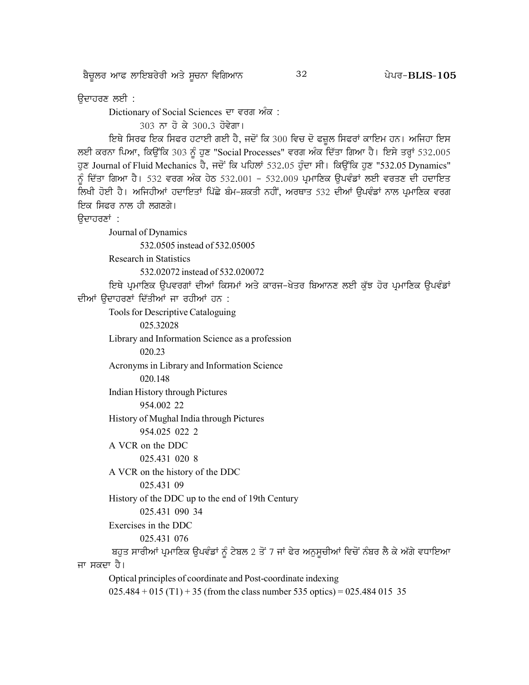p?u{bo nkc bkfJpo/oh ns/ ;{uBk ftfrnkB g /go^ 32 **BLIS-105**

ਉਦਾਹਰਣ ਲਈ :

Dictionary of Social Sciences ਦਾ ਵਰਗ ਅੰਕ :

303 ਨਾ ਹੋ ਕੇ 300.3 ਹੋਵੇਗਾ।

ਇਥੇ ਸਿਰਫ ਇਕ ਸਿਫਰ ਹਟਾਈ ਗਈ ਹੈ, ਜਦੋਂ ਕਿ 300 ਵਿਚ ਦੋ ਫਜ਼ੂਲ ਸਿਫਰਾਂ ਕਾਇਮ ਹਨ। ਅਜਿਹਾ ਇਸ ਲਈ ਕਰਨਾ ਪਿਆ, ਕਿਉਂਕਿ 303 ਨੂੰ ਹੁਣ "Social Processes" ਵਰਗ ਅੰਕ ਦਿੱਤਾ ਗਿਆ ਹੈ। ਇਸੇ ਤਰ੍ਹਾਂ 532.005 ਹੁਣ Journal of Fluid Mechanics ਹੈ, ਜਦੋਂ ਕਿ ਪਹਿਲਾਂ 532.05 ਹੁੰਦਾ ਸੀ। ਕਿਉਂਕਿ ਹੁਣ "532.05 Dynamics" ਨੂੰ ਦਿੱਤਾ ਗਿਆ ਹੈ। 532 ਵਰਗ ਅੰਕ ਹੇਠ 532.001 - 532.009 ਪ੍ਰਮਾਣਿਕ ਉਪਵੰਡਾਂ ਲਈ ਵਰਤਣ ਦੀ ਹਦਾਇਤ ਲਿਖੀ ਹੋਈ ਹੈ। ਅਜਿਹੀਆਂ ਹਦਾਇਤਾਂ ਪਿੱਛੇ ਬੰਮ-ਸ਼ਕਤੀ ਨਹੀਂ, ਅਰਥਾਤ 532 ਦੀਆਂ ਉਪਵੰਡਾਂ ਨਾਲ ਪੁਮਾਣਿਕ ਵਰਗ ਇਕ ਸਿਫਰ ਨਾਲ ਹੀ ਲਗਣਗੇ।

ਉਦਾਹਰਣਾਂ :

Journal of Dynamics 532.0505 instead of 532.05005 Research in Statistics 532.02072 instead of 532.020072 ਇਥੇ ਪ੍ਰਮਾਣਿਕ ਉਪਵਰਗਾਂ ਦੀਆਂ ਕਿਸਮਾਂ ਅਤੇ ਕਾਰਜ-ਖੇਤਰ ਬਿਆਨਣ ਲਈ ਕੁੱਝ ਹੋਰ ਪ੍ਰਮਾਣਿਕ ਉਪਵੰਡਾਂ ਦੀਆਂ ੳਦਾਹਰਣਾਂ ਦਿੱਤੀਆਂ ਜਾ ਰਹੀਆਂ ਹਨ : Tools for Descriptive Cataloguing 025.32028 Library and Information Science as a profession 020.23 Acronyms in Library and Information Science 020.148 Indian History through Pictures 954.002 22 History of Mughal India through Pictures 954.025 022 2 A VCR on the DDC 025.431 020 8 A VCR on the history of the DDC 025.431 09 History of the DDC up to the end of 19th Century 025.431 090 34 Exercises in the DDC 025.431 076 ਬਹੁਤ ਸਾਰੀਆਂ ਪ੍ਰਮਾਣਿਕ ਉਪਵੰਡਾਂ ਨੂੰ ਟੇਬਲ 2 ਤੋਂ 7 ਜਾਂ ਫੇਰ ਅਨੁਸੂਚੀਆਂ ਵਿਚੋਂ ਨੰਬਰ ਲੈ ਕੇ ਅੱਗੇ ਵਧਾਇਆ ਜਾ ਸਕਦਾ ਹੈ। Optical principles of coordinate and Post-coordinate indexing  $025.484 + 015$  (T1) + 35 (from the class number 535 optics) = 025.484 015 35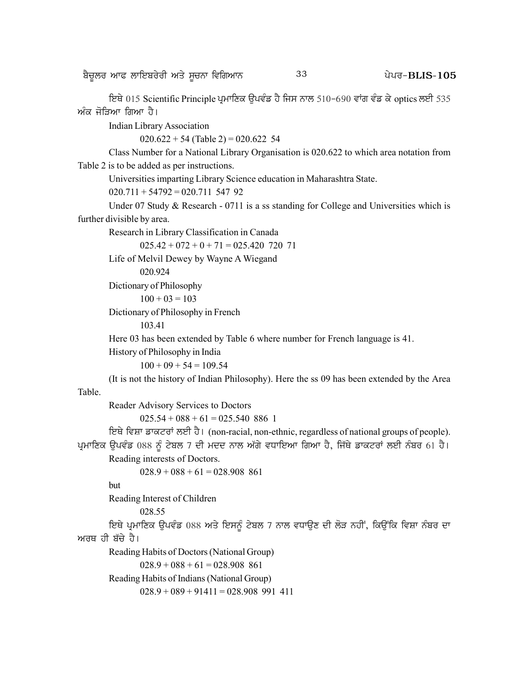ਇਥੇ 015 Scientific Principle ਪਮਾਣਿਕ ਓਪਵੰਡ ਹੈ ਜਿਸ ਨਾਲ 510-690 ਵਾਂਗ ਵੰਡ ਕੇ optics ਲਈ 535 ਅੰਕ ਜੋੜਿਆ ਗਿਆ ਹੈ।

Indian Library Association

 $020.622 + 54$  (Table 2) = 020.622 54

Class Number for a National Library Organisation is 020.622 to which area notation from Table 2 is to be added as per instructions.

Universities imparting Library Science education in Maharashtra State.

 $020.711 + 54792 = 020.711$  547 92

Under 07 Study & Research - 0711 is a ss standing for College and Universities which is further divisible by area.

Research in Library Classification in Canada

```
025.42 + 072 + 0 + 71 = 025.420 720 71
```
Life of Melvil Dewey by Wayne A Wiegand

020.924

```
Dictionary of Philosophy
```

```
100 + 03 = 103
```
Dictionary of Philosophy in French

103.41

Here 03 has been extended by Table 6 where number for French language is 41.

History of Philosophy in India

 $100 + 09 + 54 = 109.54$ 

(It is not the history of Indian Philosophy). Here the ss 09 has been extended by the Area Table.

Reader Advisory Services to Doctors

 $025.54 + 088 + 61 = 025.540$  886 1

ਇਥੇ ਵਿਸ਼ਾ ਡਾਕਟਰਾਂ ਲਈ ਹੈ। (non-racial, non-ethnic, regardless of national groups of people). ਪ੍ਰਮਾਣਿਕ ਉਪਵੰਡ 088 ਨੂੰ ਟੇਬਲ 7 ਦੀ ਮਦਦ ਨਾਲ ਅੱਗੇ ਵਧਾਇਆ ਗਿਆ ਹੈ, ਜਿੱਥੇ ਡਾਕਟਰਾਂ ਲਈ ਨੰਬਰ 61 ਹੈ।

Reading interests of Doctors.

 $028.9 + 088 + 61 = 028.908$  861

but

Reading Interest of Children

028.55

ਇਥੇ ਪ੍ਰਮਾਣਿਕ ਉਪਵੰਡ 088 ਅਤੇ ਇਸਨੂੰ ਟੇਬਲ 7 ਨਾਲ ਵਧਾਉਣ ਦੀ ਲੋੜ ਨਹੀਂ, ਕਿਉਂਕਿ ਵਿਸ਼ਾ ਨੰਬਰ ਦਾ ਅਰਥ ਹੀ ਬੱਚੇ ਹੈ।

Reading Habits of Doctors (National Group)

 $028.9 + 088 + 61 = 028.908$  861

Reading Habits of Indians (National Group)

 $028.9 + 089 + 91411 = 028.908$  991 411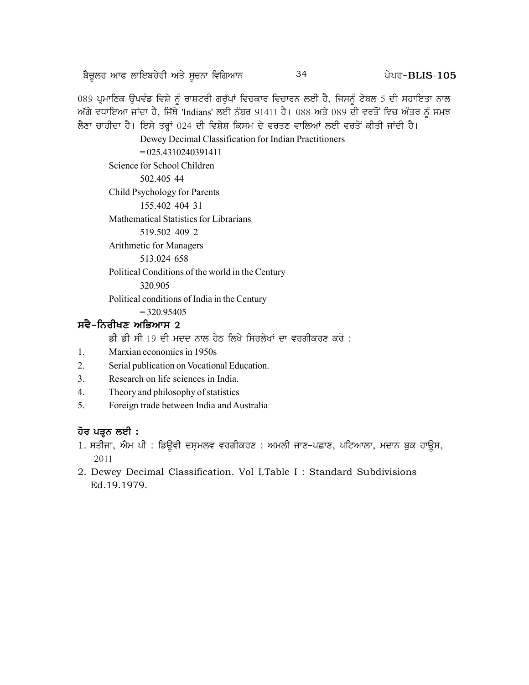<u>ਬੈਚੁ</u>ਲਰ ਆਫ ਲਾਇਬਰੇਰੀ ਅਤੇ ਸੁਚਨਾ ਵਿਗਿਆਨ  $34$   $34$   $24$   $24$   $24$   $24$   $25$ 

089 ਪ੍ਰਮਾਣਿਕ ਉਪਵੰਡ ਵਿਸ਼ੇ ਨੂੰ ਰਾਸ਼ਟਰੀ ਗਰੁੱਪਾਂ ਵਿਚਕਾਰ ਵਿਚਾਰਨ ਲਈ ਹੈ, ਜਿਸਨੂੰ ਟੇਬਲ 5 ਦੀ ਸਹਾਇਤਾ ਨਾਲ ਅੱਗੇ ਵਧਾਇਆ ਜਾਂਦਾ ਹੈ, ਜਿੱਥੇ 'Indians' ਲਈ ਨੰਬਰ 91411 ਹੈ। 088 ਅਤੇ 089 ਦੀ ਵਰਤੋਂ ਵਿਚ ਅੰਤਰ ਨੂੰ ਸਮਝ ਲੈਣਾ ਚਾਹੀਦਾ ਹੈ। ਇਸੇ ਤਰ੍ਹਾਂ 024 ਦੀ ਵਿਸ਼ੇਸ਼ ਕਿਸਮ ਦੇ ਵਰਤਣ ਵਾਲਿਆਂ ਲਈ ਵਰਤੋਂ ਕੀਤੀ ਜਾਂਦੀ ਹੈ।

Dewey Decimal Classification for Indian Practitioners

 $= 025.4310240391411$ 

Science for School Children

502.405 44

Child Psychology for Parents

155.402 404 31

Mathematical Statistics for Librarians

519.502 409 2

Arithmetic for Managers

513.024 658

Political Conditions of the world in the Century

320.905

Political conditions of India in the Century

 $= 320.95405$ 

# **ਸਵੈ–ਨਿਰੀਖਣ ਅਭਿਆਸ 2**

ਡੀ ਡੀ ਸੀ 19 ਦੀ ਮਦਦ ਨਾਲ ਹੇਠ ਲਿਖੇ ਸਿਰਲੇਖਾਂ ਦਾ ਵਰਗੀਕਰਣ ਕਰੋ :

- 1. Marxian economics in 1950s
- 2. Serial publication on Vocational Education.
- 3. Research on life sciences in India.
- 4. Theory and philosophy of statistics
- 5. Foreign trade between India and Australia

# <u>ਹੋਰ ਪੜ੍ਹ</u>ਨ ਲਈ :

- $1$ . ਸਤੀਜਾ, ਐਮ ਪੀ : ਡਿਉਵੀ ਦਸ਼ਮਲਵ ਵਰਗੀਕਰਣ : ਅਮਲੀ ਜਾਣ-ਪਛਾਣ, ਪਟਿਆਲਾ, ਮਦਾਨ ਬੁਕ ਹਾਉਸ, 2011
- 2. Dewey Decimal Classification. Vol I.Table I : Standard Subdivisions Ed.19.1979.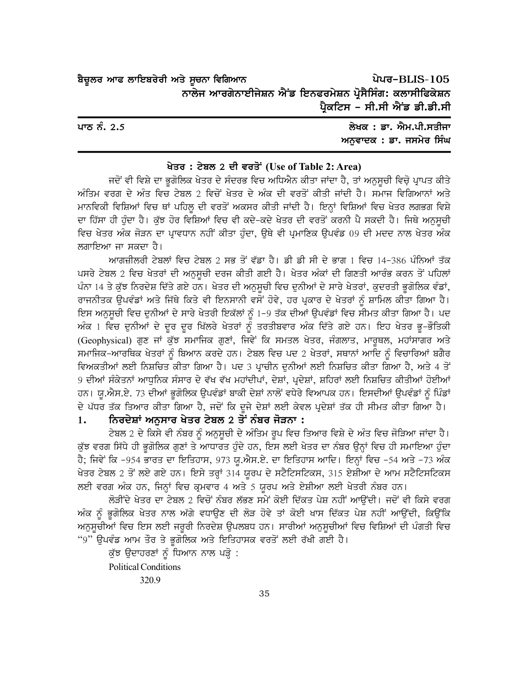ਪੇਪਰ-BLIS-105 ਬੈਚੂਲਰ ਆਫ ਲਾਇਬਰੇਰੀ ਅਤੇ ਸੂਚਨਾ ਵਿਗਿਆਨ ਨਾਲੇਜ ਆਰਗੇਨਾਈਜੇਸ਼ਨ ਐਂਡ ਇਨਫਰਮੇਸ਼ਨ ਪੋਸੈਸਿੰਗ: ਕਲਾਸੀਫਿਕੇਸ਼ਨ ਪ੍ਰੈਕਟਿਸ - ਸੀ.ਸੀ ਐਂਡ ਡੀ.ਡੀ.ਸੀ

| ਪਾਠ ਨੰ. 2.5 | ਲੇਖਕ : ਡਾ. ਐਮ.ਪੀ.ਸਤੀਜਾ   |
|-------------|--------------------------|
|             | ਅਨੁਵਾਦਕ : ਡਾ. ਜਸਮੇਰ ਸਿੰਘ |

#### ਖੇਤਰ: ਟੇਬਲ 2 ਦੀ ਵਰਤੋਂ (Use of Table 2: Area)

ਜਦੋਂ ਵੀ ਵਿਸ਼ੇ ਦਾ ਭੂਗੋਲਿਕ ਖੇਤਰ ਦੇ ਸੰਦਰਭ ਵਿਚ ਅਧਿਐਨ ਕੀਤਾ ਜਾਂਦਾ ਹੈ, ਤਾਂ ਅਨੁਸੂਚੀ ਵਿਚੋ਼ ਪ੍ਰਾਪਤ ਕੀਤੇ ਅੰਤਿਮ ਵਰਗ ਦੇ ਅੰਤ ਵਿਚ ਟੇਬਲ 2 ਵਿਚੋਂ ਖੇਤਰ ਦੇ ਅੰਕ ਦੀ ਵਰਤੋਂ ਕੀਤੀ ਜਾਂਦੀ ਹੈ। ਸਮਾਜ ਵਿਗਿਆਨਾਂ ਅਤੇ ਮਾਨਵਿਕੀ ਵਿਸ਼ਿਆਂ ਵਿਚ ਥਾਂ ਪਹਿਲੂ ਦੀ ਵਰਤੋਂ ਅਕਸਰ ਕੀਤੀ ਜਾਂਦੀ ਹੈ। ਇਨ੍ਹਾਂ ਵਿਸ਼ਿਆਂ ਵਿਚ ਖੇਤਰ ਲਗਭਗ ਵਿਸ਼ੇ ਦਾ ਹਿੱਸਾ ਹੀ ਹੰਦਾ ਹੈ। ਕੱਝ ਹੋਰ ਵਿਸ਼ਿਆਂ ਵਿਚ ਵੀ ਕਦੇ-ਕਦੇ ਖੇਤਰ ਦੀ ਵਰਤੋਂ ਕਰਨੀ ਪੈ ਸਕਦੀ ਹੈ। ਜਿਥੇ ਅਨਸਚੀ ਵਿਚ ਖੇਤਰ ਅੰਕ ਜੋੜਨ ਦਾ ਪਾਵਧਾਨ ਨਹੀਂ ਕੀਤਾ ਹੰਦਾ, ਉਥੇ ਵੀ ਪਮਾਣਿਕ ਉਪਵੰਡ 09 ਦੀ ਮਦਦ ਨਾਲ ਖੇਤਰ ਅੰਕ ਲਗਾਇਆ ਜਾ ਸਕਦਾ ਹੈ।

ਆਗਜ਼ੀਲਰੀ ਟੇਬਲਾਂ ਵਿਚ ਟੇਬਲ 2 ਸਭ ਤੋਂ ਵੱਡਾ ਹੈ। ਡੀ ਡੀ ਸੀ ਦੇ ਭਾਗ 1 ਵਿਚ 14-386 ਪੰਨਿਆਂ ਤੱਕ ਪਸਰੇ ਟੇਬਲ 2 ਵਿਚ ਖੇਤਰਾਂ ਦੀ ਅਨਸਚੀ ਦਰਜ ਕੀਤੀ ਗਈ ਹੈ। ਖੇਤਰ ਅੰਕਾਂ ਦੀ ਗਿਣਤੀ ਆਰੰਭ ਕਰਨ ਤੋਂ ਪਹਿਲਾਂ ਪੰਨਾ 14 ਤੇ ਕੁੱਝ ਨਿਰਦੇਸ਼ ਦਿੱਤੇ ਗਏ ਹਨ। ਖੇਤਰ ਦੀ ਅਨੁਸੂਚੀ ਵਿਚ ਦੁਨੀਆਂ ਦੇ ਸਾਰੇ ਖੇਤਰਾਂ, ਕੁਦਰਤੀ ਭੂਗੋਲਿਕ ਵੰਡਾਂ, ਰਾਜਨੀਤਕ ਉਪਵੰਡਾਂ ਅਤੇ ਜਿੱਥੇ ਕਿਤੇ ਵੀ ਇਨਸਾਨੀ ਵਸੋਂ ਹੋਵੇ, ਹਰ ਪ੍ਰਕਾਰ ਦੇ ਖੇਤਰਾਂ ਨੰ ਸ਼ਾਮਿਲ ਕੀਤਾ ਗਿਆ ਹੈ। ਇਸ ਅਨੁਸੂਚੀ ਵਿਚ ਦੁਨੀਆਂ ਦੇ ਸਾਰੇ ਖੇਤਰੀ ਇਕੱਲਾਂ ਨੂੰ 1-9 ਤੱਕ ਦੀਆਂ ਉਪਵੰਡਾਂ ਵਿਚ ਸੀਮਤ ਕੀਤਾ ਗਿਆ ਹੈ। ਪਦ ਅੰਕ 1 ਵਿਚ ਦੁਨੀਆਂ ਦੇ ਦੂਰ ਦੂਰ ਖਿੱਲਰੇ ਖੇਤਰਾਂ ਨੂੰ ਤਰਤੀਬਵਾਰ ਅੰਕ ਦਿੱਤੇ ਗਏ ਹਨ। ਇਹ ਖੇਤਰ ਭੂ-ਭੌਤਿਕੀ (Geophysical) ਗੁਣ ਜਾਂ ਕੁੱਝ ਸਮਾਜਿਕ ਗੁਣਾਂ, ਜਿਵੇਂ ਕਿ ਸਮਤਲ ਖੇਤਰ, ਜੰਗਲਾਤ, ਮਾਰੁਥਲ, ਮਹਾਂਸਾਗਰ ਅਤੇ ਸਮਾਜਿਕ–ਆਰਥਿਕ ਖੇਤਰਾਂ ਨੰ ਬਿਆਨ ਕਰਦੇ ਹਨ। ਟੇਬਲ ਵਿਚ ਪਦ 2 ਖੇਤਰਾਂ, ਸਥਾਨਾਂ ਆਦਿ ਨੰ ਵਿਚਾਰਿਆਂ ਬਗੈਰ ਵਿਅਕਤੀਆਂ ਲਈ ਨਿਸ਼ਚਿਤ ਕੀਤਾ ਗਿਆ ਹੈ। ਪਦ 3 ਪ੍ਰਾਚੀਨ ਦੁਨੀਆਂ ਲਈ ਨਿਸ਼ਚਿਤ ਕੀਤਾ ਗਿਆ ਹੈ, ਅਤੇ 4 ਤੋਂ 9 ਦੀਆਂ ਸੰਕੇਤਨਾਂ ਆਧੁਨਿਕ ਸੰਸਾਰ ਦੇ ਵੱਖ ਵੱਖ ਮਹਾਂਦੀਪਾਂ, ਦੇਸ਼ਾਂ, ਪ੍ਰਦੇਸ਼ਾਂ, ਸ਼ਹਿਰਾਂ ਲਈ ਨਿਸ਼ਚਿਤ ਕੀਤੀਆਂ ਹੋਈਆਂ ਹਨ। ਯੂ.ਐਸ.ਏ. 73 ਦੀਆਂ ਭੂਗੋਲਿਕ ਉਪਵੰਡਾਂ ਬਾਕੀ ਦੇਸ਼ਾਂ ਨਾਲੋਂ ਵਧੇਰੇ ਵਿਆਪਕ ਹਨ। ਇਸਦੀਆਂ ਉਪਵੰਡਾਂ ਨੂੰ ਪਿੰਡਾਂ ਦੇ ਪੱਧਰ ਤੱਕ ਤਿਆਰ ਕੀਤਾ ਗਿਆ ਹੈ, ਜਦੋਂ ਕਿ ਦੂਜੇ ਦੇਸ਼ਾਂ ਲਈ ਕੇਵਲ ਪ੍ਰਦੇਸ਼ਾਂ ਤੱਕ ਹੀ ਸੀਮਤ ਕੀਤਾ ਗਿਆ ਹੈ।

#### ਨਿਰਦੇਸ਼ਾਂ ਅਨਸਾਰ ਖੇਤਰ ਟੇਬਲ 2 ਤੋਂ ਨੰਬਰ ਜੋੜਨਾ :  $1.$

ਟੇਬਲ 2 ਦੇ ਕਿਸੇ ਵੀ ਨੰਬਰ ਨੂੰ ਅਨਸਚੀ ਦੇ ਅੰਤਿਮ ਰਪ ਵਿਚ ਤਿਆਰ ਵਿਸ਼ੇ ਦੇ ਅੰਤ ਵਿਚ ਜੋੜਿਆ ਜਾਂਦਾ ਹੈ। ਕੁੱਝ ਵਰਗ ਸਿੱਧੇ ਹੀ ਕੁਗੋਲਿਕ ਗੁਣਾਂ ਤੇ ਆਧਾਰਤ ਹੁੰਦੇ ਹਨ, ਇਸ ਲਈ ਖੇਤਰ ਦਾ ਨੰਬਰ ਉਨ੍ਹਾਂ ਵਿਚ ਹੀ ਸਮਾਇਆ ਹੁੰਦਾ ਹੈ; ਜਿਵੇਂ ਕਿ -954 ਭਾਰਤ ਦਾ ਇਤਿਹਾਸ, 973 ਯੂ.ਐਸ.ਏ. ਦਾ ਇਤਿਹਾਸ ਆਦਿ। ਇਨ੍ਹਾਂ ਵਿਚ -54 ਅਤੇ -73 ਅੰਕ ਖੇਤਰ ਟੇਬਲ 2 ਤੋਂ ਲਏ ਗਏ ਹਨ। ਇਸੇ ਤਰ੍ਹਾਂ 314 ਯੂਰਪ ਦੇ ਸਟੈਟਿਸਟਿਕਸ, 315 ਏਸ਼ੀਆ ਦੇ ਆਮ ਸਟੈਟਿਸਟਿਕਸ ਲਈ ਵਰਗ ਅੰਕ ਹਨ, ਜਿਨ੍ਹਾਂ ਵਿਚ ਕੁਮਵਾਰ 4 ਅਤੇ 5 ਯੂਰਪ ਅਤੇ ਏਸ਼ੀਆ ਲਈ ਖੇਤਰੀ ਨੰਬਰ ਹਨ।

ਲੋੜੀਂਦੇ ਖੇਤਰ ਦਾ ਟੇਬਲ 2 ਵਿਚੋਂ ਨੰਬਰ ਲੱਭਣ ਸਮੇਂ ਕੋਈ ਦਿੱਕਤ ਪੇਸ਼ ਨਹੀਂ ਆਉਂਦੀ। ਜਦੋਂ ਵੀ ਕਿਸੇ ਵਰਗ ਅੰਕ ਨੂੰ ਭੂਗੋਲਿਕ ਖੇਤਰ ਨਾਲ ਅੱਗੇ ਵਧਾਉਣ ਦੀ ਲੋੜ ਹੋਵੇ ਤਾਂ ਕੋਈ ਖਾਸ ਦਿੱਕਤ ਪੇਸ਼ ਨਹੀਂ ਆਉਂਦੀ, ਕਿਉਂਕਿ ਅਨੁਸੁਚੀਆਂ ਵਿਚ ਇਸ ਲਈ ਜਰੂਰੀ ਨਿਰਦੇਸ਼ ਉਪਲਬਧ ਹਨ। ਸਾਰੀਆਂ ਅਨੁਸੂਚੀਆਂ ਵਿਚ ਵਿਸ਼ਿਆਂ ਦੀ ਪੰਗਤੀ ਵਿਚ "9" ਉਪਵੰਡ ਆਮ ਤੌਰ ਤੇ ਭੁਗੋਲਿਕ ਅਤੇ ਇਤਿਹਾਸਕ ਵਰਤੋਂ ਲਈ ਰੱਖੀ ਗਈ ਹੈ।

ਕੱਝ ਉਦਾਹਰਣਾਂ ਨੂੰ ਧਿਆਨ ਨਾਲ ਪੜ੍ਹੋ :

**Political Conditions** 

320.9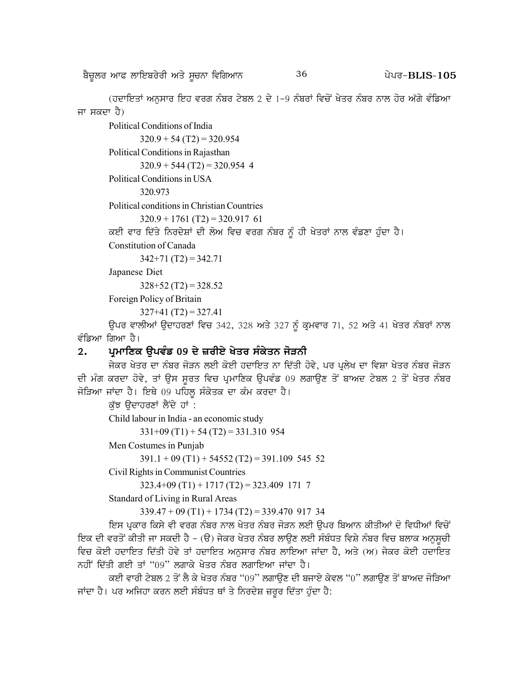p?u{bo nkc bkfJpo/oh ns/ ;{uBk ftfrnkB g /go^ 36 **BLIS-105**

(ਹਦਾਇਤਾਂ ਅਨਸਾਰ ਇਹ ਵਰਗ ਨੰਬਰ ਟੇਬਲ 2 ਦੇ 1-9 ਨੰਬਰਾਂ ਵਿਚੋਂ ਖੇਤਰ ਨੰਬਰ ਨਾਲ ਹੋਰ ਅੱਗੇ ਵੰਡਿਆ ਜਾ ਸਕਦਾ ਹੈ)

Political Conditions of India

 $320.9 + 54 (T2) = 320.954$ 

Political Conditions in Rajasthan

 $320.9 + 544 (T2) = 320.954$  4

Political Conditions in USA

320.973

Political conditions in Christian Countries

 $320.9 + 1761$  (T2) = 320.917 61

ਕਈ ਵਾਰ ਦਿੱਤੇ ਨਿਰਦੇਸ਼ਾਂ ਦੀ ਲੋਅ ਵਿਚ ਵਰਗ ਨੰਬਰ ਨੂੰ ਹੀ ਖੇਤਰਾਂ ਨਾਲ ਵੰਡਣਾ ਹੁੰਦਾ ਹੈ।

Constitution of Canada

 $342+71$  (T2) = 342.71

Japanese Diet

 $328+52$  (T2) = 328.52

Foreign Policy of Britain

 $327+41(T2) = 327.41$ 

ਉਪਰ ਵਾਲੀਆਂ ਉਦਾਹਰਣਾਂ ਵਿਚ 342, 328 ਅਤੇ 327 ਨੂੰ ਕ੍ਰਮਵਾਰ 71, 52 ਅਤੇ 41 ਖੇਤਰ ਨੰਬਰਾਂ ਨਾਲ ਵੰਡਿਆ ਗਿਆ ਹੈ।

# 2. ਪ੍ਰਮਾਣਿਕ ਉਪਵੰਡ 09 ਦੇ ਜ਼ਰੀਏ ਖੇਤਰ ਸੰਕੇਤਨ ਜੋੜਨ<u>ੀ</u>

ਜੇਕਰ ਖੇਤਰ ਦਾ ਨੰਬਰ ਜੋੜਨ ਲਈ ਕੋਈ ਹਦਾਇਤ ਨਾ ਦਿੱਤੀ ਹੋਵੇ, ਪਰ ਪੁਲੇਖ ਦਾ ਵਿਸ਼ਾ ਖੇਤਰ ਨੰਬਰ ਜੋੜਨ ਦੀ ਮੰਗ ਕਰਦਾ ਹੋਵੇ, ਤਾਂ ਉਸ ਸੁਰਤ ਵਿਚ ਪ੍ਰਮਾਣਿਕ ਉਪਵੰਡ 09 ਲਗਾਉਣ ਤੋਂ ਬਾਅਦ ਟੇਬਲ 2 ਤੋਂ ਖੇਤਰ ਨੰਬਰ ਜੋੜਿਆ ਜਾਂਦਾ ਹੈ। ਇਥੇ 09 ਪਹਿਲ ਸੰਕੇਤਕ ਦਾ ਕੰਮ ਕਰਦਾ ਹੈ।

ਕੱਝ ਉਦਾਹਰਣਾਂ ਲੈਂਦੇ ਹਾਂ :

Child labour in India - an economic study

 $331+09$  (T1) + 54 (T2) = 331.310 954

Men Costumes in Punjab

 $391.1 + 09 (T1) + 54552 (T2) = 391.109 545 52$ 

Civil Rights in Communist Countries

 $323.4+09(T1) + 1717(T2) = 323.409$  171 7

Standard of Living in Rural Areas

 $339.47 + 09(T1) + 1734(T2) = 339.47091734$ 

ਇਸ ਪ੍ਰਕਾਰ ਕਿਸੇ ਵੀ ਵਰਗ ਨੰਬਰ ਨਾਲ ਖੇਤਰ ਨੰਬਰ ਜੋੜਨ ਲਈ ਉਪਰ ਬਿਆਨ ਕੀਤੀਆਂ ਦੋ ਵਿਧੀਆਂ ਵਿਚੋਂ fੲਕ ਦੀ ਵਰਤੋਂ ਕੀਤੀ ਜਾ ਸਕਦੀ ਹੈ - (ੳ) ਜੇਕਰ ਖੇਤਰ ਨੰਬਰ ਲਾੳਣ ਲਈ ਸੰਬੰਧਤ ਵਿਸ਼ੇ ਨੰਬਰ ਵਿਚ ਬਲਾਕ ਅਨਸਚੀ ਵਿਚ ਕੋਈ ਹਦਾਇਤ ਦਿੱਤੀ ਹੋਵੇ ਤਾਂ ਹਦਾਇਤ ਅਨੁਸਾਰ ਨੰਬਰ ਲਾਇਆ ਜਾਂਦਾ ਹੈ, ਅਤੇ (ਅ) ਜੇਕਰ ਕੋਈ ਹਦਾਇਤ ਨਹੀਂ ਦਿੱਤੀ ਗਈ ਤਾਂ "09" ਲਗਾਕੇ ਖੇਤਰ ਨੰਬਰ ਲਗਾਇਆ ਜਾਂਦਾ ਹੈ।

ਕਈ ਵਾਰੀ ਟੇਬਲ 2 ਤੋਂ ਲੈ ਕੇ ਖੇਤਰ ਨੰਬਰ "09" ਲਗਾਉਣ ਦੀ ਬਜਾਏ ਕੇਵਲ "0" ਲਗਾਉਣ ਤੋਂ ਬਾਅਦ ਜੋੜਿਆ ਜਾਂਦਾ ਹੈ। ਪਰ ਅਜਿਹਾ ਕਰਨ ਲਈ ਸੰਬੰਧਤ ਥਾਂ ਤੇ ਨਿਰਦੇਸ਼ ਜ਼ਰੂਰ ਦਿੱਤਾ ਹੁੰਦਾ ਹੈ: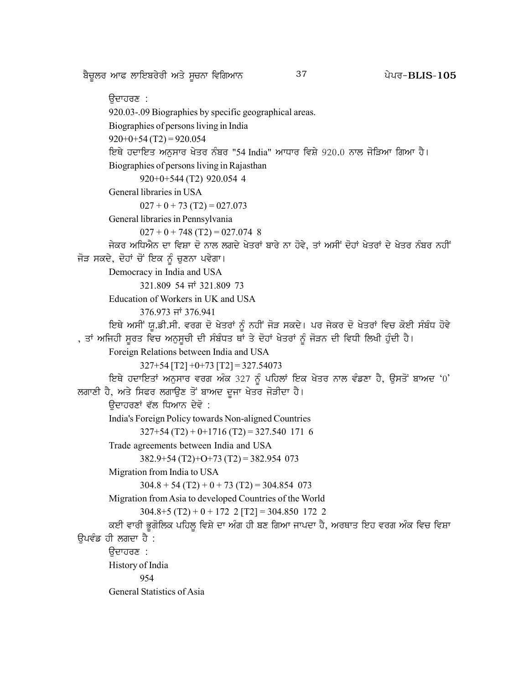ਬੈਚੂਲਰ ਆਫ ਲਾਇਬਰੇਰੀ ਅਤੇ ਸੂਚਨਾ ਵਿਗਿਆਨ

37

ੳਦਾਹਰਣ : 920.03-.09 Biographies by specific geographical areas. Biographies of persons living in India  $920+0+54(T2) = 920.054$ ਇਥੇ ਹਦਾਇਤ ਅਨੁਸਾਰ ਖੇਤਰ ਨੰਬਰ "54 India" ਆਧਾਰ ਵਿਸ਼ੇ 920.0 ਨਾਲ ਜੋੜਿਆ ਗਿਆ ਹੈ। Biographies of persons living in Rajasthan 920+0+544 (T2) 920.054 4 General libraries in USA  $027 + 0 + 73$  (T2) = 027.073 General libraries in Pennsylvania  $027 + 0 + 748$  (T2) = 027.074 8 ਜੇਕਰ ਅਧਿਐਨ ਦਾ ਵਿਸ਼ਾ ਦੋ ਨਾਲ ਲਗਦੇ ਖੇਤਰਾਂ ਬਾਰੇ ਨਾ ਹੋਵੇ, ਤਾਂ ਅਸੀਂ ਦੋਹਾਂ ਖੇਤਰਾਂ ਦੇ ਖੇਤਰ ਨੰਬਰ ਨਹੀਂ ਜੋੜ ਸਕਦੇ, ਦੋਹਾਂ ਚੋਂ ਇਕ ਨੂੰ ਚੁਣਨਾ ਪਵੇਗਾ। Democracy in India and USA 321.809 54 ਜਾਂ 321.809 73 Education of Workers in UK and USA 376.973 ਜਾਂ 376.941 ਇਥੇ ਅਸੀਂ ਯੂ.ਡੀ.ਸੀ. ਵਰਗ ਦੋ ਖੇਤਰਾਂ ਨੂੰ ਨਹੀਂ ਜੋੜ ਸਕਦੇ। ਪਰ ਜੇਕਰ ਦੋ ਖੇਤਰਾਂ ਵਿਚ ਕੋਈ ਸੰਬੰਧ ਹੋਵੇ , ਤਾਂ ਅਜਿਹੀ ਸੂਰਤ ਵਿਚ ਅਨੁਸੂਚੀ ਦੀ ਸੰਬੰਧਤ ਥਾਂ ਤੇ ਦੋਹਾਂ ਖੇਤਰਾਂ ਨੂੰ ਜੋੜਨ ਦੀ ਵਿਧੀ ਲਿਖੀ ਹੁੰਦੀ ਹੈ। Foreign Relations between India and USA  $327+54$  [T2]  $+0+73$  [T2] = 327.54073 ਇਥੇ ਹਦਾਇਤਾਂ ਅਨੁਸਾਰ ਵਰਗ ਅੰਕ 327 ਨੂੰ ਪਹਿਲਾਂ ਇਕ ਖੇਤਰ ਨਾਲ ਵੰਡਣਾ ਹੈ, ਉਸਤੋਂ ਬਾਅਦ '0' ਲਗਾਣੀ ਹੈ, ਅਤੇ ਸਿਫਰ ਲਗਾਉਣ ਤੋਂ ਬਾਅਦ ਦੂਜਾ ਖੇਤਰ ਜੋੜੀਦਾ ਹੈ। ਉਦਾਹਰਣਾਂ ਵੱਲ ਧਿਆਨ ਦੇਵੋ : India's Foreign Policy towards Non-aligned Countries  $327+54(T2) + 0 + 1716(T2) = 327.540$  171 6 Trade agreements between India and USA  $382.9+54(T2)+O+73(T2)=382.954$  073 Migration from India to USA  $304.8 + 54(T2) + 0 + 73(T2) = 304.854$  073 Migration from Asia to developed Countries of the World  $304.8+5(T2) + 0 + 172$  2 [T2] = 304.850 172 2 ਕਈ ਵਾਰੀ ਭੂਗੋਲਿਕ ਪਹਿਲੂ ਵਿਸ਼ੇ ਦਾ ਅੰਗ ਹੀ ਬਣ ਗਿਆ ਜਾਪਦਾ ਹੈ, ਅਰਥਾਤ ਇਹ ਵਰਗ ਅੰਕ ਵਿਚ ਵਿਸ਼ਾ ਉਪਵੰਡ ਹੀ ਲਗਦਾ ਹੈ : ਉਦਾਹਰਣ : History of India 954 General Statistics of Asia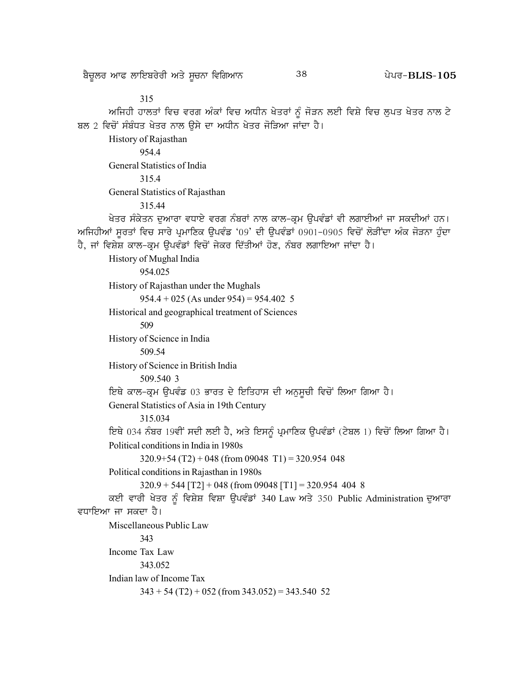315 ਅਜਿਹੀ ਹਾਲਤਾਂ ਵਿਚ ਵਰਗ ਅੰਕਾਂ ਵਿਚ ਅਧੀਨ ਖੇਤਰਾਂ ਨੂੰ ਜੋੜਨ ਲਈ ਵਿਸ਼ੇ ਵਿਚ ਲੁਪਤ ਖੇਤਰ ਨਾਲ ਟੇ ਬਲ 2 ਵਿਚੋਂ ਸੰਬੰਧਤ ਖੇਤਰ ਨਾਲ ਉਸੇ ਦਾ ਅਧੀਨ ਖੇਤਰ ਜੋੜਿਆ ਜਾਂਦਾ ਹੈ। History of Rajasthan 954.4 General Statistics of India 315.4 General Statistics of Rajasthan 315.44 ਖੇਤਰ ਸੰਕੇਤਨ ਦੁਆਰਾ ਵਧਾਏ ਵਰਗ ਨੰਬਰਾਂ ਨਾਲ ਕਾਲ–ਕ੍ਰਮ ਉਪਵੰਡਾਂ ਵੀ ਲਗਾਈਆਂ ਜਾ ਸਕਦੀਆਂ ਹਨ। ਅਜਿਹੀਆਂ ਸੁਰਤਾਂ ਵਿਚ ਸਾਰੇ ਪ੍ਰਮਾਣਿਕ ਉਪਵੰਡ '09' ਦੀ ਉਪਵੰਡਾਂ 0901-0905 ਵਿਚੋਂ ਲੋੜੀਂਦਾ ਅੰਕ ਜੋੜਨਾ ਹੁੰਦਾ ਹੈ, ਜਾਂ ਵਿਸ਼ੇਸ਼ ਕਾਲ-ਕ੍ਰਮ ਉਪਵੰਡਾਂ ਵਿਚੋਂ ਜੇਕਰ ਦਿੱਤੀਆਂ ਹੋਣ, ਨੰਬਰ ਲਗਾਇਆ ਜਾਂਦਾ ਹੈ। History of Mughal India 954.025 History of Rajasthan under the Mughals  $954.4 + 025$  (As under  $954$ ) =  $954.402$  5 Historical and geographical treatment of Sciences 509 History of Science in India 509.54 History of Science in British India 509.540 3 ਇਥੇ ਕਾਲ-ਕ੍ਰਮ ਉਪਵੰਡ 03 ਭਾਰਤ ਦੇ ਇਤਿਹਾਸ ਦੀ ਅਨੁਸੂਚੀ ਵਿਚੋਂ ਲਿਆ ਗਿਆ ਹੈ। General Statistics of Asia in 19th Century 315.034 ਇਥੇ 034 ਨੰਬਰ 19ਵੀਂ ਸਦੀ ਲਈ ਹੈ, ਅਤੇ ਇਸਨੂੰ ਪ੍ਰਮਾਣਿਕ ਉਪਵੰਡਾਂ (ਟੇਬਲ 1) ਵਿਚੋਂ ਲਿਆ ਗਿਆ ਹੈ। Political conditions in India in 1980s  $320.9+54(T2) + 048$  (from 09048 T1) = 320.954 048 Political conditions in Rajasthan in 1980s  $320.9 + 544$  [T2] + 048 (from 09048 [T1] = 320.954 404 8 ਕਈ ਵਾਰੀ ਖੇਤਰ ਨੂੰ ਵਿਸ਼ੇਸ਼ ਵਿਸ਼ਾ ਉਪਵੰਡਾਂ 340 Law ਅਤੇ 350 Public Administration ਦੁਆਰਾ ਵਧਾਇਆ ਜਾ ਸਕਦਾ ਹੈ। Miscellaneous Public Law 343 Income Tax Law 343.052 Indian law of Income Tax  $343 + 54 (T2) + 052$  (from  $343.052$ ) = 343.540 52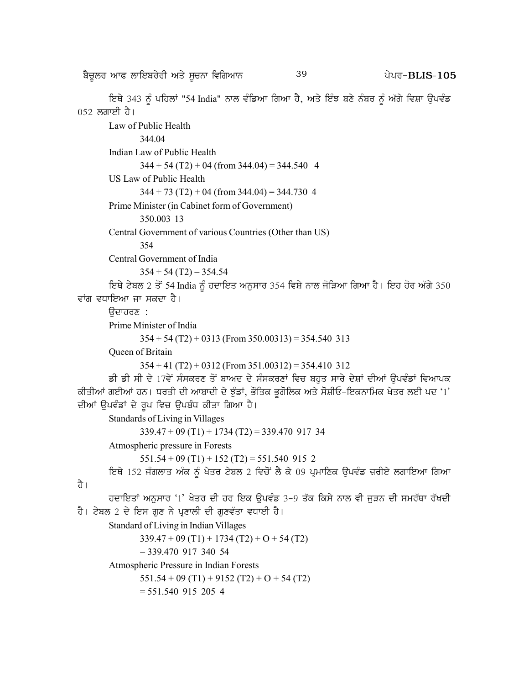p?u{bo nkc bkfJpo/oh ns/ ;{uBk ftfrnkB g /go^ 39 **BLIS-105**

ਇਥੇ 343 ਨੂੰ ਪਹਿਲਾਂ "54 India" ਨਾਲ ਵੰਡਿਆ ਗਿਆ ਹੈ, ਅਤੇ ਇੰਝ ਬਣੇ ਨੰਬਰ ਨੂੰ ਅੱਗੇ ਵਿਸ਼ਾ ਉਪਵੰਡ  $052$  ਲਗਾਈ ਹੈ।

```
Law of Public Health
               344.04
       Indian Law of Public Health
               344 + 54 (T2) + 04 (from 344.04) = 344.540 4
       US Law of Public Health
               344 + 73 (T2) + 04 (from 344.04) = 344.730 4
       Prime Minister (in Cabinet form of Government)
               350.003 13
       Central Government of various Countries (Other than US)
               354
       Central Government of India
               354 + 54 (T2) = 354.54ਇਥੇ ਟੇਬਲ 2 ਤੋਂ 54 India ਨੂੰ ਹਦਾਇਤ ਅਨੁਸਾਰ 354 ਵਿਸ਼ੇ ਨਾਲ ਜੋੜਿਆ ਗਿਆ ਹੈ। ਇਹ ਹੋਰ ਅੱਗੇ 350
ਵਾਂਗ ਵਧਾਇਆ ਜਾ ਸਕਦਾ ਹੈ।
       ਉਦਾਹਰਣ :
       Prime Minister of India
               354 + 54 (T2) + 0313 (From 350.00313) = 354.540 313Queen of Britain
               354 + 41 (T2) + 0312 (From 351.00312) = 354.410 312
       ਡੀ ਡੀ ਸੀ ਦੇ 17ਵੇਂ ਸੰਸਕਰਣ ਤੋਂ ਬਾਅਦ ਦੇ ਸੰਸਕਰਣਾਂ ਵਿਚ ਬਹੁਤ ਸਾਰੇ ਦੇਸ਼ਾਂ ਦੀਆਂ ਉਪਵੰਡਾਂ ਵਿਆਪਕ
ਕੀਤੀਆਂ ਗਈਆਂ ਹਨ। ਧਰਤੀ ਦੀ ਆਬਾਦੀ ਦੇ ਝੁੰਡਾਂ, ਭੌਤਿਕ ਭੁਗੋਲਿਕ ਅਤੇ ਸੋਸ਼ੀਓ-ਇਕਨਾਮਿਕ ਖੇਤਰ ਲਈ ਪਦ '1'
ਦੀਆਂ ਉਪਵੰਡਾਂ ਦੇ ਰੂਪ ਵਿਚ ਉਪਬੰਧ ਕੀਤਾ ਗਿਆ ਹੈ।
        Standards of Living in Villages
               339.47 + 09 (T1) + 1734 (T2) = 339.470 917 34Atmospheric pressure in Forests
               551.54 + 09(T1) + 152(T2) = 551.540915 2
       ਇਥੇ 152 ਜੰਗਲਾਤ ਅੰਕ ਨੂੰ ਖੇਤਰ ਟੇਬਲ 2 ਵਿਚੋਂ ਲੈ ਕੇ 09 ਪ੍ਰਮਾਣਿਕ ਉਪਵੰਡ ਜ਼ਰੀਏ ਲਗਾਇਆ ਗਿਆ
ਹੈ ।
       ਹਦਾਇਤਾਂ ਅਨੁਸਾਰ '1' ਖੇਤਰ ਦੀ ਹਰ ਇਕ ਉਪਵੰਡ 3-9 ਤੱਕ ਕਿਸੇ ਨਾਲ ਵੀ ਜੁੜਨ ਦੀ ਸਮਰੱਥਾ ਰੱਖਦੀ
ਹੈ। ਟੇਬਲ 2 ਦੇ ਇਸ ਗਣ ਨੇ ਪੁਣਾਲੀ ਦੀ ਗਣਵੱਤਾ ਵਧਾਈ ਹੈ।
        Standard of Living in Indian Villages
               339.47 + 09(T1) + 1734(T2) + O + 54(T2)= 339.470 917 340 54
        Atmospheric Pressure in Indian Forests
               551.54 + 09(T1) + 9152(T2) + O + 54(T2)= 551.540 915 205 4
```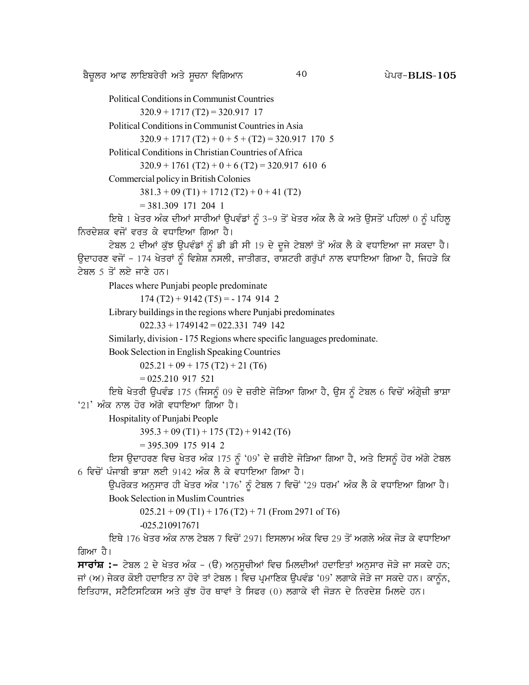p?u{bo nkc bkfJpo/oh ns/ ;{uBk ftfrnkB g /go^ 40 **BLIS-105**

Political Conditions in Communist Countries

 $320.9 + 1717 (T2) = 320.917 17$ 

Political Conditions in Communist Countries in Asia

 $320.9 + 1717(T2) + 0 + 5 + (T2) = 320.917$  170 5

Political Conditions in Christian Countries of Africa

 $320.9 + 1761$  (T2) + 0 + 6 (T2) = 320.917 610 6

Commercial policy in British Colonies

 $381.3 + 09(T1) + 1712(T2) + 0 + 41(T2)$ 

```
= 381.309 171 204 1
```
fੲਥੇ 1 ਖੇਤਰ ਅੰਕ ਦੀਆਂ ਸਾਰੀਆਂ ਉਪਵੰਡਾਂ ਨੂੰ 3-9 ਤੋਂ ਖੇਤਰ ਅੰਕ ਲੈ ਕੇ ਅਤੇ ਉਸਤੋਂ ਪਹਿਲਾਂ 0 ਨੂੰ ਪਹਿਲੂ ਨਿਰਦੇਸ਼ਕ ਵਜੋਂ ਵਰਤ ਕੇ ਵਧਾਇਆ ਗਿਆ ਹੈ।

ਟੇਬਲ 2 ਦੀਆਂ ਕੁੱਝ ਉਪਵੰਡਾਂ ਨੂੰ ਡੀ ਡੀ ਸੀ 19 ਦੇ ਦੂਜੇ ਟੇਬਲਾਂ ਤੋਂ ਅੰਕ ਲੈ ਕੇ ਵਧਾਇਆ ਜਾ ਸਕਦਾ ਹੈ। ਉਦਾਹਰਣ ਵਜੋਂ - 174 ਖੇਤਰਾਂ ਨੂੰ ਵਿਸ਼ੇਸ਼ ਨਸਲੀ, ਜਾਤੀਗਤ, ਰਾਸ਼ਟਰੀ ਗਰੁੱਪਾਂ ਨਾਲ ਵਧਾਇਆ ਗਿਆ ਹੈ, ਜਿਹੜੇ ਕਿ ਟੇਬਲ 5 ਤੋਂ ਲਏ ਜਾਣੇ ਹਨ।

Places where Punjabi people predominate

 $174 (T2) + 9142 (T5) = -1749142$ 

Library buildings in the regions where Punjabi predominates

 $022.33 + 1749142 = 022.331749142$ 

Similarly, division - 175 Regions where specific languages predominate.

Book Selection in English Speaking Countries

 $025.21 + 09 + 175 (T2) + 21 (T6)$ 

```
= 025.210\,917\,521
```
ਇਥੇ ਖੇਤਰੀ ਉਪਵੰਡ 175 (ਜਿਸਨੂੰ 09 ਦੇ ਜ਼ਰੀਏ ਜੋੜਿਆ ਗਿਆ ਹੈ, ਉਸ ਨੂੰ ਟੇਬਲ 6 ਵਿਚੋਂ ਅੰਗ੍ਰੇਜ਼ੀ ਭਾਸ਼ਾ  $21'$  ਅੰਕ ਨਾਲ ਹੋਰ ਅੱਗੇ ਵਧਾਇਆ ਗਿਆ ਹੈ।

Hospitality of Punjabi People

 $395.3 + 09(T1) + 175(T2) + 9142(T6)$ 

 $= 395.309$  175 914 2

ਇਸ ਉਦਾਹਰਣ ਵਿਚ ਖੇਤਰ ਅੰਕ 175 ਨੂੰ '09' ਦੇ ਜ਼ਰੀਏ ਜੋੜਿਆ ਗਿਆ ਹੈ, ਅਤੇ ਇਸਨੂੰ ਹੋਰ ਅੱਗੇ ਟੇਬਲ 6 ਵਿਚੋਂ ਪੰਜਾਬੀ ਭਾਸ਼ਾ ਲਈ 9142 ਅੰਕ ਲੈ ਕੇ ਵਧਾਇਆ ਗਿਆ ਹੈ।

ਉਪਰੋਕਤ ਅਨੁਸਾਰ ਹੀ ਖੇਤਰ ਅੰਕ '176' ਨੂੰ ਟੇਬਲ 7 ਵਿਚੋਂ '29 ਧਰਮ' ਅੰਕ ਲੈ ਕੇ ਵਧਾਇਆ ਗਿਆ ਹੈ। Book Selection in Muslim Countries

 $025.21 + 09 (T1) + 176 (T2) + 71 (From 2971 of T6)$ 

-025.210917671

<u>ਇਥੇ 176 ਖੇਤਰ ਅੰਕ ਨਾਲ ਟੇਬਲ 7 ਵਿਚੋਂ 2971 ਇਸਲਾਮ ਅੰਕ ਵਿਚ 29 ਤੋਂ ਅਗਲੇ ਅੰਕ ਜੋੜ ਕੇ ਵਧਾਇਆ</u> ਗਿਆ ਹੈ।

**ਸਾਰਾਂਸ਼ :**– ਟੇਬਲ 2 ਦੇ ਖੇਤਰ ਅੰਕ – (ੳ) ਅਨੁਸੁਚੀਆਂ ਵਿਚ ਮਿਲਦੀਆਂ ਹਦਾਇਤਾਂ ਅਨੁਸਾਰ ਜੋੜੇ ਜਾ ਸਕਦੇ ਹਨ; ਜਾਂ (ਅ) ਜੇਕਰ ਕੋਈ ਹਦਾਇਤ ਨਾ ਹੋਵੇ ਤਾਂ ਟੇਬਲ 1 ਵਿਚ ਪ੍ਰਮਾਣਿਕ ਉਪਵੰਡ '09' ਲਗਾਕੇ ਜੋੜੇ ਜਾ ਸਕਦੇ ਹਨ। ਕਾਨੂੰਨ, ਇਤਿਹਾਸ, ਸਟੈਟਿਸਟਿਕਸ ਅਤੇ ਕੱਝ ਹੋਰ ਥਾਵਾਂ ਤੇ ਸਿਫਰ (0) ਲਗਾਕੇ ਵੀ ਜੋੜਨ ਦੇ ਨਿਰਦੇਸ਼ ਮਿਲਦੇ ਹਨ।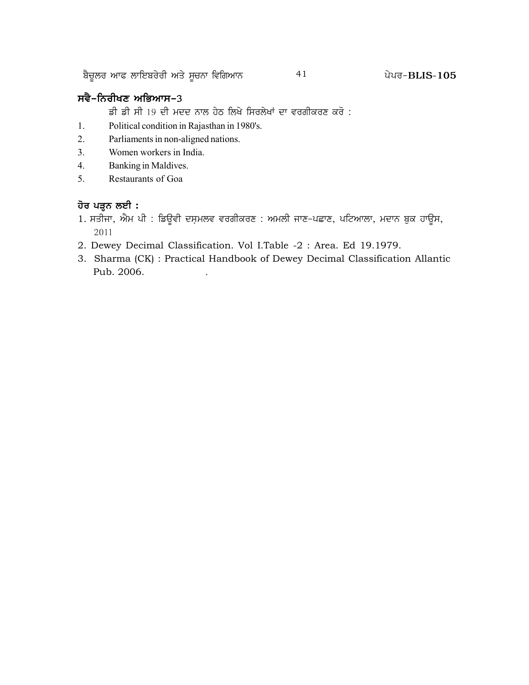<u>ਬੈਚੁ</u>ਲਰ ਆਫ ਲਾਇਬਰੇਰੀ ਅਤੇ ਸੁਚਨਾ ਵਿਗਿਆਨ  $41$   $41$  ਪੇਪਰ–BLIS-105

# **ਸਵੈ-ਨਿਰੀਖਣ ਅਭਿਆਸ-**3

ਡੀ ਡੀ ਸੀ 19 ਦੀ ਮਦਦ ਨਾਲ ਹੇਠ ਲਿਖੇ ਸਿਰਲੇਖਾਂ ਦਾ ਵਰਗੀਕਰਣ ਕਰੋ :

- 1. Political condition in Rajasthan in 1980's.
- 2. Parliaments in non-aligned nations.
- 3. Women workers in India.
- 4. Banking in Maldives.
- 5. Restaurants of Goa

# **ਹੋਰ ਪੜ੍ਹਨ ਲਈ :**

- 1. ਸਤੀਜਾ, ਐਮ ਪੀ : ਡਿਊਵੀ ਦਸ਼ਮਲਵ ਵਰਗੀਕਰਣ : ਅਮਲੀ ਜਾਣ–ਪਛਾਣ, ਪਟਿਆਲਾ, ਮਦਾਨ ਬੁਕ ਹਾਊਸ, 2011
- 2. Dewey Decimal Classification. Vol I.Table -2 : Area. Ed 19.1979.
- 3. Sharma (CK) : Practical Handbook of Dewey Decimal Classification Allantic Pub. 2006. .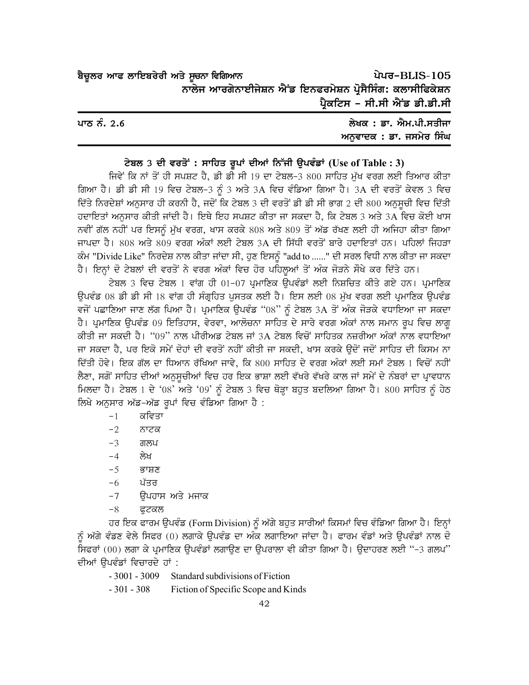| ਬੈਚੂਲਰ ਆਫ ਲਾਇਬਰੇਰੀ ਅਤੇ ਸੂਚਨਾ ਵਿਗਿਆਨ                       |                               | ਪੇਪਰ-BLIS-105 |
|-----------------------------------------------------------|-------------------------------|---------------|
| ਨਾਲੇਜ ਆਰਗੇਨਾਈਜੇਸ਼ਨ ਐਂਡ ਇਨਫਰਮੇਸ਼ਨ ਪ੍ਰੋਸੈਸਿੰਗ: ਕਲਾਸੀਫਿਕੇਸ਼ਨ |                               |               |
|                                                           | ਪ੍ਰੈਕਟਿਸ - ਸੀ.ਸੀ ਐਂਡ ਡੀ.ਡੀ.ਸੀ |               |

| ਪਾਠ ਨੰ. 2.6 | ਲੇਖਕ : ਡਾ. ਐਮ.ਪੀ.ਸਤੀਜਾ  |
|-------------|-------------------------|
|             | ਅਨਵਾਦਕ : ਡਾ. ਜਸਮੇਰ ਸਿੰਘ |

#### ਟੇਬਲ 3 ਦੀ ਵਰਤੋਂ : ਸਾਹਿਤ ਰੂਪਾਂ ਦੀਆਂ ਨਿੱਜੀ ਉਪਵੰਡਾਂ (Use of Table : 3)

ਜਿਵੇਂ ਕਿ ਨਾਂ ਤੋਂ ਹੀ ਸਪਸ਼ਟ ਹੈ, ਡੀ ਡੀ ਸੀ 19 ਦਾ ਟੇਬਲ-3 800 ਸਾਹਿਤ ਮੱਖ ਵਰਗ ਲਈ ਤਿਆਰ ਕੀਤਾ ਗਿਆ ਹੈ। ਡੀ ਡੀ ਸੀ 19 ਵਿਚ ਟੇਬਲ-3 ਨੂੰ 3 ਅਤੇ 3A ਵਿਚ ਵੰਡਿਆ ਗਿਆ ਹੈ। 3A ਦੀ ਵਰਤੋਂ ਕੇਵਲ 3 ਵਿਚ ਦਿੱਤੇ ਨਿਰਦੇਸ਼ਾਂ ਅਨੁਸਾਰ ਹੀ ਕਰਨੀ ਹੈ, ਜਦੋਂ ਕਿ ਟੇਬਲ 3 ਦੀ ਵਰਤੋਂ ਡੀ ਡੀ ਸੀ ਭਾਗ 2 ਦੀ 800 ਅਨੁਸੂਚੀ ਵਿਚ ਦਿੱਤੀ ਹਦਾਇਤਾਂ ਅਨੁਸਾਰ ਕੀਤੀ ਜਾਂਦੀ ਹੈ। ਇਥੇ ਇਹ ਸਪਸ਼ਟ ਕੀਤਾ ਜਾ ਸਕਦਾ ਹੈ, ਕਿ ਟੇਬਲ 3 ਅਤੇ 3A ਵਿਚ ਕੋਈ ਖਾਸ ਨਵੀਂ ਗੱਲ ਨਹੀਂ ਪਰ ਇਸਨੂੰ ਮੱਖ ਵਰਗ, ਖਾਸ ਕਰਕੇ 808 ਅਤੇ 809 ਤੋਂ ਅੱਡ ਰੱਖਣ ਲਈ ਹੀ ਅਜਿਹਾ ਕੀਤਾ ਗਿਆ ਜਾਪਦਾ ਹੈ। 808 ਅਤੇ 809 ਵਰਗ ਅੰਕਾਂ ਲਈ ਟੇਬਲ 3A ਦੀ ਸਿੱਧੀ ਵਰਤੋਂ ਬਾਰੇ ਹਦਾਇਤਾਂ ਹਨ। ਪਹਿਲਾਂ ਜਿਹੜਾ ਕੰਮ "Divide Like" ਨਿਰਦੇਸ਼ ਨਾਲ ਕੀਤਾ ਜਾਂਦਾ ਸੀ, ਹੁਣ ਇਸਨੂੰ "add to ......" ਦੀ ਸਰਲ ਵਿਧੀ ਨਾਲ ਕੀਤਾ ਜਾ ਸਕਦਾ ਹੈ। ਇਨ੍ਹਾਂ ਦੋ ਟੇਬਲਾਂ ਦੀ ਵਰਤੋਂ ਨੇ ਵਰਗ ਅੰਕਾਂ ਵਿਚ ਹੋਰ ਪਹਿਲਆਂ ਤੋਂ ਅੰਕ ਜੋੜਨੇ ਸੌਖੇ ਕਰ ਦਿੱਤੇ ਹਨ।

ਟੇਬਲ 3 ਵਿਚ ਟੇਬਲ 1 ਵਾਂਗ ਹੀ 01-07 ਪਮਾਣਿਕ ਉਪਵੰਡਾਂ ਲਈ ਨਿਸ਼ਚਿਤ ਕੀਤੇ ਗਏ ਹਨ। ਪਮਾਣਿਕ ਉਪਵੰਡ 08 ਡੀ ਡੀ ਸੀ 18 ਵਾਂਗ ਹੀ ਸੰਗ੍ਰਹਿਤ ਪਸਤਕ ਲਈ ਹੈ। ਇਸ ਲਈ 08 ਮੱਖ ਵਰਗ ਲਈ ਪ੍ਰਮਾਣਿਕ ਉਪਵੰਡ ਵਜੋਂ ਪਛਾਣਿਆ ਜਾਣ ਲੱਗ ਪਿਆ ਹੈ। ਪ੍ਰਮਾਣਿਕ ਉਪਵੰਡ "08" ਨੂੰ ਟੇਬਲ 3A ਤੋਂ ਅੰਕ ਜੋੜਕੇ ਵਧਾਇਆ ਜਾ ਸਕਦਾ ਹੈ। ਪ੍ਰਮਾਣਿਕ ਉਪਵੰਡ 09 ਇਤਿਹਾਸ, ਵੇਰਵਾ, ਆਲੋਚਨਾ ਸਾਹਿਤ ਦੇ ਸਾਰੇ ਵਰਗ ਅੰਕਾਂ ਨਾਲ ਸਮਾਨ ਰੂਪ ਵਿਚ ਲਾਗੂ ਕੀਤੀ ਜਾ ਸਕਦੀ ਹੈ। "09" ਨਾਲ ਪੀਰੀਅਡ ਟੇਬਲ ਜਾਂ 3A ਟੇਬਲ ਵਿਚੋਂ ਸਾਹਿਤਕ ਨਜ਼ਰੀਆ ਅੰਕਾਂ ਨਾਲ ਵਧਾਇਆ ਜਾ ਸਕਦਾ ਹੈ. ਪਰ ਇਕੋ ਸਮੇਂ ਦੋਹਾਂ ਦੀ ਵਰਤੋਂ ਨਹੀਂ ਕੀਤੀ ਜਾ ਸਕਦੀ. ਖਾਸ ਕਰਕੇ ਉਦੋਂ ਜਦੋਂ ਸਾਹਿਤ ਦੀ ਕਿਸਮ ਨਾ ਦਿੱਤੀ ਹੋਵੇ। ਇਕ ਗੱਲ ਦਾ ਧਿਆਨ ਰੱਖਿਆ ਜਾਵੇ, ਕਿ 800 ਸਾਹਿਤ ਦੇ ਵਰਗ ਅੰਕਾਂ ਲਈ ਸਮਾਂ ਟੇਬਲ 1 ਵਿਚੋਂ ਨਹੀਂ ਲੈਣਾ, ਸਗੋਂ ਸਾਹਿਤ ਦੀਆਂ ਅਨਸਚੀਆਂ ਵਿਚ ਹਰ ਇਕ ਭਾਸ਼ਾ ਲਈ ਵੱਖਰੇ ਵੱਖਰੇ ਕਾਲ ਜਾਂ ਸਮੇਂ ਦੇ ਨੰਬਰਾਂ ਦਾ ਪ੍ਰਾਵਧਾਨ ਮਿਲਦਾ ਹੈ। ਟੇਬਲ 1 ਦੇ '08' ਅਤੇ '09' ਨੂੰ ਟੇਬਲ 3 ਵਿਚ ਥੋੜ੍ਹਾ ਬਹੁਤ ਬਦਲਿਆ ਗਿਆ ਹੈ। 800 ਸਾਹਿਤ ਨੂੰ ਹੇਠ ਲਿਖੇ ਅਨੁਸਾਰ ਅੱਡ-ਅੱਡ ਰੂਪਾਂ ਵਿਚ ਵੰਡਿਆ ਗਿਆ ਹੈ :

- ਕਵਿਤਾ  $-1$
- $-2$ ਨਾਟਕ
- $-3$ ਗਲਪ
- ਲੇਖ  $-4$
- $-5$ ਭਾਸ਼ਣ
- ਪੱਤਰ  $-6$
- ਓਪਹਾਸ ਅਤੇ ਮਜਾਕ  $-7$
- $-8$ ਫੁਟਕਲ

ਹਰ ਇਕ ਫਾਰਮ ਉਪਵੰਡ (Form Division) ਨੂੰ ਅੱਗੇ ਬਹੁਤ ਸਾਰੀਆਂ ਕਿਸਮਾਂ ਵਿਚ ਵੰਡਿਆ ਗਿਆ ਹੈ। ਇਨ੍ਹਾਂ ਨੂੰ ਅੱਗੇ ਵੰਡਣ ਵੇਲੇ ਸਿਫਰ (0) ਲਗਾਕੇ ਉਪਵੰਡ ਦਾ ਅੰਕ ਲਗਾਇਆ ਜਾਂਦਾ ਹੈ। ਫਾਰਮ ਵੰਡਾਂ ਅਤੇ ਉਪਵੰਡਾਂ ਨਾਲ ਦੋ ਸਿਫਰਾਂ (00) ਲਗਾ ਕੇ ਪ੍ਰਮਾਣਿਕ ਉਪਵੰਡਾਂ ਲਗਾਉਣ ਦਾ ਉਪਰਾਲਾ ਵੀ ਕੀਤਾ ਗਿਆ ਹੈ। ਉਦਾਹਰਣ ਲਈ ''-3 ਗਲਪ'' ਦੀਆਂ ਉਪਵੰਡਾਂ ਵਿਚਾਰਦੇ ਹਾਂ :

- $-3001 3009$ Standard subdivisions of Fiction
- $-301 308$ Fiction of Specific Scope and Kinds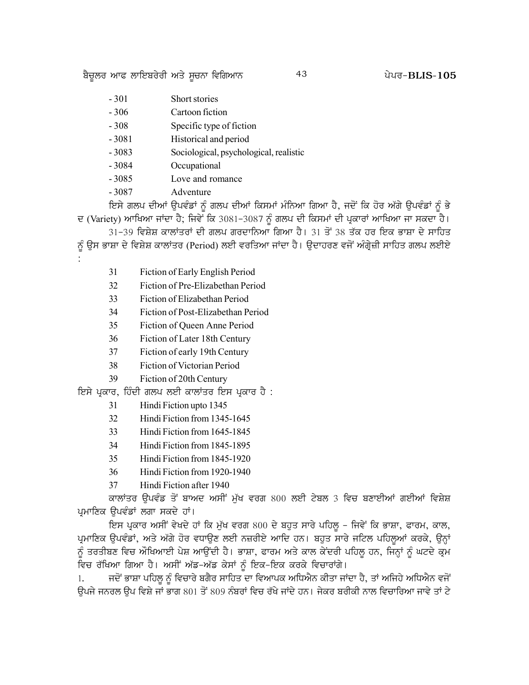ਬੈਚੂਲਰ ਆਫ ਲਾਇਬਰੇਰੀ ਅਤੇ ਸੂਚਨਾ ਵਿਗਿਆਨ

- $-301$ Short stories
- $-306$ Cartoon fiction
- $-308$ Specific type of fiction
- $-3081$ Historical and period
- $-3083$ Sociological, psychological, realistic
- $-3084$ Occupational
- $-3085$ Love and romance
- $-3087$ Adventure

ਇਸੇ ਗਲਪ ਦੀਆਂ ਉਪਵੰਡਾਂ ਨੂੰ ਗਲਪ ਦੀਆਂ ਕਿਸਮਾਂ ਮੰਨਿਆ ਗਿਆ ਹੈ, ਜਦੋਂ ਕਿ ਹੋਰ ਅੱਗੇ ਉਪਵੰਡਾਂ ਨੂੰ ਭੇ ਦ (Variety) ਆਖਿਆ ਜਾਂਦਾ ਹੈ; ਜਿਵੇਂ ਕਿ 3081-3087 ਨੂੰ ਗਲਪ ਦੀ ਕਿਸਮਾਂ ਦੀ ਪ੍ਰਕਾਰਾਂ ਆਖਿਆ ਜਾ ਸਕਦਾ ਹੈ।

31-39 ਵਿਸ਼ੇਸ਼ ਕਾਲਾਂਤਰਾਂ ਦੀ ਗਲਪ ਗਰਦਾਨਿਆ ਗਿਆ ਹੈ। 31 ਤੋਂ 38 ਤੱਕ ਹਰ ਇਕ ਭਾਸ਼ਾ ਦੇ ਸਾਹਿਤ ਨੂੰ ਉਸ ਭਾਸ਼ਾ ਦੇ ਵਿਸ਼ੇਸ਼ ਕਾਲਾਂਤਰ (Period) ਲਈ ਵਰਤਿਆ ਜਾਂਦਾ ਹੈ। ਉਦਾਹਰਣ ਵਜੋਂ ਅੰਗ੍ਰੇਜ਼ੀ ਸਾਹਿਤ ਗਲਪ ਲਈਏ

- 31 Fiction of Early English Period
- 32 Fiction of Pre-Elizabethan Period
- 33 Fiction of Elizabethan Period
- $34$ Fiction of Post-Elizabethan Period
- 35 Fiction of Queen Anne Period
- 36 Fiction of Later 18th Century
- 37 Fiction of early 19th Century
- 38 Fiction of Victorian Period
- 39 Fiction of 20th Century

ਇਸੇ ਪੁਕਾਰ, ਹਿੰਦੀ ਗਲਪ ਲਈ ਕਾਲਾਂਤਰ ਇਸ ਪ੍ਰਕਾਰ ਹੈ :

- 31 Hindi Fiction upto 1345
- 32 Hindi Fiction from 1345-1645
- 33 Hindi Fiction from 1645-1845
- $34$ Hindi Fiction from 1845-1895
- 35 Hindi Fiction from 1845-1920
- $36$ Hindi Fiction from 1920-1940
- 37 Hindi Fiction after 1940

ਕਾਲਾਂਤਰ ਉਪਵੰਡ ਤੋਂ ਬਾਅਦ ਅਸੀਂ ਮੁੱਖ ਵਰਗ 800 ਲਈ ਟੇਬਲ 3 ਵਿਚ ਬਣਾਈਆਂ ਗਈਆਂ ਵਿਸ਼ੇਸ਼ ਪ੍ਰਮਾਣਿਕ ਉਪਵੰਡਾਂ ਲਗਾ ਸਕਦੇ ਹਾਂ।

ਇਸ ਪ੍ਰਕਾਰ ਅਸੀਂ ਵੇਖਦੇ ਹਾਂ ਕਿ ਮੁੱਖ ਵਰਗ 800 ਦੇ ਬਹੁਤ ਸਾਰੇ ਪਹਿਲੂ – ਜਿਵੇਂ ਕਿ ਭਾਸ਼ਾ, ਫਾਰਮ, ਕਾਲ, ਪ੍ਰਮਾਣਿਕ ਉਪਵੰਡਾਂ, ਅਤੇ ਅੱਗੇ ਹੋਰ ਵਧਾਉਣ ਲਈ ਨਜ਼ਰੀਏ ਆਦਿ ਹਨ। ਬਹੁਤ ਸਾਰੇ ਜਟਿਲ ਪਹਿਲੂਆਂ ਕਰਕੇ, ਉਨ੍ਹਾਂ ਨੂੰ ਤਰਤੀਬਣ ਵਿਚ ਔਖਿਆਈ ਪੇਸ਼ ਆਉਂਦੀ ਹੈ। ਭਾਸ਼ਾ, ਫਾਰਮ ਅਤੇ ਕਾਲ ਕੇਂਦਰੀ ਪਹਿਲੂ ਹਨ, ਜਿਨ੍ਹਾਂ ਨੂੰ ਘਟਦੇ ਕ੍ਰਮ ਵਿਚ ਰੱਖਿਆ ਗਿਆ ਹੈ। ਅਸੀਂ ਅੱਡ-ਅੱਡ ਕੇਸਾਂ ਨੂੰ ਇਕ-ਇਕ ਕਰਕੇ ਵਿਚਾਰਾਂਗੇ।

ਜਦੋਂ ਭਾਸ਼ਾ ਪਹਿਲੂ ਨੂੰ ਵਿਚਾਰੇ ਬਗੈਰ ਸਾਹਿਤ ਦਾ ਵਿਆਪਕ ਅਧਿਐਨ ਕੀਤਾ ਜਾਂਦਾ ਹੈ, ਤਾਂ ਅਜਿਹੇ ਅਧਿਐਨ ਵਜੋਂ 1. ਉਪਜੇ ਜਨਰਲ ਉਪ ਵਿਸ਼ੇ ਜਾਂ ਭਾਗ 801 ਤੋਂ 809 ਨੰਬਰਾਂ ਵਿਚ ਰੱਖੇ ਜਾਂਦੇ ਹਨ। ਜੇਕਰ ਬਰੀਕੀ ਨਾਲ ਵਿਚਾਰਿਆ ਜਾਵੇ ਤਾਂ ਟੇ

43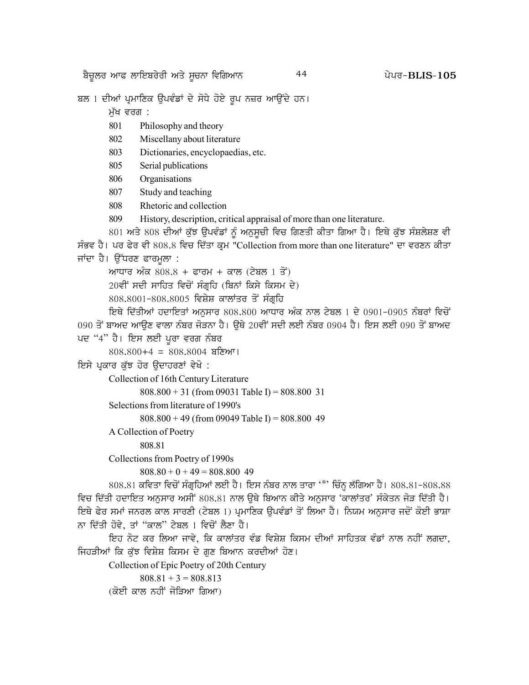ਬਲ 1 ਦੀਆਂ ਪ੍ਰਮਾਣਿਕ ਉਪਵੰਡਾਂ ਦੇ ਸੋਧੇ ਹੋਏ ਰੂਪ ਨਜ਼ਰ ਆਉਂਦੇ ਹਨ।

ਮੱਖ ਵਰਗ :

- 801 Philosophy and theory
- 802 Miscellany about literature
- 803 Dictionaries, encyclopaedias, etc.
- 805 Serial publications
- 806 Organisations
- 807 Study and teaching
- Rhetoric and collection 808
- 809 History, description, critical appraisal of more than one literature.

801 ਅਤੇ 808 ਦੀਆਂ ਕੁੱਝ ਉਪਵੰਡਾਂ ਨੂੰ ਅਨੁਸੂਚੀ ਵਿਚ ਗਿਣਤੀ ਕੀਤਾ ਗਿਆ ਹੈ। ਇਥੇ ਕੁੱਝ ਸੰਸ਼ਲੇਸ਼ਣ ਵੀ ਸੰਭਵ ਹੈ। ਪਰ ਫੇਰ ਵੀ 808.8 ਵਿਚ ਦਿੱਤਾ ਕ੍ਰਮ "Collection from more than one literature" ਦਾ ਵਰਣਨ ਕੀਤਾ ਜਾਂਦਾ ਹੈ। ਉੱਧਰਣ ਫਾਰਮੁਲਾ :

ਆਧਾਰ ਅੰਕ  $808.8$  + ਫਾਰਮ + ਕਾਲ (ਟੇਬਲ 1 ਤੋਂ)

20ਵੀਂ ਸਦੀ ਸਾਹਿਤ ਵਿਚੋਂ ਸੰਗਹਿ (ਬਿਨਾਂ ਕਿਸੇ ਕਿਸਮ ਦੇ)

808.8001-808.8005 ਵਿਸ਼ੇਸ਼ ਕਾਲਾਂਤਰ ਤੋਂ ਸੰਗਹਿ

ਇਥੇ ਦਿੱਤੀਆਂ ਹਦਾਇਤਾਂ ਅਨਸਾਰ 808.800 ਆਧਾਰ ਅੰਕ ਨਾਲ ਟੇਬਲ 1 ਦੇ 0901-0905 ਨੰਬਰਾਂ ਵਿਚੋਂ 090 ਤੋਂ ਬਾਅਦ ਆਉਣ ਵਾਲਾ ਨੰਬਰ ਜੋੜਨਾ ਹੈ। ਉਥੇ 20ਵੀਂ ਸਦੀ ਲਈ ਨੰਬਰ 0904 ਹੈ। ਇਸ ਲਈ 090 ਤੋਂ ਬਾਅਦ ਪਦ "4" ਹੈ। ਇਸ ਲਈ ਪਰਾ ਵਰਗ ਨੰਬਰ

 $808.800 + 4 = 808.8004$  ਬਣਿਆ।

ਇਸੇ ਪ੍ਰਕਾਰ ਕੁੱਝ ਹੋਰ ਉਦਾਹਰਣਾਂ ਵੇਖੋ :

Collection of 16th Century Literature

 $808.800 + 31$  (from 09031 Table I) = 808.800 31

Selections from literature of 1990's

 $808.800 + 49$  (from 09049 Table I) = 808.800 49

A Collection of Poetry

808.81

Collections from Poetry of 1990s

```
808.80 + 0 + 49 = 808.800 49
```
808.81 ਕਵਿਤਾ ਵਿਚੋਂ ਸੰਗ੍ਰਹਿਆਂ ਲਈ ਹੈ। ਇਸ ਨੰਬਰ ਨਾਲ ਤਾਰਾ '\*' ਚਿੰਨ੍ਹ ਲੱਗਿਆ ਹੈ। 808.81-808.88 ਵਿਚ ਦਿੱਤੀ ਹਦਾਇਤ ਅਨੁਸਾਰ ਅਸੀਂ 808.81 ਨਾਲ ਉਥੇ ਬਿਆਨ ਕੀਤੇ ਅਨੁਸਾਰ 'ਕਾਲਾਂਤਰ' ਸੰਕੇਤਨ ਜੋੜ ਦਿੱਤੀ ਹੈ। ਇਥੇ ਫੇਰ ਸਮਾਂ ਜਨਰਲ ਕਾਲ ਸਾਰਣੀ (ਟੇਬਲ 1) ਪ੍ਰਮਾਣਿਕ ਉਪਵੰਡਾਂ ਤੋਂ ਲਿਆ ਹੈ। ਨਿਯਮ ਅਨੁਸਾਰ ਜਦੋਂ ਕੋਈ ਭਾਸ਼ਾ ਨਾ ਦਿੱਤੀ ਹੋਵੇ, ਤਾਂ "ਕਾਲ" ਟੇਬਲ 1 ਵਿਚੋਂ ਲੈਣਾ ਹੈ।

ਇਹ ਨੋਟ ਕਰ ਲਿਆ ਜਾਵੇ, ਕਿ ਕਾਲਾਂਤਰ ਵੰਡ ਵਿਸ਼ੇਸ਼ ਕਿਸਮ ਦੀਆਂ ਸਾਹਿਤਕ ਵੰਡਾਂ ਨਾਲ ਨਹੀਂ ਲਗਦਾ, ਜਿਹੜੀਆਂ ਕਿ ਕੁੱਝ ਵਿਸ਼ੇਸ਼ ਕਿਸਮ ਦੇ ਗੁਣ ਬਿਆਨ ਕਰਦੀਆਂ ਹੋਣ।

Collection of Epic Poetry of 20th Century

 $808.81 + 3 = 808.813$ (ਕੋਈ ਕਾਲ ਨਹੀਂ ਜੋਤਿਆ ਗਿਆ)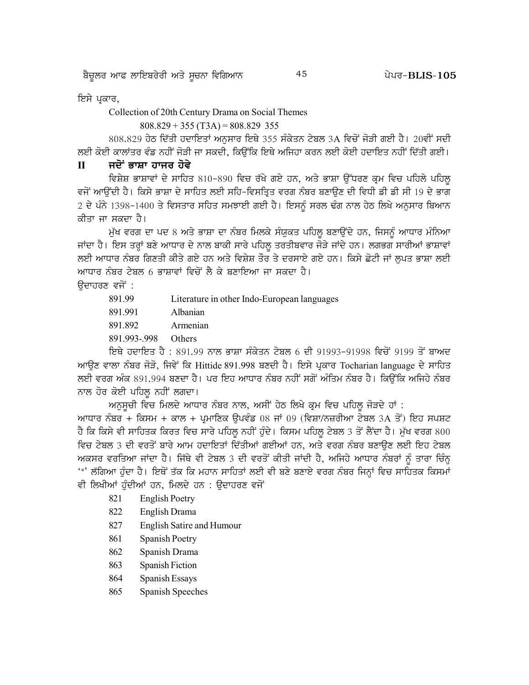ਬੈਚੂਲਰ ਆਫ ਲਾਇਬਰੇਰੀ ਅਤੇ ਸੂਚਨਾ ਵਿਗਿਆਨ

45

ਇਸੇ ਪਕਾਰ,

Collection of 20th Century Drama on Social Themes

 $808.829 + 355 (T3A) = 808.829 355$ 

808.829 ਹੇਠ ਦਿੱਤੀ ਹਦਾਇਤਾਂ ਅਨਸਾਰ ਇਥੇ 355 ਸੰਕੇਤਨ ਟੇਬਲ 3A ਵਿਚੋਂ ਜੋੜੀ ਗਈ ਹੈ। 20ਵੀਂ ਸਦੀ ਲਈ ਕੋਈ ਕਾਲਾਂਤਰ ਵੰਡ ਨਹੀਂ ਜੋੜੀ ਜਾ ਸਕਦੀ, ਕਿਉਂਕਿ ਇਥੇ ਅਜਿਹਾ ਕਰਨ ਲਈ ਕੋਈ ਹਦਾਇਤ ਨਹੀਂ ਦਿੱਤੀ ਗਈ।

#### ਜਦੋਂ ਭਾਸ਼ਾ ਹਾਜਰ ਹੋਵੇ  $\Pi$

ਵਿਸ਼ੇਸ਼ ਭਾਸ਼ਾਵਾਂ ਦੇ ਸਾਹਿਤ 810-890 ਵਿਚ ਰੱਖੇ ਗਏ ਹਨ, ਅਤੇ ਭਾਸ਼ਾ ਉੱਧਰਣ ਕ੍ਰਮ ਵਿਚ ਪਹਿਲੇ ਪਹਿਲੂ ਵਜੋਂ ਆਉਂਦੀ ਹੈ। ਕਿਸੇ ਭਾਸ਼ਾ ਦੇ ਸਾਹਿਤ ਲਈ ਸਹਿ-ਵਿਸਤ੍ਰਿਤ ਵਰਗ ਨੰਬਰ ਬਣਾਉਣ ਦੀ ਵਿਧੀ ਡੀ ਡੀ ਸੀ 19 ਦੇ ਭਾਗ 2 ਦੇ ਪੰਨੇ 1398-1400 ਤੇ ਵਿਸਤਾਰ ਸਹਿਤ ਸਮਝਾਈ ਗਈ ਹੈ। ਇਸਨੂੰ ਸਰਲ ਢੰਗ ਨਾਲ ਹੇਠ ਲਿਖੇ ਅਨੁਸਾਰ ਬਿਆਨ ਕੀਤਾ ਜਾ ਸਕਦਾ ਹੈ।

ਮੁੱਖ ਵਰਗ ਦਾ ਪਦ 8 ਅਤੇ ਭਾਸ਼ਾ ਦਾ ਨੰਬਰ ਮਿਲਕੇ ਸੰਯੁਕਤ ਪਹਿਲੂ ਬਣਾਉਂਦੇ ਹਨ, ਜਿਸਨੂੰ ਆਧਾਰ ਮੰਨਿਆ ਜਾਂਦਾ ਹੈ। ਇਸ ਤਰ੍ਹਾਂ ਬਣੇ ਆਧਾਰ ਦੇ ਨਾਲ ਬਾਕੀ ਸਾਰੇ ਪਹਿਲ ਤਰਤੀਬਵਾਰ ਜੋੜੇ ਜਾਂਦੇ ਹਨ। ਲਗਭਗ ਸਾਰੀਆਂ ਭਾਸ਼ਾਵਾਂ ਲਈ ਆਧਾਰ ਨੰਬਰ ਗਿਣਤੀ ਕੀਤੇ ਗਏ ਹਨ ਅਤੇ ਵਿਸ਼ੇਸ਼ ਤੌਰ ਤੇ ਦਰਸਾਏ ਗਏ ਹਨ। ਕਿਸੇ ਛੋਟੀ ਜਾਂ ਲਪਤ ਭਾਸ਼ਾ ਲਈ ਆਧਾਰ ਨੰਬਰ ਟੇਬਲ 6 ਭਾਸ਼ਾਵਾਂ ਵਿਚੋਂ ਲੈ ਕੇ ਬਣਾਇਆ ਜਾ ਸਕਦਾ ਹੈ।

#### ਉਦਾਹਰਣ ਵਜੋਂ :

- 891.99 Literature in other Indo-European languages
- 891.991 Albanian
- 891.892 Armenian
- 891.993-.998 Others

ਇਥੇ ਹਦਾਇਤ ਹੈ : 891.99 ਨਾਲ ਭਾਸ਼ਾ ਸੰਕੇਤਨ ਟੇਬਲ 6 ਦੀ 91993-91998 ਵਿਚੋਂ 9199 ਤੋਂ ਬਾਅਦ ਆਉਣ ਵਾਲਾ ਨੰਬਰ ਜੋੜੋ, ਜਿਵੇਂ ਕਿ Hittide 891.998 ਬਣਦੀ ਹੈ। ਇਸੇ ਪ੍ਰਕਾਰ Tocharian language ਦੇ ਸਾਹਿਤ ਲਈ ਵਰਗ ਅੰਕ 891.994 ਬਣਦਾ ਹੈ। ਪਰ ਇਹ ਆਧਾਰ ਨੰਬਰ ਨਹੀਂ ਸਗੋਂ ਅੰਤਿਮ ਨੰਬਰ ਹੈ। ਕਿਉਂਕਿ ਅਜਿਹੇ ਨੰਬਰ ਨਾਲ ਹੋਰ ਕੋਈ ਪਹਿਲ ਨਹੀਂ ਲਗਦਾ।

ਅਨਸਚੀ ਵਿਚ ਮਿਲਦੇ ਆਧਾਰ ਨੰਬਰ ਨਾਲ, ਅਸੀਂ ਹੇਠ ਲਿਖੇ ਕੁਮ ਵਿਚ ਪਹਿਲ ਜੋੜਦੇ ਹਾਂ :

ਆਧਾਰ ਨੰਬਰ + ਕਿਸਮ + ਕਾਲ + ਪੁਮਾਣਿਕ ਉਪਵੰਡ 08 ਜਾਂ 09 (ਵਿਸ਼ਾ/ਨਜ਼ਰੀਆ ਟੇਬਲ 3A ਤੋਂ) ਇਹ ਸਪਸ਼ਟ ਹੈ ਕਿ ਕਿਸੇ ਵੀ ਸਾਹਿਤਕ ਕਿਰਤ ਵਿਚ ਸਾਰੇ ਪਹਿਲੂ ਨਹੀਂ ਹੁੰਦੇ। ਕਿਸਮ ਪਹਿਲੂ ਟੇਬਲ 3 ਤੋਂ ਲੈਂਦਾ ਹੈ। ਮੁੱਖ ਵਰਗ 800 ਵਿਚ ਟੇਬਲ 3 ਦੀ ਵਰਤੋਂ ਬਾਰੇ ਆਮ ਹਦਾਇਤਾਂ ਦਿੱਤੀਆਂ ਗਈਆਂ ਹਨ, ਅਤੇ ਵਰਗ ਨੰਬਰ ਬਣਾਉਣ ਲਈ ਇਹ ਟੇਬਲ ਅਕਸਰ ਵਰਤਿਆ ਜਾਂਦਾ ਹੈ। ਜਿੱਥੇ ਵੀ ਟੇਬਲ 3 ਦੀ ਵਰਤੋਂ ਕੀਤੀ ਜਾਂਦੀ ਹੈ, ਅਜਿਹੇ ਆਧਾਰ ਨੰਬਰਾਂ ਨੰ ਤਾਰਾ ਚਿੰਨੂ <sup>'</sup>\*' ਲੱਗਿਆ ਹੁੰਦਾ ਹੈ। ਇਥੋਂ ਤੱਕ ਕਿ ਮਹਾਨ ਸਾਹਿਤਾਂ ਲਈ ਵੀ ਬਣੇ ਬਣਾਏ ਵਰਗ ਨੰਬਰ ਜਿਨ੍ਹਾਂ ਵਿਚ ਸਾਹਿਤਕ ਕਿਸਮਾਂ ਵੀ ਲਿਖੀਆਂ ਹੰਦੀਆਂ ਹਨ, ਮਿਲਦੇ ਹਨ : ੳਦਾਹਰਣ ਵਜੋਂ

- 821 **English Poetry**
- 822 English Drama
- 827 **English Satire and Humour**
- 861 Spanish Poetry
- 862 Spanish Drama
- 863 **Spanish Fiction**
- 864 Spanish Essays
- 865 Spanish Speeches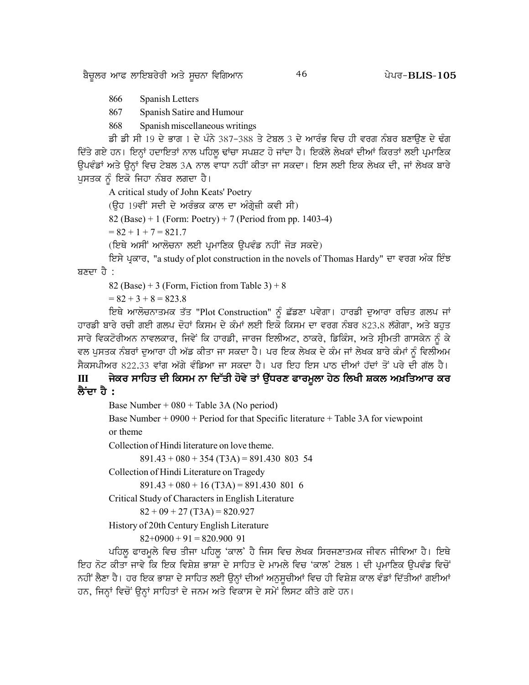866 Spanish Letters

867 Spanish Satire and Humour

868 Spanish miscellaneous writings

ਭੀ ਡੀ ਸੀ 19 ਦੇ ਭਾਗ 1 ਦੇ ਪੰਨੇ 387-388 ਤੇ ਟੇਬਲ 3 ਦੇ ਆਰੰਭ ਵਿਚ ਹੀ ਵਰਗ ਨੰਬਰ ਬਣਾਉਣ ਦੇ ਢੰਗ ਦਿੱਤੇ ਗਏ ਹਨ। ਇਨ੍ਹਾਂ ਹਦਾਇਤਾਂ ਨਾਲ ਪਹਿਲੂ ਢਾਂਚਾ ਸਪਸ਼ਟ ਹੋ ਜਾਂਦਾ ਹੈ। ਇਕੱਲੇ ਲੇਖਕਾਂ ਦੀਆਂ ਕਿਰਤਾਂ ਲਈ ਪ੍ਰਮਾਣਿਕ ਉਪਵੰਡਾਂ ਅਤੇ ਉਨ੍ਹਾਂ ਵਿਚ ਟੇਬਲ 3A ਨਾਲ ਵਾਧਾ ਨਹੀਂ ਕੀਤਾ ਜਾ ਸਕਦਾ। ਇਸ ਲਈ ਇਕ ਲੇਖਕ ਦੀ, ਜਾਂ ਲੇਖਕ ਬਾਰੇ ਪੁਸਤਕ ਨੂੰ ਇਕੋ ਜਿਹਾ ਨੰਬਰ ਲਗਦਾ ਹੈ।

A critical study of John Keats' Poetry

(ਉਹ 19ਵੀਂ ਸਦੀ ਦੇ ਅਰੰਭਕ ਕਾਲ ਦਾ ਅੰਗੇਜ਼ੀ ਕਵੀ ਸੀ)

82 (Base) + 1 (Form: Poetry) + 7 (Period from pp. 1403-4)

 $= 82 + 1 + 7 = 821.7$ 

(ਇਥੇ ਅਸੀਂ ਆਲੋਚਨਾ ਲਈ ਪਮਾਣਿਕ ੳਪਵੰਡ ਨਹੀਂ ਜੋੜ ਸਕਦੇ)

ਇਸੇ ਪ੍ਰਕਾਰ, "a study of plot construction in the novels of Thomas Hardy" ਦਾ ਵਰਗ ਅੰਕ ਇੰਝ ਸ਼ਣਦਾ ਹੈ $\cdot$ 

82 (Base) + 3 (Form, Fiction from Table  $3$ ) + 8

 $= 82 + 3 + 8 = 823.8$ 

ਇਥੇ ਆਲੋਚਨਾਤਮਕ ਤੱਤ "Plot Construction" ਨੂੰ ਛੱਡਣਾ ਪਵੇਗਾ। ਹਾਰਡੀ ਦੁਆਰਾ ਰਚਿਤ ਗਲਪ ਜਾਂ ਹਾਰਡੀ ਬਾਰੇ ਰਚੀ ਗਈ ਗਲਪ ਦੋਹਾਂ ਕਿਸਮ ਦੇ ਕੰਮਾਂ ਲਈ ਇਕੋ ਕਿਸਮ ਦਾ ਵਰਗ ਨੰਬਰ 823.8 ਲੱਗੇਗਾ, ਅਤੇ ਬਹੁਤ ਸਾਰੇ ਵਿਕਟੋਰੀਅਨ ਨਾਵਲਕਾਰ, ਜਿਵੇਂ ਕਿ ਹਾਰਡੀ, ਜਾਰਜ ਇਲੀਅਟ, ਠਾਕਰੇ, ਡਿਕਿੰਸ, ਅਤੇ ਸ੍ਰੀਮਤੀ ਗਾਸਕੇਨ ਨੂੰ ਕੇ ਵਲ ਪੁਸਤਕ ਨੰਬਰਾਂ ਦੁਆਰਾ ਹੀ ਅੱਡ ਕੀਤਾ ਜਾ ਸਕਦਾ ਹੈ। ਪਰ ਇਕ ਲੇਖਕ ਦੇ ਕੰਮ ਜਾਂ ਲੇਖਕ ਬਾਰੇ ਕੰਮਾਂ ਨੂੰ ਵਿਲੀਅਮ ਸੈਕਸਪੀਅਰ 822.33 ਵਾਂਗ ਅੱਗੇ ਵੰਡਿਆ ਜਾ ਸਕਦਾ ਹੈ। ਪਰ ਇਹ ਇਸ ਪਾਠ ਦੀਆਂ ਹੱਦਾਂ ਤੋਂ ਪਰੇ ਦੀ ਗੱਲ ਹੈ।

# III ਜੇਕਰ ਸਾਹਿਤ ਦੀ ਕਿਸਮ ਨਾ ਦਿੱਤੀ ਹੋਵੇ ਤਾਂ ਉੱਧਰਣ ਫਾਰਮੂਲਾ ਹੇਠ ਲਿਖੀ ਸ਼ਕਲ ਅਖ਼ਤਿਆਰ ਕਰ <mark>ਲੈਂਦਾ ਹੈ</mark> :

Base Number + 080 + Table 3A (No period)

Base Number + 0900 + Period for that Specific literature + Table 3A for viewpoint or theme

Collection of Hindi literature on love theme.

 $891.43 + 080 + 354$  (T3A) = 891.430 803 54

Collection of Hindi Literature on Tragedy

 $891.43 + 080 + 16$  (T3A) = 891.430 801 6

Critical Study of Characters in English Literature

 $82 + 09 + 27$  (T3A) = 820.927

History of 20th Century English Literature

 $82+0900+91=820.90091$ 

ਪਹਿਲੂ ਫਾਰਮੁਲੇ ਵਿਚ ਤੀਜਾ ਪਹਿਲੂ 'ਕਾਲ' ਹੈ ਜਿਸ ਵਿਚ ਲੇਖਕ ਸਿਰਜਣਾਤਮਕ ਜੀਵਨ ਜੀਵਿਆ ਹੈ। ਇਥੇ ਇਹ ਨੋਟ ਕੀਤਾ ਜਾਵੇ ਕਿ ਇਕ ਵਿਸ਼ੇਸ਼ ਭਾਸ਼ਾ ਦੇ ਸਾਹਿਤ ਦੇ ਮਾਮਲੇ ਵਿਚ 'ਕਾਲ' ਟੇਬਲ 1 ਦੀ ਪ੍ਰਮਾਣਿਕ ਉਪਵੰਡ ਵਿਚੋਂ ਨਹੀਂ ਲੈਣਾ ਹੈ। ਹਰ ਇਕ ਭਾਸ਼ਾ ਦੇ ਸਾਹਿਤ ਲਈ ਉਨ੍ਹਾਂ ਦੀਆਂ ਅਨੁਸੂਚੀਆਂ ਵਿਚ ਹੀ ਵਿਸ਼ੇਸ਼ ਕਾਲ ਵੰਡਾਂ ਦਿੱਤੀਆਂ ਗਈਆਂ ਹਨ, ਜਿਨ੍ਹਾਂ ਵਿਚੋਂ ਉਨ੍ਹਾਂ ਸਾਹਿਤਾਂ ਦੇ ਜਨਮ ਅਤੇ ਵਿਕਾਸ ਦੇ ਸਮੇਂ ਲਿਸਟ ਕੀਤੇ ਗਏ ਹਨ।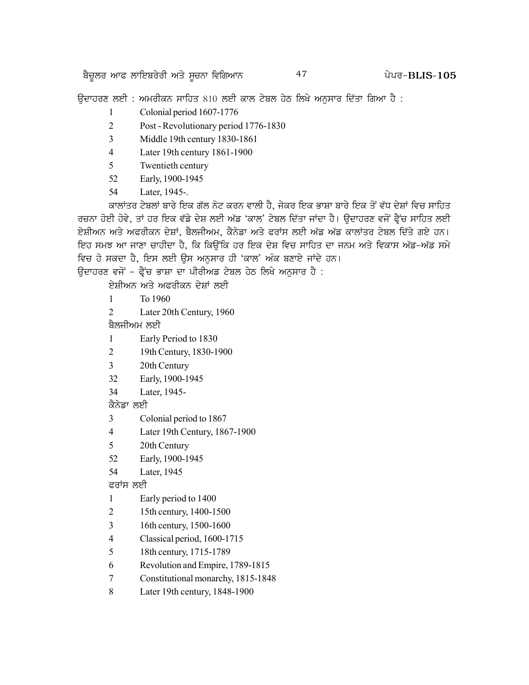<u>ਬੈਚੁਲਰ ਆਫ ਲਾਇਬਰੇਰੀ ਅਤੇ ਸੂਚਨਾ ਵਿਗਿਆਨ ਵਿੱਖ ਵਿੱਚ ਵਿੱਚ ਵਿੱਚ ਵਿੱਚ ਵਿੱਚ ਸਿੰਘਰ-BLIS-105</u>

ਉਦਾਹਰਣ ਲਈ : ਅਮਰੀਕਨ ਸਾਹਿਤ 810 ਲਈ ਕਾਲ ਟੇਬਲ ਹੇਠ ਲਿਖੇ ਅਨੁਸਾਰ ਦਿੱਤਾ ਗਿਆ ਹੈ :

- 1 Colonial period 1607-1776
- 2 Post Revolutionary period 1776-1830
- 3 Middle 19th century 1830-1861
- 4 Later 19th century 1861-1900
- 5 Twentieth century
- 52 Early, 1900-1945
- 54 Later, 1945-.

ਕਾਲਾਂਤਰ ਟੇਬਲਾਂ ਬਾਰੇ ਇਕ ਗੱਲ ਨੋਟ ਕਰਨ ਵਾਲੀ ਹੈ. ਜੇਕਰ ਇਕ ਭਾਸ਼ਾ ਬਾਰੇ ਇਕ ਤੋਂ ਵੱਧ ਦੇਸ਼ਾਂ ਵਿਚ ਸਾਹਿਤ ਰਚਨਾ ਹੋਈ ਹੋਵੇ, ਤਾਂ ਹਰ ਇਕ ਵੱਡੇ ਦੇਸ਼ ਲਈ ਅੱਡ 'ਕਾਲ' ਟੇਬਲ ਦਿੱਤਾ ਜਾਂਦਾ ਹੈ। ੳਦਾਹਰਣ ਵਜੋਂ ਫ੍ਰੈਂਚ ਸਾਹਿਤ ਲਈ ਏਸ਼ੀਅਨ ਅਤੇ ਅਫਰੀਕਨ ਦੇਸ਼ਾਂ, ਬੈਲਜੀਅਮ, ਕੈਨੇਡਾ ਅਤੇ ਫਰਾਂਸ ਲਈ ਅੱਡ ਅੱਡ ਕਾਲਾਂਤਰ ਟੇਬਲ ਦਿੱਤੇ ਗਏ ਹਨ। ਇਹ ਸਮਝ ਆ ਜਾਣਾ ਚਾਹੀਦਾ ਹੈ, ਕਿ ਕਿੳਂਕਿ ਹਰ ਇਕ ਦੇਸ਼ ਵਿਚ ਸਾਹਿਤ ਦਾ ਜਨਮ ਅਤੇ ਵਿਕਾਸ ਅੱਡ*-*ਅੱਡ ਸਮੇ ਵਿਚ ਹੋ ਸਕਦਾ ਹੈ. ਇਸ ਲਈ ਉਸ ਅਨਸਾਰ ਹੀ 'ਕਾਲ' ਅੰਕ ਬਣਾਏ ਜਾਂਦੇ ਹਨ।

ਉਦਾਹਰਣ ਵਜੋਂ - ਫੈਂਚ ਭਾਸ਼ਾ ਦਾ ਪੀਰੀਅਡ ਟੇਬਲ ਹੇਠ ਲਿਖੇ ਅਨਸਾਰ ਹੈ :

ਏਸ਼ੀਅਨ ਅਤੇ ਅਫਰੀਕਨ ਦੇਸ਼ਾਂ ਲਈ

- 1 To 1960
- 2 Later 20th Century, 1960

ਬੈਲਜੀਅਮ ਲਈ

- 1 Early Period to 1830
- 2 19th Century, 1830-1900
- 3 20th Century
- 32 Early, 1900-1945
- 34 Later, 1945-

ਕੈਨੇਡਾ ਲਈ

- 3 Colonial period to 1867
- 4 Later 19th Century, 1867-1900
- 5 20th Century
- 52 Early, 1900-1945
- 54 Later, 1945

ਫਰਾਂਸ ਲਈ

- 1 Early period to 1400
- 2 15th century, 1400-1500
- 3 16th century, 1500-1600
- 4 Classical period, 1600-1715
- 5 18th century, 1715-1789
- 6 Revolution and Empire, 1789-1815
- 7 Constitutional monarchy, 1815-1848
- 8 Later 19th century, 1848-1900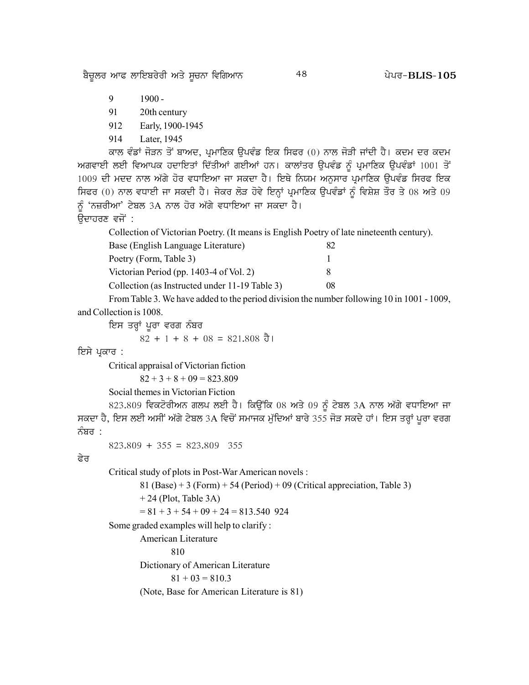ਬੈਚੂਲਰ ਆਫ ਲਾਇਬਰੇਰੀ ਅਤੇ ਸੂਚਨਾ ਵਿਗਿਆਨ

48

- 9  $1900 -$
- 91 20th century
- 912 Early, 1900-1945
- 914 Later, 1945

ਕਾਲ ਵੰਡਾਂ ਜੋੜਨ ਤੋਂ ਬਾਅਦ, ਪ੍ਰਮਾਣਿਕ ਉਪਵੰਡ ਇਕ ਸਿਫਰ (0) ਨਾਲ ਜੋੜੀ ਜਾਂਦੀ ਹੈ। ਕਦਮ ਦਰ ਕਦਮ ਅਗਵਾਈ ਲਈ ਵਿਆਪਕ ਹਦਾਇਤਾਂ ਦਿੱਤੀਆਂ ਗਈਆਂ ਹਨ। ਕਾਲਾਂਤਰ ਉਪਵੰਡ ਨੂੰ ਪ੍ਰਮਾਣਿਕ ਉਪਵੰਡਾਂ 1001 ਤੋਂ 1009 ਦੀ ਮਦਦ ਨਾਲ ਅੱਗੇ ਹੋਰ ਵਧਾਇਆ ਜਾ ਸਕਦਾ ਹੈ। ਇਥੇ ਨਿਯਮ ਅਨੁਸਾਰ ਪ੍ਰਮਾਣਿਕ ਉਪਵੰਡ ਸਿਰਫ ਇਕ ਸਿਫਰ (0) ਨਾਲ ਵਧਾਈ ਜਾ ਸਕਦੀ ਹੈ। ਜੇਕਰ ਲੋੜ ਹੋਵੇ ਇਨ੍ਹਾਂ ਪ੍ਰਮਾਣਿਕ ਉਪਵੰਡਾਂ ਨੂੰ ਵਿਸ਼ੇਸ਼ ਤੌਰ ਤੇ 08 ਅਤੇ 09 ਨੰ 'ਨਜ਼ਰੀਆ' ਟੇਬਲ 3A ਨਾਲ ਹੋਰ ਅੱਗੇ ਵਧਾਇਆ ਜਾ ਸਕਦਾ ਹੈ।

ਉਦਾਹਰਣ ਵਜੋਂ :

Collection of Victorian Poetry. (It means is English Poetry of late nineteenth century).

| Base (English Language Literature)             | 82 |
|------------------------------------------------|----|
| Poetry (Form, Table 3)                         |    |
| Victorian Period (pp. 1403-4 of Vol. 2)        | x  |
| Collection (as Instructed under 11-19 Table 3) | 08 |

From Table 3. We have added to the period division the number following 10 in 1001 - 1009, and Collection is 1008.

ਇਸ ਤਰ੍ਹਾਂ ਪੂਰਾ ਵਰਗ ਨੰਬਰ

 $82 + 1 + 8 + 08 = 821.808$  ਹੈ।

ਇਸੇ ਪ੍ਰਕਾਰ :

Critical appraisal of Victorian fiction

 $82 + 3 + 8 + 09 = 823.809$ 

Social themes in Victorian Fiction

823.809 ਵਿਕਟੋਰੀਅਨ ਗਲਪ ਲਈ ਹੈ। ਕਿਉਂਕਿ 08 ਅਤੇ 09 ਨੂੰ ਟੇਬਲ 3A ਨਾਲ ਅੱਗੇ ਵਧਾਇਆ ਜਾ ਸਕਦਾ ਹੈ, ਇਸ ਲਈ ਅਸੀਂ ਅੱਗੇ ਟੇਬਲ 3A ਵਿਚੋਂ ਸਮਾਜਕ ਮੁੱਦਿਆਂ ਬਾਰੇ 355 ਜੋੜ ਸਕਦੇ ਹਾਂ। ਇਸ ਤਰ੍ਹਾਂ ਪੂਰਾ ਵਰਗ ਨੰਬਰ :

 $823.809 + 355 = 823.809$  355

#### ਫੇਰ

Critical study of plots in Post-War American novels :

```
81 (Base) + 3 (Form) + 54 (Period) + 09 (Critical appreciation, Table 3)
+24 (Plot, Table 3A)
```
 $= 81 + 3 + 54 + 09 + 24 = 813.540$  924

Some graded examples will help to clarify:

American Literature

810

Dictionary of American Literature

```
81 + 03 = 810.3
```
(Note, Base for American Literature is 81)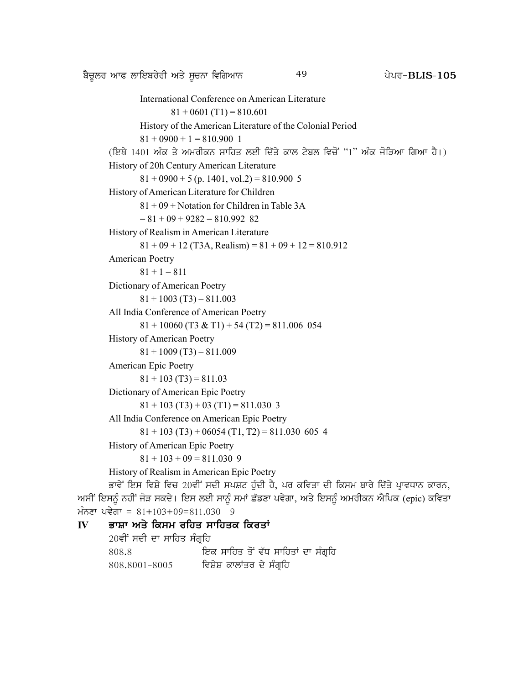```
International Conference on American Literature
                       81 + 0601 (T1) = 810.601
               History of the American Literature of the Colonial Period
               81 + 0900 + 1 = 810,900 1
       (ਇਥੇ 1401 ਅੰਕ ਤੇ ਅਮਰੀਕਨ ਸਾਹਿਤ ਲਈ ਦਿੱਤੇ ਕਾਲ ਟੇਬਲ ਵਿਚੋਂ "1" ਅੰਕ ਜੋੜਿਆ ਗਿਆ ਹੈ।)
       History of 20h Century American Literature
               81 + 0900 + 5 (p. 1401, vol.2) = 810.900 5
       History of American Literature for Children
               81 + 09 + Notation for Children in Table 3A
               = 81 + 09 + 9282 = 810.992 82
       History of Realism in American Literature
               81 + 09 + 12 (T3A, Realism) = 81 + 09 + 12 = 810.912American Poetry
               81 + 1 = 811Dictionary of American Poetry
               81 + 1003 (T3) = 811.003
       All India Conference of American Poetry
               81 + 10060 (T3 & T1) + 54 (T2) = 811.006 054
       History of American Poetry
               81 + 1009 (T3) = 811.009
       American Epic Poetry
               81 + 103 (T3) = 811.03
       Dictionary of American Epic Poetry
               81 + 103 (T3) + 03 (T1) = 811.030 3
       All India Conference on American Epic Poetry
               81 + 103 (T3) + 06054 (T1, T2) = 811.030 605 4
       History of American Epic Poetry
               81 + 103 + 09 = 811.030 9
       History of Realism in American Epic Poetry
       ਭਾਵੇਂ ਇਸ ਵਿਸ਼ੇ ਵਿਚ 20ਵੀਂ ਸਦੀ ਸਪਸ਼ਟ ਹੁੰਦੀ ਹੈ, ਪਰ ਕਵਿਤਾ ਦੀ ਕਿਸਮ ਬਾਰੇ ਦਿੱਤੇ ਪ੍ਰਾਵਧਾਨ ਕਾਰਨ,
ਅਸੀਂ ਇਸਨੂੰ ਨਹੀਂ ਜੋੜ ਸਕਦੇ। ਇਸ ਲਈ ਸਾਨੂੰ ਸਮਾਂ ਛੱਡਣਾ ਪਵੇਗਾ, ਅਤੇ ਇਸਨੂੰ ਅਮਰੀਕਨ ਐਪਿਕ (epic) ਕਵਿਤਾ
```
 $\angle$ ਮੰਨਣਾ ਪਵੇਗਾ = 81+103+09=811.030 9

```
ਭਾਸ਼ਾ ਅਤੇ ਕਿਸਮ ਰਹਿਤ ਸਾਹਿਤਕ ਕਿਰਤਾਂ
\mathbf{I}20ਵੀਂ ਸਦੀ ਦਾ ਸਾਹਿਤ ਸੰਗੁਹਿ
       808.8
                               ਇਕ ਸਾਹਿਤ ਤੋਂ ਵੱਧ ਸਾਹਿਤਾਂ ਦਾ ਸੰਗ੍ਰਹਿ
                              ਵਿਸ਼ੇਸ਼ ਕਾਲਾਂਤਰ ਦੇ ਸੰਗ੍ਰਹਿ
       808.8001-8005
```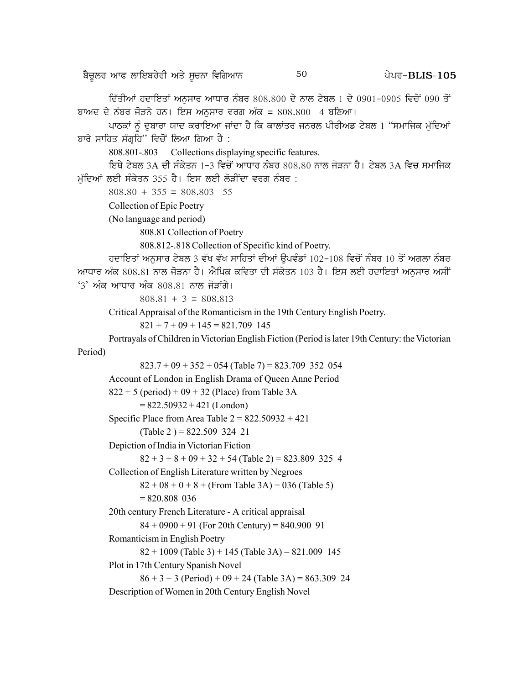ਦਿੱਤੀਆਂ ਹਦਾਇਤਾਂ ਅਨਸਾਰ ਆਧਾਰ ਨੰਬਰ 808.800 ਦੇ ਨਾਲ ਟੇਬਲ 1 ਦੇ 0901-0905 ਵਿਚੋਂ 090 ਤੋਂ ਬਾਅਦ ਦੇ ਨੰਬਰ ਜੋੜਨੇ ਹਨ। ਇਸ ਅਨਸਾਰ ਵਰਗ ਅੰਕ = 808,800 4 ਬਣਿਆ।

ਪਾਠਕਾਂ ਨੰ ਦਬਾਰਾ ਯਾਦ ਕਰਾਇਆ ਜਾਂਦਾ ਹੈ ਕਿ ਕਾਲਾਂਤਰ ਜਨਰਲ ਪੀਰੀਅਡ ਟੇਬਲ 1 "ਸਮਾਜਿਕ ਮੁੱਦਿਆਂ ਬਾਰੇ ਸਾਹਿਤ ਸੰਗੁਹਿ" ਵਿਚੋਂ ਲਿਆ ਗਿਆ ਹੈ :

808.801-.803 Collections displaying specific features.

ਇਥੇ ਟੇਬਲ 3A ਦੀ ਸੰਕੇਤਨ 1-3 ਵਿਚੋਂ ਆਧਾਰ ਨੰਬਰ 808.80 ਨਾਲ ਜੋੜਨਾ ਹੈ। ਟੇਬਲ 3A ਵਿਚ ਸਮਾਜਿਕ ਮੱਦਿਆਂ ਲਈ ਸੰਕੇਤਨ 355 ਹੈ। ਇਸ ਲਈ ਲੋੜੀਂਦਾ ਵਰਗ ਨੰਬਰ :

 $808.80 + 355 = 808.803$  55

```
Collection of Epic Poetry
```
(No language and period)

808.81 Collection of Poetry

808.812-.818 Collection of Specific kind of Poetry.

ਹਦਾਇਤਾਂ ਅਨਸਾਰ ਟੇਬਲ 3 ਵੱਖ ਵੱਖ ਸਾਹਿਤਾਂ ਦੀਆਂ ਉਪਵੰਡਾਂ 102-108 ਵਿਚੋਂ ਨੰਬਰ 10 ਤੋਂ ਅਗਲਾ ਨੰਬਰ ਆਧਾਰ ਅੰਕ 808.81 ਨਾਲ ਜੋੜਨਾ ਹੈ। ਐਪਿਕ ਕਵਿਤਾ ਦੀ ਸੰਕੇਤਨ 103 ਹੈ। ਇਸ ਲਈ ਹਦਾਇਤਾਂ ਅਨਸਾਰ ਅਸੀਂ '3' ਅੰਕ ਆਧਾਰ ਅੰਕ 808.81 ਨਾਲ ਜੋੜਾਂਗੇ।

 $808.81 + 3 = 808.813$ 

Critical Appraisal of the Romanticism in the 19th Century English Poetry.

 $821 + 7 + 09 + 145 = 821.709$  145

Portrayals of Children in Victorian English Fiction (Period is later 19th Century: the Victorian Period)

```
823.7 + 09 + 352 + 054 (Table 7) = 823.709 352 054
```
Account of London in English Drama of Queen Anne Period

```
822 + 5 (period) + 09 + 32 (Place) from Table 3A
```
 $= 822.50932 + 421$  (London)

Specific Place from Area Table  $2 = 822.50932 + 421$ 

(Table 2) =  $822.509$  324 21

Depiction of India in Victorian Fiction

 $82 + 3 + 8 + 09 + 32 + 54$  (Table 2) = 823.809 325 4

Collection of English Literature written by Negroes

 $82 + 08 + 0 + 8 +$  (From Table 3A) + 036 (Table 5)  $= 820.808$  036

20th century French Literature - A critical appraisal

 $84 + 0900 + 91$  (For 20th Century) = 840.900 91

Romanticism in English Poetry

 $82 + 1009$  (Table 3) + 145 (Table 3A) = 821.009 145 Plot in 17th Century Spanish Novel

 $86 + 3 + 3$  (Period) + 09 + 24 (Table 3A) = 863.309 24 Description of Women in 20th Century English Novel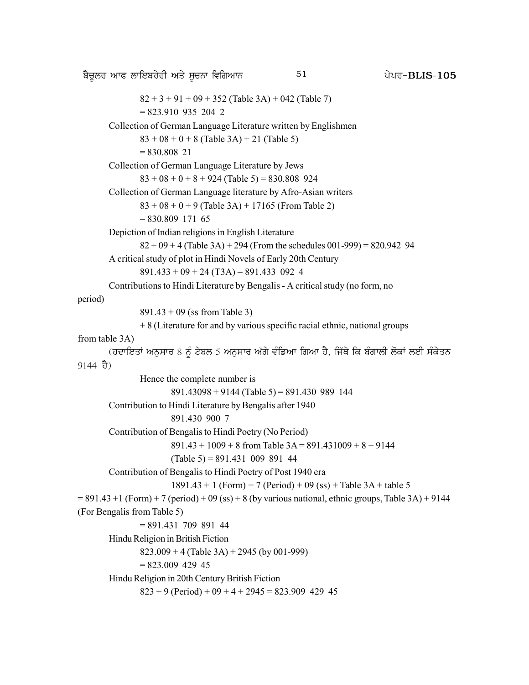p?u{bo nkc bkfJpo/oh ns/ ;{uBk ftfrnkB g /go^ 51 **BLIS-105**  $82 + 3 + 91 + 09 + 352$  (Table 3A) + 042 (Table 7)  $= 823.910$  935 204 2 Collection of German Language Literature written by Englishmen  $83 + 08 + 0 + 8$  (Table 3A) + 21 (Table 5) = 830.808 21 Collection of German Language Literature by Jews  $83 + 08 + 0 + 8 + 924$  (Table 5) = 830.808 924 Collection of German Language literature by Afro-Asian writers  $83 + 08 + 0 + 9$  (Table 3A) + 17165 (From Table 2)  $= 830.809$  171 65 Depiction of Indian religions in English Literature  $82 + 09 + 4$  (Table 3A) + 294 (From the schedules 001-999) = 820.942 94 A critical study of plot in Hindi Novels of Early 20th Century  $891.433 + 09 + 24 (T3A) = 891.433 092 4$ Contributions to Hindi Literature by Bengalis - A critical study (no form, no period) 891.43 + 09 (ss from Table 3) + 8 (Literature for and by various specific racial ethnic, national groups from table 3A) (ਹਦਾਇਤਾਂ ਅਨੁਸਾਰ 8 ਨੂੰ ਟੇਬਲ 5 ਅਨੁਸਾਰ ਅੱਗੇ ਵੰਡਿਆ ਗਿਆ ਹੈ, ਜਿੱਥੇ ਕਿ ਬੰਗਾਲੀ ਲੋਕਾਂ ਲਈ ਸੰਕੇਤਨ 9144 ਹੈ) Hence the complete number is  $891.43098 + 9144$  (Table 5) = 891.430 989 144 Contribution to Hindi Literature by Bengalis after 1940 891.430 900 7 Contribution of Bengalis to Hindi Poetry (No Period)  $891.43 + 1009 + 8$  from Table  $3A = 891.431009 + 8 + 9144$  $(Table 5) = 891.431 009 891 44$ Contribution of Bengalis to Hindi Poetry of Post 1940 era  $1891.43 + 1$  (Form) + 7 (Period) + 09 (ss) + Table 3A + table 5  $= 891.43 + 1$  (Form) + 7 (period) + 09 (ss) + 8 (by various national, ethnic groups, Table 3A) + 9144 (For Bengalis from Table 5) = 891.431 709 891 44 Hindu Religion in British Fiction  $823.009 + 4$  (Table 3A) + 2945 (by 001-999)  $= 823.009$  429 45 Hindu Religion in 20th Century British Fiction  $823 + 9$  (Period) + 09 + 4 + 2945 = 823.909 429 45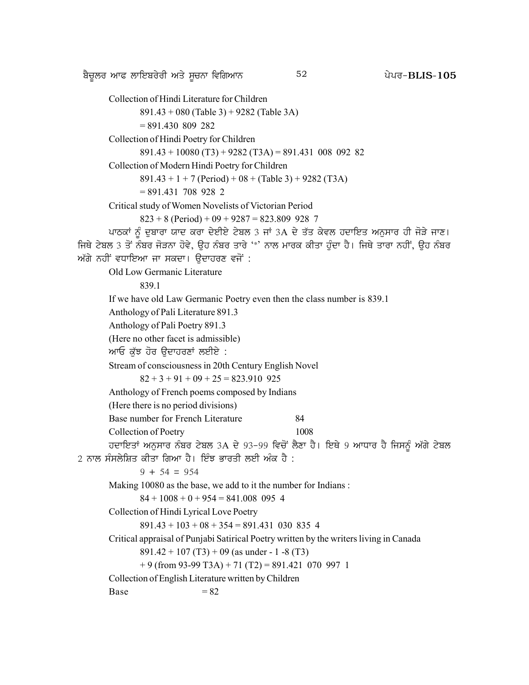p?u{bo nkc bkfJpo/oh ns/ ;{uBk ftfrnkB g /go^ 52 **BLIS-105**

Collection of Hindi Literature for Children 891.43 + 080 (Table 3) + 9282 (Table 3A) = 891.430 809 282 Collection of Hindi Poetry for Children  $891.43 + 10080$  (T3) + 9282 (T3A) = 891.431 008 092 82 Collection of Modern Hindi Poetry for Children  $891.43 + 1 + 7$  (Period) + 08 + (Table 3) + 9282 (T3A)  $= 891.431$  708 928 2 Critical study of Women Novelists of Victorian Period  $823 + 8$  (Period) + 09 + 9287 = 823.809 928 7 ਪਾਠਕਾਂ ਨੂੰ ਦੁਬਾਰਾ ਯਾਦ ਕਰਾ ਦੇਈਏ ਟੇਬਲ 3 ਜਾਂ 3A ਦੇ ਤੱਤ ਕੇਵਲ ਹਦਾਇਤ ਅਨੁਸਾਰ ਹੀ ਜੋੜੇ ਜਾਣ। ਜਿਥੇ ਟੇਬਲ 3 ਤੋਂ ਨੰਬਰ ਜੋੜਨਾ ਹੋਵੇ, ਉਹ ਨੰਬਰ ਤਾਰੇ '\*' ਨਾਲ ਮਾਰਕ ਕੀਤਾ ਹੰਦਾ ਹੈ। ਜਿਥੇ ਤਾਰਾ ਨਹੀਂ, ਉਹ ਨੰਬਰ ਅੱਗੇ ਨਹੀਂ ਵਧਾਇਆ ਜਾ ਸਕਦਾ। ਉਦਾਹਰਣ ਵਜੋਂ : Old Low Germanic Literature 839.1 If we have old Law Germanic Poetry even then the class number is 839.1 Anthology of Pali Literature 891.3 Anthology of Pali Poetry 891.3 (Here no other facet is admissible) ਆਓ ਕੁੱਝ ਹੋਰ ਉਦਾਹਰਣਾਂ ਲਈਏ : Stream of consciousness in 20th Century English Novel  $82 + 3 + 91 + 09 + 25 = 823.910$  925 Anthology of French poems composed by Indians (Here there is no period divisions) Base number for French Literature 84 Collection of Poetry 1008 ਹਦਾਇਤਾਂ ਅਨਸਾਰ ਨੰਬਰ ਟੇਬਲ 3A ਦੇ 93-99 ਵਿਚੋਂ ਲੈਣਾ ਹੈ। ਇਥੇ 9 ਆਧਾਰ ਹੈ ਜਿਸਨੂੰ ਅੱਗੇ ਟੇਬਲ  $2$  ਨਾਲ ਸੰਸਲੇਸ਼ਿਤ ਕੀਤਾ ਗਿਆ ਹੈ। ਇੰਝ ਭਾਰਤੀ ਲਈ ਅੰਕ ਹੈ :  $9 + 54 = 954$ Making 10080 as the base, we add to it the number for Indians :  $84 + 1008 + 0 + 954 = 841,008$  095 4 Collection of Hindi Lyrical Love Poetry  $891.43 + 103 + 08 + 354 = 891.431$  030 835 4 Critical appraisal of Punjabi Satirical Poetry written by the writers living in Canada  $891.42 + 107 (T3) + 09$  (as under - 1 -8 (T3)  $+ 9$  (from 93-99 T3A)  $+ 71$  (T2)  $= 891.421$  070 997 1 Collection of English Literature written by Children  $Base = 82$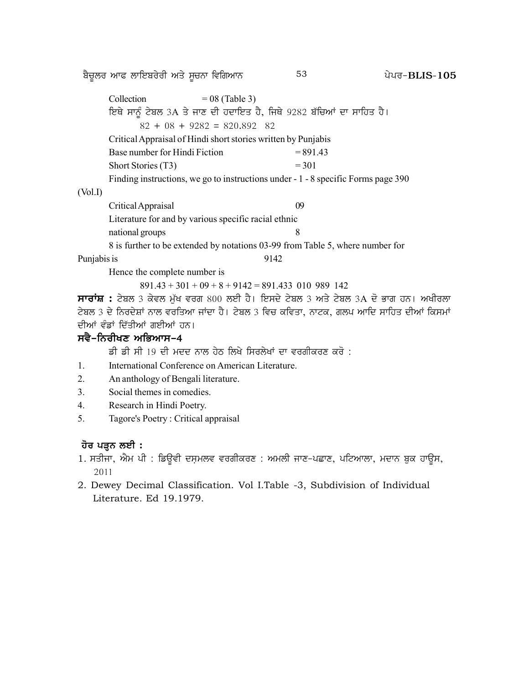p?u{bo nkc bkfJpo/oh ns/ ;{uBk ftfrnkB g /go^ 53 **BLIS-105**

|             | Collection<br>$= 08$ (Table 3)                                      |                                                                                           |
|-------------|---------------------------------------------------------------------|-------------------------------------------------------------------------------------------|
|             | ਇਥੇ ਸਾਨੂੰ ਟੇਬਲ 3A ਤੇ ਜਾਣ ਦੀ ਹਦਾਇਤ ਹੈ, ਜਿਥੇ 9282 ਬੱਚਿਆਂ ਦਾ ਸਾਹਿਤ ਹੈ। |                                                                                           |
|             | $82 + 08 + 9282 = 820.892$ 82                                       |                                                                                           |
|             | Critical Appraisal of Hindi short stories written by Punjabis       |                                                                                           |
|             | Base number for Hindi Fiction                                       | $= 891.43$                                                                                |
|             | Short Stories (T3)                                                  | $= 301$                                                                                   |
|             |                                                                     | Finding instructions, we go to instructions under - 1 - 8 specific Forms page 390         |
| (Vol.I)     |                                                                     |                                                                                           |
|             | Critical Appraisal                                                  | 09                                                                                        |
|             | Literature for and by various specific racial ethnic                |                                                                                           |
|             | national groups                                                     | 8                                                                                         |
|             |                                                                     | 8 is further to be extended by notations 03-99 from Table 5, where number for             |
| Punjabis is |                                                                     | 9142                                                                                      |
|             | Hence the complete number is                                        |                                                                                           |
|             | $891.43 + 301 + 09 + 8 + 9142 = 891.433$ 010 989 142                |                                                                                           |
|             |                                                                     | ਸਾਰਾਂਸ਼ : ਟੇਬਲ 3 ਕੇਵਲ ਮੁੱਖ ਵਰਗ 800 ਲਈ ਹੈ। ਇਸਦੇ ਟੇਬਲ 3 ਅਤੇ ਟੇਬਲ 3A ਦੋ ਭਾਗ ਹਨ। ਅਖੀਰਲਾ       |
|             |                                                                     | ਟੇਬਲ 3 ਦੇ ਨਿਰਦੇਸ਼ਾਂ ਨਾਲ ਵਰਤਿਆ ਜਾਂਦਾ ਹੈ। ਟੇਬਲ 3 ਵਿਚ ਕਵਿਤਾ, ਨਾਟਕ, ਗਲਪ ਆਦਿ ਸਾਹਿਤ ਦੀਆਂ ਕਿਸਮਾਂ |
|             | ਦੀਆਂ ਵੰਡਾਂ ਦਿੱਤੀਆਂ ਗਈਆਂ ਹਨ।                                         |                                                                                           |
|             | ਸਵੈ−ਨਿਰੀਖਣ ਅਭਿਆਸ−4                                                  |                                                                                           |
|             | ਡੀ ਡੀ ਸੀ 19 ਦੀ ਮਦਦ ਨਾਲ ਹੇਠ ਲਿਖੇ ਸਿਰਲੇਖਾਂ ਦਾ ਵਰਗੀਕਰਣ ਕਰੋ :           |                                                                                           |
| 1.          | International Conference on American Literature.                    |                                                                                           |
| 2.          | An anthology of Bengali literature.                                 |                                                                                           |
| 3.          | Social themes in comedies.                                          |                                                                                           |

- 4. Research in Hindi Poetry.
- 5. Tagore's Poetry : Critical appraisal

# **<u>ਹੋਰ ਪੜ੍ਹਨ ਲਈ</u> :**

- 1. ਸਤੀਜਾ, ਐਮ ਪੀ : ਡਿਊਵੀ ਦਸ਼ਮਲਵ ਵਰਗੀਕਰਣ : ਅਮਲੀ ਜਾਣ-ਪਛਾਣ, ਪਟਿਆਲਾ, ਮਦਾਨ ਬੁਕ ਹਾਊਸ, 2011
- 2. Dewey Decimal Classification. Vol I.Table -3, Subdivision of Individual Literature. Ed 19.1979.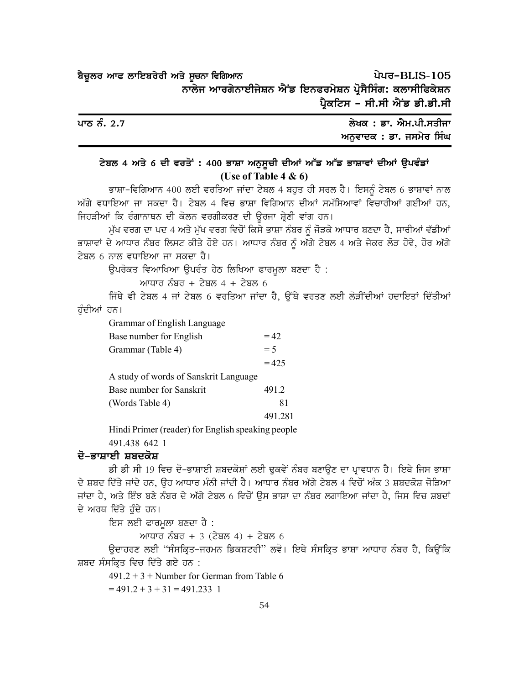| ਬੈਚੂਲਰ ਆਫ ਲਾਇਬਰੇਰੀ ਅਤੇ ਸੂਚਨਾ ਵਿਗਿਆਨ                       |  | ਪੇਪਰ-BLIS-105                 |
|-----------------------------------------------------------|--|-------------------------------|
| ਨਾਲੇਜ ਆਰਗੇਨਾਈਜੇਸ਼ਨ ਐਂਡ ਇਨਫਰਮੇਸ਼ਨ ਪ੍ਰੋਸੈਸਿੰਗ: ਕਲਾਸੀਫਿਕੇਸ਼ਨ |  |                               |
|                                                           |  | ਪ੍ਰੈਕਟਿਸ - ਸੀ.ਸੀ ਐਂਡ ਡੀ.ਡੀ.ਸੀ |

| ਪਾਠ ਨੰ. 2.7 | ਲੇਖਕ : ਡਾ. ਐਮ.ਪੀ.ਸਤੀਜਾ  |
|-------------|-------------------------|
|             | ਅਨਵਾਦਕ : ਡਾ. ਜਸਮੇਰ ਸਿੰਘ |

# ਟੇਬਲ 4 ਅਤੇ 6 ਦੀ ਵਰਤੋਂ : 400 ਭਾਸ਼ਾ ਅਨੁਸੂਚੀ ਦੀਆਂ ਅੱਡ ਅੱਡ ਭਾਸ਼ਾਵਾਂ ਦੀਆਂ ਉਪਵੰਡਾਂ (Use of Table 4 & 6)

ਭਾਸ਼ਾ-ਵਿਗਿਆਨ 400 ਲਈ ਵਰਤਿਆ ਜਾਂਦਾ ਟੇਬਲ 4 ਬਹੁਤ ਹੀ ਸਰਲ ਹੈ। ਇਸਨੂੰ ਟੇਬਲ 6 ਭਾਸ਼ਾਵਾਂ ਨਾਲ ਅੱਗੇ ਵਧਾਇਆ ਜਾ ਸਕਦਾ ਹੈ। ਟੇਬਲ 4 ਵਿਚ ਭਾਸ਼ਾ ਵਿਗਿਆਨ ਦੀਆਂ ਸਮੱਸਿਆਵਾਂ ਵਿਚਾਰੀਆਂ ਗਈਆਂ ਹਨ, ਜਿਹੜੀਆਂ ਕਿ ਰੰਗਾਨਾਥਨ ਦੀ ਕੋਲਨ ਵਰਗੀਕਰਣ ਦੀ ਉਰਜਾ ਸ਼੍ਰੇਣੀ ਵਾਂਗ ਹਨ।

ਮੁੱਖ ਵਰਗ ਦਾ ਪਦ 4 ਅਤੇ ਮੁੱਖ ਵਰਗ ਵਿਚੋਂ ਕਿਸੇ ਭਾਸ਼ਾ ਨੰਬਰ ਨੂੰ ਜੋੜਕੇ ਆਧਾਰ ਬਣਦਾ ਹੈ, ਸਾਰੀਆਂ ਵੱਡੀਆਂ ਭਾਸ਼ਾਵਾਂ ਦੇ ਆਧਾਰ ਨੰਬਰ ਲਿਸਟ ਕੀਤੇ ਹੋਏ ਹਨ। ਆਧਾਰ ਨੰਬਰ ਨੂੰ ਅੱਗੇ ਟੇਬਲ 4 ਅਤੇ ਜੇਕਰ ਲੋੜ ਹੋਵੇ, ਹੋਰ ਅੱਗੇ ਟੇਬਲ 6 ਨਾਲ ਵਧਾਇਆ ਜਾ ਸਕਦਾ ਹੈ।

ਉਪਰੋਕਤ ਵਿਆਖਿਆ ਉਪਰੰਤ ਹੇਠ ਲਿਖਿਆ ਫਾਰਮੁਲਾ ਬਣਦਾ ਹੈ :

ਆਧਾਰ ਨੰਬਰ + ਟੇਬਲ 4 + ਟੇਬਲ 6

ਜਿੱਥੇ ਵੀ ਟੇਬਲ 4 ਜਾਂ ਟੇਬਲ 6 ਵਰਤਿਆ ਜਾਂਦਾ ਹੈ, ਉੱਥੇ ਵਰਤਣ ਲਈ ਲੋੜੀਂਦੀਆਂ ਹਦਾਇਤਾਂ ਦਿੱਤੀਆਂ ਹੁੰਦੀਆਂ ਹਨ।

Grammar of English Language

| Base number for English               | $= 42$  |
|---------------------------------------|---------|
| Grammar (Table 4)                     | $= 5$   |
|                                       | $= 425$ |
| A study of words of Sanskrit Language |         |
| Base number for Sanskrit              | 491.2   |
| (Words Table 4)                       | 81      |
|                                       | 491.28  |
|                                       |         |

Hindi Primer (reader) for English speaking people

491.438 642 1

#### ਦੋ–ਭਾਸ਼ਾਈ ਸ਼ਬਦਕੋਸ਼

ਡੀ ਡੀ ਸੀ 19 ਵਿਚ ਦੋ-ਭਾਸ਼ਾਈ ਸ਼ਬਦਕੋਸ਼ਾਂ ਲਈ ਢਕਵੇਂ ਨੰਬਰ ਬਣਾਉਣ ਦਾ ਪ੍ਰਾਵਧਾਨ ਹੈ। ਇਥੇ ਜਿਸ ਭਾਸ਼ਾ ਦੇ ਸ਼ਬਦ ਦਿੱਤੇ ਜਾਂਦੇ ਹਨ, ਉਹ ਆਧਾਰ ਮੰਨੀ ਜਾਂਦੀ ਹੈ। ਆਧਾਰ ਨੰਬਰ ਅੱਗੇ ਟੇਬਲ 4 ਵਿਚੋਂ ਅੰਕ 3 ਸ਼ਬਦਕੋਸ਼ ਜੋੜਿਆ ਜਾਂਦਾ ਹੈ, ਅਤੇ ਇੰਝ ਬਣੇ ਨੰਬਰ ਦੇ ਅੱਗੇ ਟੇਬਲ 6 ਵਿਚੋਂ ਉਸ ਭਾਸ਼ਾ ਦਾ ਨੰਬਰ ਲਗਾਇਆ ਜਾਂਦਾ ਹੈ, ਜਿਸ ਵਿਚ ਸ਼ਬਦਾਂ ਦੇ ਅਰਥ ਦਿੱਤੇ ਹੁੰਦੇ ਹਨ।

ਇਸ ਲਈ ਫਾਰਮੂਲਾ ਬਣਦਾ ਹੈ :

ਆਧਾਰ ਨੰਬਰ + 3 (ਟੇਬਲ 4) + ਟੇਬਲ 6

ਉਦਾਹਰਣ ਲਈ "ਸੰਸਕ੍ਰਿਤ-ਜਰਮਨ ਡਿਕਸ਼ਟਰੀ" ਲਵੋ। ਇਥੇ ਸੰਸਕ੍ਰਿਤ ਭਾਸ਼ਾ ਆਧਾਰ ਨੰਬਰ ਹੈ, ਕਿਉਂਕਿ ਸ਼ਬਦ ਸੰਸਕ੍ਰਿਤ ਵਿਚ ਦਿੱਤੇ ਗਏ ਹਨ :

 $491.2 + 3 +$  Number for German from Table 6

 $= 491.2 + 3 + 31 = 491.233$  1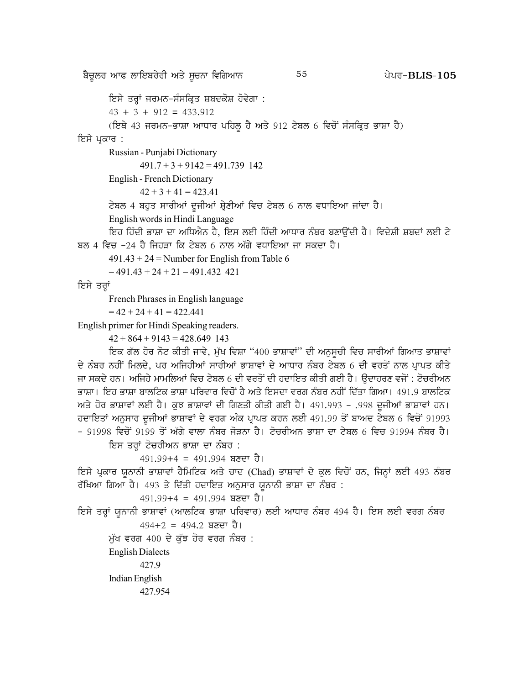ਇਸੇ ਤਰ੍ਹਾਂ ਜਰਮਨ-ਸੰਸਕ੍ਰਿਤ ਸ਼ਬਦਕੋਸ਼ ਹੋਵੇਗਾ :

 $43 + 3 + 912 = 433.912$ 

(ਇਥੇ 43 ਜਰਮਨ-ਭਾਸ਼ਾ ਆਧਾਰ ਪਹਿਲੂ ਹੈ ਅਤੇ 912 ਟੇਬਲ 6 ਵਿਚੋਂ ਸੰਸਕ੍ਰਿਤ ਭਾਸ਼ਾ ਹੈ)

## ਇਸੇ ਪੁਕਾਰ :

Russian - Punjabi Dictionary

 $491.7 + 3 + 9142 = 491.739$  142

English - French Dictionary

 $42 + 3 + 41 = 423.41$ 

ਟੇਬਲ 4 ਬਹੁਤ ਸਾਰੀਆਂ ਦੂਜੀਆਂ ਸ਼੍ਰੇਣੀਆਂ ਵਿਚ ਟੇਬਲ 6 ਨਾਲ ਵਧਾਇਆ ਜਾਂਦਾ ਹੈ।

English words in Hindi Language

ਇਹ ਹਿੰਦੀ ਭਾਸ਼ਾ ਦਾ ਅਧਿਐਨ ਹੈ, ਇਸ ਲਈ ਹਿੰਦੀ ਆਧਾਰ ਨੰਬਰ ਬਣਾਉਂਦੀ ਹੈ। ਵਿਦੇਸ਼ੀ ਸ਼ਬਦਾਂ ਲਈ ਟੇ ਬਲ 4 ਵਿਚ -24 ਹੈ ਜਿਹੜਾ ਕਿ ਟੇਬਲ 6 ਨਾਲ ਅੱਗੇ ਵਧਾਇਆ ਜਾ ਸਕਦਾ ਹੈ।

55

 $491.43 + 24$  = Number for English from Table 6

 $= 491.43 + 24 + 21 = 491.432$  421

ਇਸੇ ਤਰ੍ਹਾਂ

French Phrases in English language

 $= 42 + 24 + 41 = 422.441$ 

English primer for Hindi Speaking readers.

 $42 + 864 + 9143 = 428.649$  143

ਇਕ ਗੱਲ ਹੋਰ ਨੋਟ ਕੀਤੀ ਜਾਵੇ, ਮੁੱਖ ਵਿਸ਼ਾ "400 ਭਾਸ਼ਾਵਾਂ" ਦੀ ਅਨੁਸੂਚੀ ਵਿਚ ਸਾਰੀਆਂ ਗਿਆਤ ਭਾਸ਼ਾਵਾਂ ਦੇ ਨੰਬਰ ਨਹੀਂ ਮਿਲਦੇ, ਪਰ ਅਜਿਹੀਆਂ ਸਾਰੀਆਂ ਭਾਸ਼ਾਵਾਂ ਦੇ ਆਧਾਰ ਨੰਬਰ ਟੇਬਲ 6 ਦੀ ਵਰਤੋਂ ਨਾਲ ਪ੍ਰਾਪਤ ਕੀਤੇ ਜਾ ਸਕਦੇ ਹਨ। ਅਜਿਹੇ ਮਾਮਲਿਆਂ ਵਿਚ ਟੇਬਲ 6 ਦੀ ਵਰਤੋਂ ਦੀ ਹਦਾਇਤ ਕੀਤੀ ਗਈ ਹੈ। ੳਦਾਹਰਣ ਵਜੋਂ : ਟੋਚਰੀਅਨ ਭਾਸ਼ਾ। ਇਹ ਭਾਸ਼ਾ ਬਾਲਟਿਕ ਭਾਸ਼ਾ ਪਰਿਵਾਰ ਵਿਚੋਂ ਹੈ ਅਤੇ ਇਸਦਾ ਵਰਗ ਨੰਬਰ ਨਹੀਂ ਦਿੱਤਾ ਗਿਆ। 491.9 ਬਾਲਟਿਕ ਅਤੇ ਹੋਰ ਭਾਸ਼ਾਵਾਂ ਲਈ ਹੈ। ਕੁਝ ਭਾਸ਼ਾਵਾਂ ਦੀ ਗਿਣਤੀ ਕੀਤੀ ਗਈ ਹੈ। 491.993 - .998 ਦੂਜੀਆਂ ਭਾਸ਼ਾਵਾਂ ਹਨ। ਹਦਾਇਤਾਂ ਅਨੁਸਾਰ ਦੂਜੀਆਂ ਭਾਸ਼ਾਵਾਂ ਦੇ ਵਰਗ ਅੰਕ ਪ੍ਰਾਪਤ ਕਰਨ ਲਈ 491.99 ਤੋਂ ਬਾਅਦ ਟੇਬਲ 6 ਵਿਚੋਂ 91993 - 91998 ਵਿਚੋਂ 9199 ਤੋਂ ਅੱਗੇ ਵਾਲਾ ਨੰਬਰ ਜੋੜਨਾ ਹੈ। ਟੋਚਰੀਅਨ ਭਾਸ਼ਾ ਦਾ ਟੇਬਲ 6 ਵਿਚ 91994 ਨੰਬਰ ਹੈ।

ਇਸ ਤਰ੍ਹਾਂ ਟੋਚਰੀਅਨ ਭਾਸ਼ਾ ਦਾ ਨੰਬਰ :

 $491.99 + 4 = 491.994$  ਬਣਦਾ ਹੈ।

ਇਸੇ ਪ੍ਰਕਾਰ ਯੂਨਾਨੀ ਭਾਸ਼ਾਵਾਂ ਹੈਮਿਟਿਕ ਅਤੇ ਚਾਦ (Chad) ਭਾਸ਼ਾਵਾਂ ਦੇ ਕੁਲ ਵਿਚੋਂ ਹਨ, ਜਿਨ੍ਹਾਂ ਲਈ 493 ਨੰਬਰ ਰੱਖਿਆ ਗਿਆ ਹੈ। 493 ਤੇ ਦਿੱਤੀ ਹਦਾਇਤ ਅਨੁਸਾਰ ਯੂਨਾਨੀ ਭਾਸ਼ਾ ਦਾ ਨੰਬਰ :

 $491.99 + 4 = 491.994$  ਬਣਦਾ ਹੈ।

ਇਸੇ ਤਰ੍ਹਾਂ ਯੁਨਾਨੀ ਭਾਸ਼ਾਵਾਂ (ਆਲਟਿਕ ਭਾਸ਼ਾ ਪਰਿਵਾਰ) ਲਈ ਆਧਾਰ ਨੰਬਰ 494 ਹੈ। ਇਸ ਲਈ ਵਰਗ ਨੰਬਰ  $494+2 = 494.2$  ਬਣਦਾ ਹੈ।

ਮੱਖ ਵਰਗ  $400$  ਦੇ ਕੱਝ ਹੋਰ ਵਰਗ ਨੰਬਰ :

**English Dialects** 

427.9 Indian English 427.954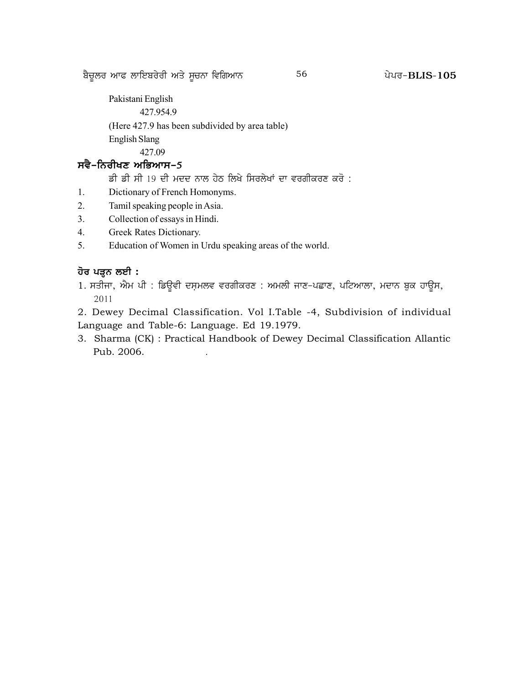p?u{bo nkc bkfJpo/oh ns/ ;{uBk ftfrnkB g /go^ 56 **BLIS-105**

Pakistani English

427.954.9

(Here 427.9 has been subdivided by area table) English Slang

427.09

# ਸਵੈ-ਨਿਰੀਖਣ ਅਭਿਆਸ-**5**

ਡੀ ਡੀ ਸੀ 19 ਦੀ ਮਦਦ ਨਾਲ ਹੇਠ ਲਿਖੇ ਸਿਰਲੇਖਾਂ ਦਾ ਵਰਗੀਕਰਣ ਕਰੋ :

- 1. Dictionary of French Homonyms.
- 2. Tamil speaking people in Asia.
- 3. Collection of essays in Hindi.
- 4. Greek Rates Dictionary.
- 5. Education of Women in Urdu speaking areas of the world.

# **<u>ਹੋਰ ਪੜ੍</u>ਨ ਲਈ :**

1. ਸਤੀਜਾ, ਐਮ ਪੀ : ਡਿਊਵੀ ਦਸ਼ਮਲਵ ਵਰਗੀਕਰਣ : ਅਮਲੀ ਜਾਣ-ਪਛਾਣ, ਪਟਿਆਲਾ, ਮਦਾਨ ਬੁਕ ਹਾਊਸ, 2011

2. Dewey Decimal Classification. Vol I.Table -4, Subdivision of individual Language and Table-6: Language. Ed 19.1979.

3. Sharma (CK) : Practical Handbook of Dewey Decimal Classification Allantic Pub. 2006.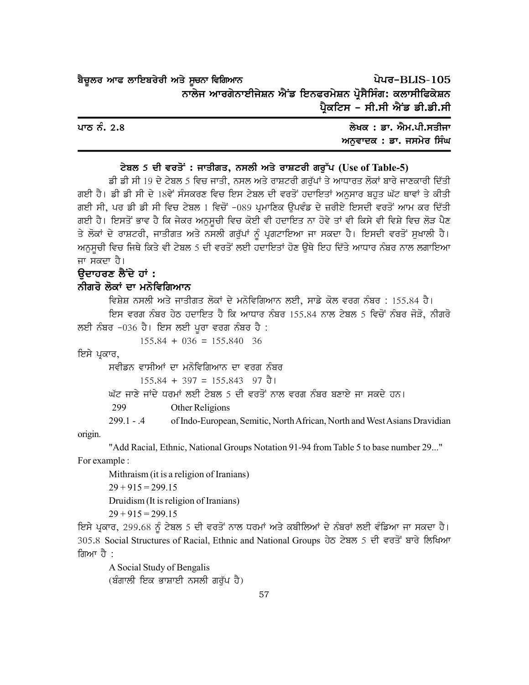| ਬੈਚੂਲਰ ਆਫ ਲਾਇਬਰੇਰੀ ਅਤੇ ਸੂਚਨਾ ਵਿਗਿਆਨ                       | ਪੇਪਰ-BLIS-105                 |  |
|-----------------------------------------------------------|-------------------------------|--|
| ਨਾਲੇਜ ਆਰਗੇਨਾਈਜੇਸ਼ਨ ਐਂਡ ਇਨਫਰਮੇਸ਼ਨ ਪ੍ਰੋਸੈਸਿੰਗ: ਕਲਾਸੀਫਿਕੇਸ਼ਨ |                               |  |
|                                                           | ਪ੍ਰੈਕਟਿਸ - ਸੀ.ਸੀ ਐਂਡ ਡੀ.ਡੀ.ਸੀ |  |

| ਪਾਠ ਨੰ. 2.8 | ਲੇਖਕ : ਡਾ. ਐਮ.ਪੀ.ਸਤੀਜਾ  |  |
|-------------|-------------------------|--|
|             | ਅਨਵਾਦਕ : ਡਾ. ਜਸਮੇਰ ਸਿੰਘ |  |

#### ਟੇਬਲ 5 ਦੀ ਵਰਤੋਂ: ਜਾਤੀਗਤ, ਨਸਲੀ ਅਤੇ ਰਾਸ਼ਟਰੀ ਗਰੱਪ (Use of Table-5)

ਡੀ ਡੀ ਸੀ 19 ਦੇ ਟੇਬਲ 5 ਵਿਚ ਜਾਤੀ, ਨਸਲ ਅਤੇ ਰਾਸ਼ਟਰੀ ਗਰੱਪਾਂ ਤੇ ਆਧਾਰਤ ਲੋਕਾਂ ਬਾਰੇ ਜਾਣਕਾਰੀ ਦਿੱਤੀ ਗਈ ਹੈ। ਡੀ ਡੀ ਸੀ ਦੇ 18ਵੇਂ ਸੰਸਕਰਣ ਵਿਚ ਇਸ ਟੇਬਲ ਦੀ ਵਰਤੋਂ ਹਦਾਇਤਾਂ ਅਨੁਸਾਰ ਬਹੁਤ ਘੱਟ ਥਾਵਾਂ ਤੇ ਕੀਤੀ ਗਈ ਸੀ, ਪਰ ਡੀ ਡੀ ਸੀ ਵਿਚ ਟੇਬਲ 1 ਵਿਚੋਂ -089 ਪਮਾਣਿਕ ਉਪਵੰਡ ਦੇ ਜ਼ਰੀਏ ਇਸਦੀ ਵਰਤੋਂ ਆਮ ਕਰ ਦਿੱਤੀ ਗਈ ਹੈ। ਇਸਤੋਂ ਭਾਵ ਹੈ ਕਿ ਜੇਕਰ ਅਨਸਚੀ ਵਿਚ ਕੋਈ ਵੀ ਹਦਾਇਤ ਨਾ ਹੋਵੇ ਤਾਂ ਵੀ ਕਿਸੇ ਵੀ ਵਿਸ਼ੇ ਵਿਚ ਲੋੜ ਪੈਣ ਤੇ ਲੋਕਾਂ ਦੇ ਰਾਸ਼ਟਰੀ, ਜਾਤੀਗਤ ਅਤੇ ਨਸਲੀ ਗਰੱਪਾਂ ਨੰ ਪੁਗਟਾਇਆ ਜਾ ਸਕਦਾ ਹੈ। ਇਸਦੀ ਵਰਤੋਂ ਸਖਾਲੀ ਹੈ। ਅਨੁਸੂਚੀ ਵਿਚ ਜਿਥੇ ਕਿਤੇ ਵੀ ਟੇਬਲ 5 ਦੀ ਵਰਤੋਂ ਲਈ ਹਦਾਇਤਾਂ ਹੋਣ ਉਥੇ ਇਹ ਦਿੱਤੇ ਆਧਾਰ ਨੰਬਰ ਨਾਲ ਲਗਾਇਆ ਜਾ ਸਕਦਾ ਹੈ।

# ੳਦਾਹਰਣ ਲੈਂਦੇ ਹਾਂ :

# ਨੀਗਰੋ ਲੋਕਾਂ ਦਾ ਮਨੋਵਿਗਿਆਨ

ਵਿਸ਼ੇਸ਼ ਨਸਲੀ ਅਤੇ ਜਾਤੀਗਤ ਲੋਕਾਂ ਦੇ ਮਨੋਵਿਗਿਆਨ ਲਈ, ਸਾਡੇ ਕੋਲ ਵਰਗ ਨੰਬਰ : 155.84 ਹੈ। ਇਸ ਵਰਗ ਨੰਬਰ ਹੇਠ ਹਦਾਇਤ ਹੈ ਕਿ ਆਧਾਰ ਨੰਬਰ 155.84 ਨਾਲ ਟੇਬਲ 5 ਵਿਚੋਂ ਨੰਬਰ ਜੋੜੋ, ਨੀਗਰੋ ਲਈ ਨੰਬਰ -036 ਹੈ। ਇਸ ਲਈ ਪੁਰਾ ਵਰਗ ਨੰਬਰ ਹੈ :

 $155.84 + 036 = 155.840$  36

ਇਸੇ ਪੁਕਾਰ,

ਸਵੀਡਨ ਵਾਸੀਆਂ ਦਾ ਮਨੋਵਿਗਿਆਨ ਦਾ ਵਰਗ ਨੰਬਰ

```
155.84 + 397 = 155.843 97 \overline{d} l
```
ਘੱਟ ਜਾਣੇ ਜਾਂਦੇ ਧਰਮਾਂ ਲਈ ਟੇਬਲ 5 ਦੀ ਵਰਤੋਂ ਨਾਲ ਵਰਗ ਨੰਬਰ ਬਣਾਏ ਜਾ ਸਕਦੇ ਹਨ।

299 Other Religions

 $299.1 - 4$ of Indo-European, Semitic, North African, North and West Asians Dravidian

origin.

"Add Racial, Ethnic, National Groups Notation 91-94 from Table 5 to base number 29..." For example :

Mithraism (it is a religion of Iranians)  $29 + 915 = 299.15$ Druidism (It is religion of Iranians)

 $29 + 915 = 299.15$ 

ਇਸੇ ਪ੍ਰਕਾਰ, 299.68 ਨੂੰ ਟੇਬਲ 5 ਦੀ ਵਰਤੋਂ ਨਾਲ ਧਰਮਾਂ ਅਤੇ ਕਬੀਲਿਆਂ ਦੇ ਨੰਬਰਾਂ ਲਈ ਵੰਡਿਆ ਜਾ ਸਕਦਾ ਹੈ। 305.8 Social Structures of Racial, Ethnic and National Groups ਹੇਠ ਟੇਬਲ 5 ਦੀ ਵਰਤੋਂ ਬਾਰੇ ਲਿਖਿਆ ਗਿਆ ਹੈ :

A Social Study of Bengalis (ਬੰਗਾਲੀ ਇਕ ਭਾਸ਼ਾਈ ਨਸਲੀ ਗਰੱਪ ਹੈ)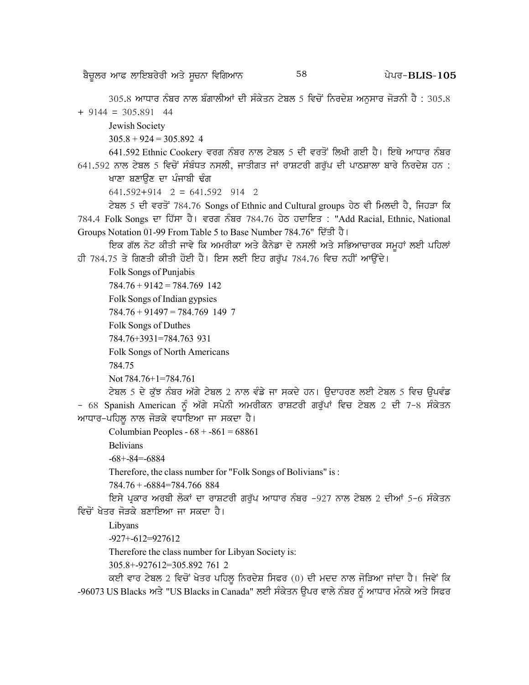$305.8$  ਆਧਾਰ ਨੰਬਰ ਨਾਲ ਬੰਗਾਲੀਆਂ ਦੀ ਸੰਕੇਤਨ ਟੇਬਲ 5 ਵਿਚੋਂ ਨਿਰਦੇਸ਼ ਅਨਸਾਰ ਜੋੜਨੀ ਹੈ : 305.8  $+9144 = 305,891$  44

Jewish Society

 $305.8 + 924 = 305.892$  4

641.592 Ethnic Cookery ਵਰਗ ਨੰਬਰ ਨਾਲ ਟੇਬਲ 5 ਦੀ ਵਰਤੋਂ ਲਿਖੀ ਗਈ ਹੈ। ਇਥੇ ਆਧਾਰ ਨੰਬਰ  $641.592$  ਨਾਲ ਟੇਬਲ 5 ਵਿਚੋਂ ਸੰਬੰਧਤ ਨਸਲੀ, ਜਾਤੀਗਤ ਜਾਂ ਰਾਸ਼ਟਰੀ ਗਰੁੱਪ ਦੀ ਪਾਠਸ਼ਾਲਾ ਬਾਰੇ ਨਿਰਦੇਸ਼ ਹਨ :

ਖਾਣਾ ਬਣਾਉਣ ਦਾ ਪੰਜਾਬੀ ਢੰਗ

 $641.592+914$  2 = 641.592 914 2

ਟੇਬਲ 5 ਦੀ ਵਰਤੋਂ 784.76 Songs of Ethnic and Cultural groups ਹੇਠ ਵੀ ਮਿਲਦੀ ਹੈ, ਜਿਹੜਾ ਕਿ 784.4 Folk Songs ਦਾ ਹਿੱਸਾ ਹੈ। ਵਰਗ ਨੰਬਰ 784.76 ਹੇਠ ਹਦਾਇਤ : "Add Racial, Ethnic, National Groups Notation 01-99 From Table 5 to Base Number 784.76" ਦਿੱਤੀ ਹੈ।

<u>ਇਕ ਗੱਲ ਨੋਟ ਕੀਤੀ ਜਾਵੇ ਕਿ ਅਮਰੀਕਾ ਅਤੇ ਕੈਨੇਡਾ ਦੇ ਨਸਲੀ ਅਤੇ ਸਭਿਆਚਾਰਕ ਸਮਹਾਂ ਲਈ ਪਹਿਲਾਂ</u> ਹੀ 784.75 ਤੇ ਗਿਣਤੀ ਕੀਤੀ ਹੋਈ ਹੈ। ਇਸ ਲਈ ਇਹ ਗਰੱਪ 784.76 ਵਿਚ ਨਹੀਂ ਆਉਂਦੇ।

Folk Songs of Punjabis

 $784.76 + 9142 = 784.769$  142

Folk Songs of Indian gypsies

784.76 + 91497 = 784.769 149 7

Folk Songs of Duthes

784.76+3931=784.763 931

Folk Songs of North Americans

784.75

```
Not 784.76+1=784.761
```
ਟੇਬਲ 5 ਦੇ ਕੱਝ ਨੰਬਰ ਅੱਗੇ ਟੇਬਲ 2 ਨਾਲ ਵੰਡੇ ਜਾ ਸਕਦੇ ਹਨ। ਉਦਾਹਰਣ ਲਈ ਟੇਬਲ 5 ਵਿਚ ਉਪਵੰਡ – 68 Spanish American ਨੂੰ ਅੱਗੇ ਸਪੇਨੀ ਅਮਰੀਕਨ ਰਾਸ਼ਟਰੀ ਗਰੱਪਾਂ ਵਿਚ ਟੇਬਲ 2 ਦੀ 7–8 ਸੰਕੇਤਨ ਆਧਾਰ-ਪਹਿਲੂ ਨਾਲ ਜੋੜਕੇ ਵਧਾਇਆ ਜਾ ਸਕਦਾ ਹੈ।

Columbian Peoples -  $68 + -861 = 68861$ 

Belivians

-68+-84=-6884

Therefore, the class number for "Folk Songs of Bolivians" is :

784.76 + -6884=784.766 884

<u>ਇਸੇ ਪਕਾਰ ਅਰਬੀ ਲੋਕਾਂ ਦਾ ਰਾਸ਼ਟਰੀ ਗਰੱਪ ਆਧਾਰ ਨੰਬਰ -927 ਨਾਲ ਟੇਬਲ 2 ਦੀਆਂ 5-6 ਸੰਕੇਤਨ</u> ਵਿਚੋਂ ਖੇਤਰ ਜੋਤਕੇ ਬਣਾਇਆ ਜਾ ਸਕਦਾ ਹੈ।

Libyans

-927+-612=927612

Therefore the class number for Libyan Society is:

305.8+-927612=305.892 761 2

ਕਈ ਵਾਰ ਟੇਬਲ 2 ਵਿਚੋਂ ਖੇਤਰ ਪਹਿਲੂ ਨਿਰਦੇਸ਼ ਸਿਫਰ (0) ਦੀ ਮਦਦ ਨਾਲ ਜੋੜਿਆ ਜਾਂਦਾ ਹੈ। ਜਿਵੇਂ ਕਿ -96073 US Blacks ਅਤੇ "US Blacks in Canada" ਲਈ ਸੰਕੇਤਨ ਉਪਰ ਵਾਲੇ ਨੰਬਰ ਨੂੰ ਆਧਾਰ ਮੰਨਕੇ ਅਤੇ ਸਿਫਰ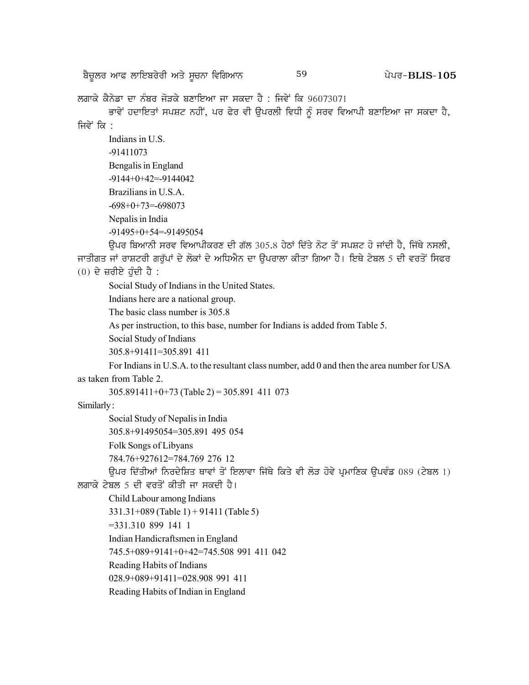p?u{bo nkc bkfJpo/oh ns/ ;{uBk ftfrnkB g /go^ 59 **BLIS-105**

ਲਗਾਕੇ ਕੈਨੇਡਾ ਦਾ ਨੰਬਰ ਜੋਤਕੇ ਬਣਾਇਆ ਜਾ ਸਕਦਾ ਹੈ : ਜਿਵੇਂ ਕਿ 96073071

ਭਾਵੇਂ ਹਦਾਇਤਾਂ ਸਪਸ਼ਟ ਨਹੀਂ, ਪਰ ਫੇਰ ਵੀ ਉਪਰਲੀ ਵਿਧੀ ਨੂੰ ਸਰਵ ਵਿਆਪੀ ਬਣਾਇਆ ਜਾ ਸਕਦਾ ਹੈ, ਜਿਵੇਂ ਕਿ $\cdot$ 

Indians in U.S. -91411073 Bengalis in England -9144+0+42=-9144042 Brazilians in U.S.A.  $-698+0+73=698073$ Nepalis in India -91495+0+54=-91495054

<u>ਉਪਰ ਬਿਆਨੀ ਸਰਵ ਵਿਆਪੀਕਰਣ ਦੀ ਗੱਲ 305.8 ਹੇਠਾਂ ਦਿੱਤੇ ਨੋਟ ਤੋਂ ਸਪਸ਼ਟ ਹੋ ਜਾਂਦੀ ਹੈ. ਜਿੱਥੇ ਨਸਲੀ.</u> ਜਾਤੀਗਤ ਜਾਂ ਰਾਸ਼ਟਰੀ ਗਰੁੱਪਾਂ ਦੇ ਲੋਕਾਂ ਦੇ ਅਧਿਐਨ ਦਾ ਉਪਰਾਲਾ ਕੀਤਾ ਗਿਆ ਹੈ। ਇਥੇ ਟੇਬਲ 5 ਦੀ ਵਰਤੋਂ ਸਿਫਰ  $(0)$  ਦੇ ਜ਼ਰੀਏ ਹੰਦੀ ਹੈ :

Social Study of Indians in the United States.

Indians here are a national group.

The basic class number is 305.8

As per instruction, to this base, number for Indians is added from Table 5.

Social Study of Indians

```
305.8+91411=305.891 411
```
For Indians in U.S.A. to the resultant class number, add 0 and then the area number for USA as taken from Table 2.

 $305.891411+0+73$  (Table 2) = 305.891 411 073

Similarly :

Social Study of Nepalis in India

305.8+91495054=305.891 495 054

Folk Songs of Libyans

784.76+927612=784.769 276 12

ਓਪਰ ਦਿੱਤੀਆਂ ਨਿਰਦੇਸ਼ਿਤ ਥਾਵਾਂ ਤੋਂ ਇਲਾਵਾ ਜਿੱਥੇ ਕਿਤੇ ਵੀ ਲੋੜ ਹੋਵੇ ਪਮਾਣਿਕ ਉਪਵੰਡ 089 (ਟੇਬਲ 1)

ਲਗਾਕੇ ਟੇਬਲ 5 ਦੀ ਵਰਤੋਂ ਕੀਤੀ ਜਾ ਸਕਦੀ ਹੈ।

Child Labour among Indians

331.31+089 (Table 1) + 91411 (Table 5)

=331.310 899 141 1

Indian Handicraftsmen in England

745.5+089+9141+0+42=745.508 991 411 042

Reading Habits of Indians

028.9+089+91411=028.908 991 411

Reading Habits of Indian in England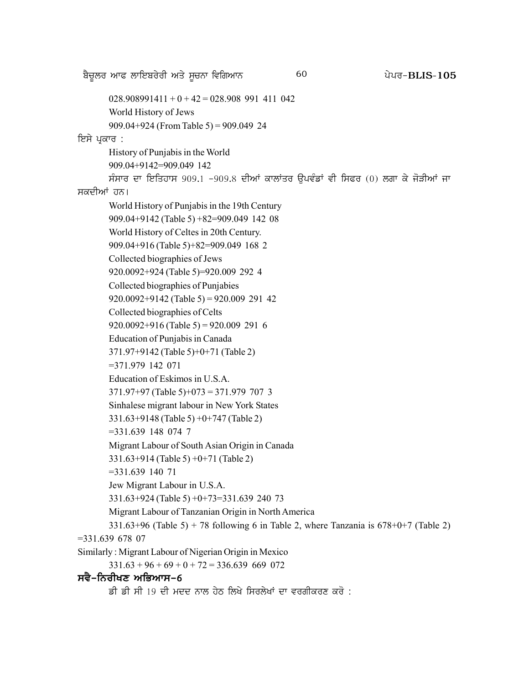p?u{bo nkc bkfJpo/oh ns/ ;{uBk ftfrnkB g /go^ 60 **BLIS-105**  $028.908991411 + 0 + 42 = 028.908991411$  042 World History of Jews 909.04+924 (From Table 5) = 909.049 24 ਇਸੇ ਪ੍ਰਕਾਰ : History of Punjabis in the World 909.04+9142=909.049 142 ਸੰਸਾਰ ਦਾ ਇਤਿਹਾਸ 909.1 -909.8 ਦੀਆਂ ਕਾਲਾਂਤਰ ਉਪਵੰਡਾਂ ਵੀ ਸਿਫਰ (0) ਲਗਾ ਕੇ ਜੋੜੀਆਂ ਜਾ ਸਕਦੀਆਂ ਹਨ। World History of Punjabis in the 19th Century 909.04+9142 (Table 5) +82=909.049 142 08 World History of Celtes in 20th Century. 909.04+916 (Table 5)+82=909.049 168 2 Collected biographies of Jews 920.0092+924 (Table 5)=920.009 292 4 Collected biographies of Punjabies 920.0092+9142 (Table 5) = 920.009 291 42 Collected biographies of Celts  $920.0092+916$  (Table 5) = 920.009 291 6 Education of Punjabis in Canada 371.97+9142 (Table 5)+0+71 (Table 2) =371.979 142 071 Education of Eskimos in U.S.A. 371.97+97 (Table 5)+073 = 371.979 707 3 Sinhalese migrant labour in New York States 331.63+9148 (Table 5) +0+747 (Table 2) =331.639 148 074 7 Migrant Labour of South Asian Origin in Canada 331.63+914 (Table 5) +0+71 (Table 2) =331.639 140 71 Jew Migrant Labour in U.S.A. 331.63+924 (Table 5) +0+73=331.639 240 73 Migrant Labour of Tanzanian Origin in North America  $331.63+96$  (Table 5) + 78 following 6 in Table 2, where Tanzania is  $678+0+7$  (Table 2) =331.639 678 07 Similarly : Migrant Labour of Nigerian Origin in Mexico  $331.63 + 96 + 69 + 0 + 72 = 336.639$  669 072

## ਸਵੈ–ਨਿਰੀਖਣ ਅਭਿਆਸ–6

ਡੀ ਡੀ ਸੀ 19 ਦੀ ਮਦਦ ਨਾਲ ਹੇਨ ਲਿਖੇ ਸਿਰਲੇਖਾਂ ਦਾ ਵਰਗੀਕਰਣ ਕਰੋ :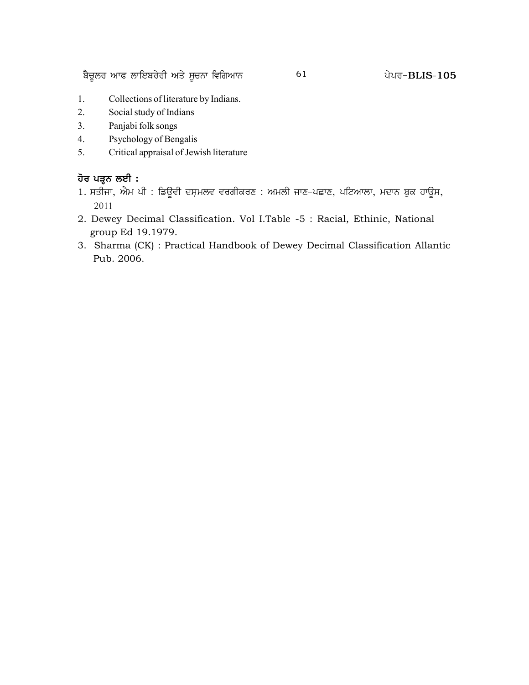<u>ਬੈਚੁ</u>ਲਰ ਆਫ ਲਾਇਬਰੇਰੀ ਅਤੇ ਸੂਚਨਾ ਵਿਗਿਆਨ  $105$  61  $200$  ਪੇਪਰ-BLIS-105

- 1. Collections of literature by Indians.
- 2. Social study of Indians
- 3. Panjabi folk songs
- 4. Psychology of Bengalis
- 5. Critical appraisal of Jewish literature

# <u>ਹੋਰ ਪੜ੍ਹ</u>ਨ ਲਈ :

- 1. ਸਤੀਜਾ, ਐਮ ਪੀ : ਡਿਉਵੀ ਦਸ਼ਮਲਵ ਵਰਗੀਕਰਣ : ਅਮਲੀ ਜਾਣ-ਪਛਾਣ, ਪਟਿਆਲਾ, ਮਦਾਨ ਬੁਕ ਹਾਉਸ, 2011
- 2. Dewey Decimal Classification. Vol I.Table -5 : Racial, Ethinic, National group Ed 19.1979.
- 3. Sharma (CK) : Practical Handbook of Dewey Decimal Classification Allantic Pub. 2006.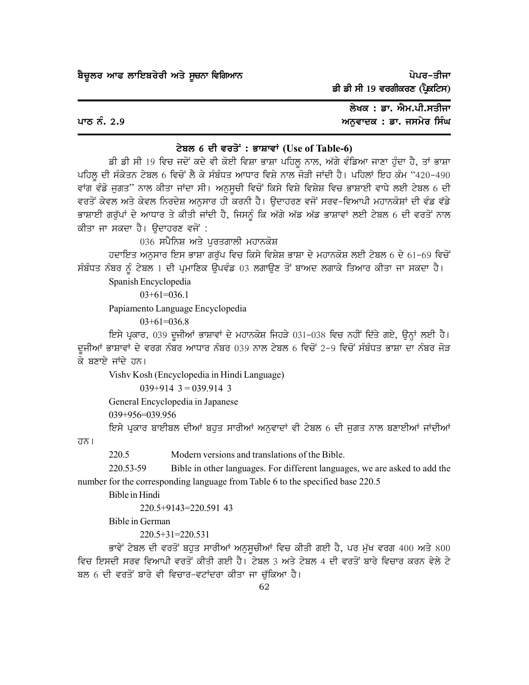ਪੇਪਰ–ਤੀਜਾ ਡੀ ਡੀ ਸੀ 19 ਵਰਗੀਕਰਣ (ਪ੍ਰੈਕਟਿਸ)

ਲੇਖਕ : ਡਾ. ਐਮ.ਪੀ.ਸਤੀਜਾ ਪਾਠ ਨੰ. 2.9 ਅਨੁਵਾਦਕ : ਡਾ. ਜਸਮੇਰ ਸਿੰਘ

#### ਟੇਬਲ 6 ਦੀ ਵਰਤੋਂ: ਭਾਸ਼ਾਵਾਂ (Use of Table-6)

ਡੀ ਡੀ ਸੀ 19 ਵਿਚ ਜਦੋਂ ਕਦੇ ਵੀ ਕੋਈ ਵਿਸ਼ਾ ਭਾਸ਼ਾ ਪਹਿਲੂ ਨਾਲ, ਅੱਗੇ ਵੰਡਿਆ ਜਾਣਾ ਹੁੰਦਾ ਹੈ, ਤਾਂ ਭਾਸ਼ਾ ਪਹਿਲ ਦੀ ਸੰਕੇਤਨ ਟੇਬਲ 6 ਵਿਚੋਂ ਲੈ ਕੇ ਸੰਬੰਧਤ ਆਧਾਰ ਵਿਸ਼ੇ ਨਾਲ ਜੋੜੀ ਜਾਂਦੀ ਹੈ। ਪਹਿਲਾਂ ਇਹ ਕੰਮ "420-490 ਵਾਂਗ ਵੰਡੋ ਜੁਗਤ" ਨਾਲ ਕੀਤਾ ਜਾਂਦਾ ਸੀ। ਅਨੁਸੂਚੀ ਵਿਚੋਂ ਕਿਸੇ ਵਿਸ਼ੇ ਵਿਸ਼ੇਸ਼ ਵਿਚ ਭਾਸ਼ਾਈ ਵਾਧੇ ਲਈ ਟੇਬਲ 6 ਦੀ ਵਰਤੋਂ ਕੇਵਲ ਅਤੇ ਕੇਵਲ ਨਿਰਦੇਸ਼ ਅਨਸਾਰ ਹੀ ਕਰਨੀ ਹੈ। ੳਦਾਹਰਣ ਵਜੋਂ ਸਰਵ-ਵਿਆਪੀ ਮਹਾਨਕੋਸ਼ਾਂ ਦੀ ਵੰਡ ਵੱਡੇ ਭਾਸ਼ਾਈ ਗਰੁੱਪਾਂ ਦੇ ਆਧਾਰ ਤੇ ਕੀਤੀ ਜਾਂਦੀ ਹੈ, ਜਿਸਨੂੰ ਕਿ ਅੱਗੇ ਅੱਡ ਅੱਡ ਭਾਸ਼ਾਵਾਂ ਲਈ ਟੇਬਲ 6 ਦੀ ਵਰਤੋਂ ਨਾਲ ਕੀਤਾ ਜਾ ਸਕਦਾ ਹੈ। ਉਦਾਹਰਣ ਵਜੋਂ :

036 ਸਪੈਨਿਸ਼ ਅਤੇ ਪਰਤਗਾਲੀ ਮਹਾਨਕੋਸ਼

ਹਦਾਇਤ ਅਨਸਾਰ ਇਸ ਭਾਸ਼ਾ ਗਰੱਪ ਵਿਚ ਕਿਸੇ ਵਿਸ਼ੇਸ਼ ਭਾਸ਼ਾ ਦੇ ਮਹਾਨਕੋਸ਼ ਲਈ ਟੇਬਲ 6 ਦੇ 61-69 ਵਿਚੋਂ ਸੰਬੰਧਤ ਨੰਬਰ ਨੂੰ ਟੇਬਲ 1 ਦੀ ਪ੍ਰਮਾਣਿਕ ਉਪਵੰਡ 03 ਲਗਾਉਣ ਤੋਂ ਬਾਅਦ ਲਗਾਕੇ ਤਿਆਰ ਕੀਤਾ ਜਾ ਸਕਦਾ ਹੈ।

Spanish Encyclopedia

 $03+61=036.1$ 

Papiamento Language Encyclopedia

 $03+61=036.8$ 

ਇਸੇ ਪ੍ਰਕਾਰ, 039 ਦੂਜੀਆਂ ਭਾਸ਼ਾਵਾਂ ਦੇ ਮਹਾਨਕੋਸ਼ ਜਿਹੜੇ 031-038 ਵਿਚ ਨਹੀਂ ਦਿੱਤੇ ਗਏ, ਉਨ੍ਹਾਂ ਲਈ ਹੈ। ਦੂਜੀਆਂ ਭਾਸ਼ਾਵਾਂ ਦੇ ਵਰਗ ਨੰਬਰ ਆਧਾਰ ਨੰਬਰ 039 ਨਾਲ ਟੇਬਲ 6 ਵਿਚੋਂ 2-9 ਵਿਚੋਂ ਸੰਬੰਧਤ ਭਾਸ਼ਾ ਦਾ ਨੰਬਰ ਜੋੜ ਕੇ ਬਣਾਏ ਜਾਂਦੇ ਹਨ।

Vishv Kosh (Encyclopedia in Hindi Language)

 $039+914$  3 = 039.914 3

General Encyclopedia in Japanese

039+956=039.956

ਇਸੇ ਪ੍ਰਕਾਰ ਬਾਈਬਲ ਦੀਆਂ ਬਹੁਤ ਸਾਰੀਆਂ ਅਨੁਵਾਦਾਂ ਵੀ ਟੇਬਲ 6 ਦੀ ਜੁਗਤ ਨਾਲ ਬਣਾਈਆਂ ਜਾਂਦੀਆਂ

ਹਨ।

220.5 Modern versions and translations of the Bible.

220.53-59 Bible in other languages. For different languages, we are asked to add the number for the corresponding language from Table 6 to the specified base 220.5

Bible in Hindi

220.5+9143=220.591 43

Bible in German

 $220.5 + 31 = 220.531$ 

ਭਾਵੇਂ ਟੇਬਲ ਦੀ ਵਰਤੋਂ ਬਹੁਤ ਸਾਰੀਆਂ ਅਨੁਸੂਚੀਆਂ ਵਿਚ ਕੀਤੀ ਗਈ ਹੈ, ਪਰ ਮੁੱਖ ਵਰਗ 400 ਅਤੇ 800 ਵਿਚ ਇਸਦੀ ਸਰਵ ਵਿਆਪੀ ਵਰਤੋਂ ਕੀਤੀ ਗਈ ਹੈ। ਟੇਬਲ 3 ਅਤੇ ਟੇਬਲ 4 ਦੀ ਵਰਤੋਂ ਬਾਰੇ ਵਿਚਾਰ ਕਰਨ ਵੇਲੇ ਟੇ ਬਲ 6 ਦੀ ਵਰਤੋਂ ਬਾਰੇ ਵੀ ਵਿਚਾਰ-ਵਟਾਂਦਰਾ ਕੀਤਾ ਜਾ ਚੱਕਿਆ ਹੈ।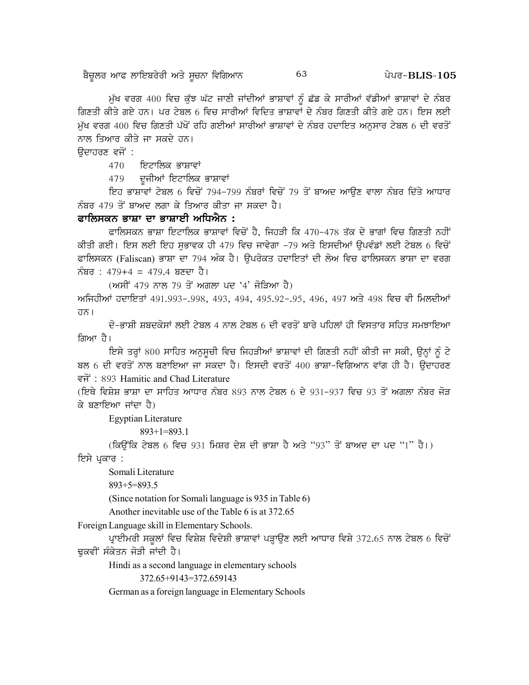ਬੈਚੂਲਰ ਆਫ ਲਾਇਬਰੇਰੀ ਅਤੇ ਸੂਚਨਾ ਵਿਗਿਆਨ

ਮੁੱਖ ਵਰਗ 400 ਵਿਚ ਕੁੱਝ ਘੱਟ ਜਾਣੀ ਜਾਂਦੀਆਂ ਭਾਸ਼ਾਵਾਂ ਨੂੰ ਛੱਡ ਕੇ ਸਾਰੀਆਂ ਵੱਡੀਆਂ ਭਾਸ਼ਾਵਾਂ ਦੇ ਨੰਬਰ ਗਿਣਤੀ ਕੀਤੇ ਗਏ ਹਨ। ਪਰ ਟੇਬਲ 6 ਵਿਚ ਸਾਰੀਆਂ ਵਿਦਿਤ ਭਾਸ਼ਾਵਾਂ ਦੇ ਨੰਬਰ ਗਿਣਤੀ ਕੀਤੇ ਗਏ ਹਨ। ਇਸ ਲਈ ਮੱਖ ਵਰਗ 400 ਵਿਚ ਗਿਣਤੀ ਪੱਖੋਂ ਰਹਿ ਗਈਆਂ ਸਾਰੀਆਂ ਭਾਸ਼ਾਵਾਂ ਦੇ ਨੰਬਰ ਹਦਾਇਤ ਅਨਸਾਰ ਟੇਬਲ 6 ਦੀ ਵਰਤੋਂ ਨਾਲ ਤਿਆਰ ਕੀਤੇ ਜਾ ਸਕਦੇ ਹਨ।

63

ੳਦਾਹਰਣ ਵਜੋਂ :

ਇਟਾਲਿਕ ਭਾਸ਼ਾਵਾਂ 470

479 ਦੂਜੀਆਂ ਇਟਾਲਿਕ ਭਾਸ਼ਾਵਾਂ

ਇਹ ਭਾਸ਼ਾਵਾਂ ਟੇਬਲ 6 ਵਿਚੋਂ 794-799 ਨੰਬਰਾਂ ਵਿਚੋਂ 79 ਤੋਂ ਬਾਅਦ ਆਉਣ ਵਾਲਾ ਨੰਬਰ ਦਿੱਤੇ ਆਧਾਰ ਨੰਬਰ 479 ਤੋਂ ਬਾਅਦ ਲਗਾ ਕੇ ਤਿਆਰ ਕੀਤਾ ਜਾ ਸਕਦਾ ਹੈ।

#### ਫਾਲਿਸਕਨ ਭਾਸ਼ਾ ਦਾ ਭਾਸ਼ਾਈ ਅਧਿਐਨ :

ਫਾਲਿਸਕਨ ਭਾਸ਼ਾ ਇਟਾਲਿਕ ਭਾਸ਼ਾਵਾਂ ਵਿਚੋਂ ਹੈ, ਜਿਹੜੀ ਕਿ 470-478 ਤੱਕ ਦੇ ਭਾਗਾਂ ਵਿਚ ਗਿਣਤੀ ਨਹੀਂ ਕੀਤੀ ਗਈ। ਇਸ ਲਈ ਇਹ ਸਭਾਵਕ ਹੀ 479 ਵਿਚ ਜਾਵੇਗਾ -79 ਅਤੇ ਇਸਦੀਆਂ ਉਪਵੰਡਾਂ ਲਈ ਟੇਬਲ 6 ਵਿਚੋਂ ਫਾਲਿਸਕਨ (Faliscan) ਭਾਸ਼ਾ ਦਾ 794 ਅੰਕ ਹੈ। ਉਪਰੋਕਤ ਹਦਾਇਤਾਂ ਦੀ ਲੋਅ ਵਿਚ ਫਾਲਿਸਕਨ ਭਾਸ਼ਾ ਦਾ ਵਰਗ ਨੰਬਰ : 479+4 = 479.4 ਬਣਦਾ ਹੈ।

(ਅਸੀਂ 479 ਨਾਲ 79 ਤੋਂ ਅਗਲਾ ਪਦ '4' ਜੋੜਿਆ ਹੈ)

ਅਜਿਹੀਆਂ ਹਦਾਇਤਾਂ 491.993-.998, 493, 494, 495.92-.95, 496, 497 ਅਤੇ 498 ਵਿਚ ਵੀ ਮਿਲਦੀਆਂ ਹਨ।

ਦੋ-ਭਾਸ਼ੀ ਸ਼ਬਦਕੋਸਾਂ ਲਈ ਟੇਬਲ 4 ਨਾਲ ਟੇਬਲ 6 ਦੀ ਵਰਤੋਂ ਬਾਰੇ ਪਹਿਲਾਂ ਹੀ ਵਿਸਤਾਰ ਸਹਿਤ ਸਮਝਾਇਆ ਗਿਆ ਹੈ।

ਇਸੇ ਤਰ੍ਹਾਂ 800 ਸਾਹਿਤ ਅਨੁਸੂਚੀ ਵਿਚ ਜਿਹੜੀਆਂ ਭਾਸ਼ਾਵਾਂ ਦੀ ਗਿਣਤੀ ਨਹੀਂ ਕੀਤੀ ਜਾ ਸਕੀ, ਉਨ੍ਹਾਂ ਨੂੰ ਟੇ ਬਲ 6 ਦੀ ਵਰਤੋਂ ਨਾਲ ਬਣਾਇਆ ਜਾ ਸਕਦਾ ਹੈ। ਇਸਦੀ ਵਰਤੋਂ 400 ਭਾਸ਼ਾ-ਵਿਗਿਆਨ ਵਾਂਗ ਹੀ ਹੈ। ਉਦਾਹਰਣ इनें: 893 Hamitic and Chad Literature

(ਇਥੇ ਵਿਸ਼ੇਸ਼ ਭਾਸ਼ਾ ਦਾ ਸਾਹਿਤ ਆਧਾਰ ਨੰਬਰ 893 ਨਾਲ ਟੇਬਲ 6 ਦੇ 931-937 ਵਿਚ 93 ਤੋਂ ਅਗਲਾ ਨੰਬਰ ਜੋੜ ਕੇ ਬਣਾਇਆ ਜਾਂਦਾ ਹੈ)

**Egyptian Literature** 

 $893+1=893.1$ 

(ਕਿਉਂਕਿ ਟੇਬਲ 6 ਵਿਚ 931 ਮਿਸ਼ਰ ਦੇਸ਼ ਦੀ ਭਾਸ਼ਾ ਹੈ ਅਤੇ "93" ਤੋਂ ਬਾਅਦ ਦਾ ਪਦ "1" ਹੈ।)

ਇਸੇ ਪ੍ਰਕਾਰ :

Somali Literature

 $893+5=893.5$ 

(Since notation for Somali language is 935 in Table 6)

Another inevitable use of the Table 6 is at 372.65

Foreign Language skill in Elementary Schools.

ਪ੍ਰਾਈਮਰੀ ਸਕੂਲਾਂ ਵਿਚ ਵਿਸ਼ੇਸ਼ ਵਿਦੇਸ਼ੀ ਭਾਸ਼ਾਵਾਂ ਪੜ੍ਹਾਉਣ ਲਈ ਆਧਾਰ ਵਿਸ਼ੇ 372.65 ਨਾਲ ਟੇਬਲ 6 ਵਿਚੋਂ ਢੁਕਵੀਂ ਸੰਕੇਤਨ ਜੋੜੀ ਜਾਂਦੀ ਹੈ।

Hindi as a second language in elementary schools

372.65+9143=372.659143

German as a foreign language in Elementary Schools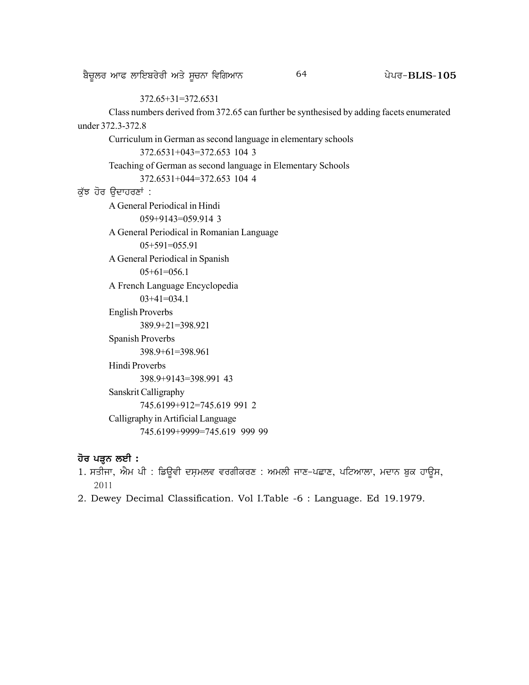#### 372.65+31=372.6531

Class numbers derived from 372.65 can further be synthesised by adding facets enumerated under 372.3-372.8

Curriculum in German as second language in elementary schools

372.6531+043=372.653 104 3

Teaching of German as second language in Elementary Schools

372.6531+044=372.653 104 4

#### ਕੁੱਝ ਹੋਰ ਉਦਾਹਰਣਾਂ :

A General Periodical in Hindi 059+9143=059.914 3 A General Periodical in Romanian Language 05+591=055.91 A General Periodical in Spanish 05+61=056.1 A French Language Encyclopedia 03+41=034.1 English Proverbs 389.9+21=398.921 Spanish Proverbs 398.9+61=398.961 Hindi Proverbs 398.9+9143=398.991 43 Sanskrit Calligraphy 745.6199+912=745.619 991 2 Calligraphy in Artificial Language 745.6199+9999=745.619 999 99

#### **ਹੋਰ ਪੜ੍ਹਨ ਲਈ :**

- 1. ਸਤੀਜਾ, ਐਮ ਪੀ : ਡਿਉਵੀ ਦਸ਼ਮਲਵ ਵਰਗੀਕਰਣ : ਅਮਲੀ ਜਾਣ-ਪਛਾਣ, ਪਟਿਆਲਾ, ਮਦਾਨ ਬੁਕ ਹਾਉਸ, 2011
- 2. Dewey Decimal Classification. Vol I.Table -6 : Language. Ed 19.1979.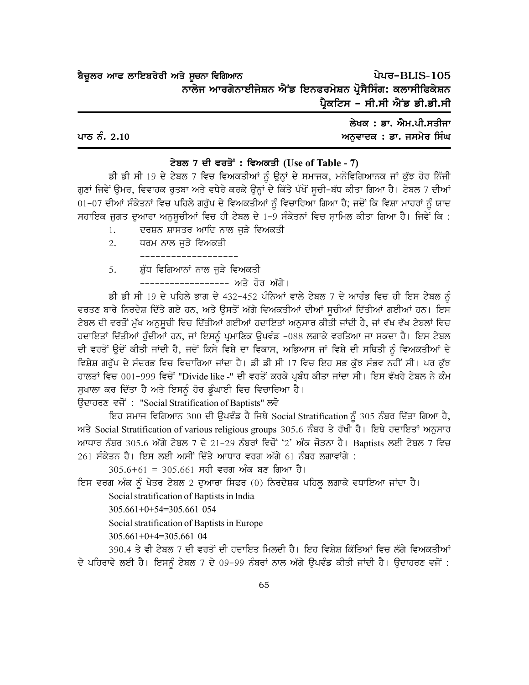ਪੇਪਰ-BLIS-105 ਬੈਚੂਲਰ ਆਫ ਲਾਇਬਰੇਰੀ ਅਤੇ ਸੂਚਨਾ ਵਿਗਿਆਨ ਨਾਲੇਜ ਆਰਗੇਨਾਈਜੇਸ਼ਨ ਐਂਡ ਇਨਫਰਮੇਸ਼ਨ ਪ੍ਰੋਸੈਸਿੰਗ: ਕਲਾਸੀਫਿਕੇਸ਼ਨ ਪ੍ਰੈਕਟਿਸ - ਸੀ.ਸੀ ਐਂਡ ਡੀ.ਡੀ.ਸੀ

|              | ਲੇਖਕ : ਡਾ. ਐਮ.ਪੀ.ਸਤੀਜਾ   |
|--------------|--------------------------|
| ਪਾਠ ਨੰ. 2.10 | ਅਨੁਵਾਦਕ : ਡਾ. ਜਸਮੇਰ ਸਿੰਘ |

#### ਟੇਬਲ 7 ਦੀ ਵਰਤੋਂ: ਵਿਅਕਤੀ (Use of Table - 7)

ਡੀ ਡੀ ਸੀ 19 ਦੇ ਟੇਬਲ 7 ਵਿਚ ਵਿਅਕਤੀਆਂ ਨੂੰ ਉਨ੍ਹਾਂ ਦੇ ਸਮਾਜਕ, ਮਨੋਵਿਗਿਆਨਕ ਜਾਂ ਕੁੱਝ ਹੋਰ ਨਿੱਜੀ ਗੁਣਾਂ ਜਿਵੇਂ ਉਮਰ, ਵਿਵਾਹਕ ਰੁਤਬਾ ਅਤੇ ਵਧੇਰੇ ਕਰਕੇ ਉਨ੍ਹਾਂ ਦੇ ਕਿੱਤੇ ਪੱਖੋਂ ਸੂਚੀ-ਬੱਧ ਕੀਤਾ ਗਿਆ ਹੈ। ਟੇਬਲ 7 ਦੀਆਂ 01-07 ਦੀਆਂ ਸੰਕੇਤਨਾਂ ਵਿਚ ਪਹਿਲੇ ਗਰੁੱਪ ਦੇ ਵਿਅਕਤੀਆਂ ਨੂੰ ਵਿਚਾਰਿਆ ਗਿਆ ਹੈ; ਜਦੋਂ ਕਿ ਵਿਸ਼ਾ ਮਾਹਰਾਂ ਨੂੰ ਯਾਦ ਸਹਾਇਕ ਜੁਗਤ ਦੁਆਰਾ ਅਨੁਸੂਚੀਆਂ ਵਿਚ ਹੀ ਟੇਬਲ ਦੇ 1-9 ਸੰਕੇਤਨਾਂ ਵਿਚ ਸ਼ਾਮਿਲ ਕੀਤਾ ਗਿਆ ਹੈ। ਜਿਵੇਂ ਕਿ :

- ਦਰਸ਼ਨ ਸ਼ਾਸਤਰ ਆਦਿ ਨਾਲ ਜੜੇ ਵਿਅਕਤੀ  $1.$
- $2^{1}$ ਧਰਮ ਨਾਲ ਜੜੇ ਵਿਅਕਤੀ
- ਸ਼ੁੱਧ ਵਿਗਿਆਨਾਂ ਨਾਲ ਜੁੜੇ ਵਿਅਕਤੀ 5.
	- –––––––––––––– ਅਤੇ ਹੋਰ ਅੱਗੇ।

ਡੀ ਡੀ ਸੀ 19 ਦੇ ਪਹਿਲੇ ਭਾਗ ਦੇ 432-452 ਪੰਨਿਆਂ ਵਾਲੇ ਟੇਬਲ 7 ਦੇ ਆਰੰਭ ਵਿਚ ਹੀ ਇਸ ਟੇਬਲ ਨੂੰ ਵਰਤਣ ਬਾਰੇ ਨਿਰਦੇਸ਼ ਦਿੱਤੇ ਗਏ ਹਨ, ਅਤੇ ਉਸਤੋਂ ਅੱਗੇ ਵਿਅਕਤੀਆਂ ਦੀਆਂ ਸੁਚੀਆਂ ਦਿੱਤੀਆਂ ਗਈਆਂ ਹਨ। ਇਸ ਟੇਬਲ ਦੀ ਵਰਤੋਂ ਮੁੱਖ ਅਨੁਸੂਚੀ ਵਿਚ ਦਿੱਤੀਆਂ ਗਈਆਂ ਹਦਾਇਤਾਂ ਅਨੁਸਾਰ ਕੀਤੀ ਜਾਂਦੀ ਹੈ, ਜਾਂ ਵੱਖ ਵੱਖ ਟੇਬਲਾਂ ਵਿਚ ਹਦਾਇਤਾਂ ਦਿੱਤੀਆਂ ਹੁੰਦੀਆਂ ਹਨ, ਜਾਂ ਇਸਨੂੰ ਪ੍ਰਮਾਣਿਕ ਉਪਵੰਡ -088 ਲਗਾਕੇ ਵਰਤਿਆ ਜਾ ਸਕਦਾ ਹੈ। ਇਸ ਟੇਬਲ ਦੀ ਵਰਤੋਂ ਉਦੋਂ ਕੀਤੀ ਜਾਂਦੀ ਹੈ, ਜਦੋਂ ਕਿਸੇ ਵਿਸ਼ੇ ਦਾ ਵਿਕਾਸ, ਅਭਿਆਸ ਜਾਂ ਵਿਸ਼ੇ ਦੀ ਸਥਿਤੀ ਨੂੰ ਵਿਅਕਤੀਆਂ ਦੇ ਵਿਸ਼ੇਸ਼ ਗਰੁੱਪ ਦੇ ਸੰਦਰਭ ਵਿਚ ਵਿਚਾਰਿਆ ਜਾਂਦਾ ਹੈ। ਡੀ ਡੀ ਸੀ 17 ਵਿਚ ਇਹ ਸਭ ਕੁੱਝ ਸੰਭਵ ਨਹੀਂ ਸੀ। ਪਰ ਕੁੱਝ ਹਾਲਤਾਂ ਵਿਚ 001-999 ਵਿਚੋਂ "Divide like -" ਦੀ ਵਰਤੋਂ ਕਰਕੇ ਪ੍ਰਬੰਧ ਕੀਤਾ ਜਾਂਦਾ ਸੀ। ਇਸ ਵੱਖਰੇ ਟੇਬਲ ਨੇ ਕੰਮ ਸੁਖਾਲਾ ਕਰ ਦਿੱਤਾ ਹੈ ਅਤੇ ਇਸਨੂੰ ਹੋਰ ਡੂੰਘਾਈ ਵਿਚ ਵਿਚਾਰਿਆ ਹੈ।

ਉਦਾਹਰਣ ਵਜੋਂ: "Social Stratification of Baptists" ਲਵੋ

ਇਹ ਸਮਾਜ ਵਿਗਿਆਨ 300 ਦੀ ਉਪਵੰਡ ਹੈ ਜਿਥੇ Social Stratification ਨੂੰ 305 ਨੰਬਰ ਦਿੱਤਾ ਗਿਆ ਹੈ, ਅਤੇ Social Stratification of various religious groups 305.6 ਨੰਬਰ ਤੇ ਰੱਖੀ ਹੈ। ਇਥੇ ਹਦਾਇਤਾਂ ਅਨੁਸਾਰ ਆਧਾਰ ਨੰਬਰ 305.6 ਅੱਗੇ ਟੇਬਲ 7 ਦੇ 21–29 ਨੰਬਰਾਂ ਵਿਚੋਂ '2' ਅੰਕ ਜੋੜਨਾ ਹੈ। Baptists ਲਈ ਟੇਬਲ 7 ਵਿਚ 261 ਸੰਕੇਤਨ ਹੈ। ਇਸ ਲਈ ਅਸੀਂ ਦਿੱਤੇ ਆਧਾਰ ਵਰਗ ਅੱਗੇ 61 ਨੰਬਰ ਲਗਾਵਾਂਗੇ :

 $305.6 + 61 = 305.661$  ਸਹੀ ਵਰਗ ਅੰਕ ਬਣ ਗਿਆ ਹੈ।

ਇਸ ਵਰਗ ਅੰਕ ਨੂੰ ਖੇਤਰ ਟੇਬਲ 2 ਦੁਆਰਾ ਸਿਫਰ (0) ਨਿਰਦੇਸ਼ਕ ਪਹਿਲੂ ਲਗਾਕੇ ਵਧਾਇਆ ਜਾਂਦਾ ਹੈ।

Social stratification of Baptists in India

305.661+0+54=305.661 054

Social stratification of Baptists in Europe

 $305.661+0+4=305.661$  04

390.4 ਤੇ ਵੀ ਟੇਬਲ 7 ਦੀ ਵਰਤੋਂ ਦੀ ਹਦਾਇਤ ਮਿਲਦੀ ਹੈ। ਇਹ ਵਿਸ਼ੇਸ਼ ਕਿੱਤਿਆਂ ਵਿਚ ਲੱਗੇ ਵਿਅਕਤੀਆਂ ਦੇ ਪਹਿਰਾਵੇ ਲਈ ਹੈ। ਇਸਨੂੰ ਟੇਬਲ 7 ਦੇ 09-99 ਨੰਬਰਾਂ ਨਾਲ ਅੱਗੇ ਉਪਵੰਡ ਕੀਤੀ ਜਾਂਦੀ ਹੈ। ਉਦਾਹਰਣ ਵਜੋਂ :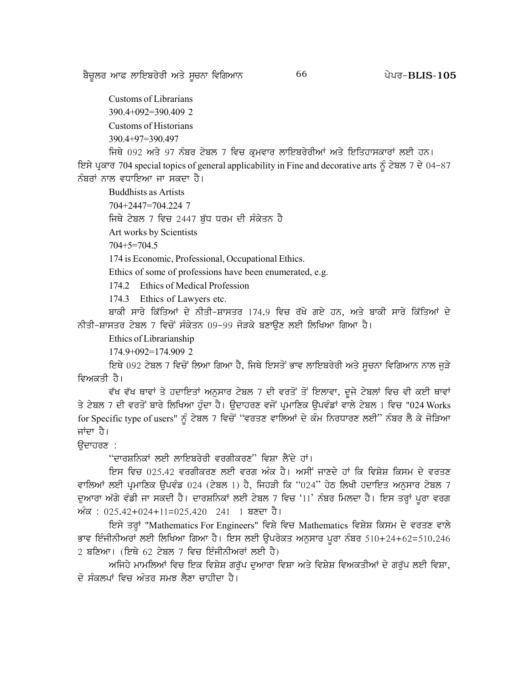Customs of Librarians  $390.4+092=390.409$  2 Customs of Historians 390.4+97=390.497

ਜਿਥੇ 092 ਅਤੇ 97 ਨੰਬਰ ਟੇਬਲ 7 ਵਿਚ ਕ੍ਰਮਵਾਰ ਲਾਇਬਰੇਰੀਆਂ ਅਤੇ ਇਤਿਹਾਸਕਾਰਾਂ ਲਈ ਹਨ।

ਇਸੇ ਪ੍ਰਕਾਰ 704 special topics of general applicability in Fine and decorative arts ਨੂੰ ਟੇਬਲ 7 ਦੇ 04-87 ਨੰਬਰਾਂ ਨਾਲ ਵਧਾਇਆ ਜਾ ਸਕਦਾ ਹੈ।

**Buddhists as Artists** 

704+2447=704.224 7

ਜਿਥੇ ਟੇਬਲ 7 ਵਿਚ 2447 ਬੁੱਧ ਧਰਮ ਦੀ ਸੰਕੇਤਨ ਹੈ

Art works by Scientists

 $704 + 5 = 704.5$ 

174 is Economic, Professional, Occupational Ethics.

Ethics of some of professions have been enumerated, e.g.

174.2 Ethics of Medical Profession

174.3 Ethics of Lawyers etc.

ਬਾਕੀ ਸਾਰੇ ਕਿੱਤਿਆਂ ਦੇ ਨੀਤੀ-ਸ਼ਾਸਤਰ 174.9 ਵਿਚ ਰੱਖੇ ਗਏ ਹਨ, ਅਤੇ ਬਾਕੀ ਸਾਰੇ ਕਿੱਤਿਆਂ ਦੇ ਨੀਤੀ-ਸ਼ਾਸਤਰ ਟੇਬਲ 7 ਵਿਚੋਂ ਸੰਕੇਤਨ 09-99 ਜੋੜਕੇ ਬਣਾਉਣ ਲਈ ਲਿਖਿਆ ਗਿਆ ਹੈ।

Ethics of Librarianship

174.9+092=174.909 2

ਇਥੇ 092 ਟੇਬਲ 7 ਵਿਚੋਂ ਲਿਆ ਗਿਆ ਹੈ, ਜਿਥੇ ਇਸਤੋਂ ਭਾਵ ਲਾਇਬਰੇਰੀ ਅਤੇ ਸੂਚਨਾ ਵਿਗਿਆਨ ਨਾਲ ਜੁੜੇ ਵਿਅਕਤੀ ਹੈ।

ਵੱਖ ਵੱਖ ਥਾਵਾਂ ਤੇ ਹਦਾਇਤਾਂ ਅਨੁਸਾਰ ਟੇਬਲ 7 ਦੀ ਵਰਤੋਂ ਤੋਂ ਇਲਾਵਾ, ਦੂਜੇ ਟੇਬਲਾਂ ਵਿਚ ਵੀ ਕਈ ਥਾਵਾਂ ਤੇ ਟੇਬਲ 7 ਦੀ ਵਰਤੋਂ ਬਾਰੇ ਲਿਖਿਆ ਹੰਦਾ ਹੈ। ਉਦਾਹਰਣ ਵਜੋਂ ਪ੍ਰਮਾਣਿਕ ਉਪਵੰਡਾਂ ਵਾਲੇ ਟੇਬਲ 1 ਵਿਚ "024 Works for Specific type of users" ਨੂੰ ਟੇਬਲ 7 ਵਿਚੋਂ "ਵਰਤਣ ਵਾਲਿਆਂ ਦੇ ਕੰਮ ਨਿਰਧਾਰਣ ਲਈ" ਨੰਬਰ ਲੈ ਕੇ ਜੋੜਿਆ ਜਾਂਦਾ ਹੈ।

ਉਦਾਹਰਣ :

''ਦਾਰਸ਼ਨਿਕਾਂ ਲਈ ਲਾਇਬਰੇਰੀ ਵਰਗੀਕਰਣ'' ਵਿਸ਼ਾ ਲੈਂਦੇ ਹਾਂ।

ਇਸ ਵਿਚ 025.42 ਵਰਗੀਕਰਣ ਲਈ ਵਰਗ ਅੰਕ ਹੈ। ਅਸੀਂ ਜਾਣਦੇ ਹਾਂ ਕਿ ਵਿਸ਼ੇਸ਼ ਕਿਸਮ ਦੇ ਵਰਤਣ ਵਾਲਿਆਂ ਲਈ ਪ੍ਰਮਾਣਿਕ ਉਪਵੰਡ 024 (ਟੇਬਲ 1) ਹੈ, ਜਿਹੜੀ ਕਿ "024" ਹੇਠ ਲਿਖੀ ਹਦਾਇਤ ਅਨੁਸਾਰ ਟੇਬਲ 7 ਦੁਆਰਾ ਅੱਗੇ ਵੰਡੀ ਜਾ ਸਕਦੀ ਹੈ। ਦਾਰਸ਼ਨਿਕਾਂ ਲਈ ਟੇਬਲ 7 ਵਿਚ '11' ਨੰਬਰ ਮਿਲਦਾ ਹੈ। ਇਸ ਤਰ੍ਹਾਂ ਪੂਰਾ ਵਰਗ ਅੰਕ: 025.42+024+11=025.420 241 1 ਬਣਦਾ ਹੈ।

ਇਸੇ ਤਰ੍ਹਾਂ "Mathematics For Engineers" ਵਿਸ਼ੇ ਵਿਚ Mathematics ਵਿਸ਼ੇਸ਼ ਕਿਸਮ ਦੇ ਵਰਤਣ ਵਾਲੇ ਭਾਵ ਇੰਜੀਨੀਅਰਾਂ ਲਈ ਲਿਖਿਆ ਗਿਆ ਹੈ। ਇਸ ਲਈ ਉਪਰੋਕਤ ਅਨੁਸਾਰ ਪੁਰਾ ਨੰਬਰ 510+24+62=510.246 2 ਬਣਿਆ। (ਇਥੇ 62 ਟੇਬਲ 7 ਵਿਚ ਇੰਜੀਨੀਅਰਾਂ ਲਈ ਹੈ)

ਅਜਿਹੇ ਮਾਮਲਿਆਂ ਵਿਚ ਇਕ ਵਿਸ਼ੇਸ਼ ਗਰੱਪ ਦਆਰਾ ਵਿਸ਼ਾ ਅਤੇ ਵਿਸ਼ੇਸ਼ ਵਿਅਕਤੀਆਂ ਦੇ ਗਰੱਪ ਲਈ ਵਿਸ਼ਾ, ਦੋ ਸੰਕਲਪਾਂ ਵਿਚ ਅੰਤਰ ਸਮਝ ਲੈਣਾ ਚਾਹੀਦਾ ਹੈ।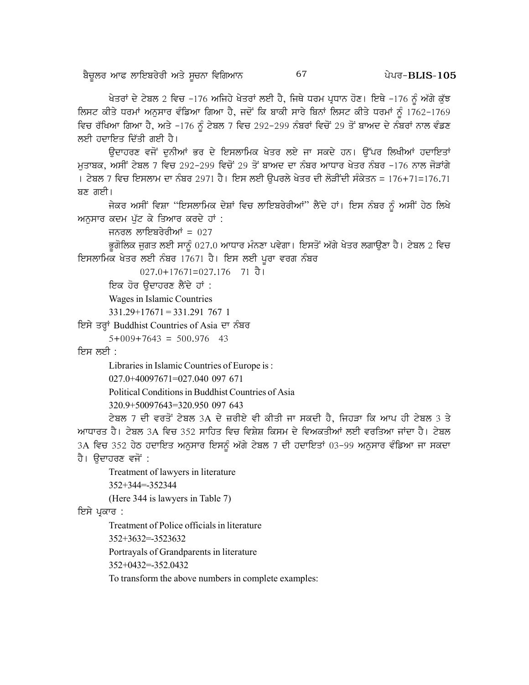ਖੇਤਰਾਂ ਦੇ ਟੇਬਲ 2 ਵਿਚ -176 ਅਜਿਹੇ ਖੇਤਰਾਂ ਲਈ ਹੈ, ਜਿਥੇ ਧਰਮ ਪ੍ਰਧਾਨ ਹੋਣ। ਇਥੇ -176 ਨੂੰ ਅੱਗੇ ਕੁੱਝ ਲਿਸਟ ਕੀਤੇ ਧਰਮਾਂ ਅਨੁਸਾਰ ਵੰਡਿਆ ਗਿਆ ਹੈ, ਜਦੋਂ ਕਿ ਬਾਕੀ ਸਾਰੇ ਬਿਨਾਂ ਲਿਸਟ ਕੀਤੇ ਧਰਮਾਂ ਨੂੰ 1762-1769 ਵਿਚ ਰੱਖਿਆ ਗਿਆ ਹੈ, ਅਤੇ -176 ਨੂੰ ਟੇਬਲ 7 ਵਿਚ 292-299 ਨੰਬਰਾਂ ਵਿਚੋਂ 29 ਤੋਂ ਬਾਅਦ ਦੇ ਨੰਬਰਾਂ ਨਾਲ ਵੰਡਣ ਲਈ ਹਦਾਇਤ ਦਿੱਤੀ ਗਈ ਹੈ।

ਉਦਾਹਰਣ ਵਜੋਂ ਦੁਨੀਆਂ ਭਰ ਦੇ ਇਸਲਾਮਿਕ ਖੇਤਰ ਲਏ ਜਾ ਸਕਦੇ ਹਨ। ਉੱਪਰ ਲਿਖੀਆਂ ਹਦਾਇਤਾਂ ਮਤਾਬਕ, ਅਸੀਂ ਟੇਬਲ 7 ਵਿਚ 292-299 ਵਿਚੋਂ 29 ਤੋਂ ਬਾਅਦ ਦਾ ਨੰਬਰ ਆਧਾਰ ਖੇਤਰ ਨੰਬਰ -176 ਨਾਲ ਜੋੜਾਂਗੇ । ਟੇਬਲ 7 ਵਿਚ ਇਸਲਾਮ ਦਾ ਨੰਬਰ 2971 ਹੈ। ਇਸ ਲਈ ਉਪਰਲੇ ਖੇਤਰ ਦੀ ਲੋੜੀਂਦੀ ਸੰਕੇਤਨ = 176+71=176.71 ਬਣ ਗਈ।

ਜੇਕਰ ਅਸੀਂ ਵਿਸ਼ਾ "ਇਸਲਾਮਿਕ ਦੇਸ਼ਾਂ ਵਿਚ ਲਾਇਬਰੇਰੀਆਂ" ਲੈਂਦੇ ਹਾਂ। ਇਸ ਨੰਬਰ ਨੂੰ ਅਸੀਂ ਹੇਠ ਲਿਖੇ ਅਨੁਸਾਰ ਕਦਮ ਪੁੱਟ ਕੇ ਤਿਆਰ ਕਰਦੇ ਹਾਂ :

ਜਨਰਲ ਲਾਇਬਰੇਰੀਆਂ =  $027$ 

ਭੂਗੋਲਿਕ ਜਗਤ ਲਈ ਸਾਨੂੰ 027.0 ਆਧਾਰ ਮੰਨਣਾ ਪਵੇਗਾ। ਇਸਤੋਂ ਅੱਗੇ ਖੇਤਰ ਲਗਾਉਣਾ ਹੈ। ਟੇਬਲ 2 ਵਿਚ ਇਸਲਾਮਿਕ ਖੇਤਰ ਲਈ ਨੰਬਰ 17671 ਹੈ। ਇਸ ਲਈ ਪੂਰਾ ਵਰਗ ਨੰਬਰ

 $027.0+17671=027.176$  71  $\frac{3}{9}$  1

ਇਕ ਹੋਰ ੳਦਾਹਰਣ ਲੈਂਦੇ ਹਾਂ :

Wages in Islamic Countries

 $331.29 + 17671 = 331.2917671$ 

ਇਸੇ ਤਰ੍ਹਾਂ Buddhist Countries of Asia ਦਾ ਨੰਬਰ

 $5+009+7643 = 500.976$  43

ਇਸ ਲਈ :

Libraries in Islamic Countries of Europe is :

```
027.0+40097671=027.040 097 671
```
Political Conditions in Buddhist Countries of Asia

320.9+50097643=320.950 097 643

ਟੇਬਲ 7 ਦੀ ਵਰਤੋਂ ਟੇਬਲ 3A ਦੇ ਜ਼ਰੀਏ ਵੀ ਕੀਤੀ ਜਾ ਸਕਦੀ ਹੈ, ਜਿਹੜਾ ਕਿ ਆਪ ਹੀ ਟੇਬਲ 3 ਤੇ ਆਧਾਰਤ ਹੈ। ਟੇਬਲ 3A ਵਿਚ 352 ਸਾਹਿਤ ਵਿਚ ਵਿਸ਼ੇਸ਼ ਕਿਸਮ ਦੇ ਵਿਅਕਤੀਆਂ ਲਈ ਵਰਤਿਆ ਜਾਂਦਾ ਹੈ। ਟੇਬਲ 3A ਵਿਚ 352 ਹੇਠ ਹਦਾਇਤ ਅਨੁਸਾਰ ਇਸਨੂੰ ਅੱਗੇ ਟੇਬਲ 7 ਦੀ ਹਦਾਇਤਾਂ 03-99 ਅਨੁਸਾਰ ਵੰਡਿਆ ਜਾ ਸਕਦਾ ਹੈ। ਉਦਾਹਰਣ ਵਜੋਂ :

Treatment of lawyers in literature

352+344=-352344

(Here 344 is lawyers in Table 7)

ਇਸੇ ਪੁਕਾਰ :

Treatment of Police officials in literature

352+3632=-3523632

Portrayals of Grandparents in literature

352+0432=-352.0432

To transform the above numbers in complete examples: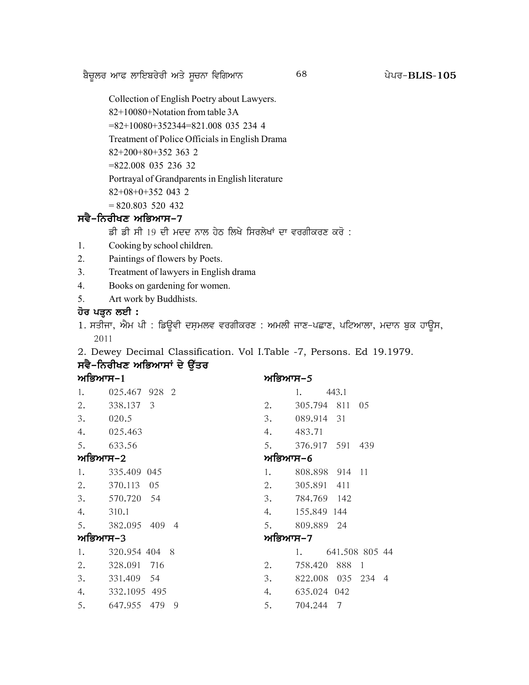p?u{bo nkc bkfJpo/oh ns/ ;{uBk ftfrnkB g /go^ 68 **BLIS-105**

Collection of English Poetry about Lawyers.

82+10080+Notation from table 3A

=82+10080+352344=821.008 035 234 4

Treatment of Police Officials in English Drama

82+200+80+352 363 2

=822.008 035 236 32

Portrayal of Grandparents in English literature

82+08+0+352 043 2

 $= 820.803$  520 432

# ਸਵੈ-ਨਿਰੀਖਣ ਅਭਿਆਸ*-*7

ਡੀ ਡੀ ਸੀ 19 ਦੀ ਮਦਦ ਨਾਲ ਹੇਠ ਲਿਖੇ ਸਿਰਲੇਖਾਂ ਦਾ ਵਰਗੀਕਰਣ ਕਰੋ :

- 1. Cooking by school children.
- 2. Paintings of flowers by Poets.
- 3. Treatment of lawyers in English drama
- 4. Books on gardening for women.
- 5. Art work by Buddhists.

# ਹੋਰ ਪੜ੍ਹਨ ਲਈ **:**

1. ਸਤੀਜਾ, ਐਮ ਪੀ : ਡਿਊਵੀ ਦਸ਼ਮਲਵ ਵਰਗੀਕਰਣ : ਅਮਲੀ ਜਾਣ-ਪਛਾਣ, ਪਟਿਆਲਾ, ਮਦਾਨ ਬੁਕ ਹਾਊਸ, 2011

2. Dewey Decimal Classification. Vol I.Table -7, Persons. Ed 19.1979.

# ਸਵੈ-ਨਿਰੀਖਣ ਅਭਿਆਸਾਂ ਦੇ **ਉੱਤ**ਰ

#### ਅਭਿਆਸ–<u>1</u> ਮਾਰਿਆਸ–5

| 1.      | 025.467 928 2    |         | 443.1<br>1.       |                |  |
|---------|------------------|---------|-------------------|----------------|--|
|         | 2. 338.137 3     |         | 2. 305.794 811 05 |                |  |
| 3.      | 020.5            | 3.      | 089.914 31        |                |  |
| 4.      | 025.463          | 4.      | 483.71            |                |  |
| 5.      | 633.56           | 5.      | 376.917 591 439   |                |  |
| ਅਭਿਆਸ−2 |                  | ਅਭਿਆਸ–6 |                   |                |  |
| 1.      | 335.409 045      | 1.      | 808.898 914 11    |                |  |
|         | 2. 370.113 05    |         | 2. 305.891 411    |                |  |
|         | 3. 570.720 54    |         | 3. 784.769 142    |                |  |
| 4.      | 310.1            |         | 4. 155.849 144    |                |  |
|         | 5. 382.095 409 4 | 5.      | 809.889 24        |                |  |
| ਅਭਿਆਸ−3 |                  | ਅਭਿਆਸ–7 |                   |                |  |
| 1.      | 320.954 404 8    |         | 1.                | 641.508 805 44 |  |
| 2.      | 328.091 716      | 2.      | 758.420 888 1     |                |  |
| 3.      | 331.409 54       | 3.      | 822.008 035 234 4 |                |  |
| 4.      | 332.1095 495     | 4.      | 635.024 042       |                |  |
| 5.      | 647.955 479 9    | 5.      | 704.244 7         |                |  |
|         |                  |         |                   |                |  |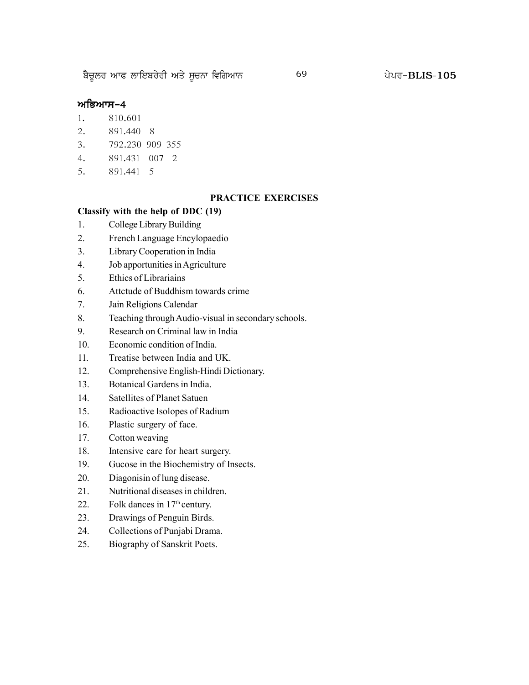p?u{bo nkc bkfJpo/oh ns/ ;{uBk ftfrnkB g /go^ 69 **BLIS-105**

#### ਅਭਿਆਸ–4

- 1. 810.601
- 2. 891.440 8
- 3. 792.230 909 355
- 4. 891.431 007 2
- 5. 891.441 5

#### **PRACTICE EXERCISES**

#### **Classify with the help of DDC (19)**

- 1. College Library Building
- 2. French Language Encylopaedio
- 3. Library Cooperation in India
- 4. Job apportunities in Agriculture
- 5. Ethics of Librariains
- 6. Attctude of Buddhism towards crime
- 7. Jain Religions Calendar
- 8. Teaching through Audio-visual in secondary schools.
- 9. Research on Criminal law in India
- 10. Economic condition of India.
- 11. Treatise between India and UK.
- 12. Comprehensive English-Hindi Dictionary.
- 13. Botanical Gardens in India.
- 14. Satellites of Planet Satuen
- 15. Radioactive Isolopes of Radium
- 16. Plastic surgery of face.
- 17. Cotton weaving
- 18. Intensive care for heart surgery.
- 19. Gucose in the Biochemistry of Insects.
- 20. Diagonisin of lung disease.
- 21. Nutritional diseases in children.
- 22. Folk dances in  $17<sup>th</sup>$  century.
- 23. Drawings of Penguin Birds.
- 24. Collections of Punjabi Drama.
- 25. Biography of Sanskrit Poets.